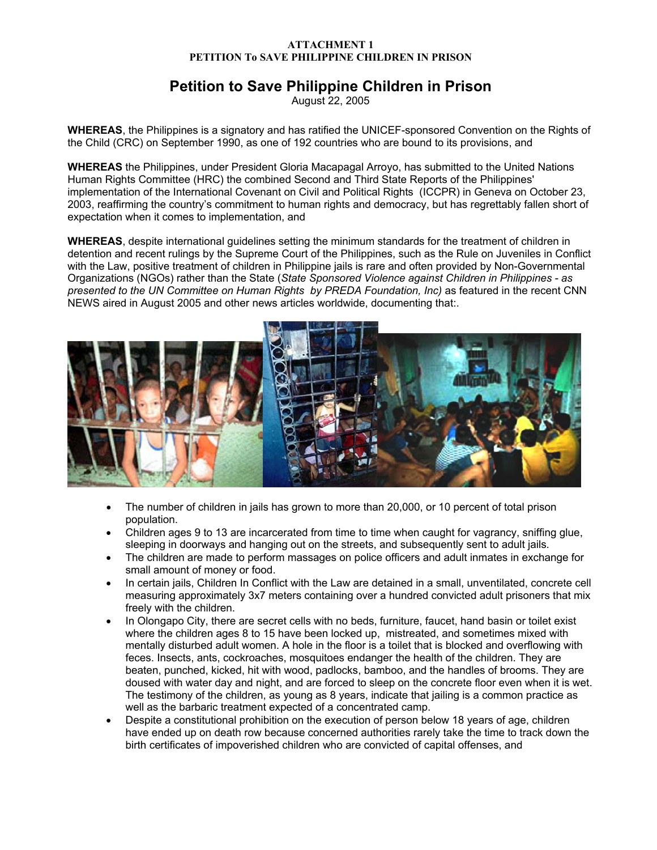# **Petition to Save Philippine Children in Prison**

August 22, 2005

**WHEREAS**, the Philippines is a signatory and has ratified the UNICEF-sponsored Convention on the Rights of the Child (CRC) on September 1990, as one of 192 countries who are bound to its provisions, and

**WHEREAS** the Philippines, under President Gloria Macapagal Arroyo, has submitted to the United Nations Human Rights Committee (HRC) the combined Second and Third State Reports of the Philippines' implementation of the International Covenant on Civil and Political Rights (ICCPR) in Geneva on October 23, 2003, reaffirming the country's commitment to human rights and democracy, but has regrettably fallen short of expectation when it comes to implementation, and

**WHEREAS**, despite international guidelines setting the minimum standards for the treatment of children in detention and recent rulings by the Supreme Court of the Philippines, such as the Rule on Juveniles in Conflict with the Law, positive treatment of children in Philippine jails is rare and often provided by Non-Governmental Organizations (NGOs) rather than the State (*State Sponsored Violence against Children in Philippines - as*  presented to the UN Committee on Human Rights by PREDA Foundation, Inc) as featured in the recent CNN NEWS aired in August 2005 and other news articles worldwide, documenting that:.



- The number of children in jails has grown to more than 20,000, or 10 percent of total prison population.
- Children ages 9 to 13 are incarcerated from time to time when caught for vagrancy, sniffing glue, sleeping in doorways and hanging out on the streets, and subsequently sent to adult jails.
- The children are made to perform massages on police officers and adult inmates in exchange for small amount of money or food.
- In certain jails, Children In Conflict with the Law are detained in a small, unventilated, concrete cell measuring approximately 3x7 meters containing over a hundred convicted adult prisoners that mix freely with the children.
- In Olongapo City, there are secret cells with no beds, furniture, faucet, hand basin or toilet exist where the children ages 8 to 15 have been locked up, mistreated, and sometimes mixed with mentally disturbed adult women. A hole in the floor is a toilet that is blocked and overflowing with feces. Insects, ants, cockroaches, mosquitoes endanger the health of the children. They are beaten, punched, kicked, hit with wood, padlocks, bamboo, and the handles of brooms. They are doused with water day and night, and are forced to sleep on the concrete floor even when it is wet. The testimony of the children, as young as 8 years, indicate that jailing is a common practice as well as the barbaric treatment expected of a concentrated camp.
- Despite a constitutional prohibition on the execution of person below 18 years of age, children have ended up on death row because concerned authorities rarely take the time to track down the birth certificates of impoverished children who are convicted of capital offenses, and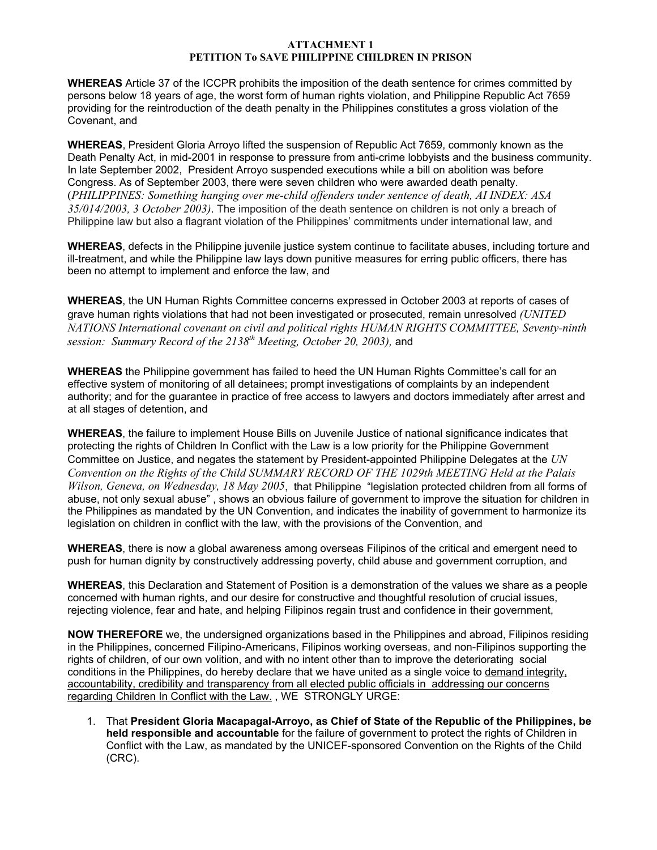**WHEREAS** Article 37 of the ICCPR prohibits the imposition of the death sentence for crimes committed by persons below 18 years of age, the worst form of human rights violation, and Philippine Republic Act 7659 providing for the reintroduction of the death penalty in the Philippines constitutes a gross violation of the Covenant, and

**WHEREAS**, President Gloria Arroyo lifted the suspension of Republic Act 7659, commonly known as the Death Penalty Act, in mid-2001 in response to pressure from anti-crime lobbyists and the business community. In late September 2002, President Arroyo suspended executions while a bill on abolition was before Congress. As of September 2003, there were seven children who were awarded death penalty. (*PHILIPPINES: Something hanging over me-child offenders under sentence of death, AI INDEX: ASA 35/014/2003, 3 October 2003)*. The imposition of the death sentence on children is not only a breach of Philippine law but also a flagrant violation of the Philippines' commitments under international law, and

**WHEREAS**, defects in the Philippine juvenile justice system continue to facilitate abuses, including torture and ill-treatment, and while the Philippine law lays down punitive measures for erring public officers, there has been no attempt to implement and enforce the law, and

**WHEREAS**, the UN Human Rights Committee concerns expressed in October 2003 at reports of cases of grave human rights violations that had not been investigated or prosecuted, remain unresolved *(UNITED NATIONS International covenant on civil and political rights HUMAN RIGHTS COMMITTEE, Seventy-ninth session: Summary Record of the 2138<sup>th</sup> Meeting, October 20, 2003)*, and

**WHEREAS** the Philippine government has failed to heed the UN Human Rights Committee's call for an effective system of monitoring of all detainees; prompt investigations of complaints by an independent authority; and for the guarantee in practice of free access to lawyers and doctors immediately after arrest and at all stages of detention, and

**WHEREAS**, the failure to implement House Bills on Juvenile Justice of national significance indicates that protecting the rights of Children In Conflict with the Law is a low priority for the Philippine Government Committee on Justice, and negates the statement by President-appointed Philippine Delegates at the *UN Convention on the Rights of the Child SUMMARY RECORD OF THE 1029th MEETING Held at the Palais Wilson, Geneva, on Wednesday, 18 May 2005*, that Philippine "legislation protected children from all forms of abuse, not only sexual abuse" , shows an obvious failure of government to improve the situation for children in the Philippines as mandated by the UN Convention, and indicates the inability of government to harmonize its legislation on children in conflict with the law, with the provisions of the Convention, and

**WHEREAS**, there is now a global awareness among overseas Filipinos of the critical and emergent need to push for human dignity by constructively addressing poverty, child abuse and government corruption, and

**WHEREAS**, this Declaration and Statement of Position is a demonstration of the values we share as a people concerned with human rights, and our desire for constructive and thoughtful resolution of crucial issues, rejecting violence, fear and hate, and helping Filipinos regain trust and confidence in their government,

**NOW THEREFORE** we, the undersigned organizations based in the Philippines and abroad, Filipinos residing in the Philippines, concerned Filipino-Americans, Filipinos working overseas, and non-Filipinos supporting the rights of children, of our own volition, and with no intent other than to improve the deteriorating social conditions in the Philippines, do hereby declare that we have united as a single voice to demand integrity, accountability, credibility and transparency from all elected public officials in addressing our concerns regarding Children In Conflict with the Law. , WE STRONGLY URGE:

1. That **President Gloria Macapagal-Arroyo, as Chief of State of the Republic of the Philippines, be held responsible and accountable** for the failure of government to protect the rights of Children in Conflict with the Law, as mandated by the UNICEF-sponsored Convention on the Rights of the Child (CRC).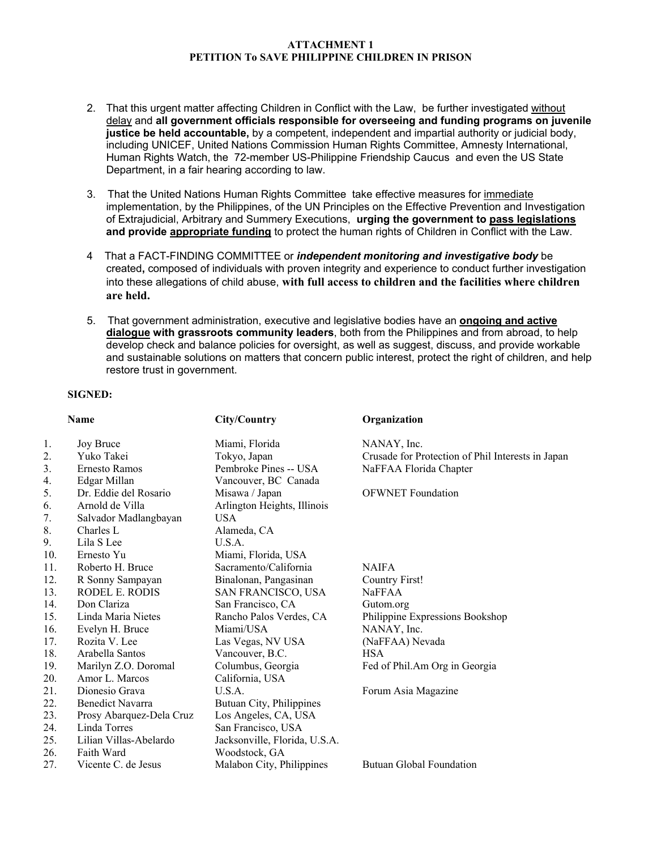- 2. That this urgent matter affecting Children in Conflict with the Law, be further investigated without delay and **all government officials responsible for overseeing and funding programs on juvenile justice be held accountable,** by a competent, independent and impartial authority or judicial body, including UNICEF, United Nations Commission Human Rights Committee, Amnesty International, Human Rights Watch, the 72-member US-Philippine Friendship Caucus and even the US State Department, in a fair hearing according to law.
- 3. That the United Nations Human Rights Committee take effective measures for immediate implementation, by the Philippines, of the UN Principles on the Effective Prevention and Investigation of Extrajudicial, Arbitrary and Summery Executions, **urging the government to pass legislations and provide appropriate funding** to protect the human rights of Children in Conflict with the Law.
- 4 That a FACT-FINDING COMMITTEE or *independent monitoring and investigative body* be created**,** composed of individuals with proven integrity and experience to conduct further investigation into these allegations of child abuse, **with full access to children and the facilities where children are held.**
- 5. That government administration, executive and legislative bodies have an **ongoing and active dialogue with grassroots community leaders**, both from the Philippines and from abroad, to help develop check and balance policies for oversight, as well as suggest, discuss, and provide workable and sustainable solutions on matters that concern public interest, protect the right of children, and help restore trust in government.

#### **SIGNED:**

|     | <b>Name</b>              | City/Country                  | Organization                                      |
|-----|--------------------------|-------------------------------|---------------------------------------------------|
| 1.  | Joy Bruce                | Miami, Florida                | NANAY, Inc.                                       |
| 2.  | Yuko Takei               | Tokyo, Japan                  | Crusade for Protection of Phil Interests in Japan |
| 3.  | <b>Ernesto Ramos</b>     | Pembroke Pines -- USA         | NaFFAA Florida Chapter                            |
| 4.  | Edgar Millan             | Vancouver, BC Canada          |                                                   |
| 5.  | Dr. Eddie del Rosario    | Misawa / Japan                | <b>OFWNET</b> Foundation                          |
| 6.  | Arnold de Villa          | Arlington Heights, Illinois   |                                                   |
| 7.  | Salvador Madlangbayan    | <b>USA</b>                    |                                                   |
| 8.  | Charles L                | Alameda, CA                   |                                                   |
| 9.  | Lila S Lee               | U.S.A.                        |                                                   |
| 10. | Ernesto Yu               | Miami, Florida, USA           |                                                   |
| 11. | Roberto H. Bruce         | Sacramento/California         | <b>NAIFA</b>                                      |
| 12. | R Sonny Sampayan         | Binalonan, Pangasinan         | Country First!                                    |
| 13. | RODEL E. RODIS           | SAN FRANCISCO, USA            | <b>NaFFAA</b>                                     |
| 14. | Don Clariza              | San Francisco, CA             | Gutom.org                                         |
| 15. | Linda Maria Nietes       | Rancho Palos Verdes, CA       | Philippine Expressions Bookshop                   |
| 16. | Evelyn H. Bruce          | Miami/USA                     | NANAY, Inc.                                       |
| 17. | Rozita V. Lee            | Las Vegas, NV USA             | (NaFFAA) Nevada                                   |
| 18. | Arabella Santos          | Vancouver, B.C.               | <b>HSA</b>                                        |
| 19. | Marilyn Z.O. Doromal     | Columbus, Georgia             | Fed of Phil.Am Org in Georgia                     |
| 20. | Amor L. Marcos           | California, USA               |                                                   |
| 21. | Dionesio Grava           | U.S.A.                        | Forum Asia Magazine                               |
| 22. | <b>Benedict Navarra</b>  | Butuan City, Philippines      |                                                   |
| 23. | Prosy Abarquez-Dela Cruz | Los Angeles, CA, USA          |                                                   |
| 24. | Linda Torres             | San Francisco, USA            |                                                   |
| 25. | Lilian Villas-Abelardo   | Jacksonville, Florida, U.S.A. |                                                   |
| 26. | Faith Ward               | Woodstock, GA                 |                                                   |
| 27. | Vicente C, de Jesus      | Malabon City, Philippines     | <b>Butuan Global Foundation</b>                   |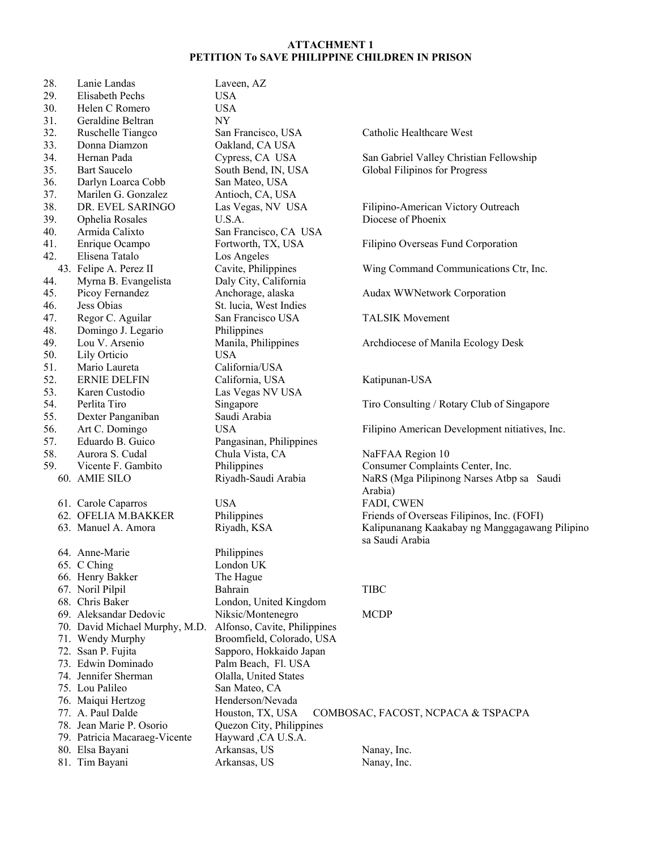| 28.<br>29. | Lanie Landas<br>Elisabeth Pechs | Laveen, AZ<br><b>USA</b>     |                                                |
|------------|---------------------------------|------------------------------|------------------------------------------------|
| 30.        | Helen C Romero                  | <b>USA</b>                   |                                                |
| 31.        | Geraldine Beltran               | $\ensuremath{\text{NY}}$     |                                                |
| 32.        | Ruschelle Tiangco               | San Francisco, USA           | Catholic Healthcare West                       |
| 33.        | Donna Diamzon                   | Oakland, CA USA              |                                                |
| 34.        | Hernan Pada                     | Cypress, CA USA              | San Gabriel Valley Christian Fellowship        |
| 35.        | <b>Bart Saucelo</b>             | South Bend, IN, USA          | Global Filipinos for Progress                  |
| 36.        | Darlyn Loarca Cobb              | San Mateo, USA               |                                                |
| 37.        | Marilen G. Gonzalez             | Antioch, CA, USA             |                                                |
| 38.        | DR. EVEL SARINGO                | Las Vegas, NV USA            | Filipino-American Victory Outreach             |
| 39.        | Ophelia Rosales                 | U.S.A.                       | Diocese of Phoenix                             |
| 40.        | Armida Calixto                  | San Francisco, CA USA        |                                                |
| 41.        | Enrique Ocampo                  | Fortworth, TX, USA           | Filipino Overseas Fund Corporation             |
| 42.        | Elisena Tatalo                  | Los Angeles                  |                                                |
|            | 43. Felipe A. Perez II          | Cavite, Philippines          | Wing Command Communications Ctr, Inc.          |
| 44.        | Myrna B. Evangelista            | Daly City, California        |                                                |
| 45.        | Picoy Fernandez                 | Anchorage, alaska            | Audax WWNetwork Corporation                    |
| 46.        | Jess Obias                      | St. lucia, West Indies       |                                                |
| 47.        | Regor C. Aguilar                | San Francisco USA            | <b>TALSIK Movement</b>                         |
| 48.        | Domingo J. Legario              | Philippines                  |                                                |
| 49.        | Lou V. Arsenio                  | Manila, Philippines          | Archdiocese of Manila Ecology Desk             |
| 50.        | Lily Orticio                    | <b>USA</b>                   |                                                |
| 51.        | Mario Laureta                   | California/USA               |                                                |
| 52.        | <b>ERNIE DELFIN</b>             | California, USA              | Katipunan-USA                                  |
| 53.        | Karen Custodio                  | Las Vegas NV USA             |                                                |
| 54.        | Perlita Tiro                    | Singapore                    | Tiro Consulting / Rotary Club of Singapore     |
| 55.        | Dexter Panganiban               | Saudi Arabia                 |                                                |
| 56.        | Art C. Domingo                  | <b>USA</b>                   | Filipino American Development nitiatives, Inc. |
| 57.        | Eduardo B. Guico                | Pangasinan, Philippines      |                                                |
| 58.        | Aurora S. Cudal                 | Chula Vista, CA              | NaFFAA Region 10                               |
| 59.        | Vicente F. Gambito              | Philippines                  | Consumer Complaints Center, Inc.               |
|            | 60. AMIE SILO                   | Riyadh-Saudi Arabia          | NaRS (Mga Pilipinong Narses Atbp sa Saudi      |
|            |                                 |                              | Arabia)                                        |
|            | 61. Carole Caparros             | <b>USA</b>                   | FADI, CWEN                                     |
|            | 62. OFELIA M.BAKKER             | Philippines                  | Friends of Overseas Filipinos, Inc. (FOFI)     |
|            | 63. Manuel A. Amora             | Riyadh, KSA                  | Kalipunanang Kaakabay ng Manggagawang Pilipino |
|            |                                 |                              | sa Saudi Arabia                                |
|            | 64. Anne-Marie                  | Philippines                  |                                                |
|            | 65. C Ching                     | London UK                    |                                                |
|            | 66. Henry Bakker                | The Hague                    |                                                |
|            | 67. Noril Pilpil                | Bahrain                      | <b>TIBC</b>                                    |
|            | 68. Chris Baker                 | London, United Kingdom       |                                                |
|            | 69. Aleksandar Dedovic          | Niksic/Montenegro            | <b>MCDP</b>                                    |
|            | 70. David Michael Murphy, M.D.  | Alfonso, Cavite, Philippines |                                                |
|            | 71. Wendy Murphy                | Broomfield, Colorado, USA    |                                                |
|            | 72. Ssan P. Fujita              | Sapporo, Hokkaido Japan      |                                                |
|            | 73. Edwin Dominado              | Palm Beach, Fl. USA          |                                                |
|            | 74. Jennifer Sherman            | Olalla, United States        |                                                |
|            | 75. Lou Palileo                 | San Mateo, CA                |                                                |
|            | 76. Maiqui Hertzog              | Henderson/Nevada             |                                                |
|            | 77. A. Paul Dalde               | Houston, TX, USA             | COMBOSAC, FACOST, NCPACA & TSPACPA             |
|            | 78. Jean Marie P. Osorio        | Quezon City, Philippines     |                                                |
|            | 79. Patricia Macaraeg-Vicente   | Hayward , CA U.S.A.          |                                                |
|            | 80. Elsa Bayani                 | Arkansas, US                 | Nanay, Inc.                                    |
|            | 81. Tim Bayani                  | Arkansas, US                 | Nanay, Inc.                                    |
|            |                                 |                              |                                                |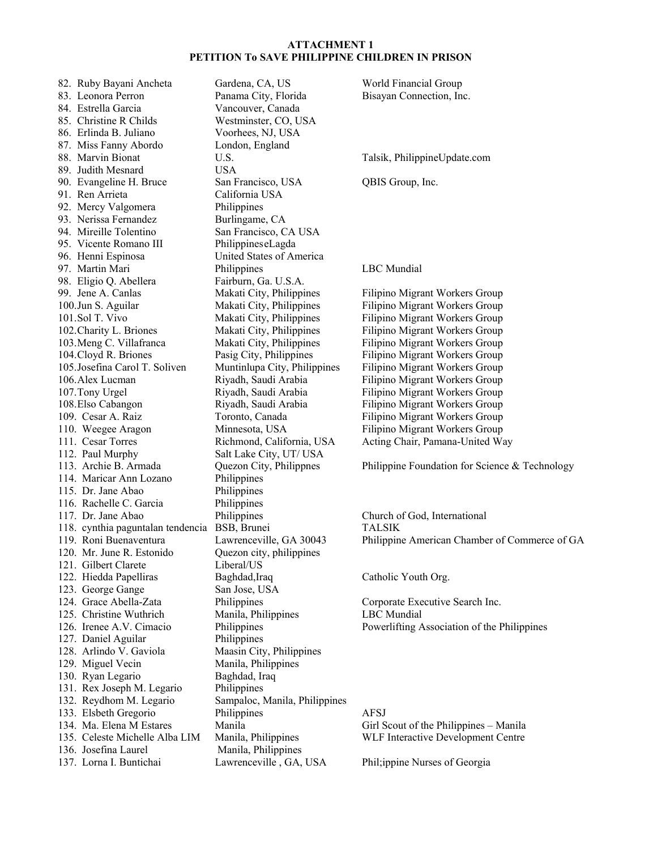82. Ruby Bayani Ancheta Gardena, CA, US World Financial Group 83. Leonora Perron Panama City, Florida Bisayan Connection, Inc. 84. Estrella Garcia Vancouver, Canada 85. Christine R Childs Westminster, CO, USA 86. Erlinda B. Juliano Voorhees, NJ, USA 87. Miss Fanny Abordo London, England 88. Marvin Bionat U.S. U.S. Talsik, PhilippineUpdate.com 89. Judith Mesnard USA 90. Evangeline H. Bruce San Francisco, USA QBIS Group, Inc. 91. Ren Arrieta California USA 92. Mercy Valgomera Philippines 93. Nerissa Fernandez Burlingame, CA 94. Mireille Tolentino San Francisco, CA USA 95. Vicente Romano III Philippines eLagda 96. Henni Espinosa United States of America 97. Martin Mari Philippines LBC Mundial 98. Eligio Q. Abellera Fairburn, Ga. U.S.A. 99. Jene A. Canlas Makati City, Philippines Filipino Migrant Workers Group 100.Jun S. Aguilar Makati City, Philippines Filipino Migrant Workers Group 101.Sol T. Vivo Makati City, Philippines Filipino Migrant Workers Group<br>102. Charity L. Briones Makati City, Philippines Filipino Migrant Workers Group 102. Charity L. Briones Makati City, Philippines Filipino Migrant Workers Group 103.Meng C. Villafranca Makati City, Philippines Filipino Migrant Workers Group 104.Cloyd R. Briones Pasig City, Philippines Filipino Migrant Workers Group 105.Josefina Carol T. Soliven Muntinlupa City, Philippines Filipino Migrant Workers Group 106.Alex Lucman Riyadh, Saudi Arabia Filipino Migrant Workers Group 107.Tony Urgel Riyadh, Saudi Arabia Filipino Migrant Workers Group 108.Elso Cabangon Riyadh, Saudi Arabia Filipino Migrant Workers Group 109. Cesar A. Raiz Toronto, Canada Filipino Migrant Workers Group 110. Weegee Aragon Minnesota, USA Filipino Migrant Workers Group 111. Cesar Torres Richmond, California, USA Acting Chair, Pamana-United Way 112. Paul Murphy Salt Lake City, UT/ USA 113. Archie B. Armada Quezon City, Philippnes Philippine Foundation for Science & Technology 114. Maricar Ann Lozano Philippines 115. Dr. Jane Abao Philippines 116. Rachelle C. Garcia Philippines 117. Dr. Jane Abao Philippines Church of God, International 118. cynthia paguntalan tendencia BSB, Brunei TALSIK 120. Mr. June R. Estonido Quezon city, philippines 121. Gilbert Clarete Liberal/US 122. Hiedda Papelliras Baghdad,Iraq Catholic Youth Org. 123. George Gange San Jose, USA 124. Grace Abella-Zata Philippines Corporate Executive Search Inc. 125. Christine Wuthrich Manila, Philippines LBC Mundial 126. Irenee A.V. Cimacio Philippines Powerlifting Association of the Philippines 127. Daniel Aguilar Philippines 128. Arlindo V. Gaviola Maasin City, Philippines 129. Miguel Vecin Manila, Philippines 130. Ryan Legario Baghdad, Iraq 131. Rex Joseph M. Legario Philippines 132. Reydhom M. Legario Sampaloc, Manila, Philippines 133. Elsbeth Gregorio Philippines AFSJ 134. Ma. Elena M Estares Manila Girl Scout of the Philippines – Manila 135. Celeste Michelle Alba LIM Manila, Philippines WLF Interactive Development Centre 136. Josefina Laurel Manila, Philippines 137. Lorna I. Buntichai Lawrenceville , GA, USA Phil;ippine Nurses of Georgia

119. Roni Buenaventura Lawrenceville, GA 30043 Philippine American Chamber of Commerce of GA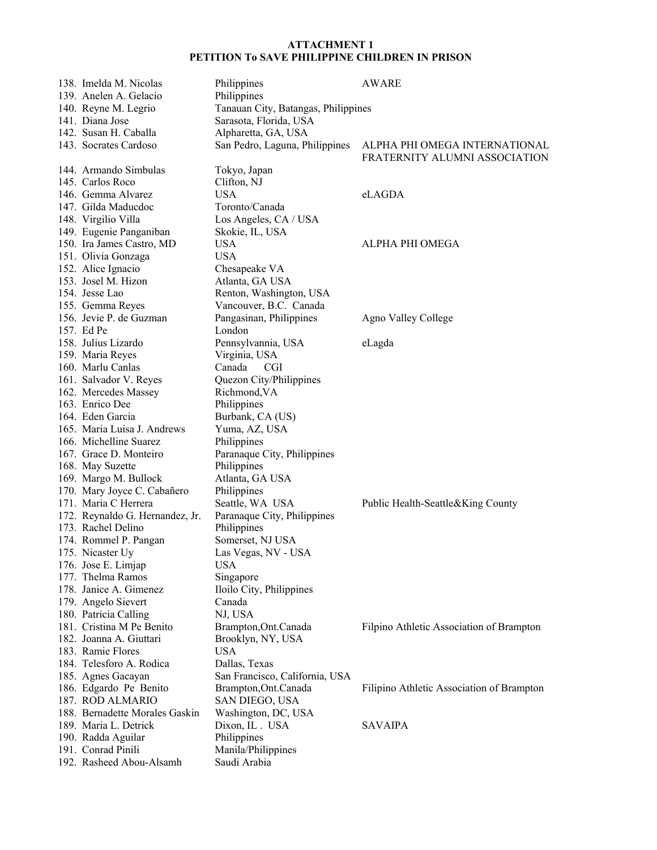| 138. Imelda M. Nicolas          | Philippines                         | <b>AWARE</b>                                                   |
|---------------------------------|-------------------------------------|----------------------------------------------------------------|
| 139. Anelen A. Gelacio          | Philippines                         |                                                                |
| 140. Reyne M. Legrio            | Tanauan City, Batangas, Philippines |                                                                |
| 141. Diana Jose                 | Sarasota, Florida, USA              |                                                                |
| 142. Susan H. Caballa           | Alpharetta, GA, USA                 |                                                                |
| 143. Socrates Cardoso           | San Pedro, Laguna, Philippines      | ALPHA PHI OMEGA INTERNATIONAL<br>FRATERNITY ALUMNI ASSOCIATION |
| 144. Armando Simbulas           | Tokyo, Japan                        |                                                                |
| 145. Carlos Roco                | Clifton, NJ                         |                                                                |
| 146. Gemma Alvarez              | <b>USA</b>                          | eLAGDA                                                         |
| 147. Gilda Maducdoc             | Toronto/Canada                      |                                                                |
| 148. Virgilio Villa             | Los Angeles, CA / USA               |                                                                |
| 149. Eugenie Panganiban         | Skokie, IL, USA                     |                                                                |
| 150. Ira James Castro, MD       | <b>USA</b>                          | ALPHA PHI OMEGA                                                |
| 151. Olivia Gonzaga             | <b>USA</b>                          |                                                                |
| 152. Alice Ignacio              | Chesapeake VA                       |                                                                |
| 153. Josel M. Hizon             | Atlanta, GA USA                     |                                                                |
| 154. Jesse Lao                  | Renton, Washington, USA             |                                                                |
| 155. Gemma Reyes                | Vancouver, B.C. Canada              |                                                                |
| 156. Jevie P. de Guzman         | Pangasinan, Philippines             | Agno Valley College                                            |
| 157. Ed Pe                      | London                              |                                                                |
| 158. Julius Lizardo             | Pennsylvannia, USA                  | eLagda                                                         |
| 159. Maria Reyes                | Virginia, USA                       |                                                                |
| 160. Marlu Canlas               | Canada<br><b>CGI</b>                |                                                                |
| 161. Salvador V. Reyes          | Quezon City/Philippines             |                                                                |
| 162. Mercedes Massey            | Richmond, VA                        |                                                                |
| 163. Enrico Dee                 | Philippines                         |                                                                |
| 164. Eden Garcia                | Burbank, CA (US)                    |                                                                |
| 165. Maria Luisa J. Andrews     | Yuma, AZ, USA                       |                                                                |
| 166. Michelline Suarez          | Philippines                         |                                                                |
| 167. Grace D. Monteiro          | Paranaque City, Philippines         |                                                                |
| 168. May Suzette                | Philippines                         |                                                                |
| 169. Margo M. Bullock           | Atlanta, GA USA                     |                                                                |
| 170. Mary Joyce C. Cabañero     | Philippines                         |                                                                |
| 171. Maria C Herrera            | Seattle, WA USA                     | Public Health-Seattle&King County                              |
| 172. Reynaldo G. Hernandez, Jr. | Paranaque City, Philippines         |                                                                |
| 173. Rachel Delino              | Philippines                         |                                                                |
| 174. Rommel P. Pangan           | Somerset, NJ USA                    |                                                                |
| 175. Nicaster Uy                | Las Vegas, NV - USA                 |                                                                |
| 176. Jose E. Limjap             | <b>USA</b>                          |                                                                |
| 177. Thelma Ramos               | Singapore                           |                                                                |
| 178. Janice A. Gimenez          | Iloilo City, Philippines            |                                                                |
| 179. Angelo Sievert             | Canada                              |                                                                |
| 180. Patricia Calling           | NJ, USA                             |                                                                |
| 181. Cristina M Pe Benito       | Brampton, Ont. Canada               | Filpino Athletic Association of Brampton                       |
| 182. Joanna A. Giuttari         | Brooklyn, NY, USA                   |                                                                |
| 183. Ramie Flores               | <b>USA</b>                          |                                                                |
| 184. Telesforo A. Rodica        | Dallas, Texas                       |                                                                |
| 185. Agnes Gacayan              | San Francisco, California, USA      |                                                                |
| 186. Edgardo Pe Benito          | Brampton, Ont. Canada               | Filipino Athletic Association of Brampton                      |
| 187. ROD ALMARIO                | SAN DIEGO, USA                      |                                                                |
| 188. Bernadette Morales Gaskin  | Washington, DC, USA                 |                                                                |
| 189. Maria L. Detrick           | Dixon, IL . USA                     | <b>SAVAIPA</b>                                                 |
| 190. Radda Aguilar              | Philippines                         |                                                                |
| 191. Conrad Pinili              | Manila/Philippines                  |                                                                |
| 192. Rasheed Abou-Alsamh        | Saudi Arabia                        |                                                                |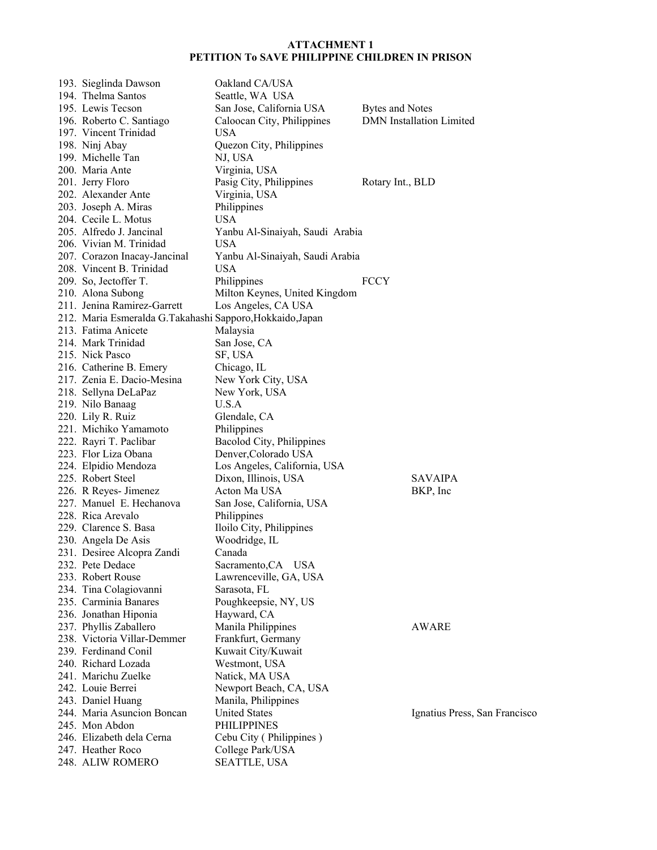| 193. Sieglinda Dawson                                     | Oakland CA/USA                  |                                 |
|-----------------------------------------------------------|---------------------------------|---------------------------------|
| 194. Thelma Santos                                        | Seattle, WA USA                 |                                 |
| 195. Lewis Tecson                                         | San Jose, California USA        | Bytes and Notes                 |
| 196. Roberto C. Santiago                                  | Caloocan City, Philippines      | <b>DMN</b> Installation Limited |
| 197. Vincent Trinidad                                     | <b>USA</b>                      |                                 |
| 198. Ninj Abay                                            | Quezon City, Philippines        |                                 |
| 199. Michelle Tan                                         | NJ, USA                         |                                 |
| 200. Maria Ante                                           | Virginia, USA                   |                                 |
| 201. Jerry Floro                                          | Pasig City, Philippines         | Rotary Int., BLD                |
| 202. Alexander Ante                                       | Virginia, USA                   |                                 |
| 203. Joseph A. Miras                                      | Philippines                     |                                 |
| 204. Cecile L. Motus                                      | <b>USA</b>                      |                                 |
| 205. Alfredo J. Jancinal                                  | Yanbu Al-Sinaiyah, Saudi Arabia |                                 |
| 206. Vivian M. Trinidad                                   | <b>USA</b>                      |                                 |
| 207. Corazon Inacay-Jancinal                              | Yanbu Al-Sinaiyah, Saudi Arabia |                                 |
| 208. Vincent B. Trinidad                                  | <b>USA</b>                      |                                 |
|                                                           |                                 | <b>FCCY</b>                     |
| 209. So, Jectoffer T.                                     | Philippines                     |                                 |
| 210. Alona Subong<br>211. Jenina Ramirez-Garrett          | Milton Keynes, United Kingdom   |                                 |
|                                                           | Los Angeles, CA USA             |                                 |
| 212. Maria Esmeralda G.Takahashi Sapporo, Hokkaido, Japan |                                 |                                 |
| 213. Fatima Anicete                                       | Malaysia                        |                                 |
| 214. Mark Trinidad                                        | San Jose, CA                    |                                 |
| 215. Nick Pasco                                           | SF, USA                         |                                 |
| 216. Catherine B. Emery                                   | Chicago, IL                     |                                 |
| 217. Zenia E. Dacio-Mesina                                | New York City, USA              |                                 |
| 218. Sellyna DeLaPaz                                      | New York, USA                   |                                 |
| 219. Nilo Banaag                                          | U.S.A                           |                                 |
| 220. Lily R. Ruiz                                         | Glendale, CA                    |                                 |
| 221. Michiko Yamamoto                                     | Philippines                     |                                 |
| 222. Rayri T. Paclibar                                    | Bacolod City, Philippines       |                                 |
| 223. Flor Liza Obana                                      | Denver, Colorado USA            |                                 |
| 224. Elpidio Mendoza                                      | Los Angeles, California, USA    |                                 |
| 225. Robert Steel                                         | Dixon, Illinois, USA            | <b>SAVAIPA</b>                  |
| 226. R Reyes- Jimenez                                     | Acton Ma USA                    | BKP, Inc                        |
| 227. Manuel E. Hechanova                                  | San Jose, California, USA       |                                 |
| 228. Rica Arevalo                                         | Philippines                     |                                 |
| 229. Clarence S. Basa                                     | Iloilo City, Philippines        |                                 |
| 230. Angela De Asis                                       | Woodridge, IL                   |                                 |
| 231. Desiree Alcopra Zandi                                | Canada                          |                                 |
| 232. Pete Dedace                                          | Sacramento, CA USA              |                                 |
| 233. Robert Rouse                                         | Lawrenceville, GA, USA          |                                 |
| 234. Tina Colagiovanni                                    | Sarasota, FL                    |                                 |
| 235. Carminia Banares                                     | Poughkeepsie, NY, US            |                                 |
| 236. Jonathan Hiponia                                     | Hayward, CA                     |                                 |
| 237. Phyllis Zaballero                                    | Manila Philippines              | <b>AWARE</b>                    |
| 238. Victoria Villar-Demmer                               | Frankfurt, Germany              |                                 |
| 239. Ferdinand Conil                                      | Kuwait City/Kuwait              |                                 |
| 240. Richard Lozada                                       | Westmont, USA                   |                                 |
| 241. Marichu Zuelke                                       | Natick, MA USA                  |                                 |
| 242. Louie Berrei                                         | Newport Beach, CA, USA          |                                 |
| 243. Daniel Huang                                         | Manila, Philippines             |                                 |
| 244. Maria Asuncion Boncan                                | <b>United States</b>            | Ignatius Press, San Francisco   |
| 245. Mon Abdon                                            | <b>PHILIPPINES</b>              |                                 |
| 246. Elizabeth dela Cerna                                 | Cebu City (Philippines)         |                                 |
| 247. Heather Roco                                         | College Park/USA                |                                 |
| 248. ALIW ROMERO                                          | <b>SEATTLE, USA</b>             |                                 |
|                                                           |                                 |                                 |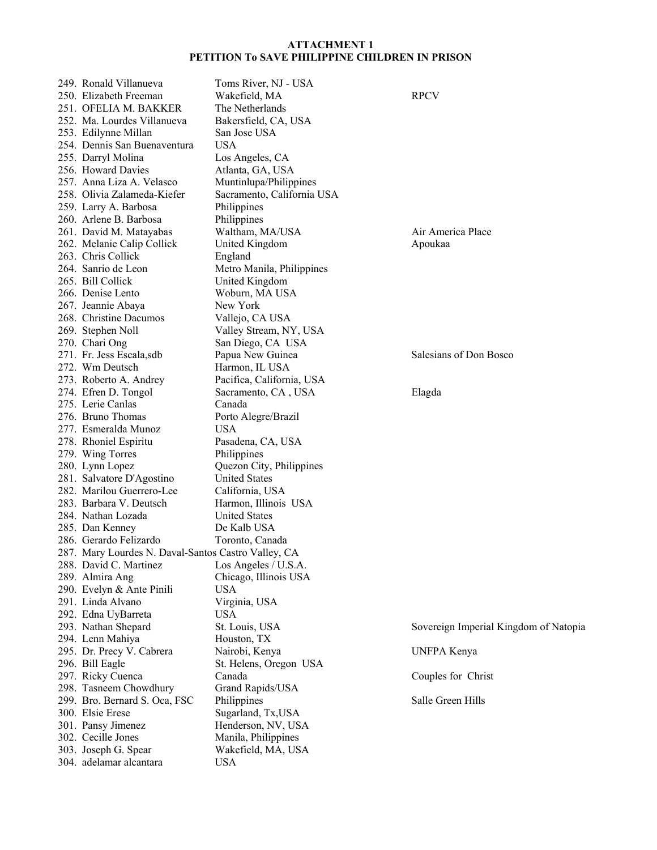|  | 249. Ronald Villanueva                              | Toms River, NJ - USA       |                                       |
|--|-----------------------------------------------------|----------------------------|---------------------------------------|
|  | 250. Elizabeth Freeman                              | Wakefield, MA              | <b>RPCV</b>                           |
|  | 251. OFELIA M. BAKKER                               | The Netherlands            |                                       |
|  | 252. Ma. Lourdes Villanueva                         | Bakersfield, CA, USA       |                                       |
|  | 253. Edilynne Millan                                | San Jose USA               |                                       |
|  | 254. Dennis San Buenaventura                        | <b>USA</b>                 |                                       |
|  | 255. Darryl Molina                                  | Los Angeles, CA            |                                       |
|  | 256. Howard Davies                                  | Atlanta, GA, USA           |                                       |
|  | 257. Anna Liza A. Velasco                           | Muntinlupa/Philippines     |                                       |
|  | 258. Olivia Zalameda-Kiefer                         | Sacramento, California USA |                                       |
|  |                                                     |                            |                                       |
|  | 259. Larry A. Barbosa                               | Philippines                |                                       |
|  | 260. Arlene B. Barbosa                              | Philippines                |                                       |
|  | 261. David M. Matayabas                             | Waltham, MA/USA            | Air America Place                     |
|  | 262. Melanie Calip Collick                          | United Kingdom             | Apoukaa                               |
|  | 263. Chris Collick                                  | England                    |                                       |
|  | 264. Sanrio de Leon                                 | Metro Manila, Philippines  |                                       |
|  | 265. Bill Collick                                   | United Kingdom             |                                       |
|  | 266. Denise Lento                                   | Woburn, MA USA             |                                       |
|  | 267. Jeannie Abaya                                  | New York                   |                                       |
|  | 268. Christine Dacumos                              | Vallejo, CA USA            |                                       |
|  |                                                     |                            |                                       |
|  | 269. Stephen Noll                                   | Valley Stream, NY, USA     |                                       |
|  | 270. Chari Ong                                      | San Diego, CA USA          |                                       |
|  | 271. Fr. Jess Escala,sdb                            | Papua New Guinea           | Salesians of Don Bosco                |
|  | 272. Wm Deutsch                                     | Harmon, IL USA             |                                       |
|  | 273. Roberto A. Andrey                              | Pacifica, California, USA  |                                       |
|  | 274. Efren D. Tongol                                | Sacramento, CA, USA        | Elagda                                |
|  | 275. Lerie Canlas                                   | Canada                     |                                       |
|  | 276. Bruno Thomas                                   | Porto Alegre/Brazil        |                                       |
|  | 277. Esmeralda Munoz                                | <b>USA</b>                 |                                       |
|  | 278. Rhoniel Espiritu                               | Pasadena, CA, USA          |                                       |
|  | 279. Wing Torres                                    | Philippines                |                                       |
|  | 280. Lynn Lopez                                     | Quezon City, Philippines   |                                       |
|  |                                                     | <b>United States</b>       |                                       |
|  | 281. Salvatore D'Agostino                           |                            |                                       |
|  | 282. Marilou Guerrero-Lee                           | California, USA            |                                       |
|  | 283. Barbara V. Deutsch                             | Harmon, Illinois USA       |                                       |
|  | 284. Nathan Lozada                                  | <b>United States</b>       |                                       |
|  | 285. Dan Kenney                                     | De Kalb USA                |                                       |
|  | 286. Gerardo Felizardo                              | Toronto, Canada            |                                       |
|  | 287. Mary Lourdes N. Daval-Santos Castro Valley, CA |                            |                                       |
|  | 288. David C. Martinez                              | Los Angeles / U.S.A.       |                                       |
|  | 289. Almira Ang                                     | Chicago, Illinois USA      |                                       |
|  | 290. Evelyn & Ante Pinili                           | <b>USA</b>                 |                                       |
|  | 291. Linda Alvano                                   | Virginia, USA              |                                       |
|  | 292. Edna UyBarreta                                 | <b>USA</b>                 |                                       |
|  | 293. Nathan Shepard                                 | St. Louis, USA             | Sovereign Imperial Kingdom of Natopia |
|  | 294. Lenn Mahiya                                    | Houston, TX                |                                       |
|  |                                                     |                            |                                       |
|  | 295. Dr. Precy V. Cabrera                           | Nairobi, Kenya             | UNFPA Kenya                           |
|  | 296. Bill Eagle                                     | St. Helens, Oregon USA     |                                       |
|  | 297. Ricky Cuenca                                   | Canada                     | Couples for Christ                    |
|  | 298. Tasneem Chowdhury                              | Grand Rapids/USA           |                                       |
|  | 299. Bro. Bernard S. Oca, FSC                       | Philippines                | Salle Green Hills                     |
|  | 300. Elsie Erese                                    | Sugarland, Tx, USA         |                                       |
|  | 301. Pansy Jimenez                                  | Henderson, NV, USA         |                                       |
|  | 302. Cecille Jones                                  | Manila, Philippines        |                                       |
|  | 303. Joseph G. Spear                                | Wakefield, MA, USA         |                                       |
|  | 304. adelamar alcantara                             | <b>USA</b>                 |                                       |
|  |                                                     |                            |                                       |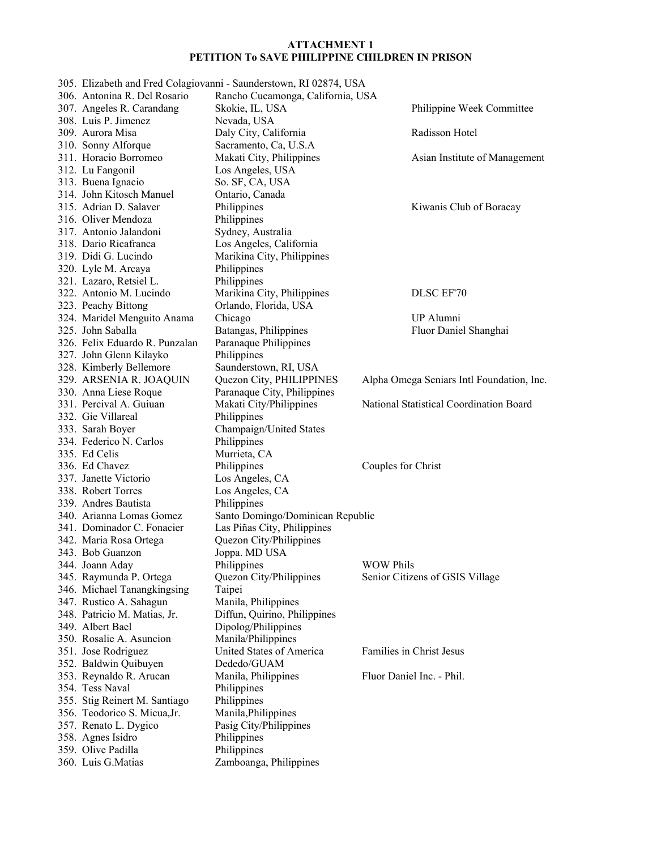|                                | 305. Elizabeth and Fred Colagiovanni - Saunderstown, RI 02874, USA |                                           |
|--------------------------------|--------------------------------------------------------------------|-------------------------------------------|
| 306. Antonina R. Del Rosario   | Rancho Cucamonga, California, USA                                  |                                           |
| 307. Angeles R. Carandang      | Skokie, IL, USA                                                    | Philippine Week Committee                 |
| 308. Luis P. Jimenez           | Nevada, USA                                                        |                                           |
| 309. Aurora Misa               | Daly City, California                                              | Radisson Hotel                            |
| 310. Sonny Alforque            | Sacramento, Ca, U.S.A                                              |                                           |
| 311. Horacio Borromeo          | Makati City, Philippines                                           | Asian Institute of Management             |
| 312. Lu Fangonil               | Los Angeles, USA                                                   |                                           |
| 313. Buena Ignacio             | So. SF, CA, USA                                                    |                                           |
| 314. John Kitosch Manuel       | Ontario, Canada                                                    |                                           |
| 315. Adrian D. Salaver         | Philippines                                                        | Kiwanis Club of Boracay                   |
| 316. Oliver Mendoza            | Philippines                                                        |                                           |
| 317. Antonio Jalandoni         | Sydney, Australia                                                  |                                           |
| 318. Dario Ricafranca          | Los Angeles, California                                            |                                           |
| 319. Didi G. Lucindo           | Marikina City, Philippines                                         |                                           |
| 320. Lyle M. Arcaya            | Philippines                                                        |                                           |
| 321. Lazaro, Retsiel L.        | Philippines                                                        |                                           |
| 322. Antonio M. Lucindo        | Marikina City, Philippines                                         | DLSC EF'70                                |
| 323. Peachy Bittong            | Orlando, Florida, USA                                              |                                           |
| 324. Maridel Menguito Anama    | Chicago                                                            | UP Alumni                                 |
| 325. John Saballa              | Batangas, Philippines                                              | Fluor Daniel Shanghai                     |
| 326. Felix Eduardo R. Punzalan | Paranaque Philippines                                              |                                           |
| 327. John Glenn Kilayko        | Philippines                                                        |                                           |
| 328. Kimberly Bellemore        | Saunderstown, RI, USA                                              |                                           |
| 329. ARSENIA R. JOAQUIN        | Quezon City, PHILIPPINES                                           | Alpha Omega Seniars Intl Foundation, Inc. |
| 330. Anna Liese Roque          | Paranaque City, Philippines                                        |                                           |
| 331. Percival A. Guiuan        | Makati City/Philippines                                            | National Statistical Coordination Board   |
| 332. Gie Villareal             | Philippines                                                        |                                           |
| 333. Sarah Boyer               | Champaign/United States                                            |                                           |
| 334. Federico N. Carlos        | Philippines                                                        |                                           |
| 335. Ed Celis                  | Murrieta, CA                                                       |                                           |
| 336. Ed Chavez                 | Philippines                                                        | Couples for Christ                        |
| 337. Janette Victorio          | Los Angeles, CA                                                    |                                           |
| 338. Robert Torres             | Los Angeles, CA                                                    |                                           |
| 339. Andres Bautista           | Philippines                                                        |                                           |
| 340. Arianna Lomas Gomez       | Santo Domingo/Dominican Republic                                   |                                           |
| 341. Dominador C. Fonacier     | Las Piñas City, Philippines                                        |                                           |
| 342. Maria Rosa Ortega         | Quezon City/Philippines                                            |                                           |
| 343. Bob Guanzon               | Joppa. MD USA                                                      |                                           |
| 344. Joann Aday                | Philippines                                                        | <b>WOW Phils</b>                          |
| 345. Raymunda P. Ortega        | Quezon City/Philippines                                            | Senior Citizens of GSIS Village           |
| 346. Michael Tanangkingsing    | Taipei                                                             |                                           |
| 347. Rustico A. Sahagun        | Manila, Philippines                                                |                                           |
| 348. Patricio M. Matias, Jr.   | Diffun, Quirino, Philippines                                       |                                           |
| 349. Albert Bael               | Dipolog/Philippines                                                |                                           |
| 350. Rosalie A. Asuncion       | Manila/Philippines                                                 |                                           |
| 351. Jose Rodriguez            | United States of America                                           | Families in Christ Jesus                  |
| 352. Baldwin Quibuyen          | Dededo/GUAM                                                        |                                           |
| 353. Reynaldo R. Arucan        | Manila, Philippines                                                | Fluor Daniel Inc. - Phil.                 |
| 354. Tess Naval                | Philippines                                                        |                                           |
| 355. Stig Reinert M. Santiago  | Philippines                                                        |                                           |
| 356. Teodorico S. Micua, Jr.   | Manila, Philippines                                                |                                           |
| 357. Renato L. Dygico          | Pasig City/Philippines                                             |                                           |
| 358. Agnes Isidro              | Philippines                                                        |                                           |
| 359. Olive Padilla             | Philippines                                                        |                                           |
| 360. Luis G.Matias             | Zamboanga, Philippines                                             |                                           |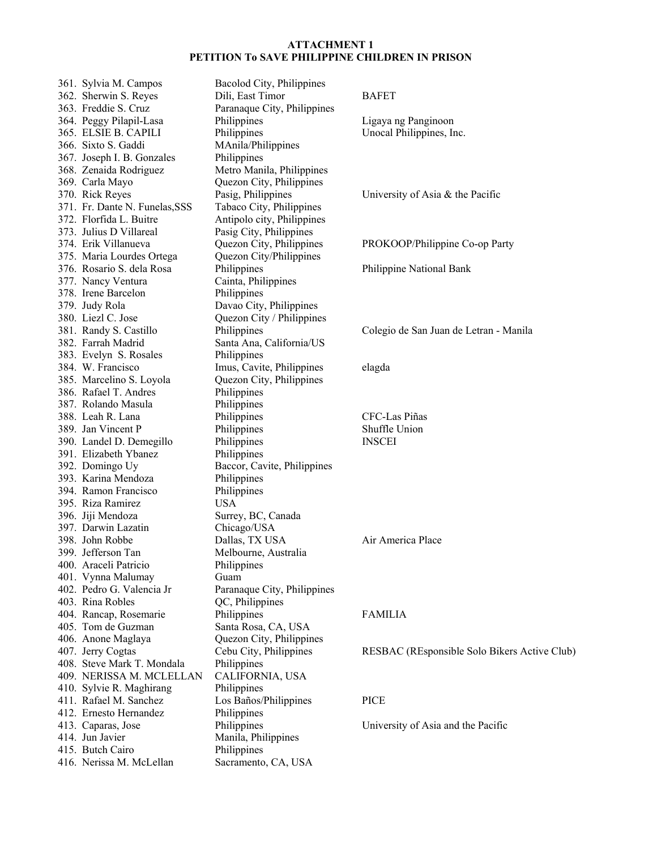| 361. Sylvia M. Campos          | Bacolod City, Philippines   |                                              |
|--------------------------------|-----------------------------|----------------------------------------------|
| 362. Sherwin S. Reyes          | Dili, East Timor            | <b>BAFET</b>                                 |
| 363. Freddie S. Cruz           | Paranaque City, Philippines |                                              |
| 364. Peggy Pilapil-Lasa        | Philippines                 | Ligaya ng Panginoon                          |
| 365. ELSIE B. CAPILI           | Philippines                 | Unocal Philippines, Inc.                     |
| 366. Sixto S. Gaddi            | MAnila/Philippines          |                                              |
| 367. Joseph I. B. Gonzales     | Philippines                 |                                              |
| 368. Zenaida Rodriguez         | Metro Manila, Philippines   |                                              |
| 369. Carla Mayo                | Quezon City, Philippines    |                                              |
| 370. Rick Reyes                | Pasig, Philippines          | University of Asia & the Pacific             |
| 371. Fr. Dante N. Funelas, SSS | Tabaco City, Philippines    |                                              |
| 372. Florfida L. Buitre        | Antipolo city, Philippines  |                                              |
| 373. Julius D Villareal        | Pasig City, Philippines     |                                              |
| 374. Erik Villanueva           | Quezon City, Philippines    | PROKOOP/Philippine Co-op Party               |
| 375. Maria Lourdes Ortega      | Quezon City/Philippines     |                                              |
| 376. Rosario S. dela Rosa      | Philippines                 | Philippine National Bank                     |
| 377. Nancy Ventura             | Cainta, Philippines         |                                              |
| 378. Irene Barcelon            | Philippines                 |                                              |
| 379. Judy Rola                 | Davao City, Philippines     |                                              |
| 380. Liezl C. Jose             | Quezon City / Philippines   |                                              |
| 381. Randy S. Castillo         | Philippines                 | Colegio de San Juan de Letran - Manila       |
| 382. Farrah Madrid             | Santa Ana, California/US    |                                              |
| 383. Evelyn S. Rosales         | Philippines                 |                                              |
| 384. W. Francisco              | Imus, Cavite, Philippines   | elagda                                       |
| 385. Marcelino S. Loyola       | Quezon City, Philippines    |                                              |
| 386. Rafael T. Andres          | Philippines                 |                                              |
| 387. Rolando Masula            | Philippines                 |                                              |
| 388. Leah R. Lana              | Philippines                 | CFC-Las Piñas                                |
| 389. Jan Vincent P             | Philippines                 | Shuffle Union                                |
| 390. Landel D. Demegillo       | Philippines                 | <b>INSCEI</b>                                |
| 391. Elizabeth Ybanez          | Philippines                 |                                              |
| 392. Domingo Uy                | Baccor, Cavite, Philippines |                                              |
| 393. Karina Mendoza            | Philippines                 |                                              |
| 394. Ramon Francisco           | Philippines                 |                                              |
| 395. Riza Ramirez              | <b>USA</b>                  |                                              |
| 396. Jiji Mendoza              | Surrey, BC, Canada          |                                              |
| 397. Darwin Lazatin            | Chicago/USA                 |                                              |
| 398. John Robbe                | Dallas, TX USA              | Air America Place                            |
| 399. Jefferson Tan             | Melbourne, Australia        |                                              |
| 400. Araceli Patricio          | Philippines                 |                                              |
| 401. Vynna Malumay             | Guam                        |                                              |
| 402. Pedro G. Valencia Jr      | Paranaque City, Philippines |                                              |
| 403. Rina Robles               | QC, Philippines             |                                              |
| 404. Rancap, Rosemarie         | Philippines                 | <b>FAMILIA</b>                               |
| 405. Tom de Guzman             | Santa Rosa, CA, USA         |                                              |
| 406. Anone Maglaya             | Quezon City, Philippines    |                                              |
| 407. Jerry Cogtas              | Cebu City, Philippines      | RESBAC (REsponsible Solo Bikers Active Club) |
| 408. Steve Mark T. Mondala     | Philippines                 |                                              |
| 409. NERISSA M. MCLELLAN       | CALIFORNIA, USA             |                                              |
| 410. Sylvie R. Maghirang       | Philippines                 |                                              |
| 411. Rafael M. Sanchez         | Los Baños/Philippines       | <b>PICE</b>                                  |
| 412. Ernesto Hernandez         | Philippines                 |                                              |
| 413. Caparas, Jose             | Philippines                 | University of Asia and the Pacific           |
| 414. Jun Javier                | Manila, Philippines         |                                              |
| 415. Butch Cairo               | Philippines                 |                                              |
| 416. Nerissa M. McLellan       | Sacramento, CA, USA         |                                              |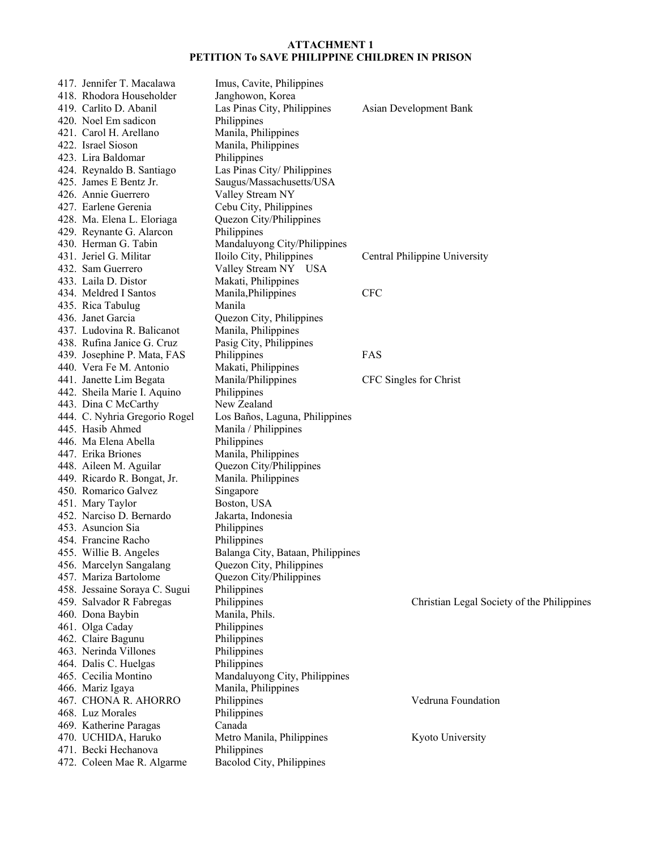| 417. Jennifer T. Macalawa     | Imus, Cavite, Philippines         |                                            |
|-------------------------------|-----------------------------------|--------------------------------------------|
| 418. Rhodora Householder      | Janghowon, Korea                  |                                            |
| 419. Carlito D. Abanil        | Las Pinas City, Philippines       | Asian Development Bank                     |
| 420. Noel Em sadicon          | Philippines                       |                                            |
| 421. Carol H. Arellano        | Manila, Philippines               |                                            |
| 422. Israel Sioson            | Manila, Philippines               |                                            |
| 423. Lira Baldomar            | Philippines                       |                                            |
| 424. Reynaldo B. Santiago     | Las Pinas City/ Philippines       |                                            |
| 425. James E Bentz Jr.        | Saugus/Massachusetts/USA          |                                            |
| 426. Annie Guerrero           | Valley Stream NY                  |                                            |
| 427. Earlene Gerenia          | Cebu City, Philippines            |                                            |
| 428. Ma. Elena L. Eloriaga    | Quezon City/Philippines           |                                            |
| 429. Reynante G. Alarcon      | Philippines                       |                                            |
| 430. Herman G. Tabin          | Mandaluyong City/Philippines      |                                            |
| 431. Jeriel G. Militar        | Iloilo City, Philippines          | Central Philippine University              |
| 432. Sam Guerrero             | Valley Stream NY USA              |                                            |
| 433. Laila D. Distor          | Makati, Philippines               |                                            |
| 434. Meldred I Santos         | Manila, Philippines               | <b>CFC</b>                                 |
| 435. Rica Tabulug             | Manila                            |                                            |
| 436. Janet Garcia             | Quezon City, Philippines          |                                            |
| 437. Ludovina R. Balicanot    | Manila, Philippines               |                                            |
| 438. Rufina Janice G. Cruz    | Pasig City, Philippines           |                                            |
| 439. Josephine P. Mata, FAS   | Philippines                       | FAS                                        |
| 440. Vera Fe M. Antonio       | Makati, Philippines               |                                            |
| 441. Janette Lim Begata       | Manila/Philippines                | CFC Singles for Christ                     |
| 442. Sheila Marie I. Aquino   | Philippines                       |                                            |
| 443. Dina C McCarthy          | New Zealand                       |                                            |
| 444. C. Nyhria Gregorio Rogel | Los Baños, Laguna, Philippines    |                                            |
| 445. Hasib Ahmed              | Manila / Philippines              |                                            |
| 446. Ma Elena Abella          | Philippines                       |                                            |
| 447. Erika Briones            | Manila, Philippines               |                                            |
| 448. Aileen M. Aguilar        | Quezon City/Philippines           |                                            |
| 449. Ricardo R. Bongat, Jr.   | Manila. Philippines               |                                            |
| 450. Romarico Galvez          | Singapore                         |                                            |
| 451. Mary Taylor              | Boston, USA                       |                                            |
| 452. Narciso D. Bernardo      | Jakarta, Indonesia                |                                            |
| 453. Asuncion Sia             | Philippines                       |                                            |
| 454. Francine Racho           | Philippines                       |                                            |
| 455. Willie B. Angeles        | Balanga City, Bataan, Philippines |                                            |
| 456. Marcelyn Sangalang       | Quezon City, Philippines          |                                            |
| 457. Mariza Bartolome         | Quezon City/Philippines           |                                            |
| 458. Jessaine Soraya C. Sugui | Philippines                       |                                            |
| 459. Salvador R Fabregas      | Philippines                       | Christian Legal Society of the Philippines |
| 460. Dona Baybin              | Manila, Phils.                    |                                            |
| 461. Olga Caday               | Philippines                       |                                            |
| 462. Claire Bagunu            | Philippines                       |                                            |
| 463. Nerinda Villones         | Philippines                       |                                            |
| 464. Dalis C. Huelgas         | Philippines                       |                                            |
| 465. Cecilia Montino          | Mandaluyong City, Philippines     |                                            |
| 466. Mariz Igaya              | Manila, Philippines               |                                            |
| 467. CHONA R. AHORRO          | Philippines                       | Vedruna Foundation                         |
| 468. Luz Morales              | Philippines                       |                                            |
| 469. Katherine Paragas        | Canada                            |                                            |
| 470. UCHIDA, Haruko           | Metro Manila, Philippines         | Kyoto University                           |
| 471. Becki Hechanova          | Philippines                       |                                            |
| 472. Coleen Mae R. Algarme    | Bacolod City, Philippines         |                                            |
|                               |                                   |                                            |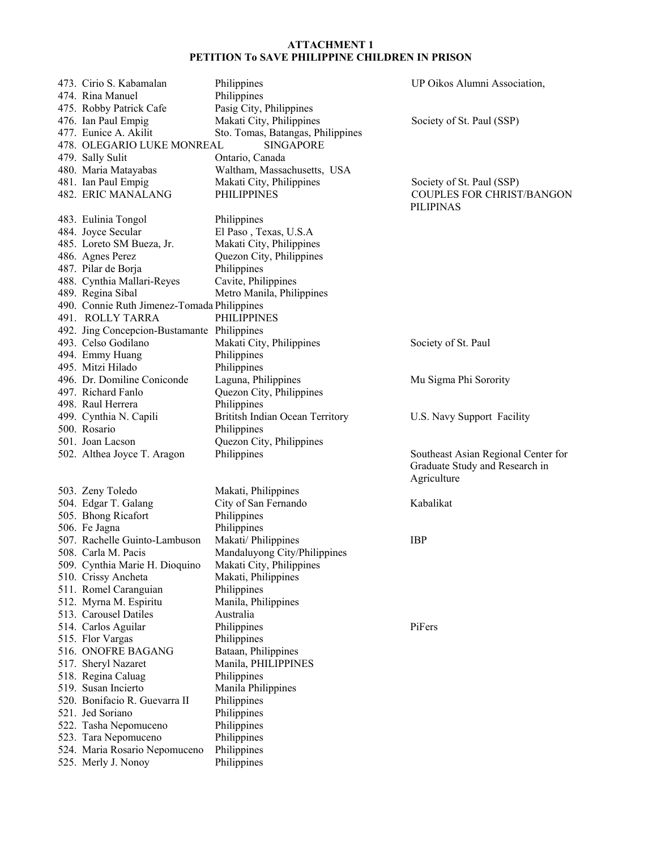| 473. Cirio S. Kabamalan<br>474. Rina Manuel | Philippines<br>Philippines        | UP Oikos Alumni Association,                                          |
|---------------------------------------------|-----------------------------------|-----------------------------------------------------------------------|
|                                             |                                   |                                                                       |
| 475. Robby Patrick Cafe                     | Pasig City, Philippines           |                                                                       |
| 476. Ian Paul Empig                         | Makati City, Philippines          | Society of St. Paul (SSP)                                             |
| 477. Eunice A. Akilit                       | Sto. Tomas, Batangas, Philippines |                                                                       |
| 478. OLEGARIO LUKE MONREAL                  | <b>SINGAPORE</b>                  |                                                                       |
| 479. Sally Sulit                            | Ontario, Canada                   |                                                                       |
| 480. Maria Matayabas                        | Waltham, Massachusetts, USA       |                                                                       |
| 481. Ian Paul Empig                         | Makati City, Philippines          | Society of St. Paul (SSP)                                             |
| 482. ERIC MANALANG                          | <b>PHILIPPINES</b>                | <b>COUPLES FOR CHRIST/BANGON</b>                                      |
|                                             |                                   | <b>PILIPINAS</b>                                                      |
| 483. Eulinia Tongol                         | Philippines                       |                                                                       |
| 484. Joyce Secular                          | El Paso, Texas, U.S.A             |                                                                       |
| 485. Loreto SM Bueza, Jr.                   | Makati City, Philippines          |                                                                       |
| 486. Agnes Perez                            | Quezon City, Philippines          |                                                                       |
| 487. Pilar de Borja                         | Philippines                       |                                                                       |
| 488. Cynthia Mallari-Reyes                  | Cavite, Philippines               |                                                                       |
| 489. Regina Sibal                           | Metro Manila, Philippines         |                                                                       |
| 490. Connie Ruth Jimenez-Tomada Philippines |                                   |                                                                       |
| 491. ROLLY TARRA                            | <b>PHILIPPINES</b>                |                                                                       |
| 492. Jing Concepcion-Bustamante Philippines |                                   |                                                                       |
| 493. Celso Godilano                         | Makati City, Philippines          | Society of St. Paul                                                   |
| 494. Emmy Huang                             | Philippines                       |                                                                       |
| 495. Mitzi Hilado                           | Philippines                       |                                                                       |
| 496. Dr. Domiline Coniconde                 | Laguna, Philippines               | Mu Sigma Phi Sorority                                                 |
| 497. Richard Fanlo                          | Quezon City, Philippines          |                                                                       |
| 498. Raul Herrera                           | Philippines                       |                                                                       |
| 499. Cynthia N. Capili                      | Brititsh Indian Ocean Territory   | U.S. Navy Support Facility                                            |
| 500. Rosario                                | Philippines                       |                                                                       |
|                                             |                                   |                                                                       |
| 501. Joan Lacson                            | Quezon City, Philippines          |                                                                       |
| 502. Althea Joyce T. Aragon                 | Philippines                       | Southeast Asian Regional Center for<br>Graduate Study and Research in |
|                                             |                                   | Agriculture                                                           |
| 503. Zeny Toledo                            | Makati, Philippines               |                                                                       |
| 504. Edgar T. Galang                        | City of San Fernando              | Kabalikat                                                             |
| 505. Bhong Ricafort                         | Philippines                       |                                                                       |
| 506. Fe Jagna                               | Philippines                       |                                                                       |
| 507. Rachelle Guinto-Lambuson               | Makati/ Philippines               | <b>IBP</b>                                                            |
| 508. Carla M. Pacis                         | Mandaluyong City/Philippines      |                                                                       |
| 509. Cynthia Marie H. Dioquino              | Makati City, Philippines          |                                                                       |
| 510. Crissy Ancheta                         | Makati, Philippines               |                                                                       |
| 511. Romel Caranguian                       | Philippines                       |                                                                       |
| 512. Myrna M. Espiritu                      | Manila, Philippines               |                                                                       |
| 513. Carousel Datiles                       | Australia                         |                                                                       |
| 514. Carlos Aguilar                         | Philippines                       | PiFers                                                                |
| 515. Flor Vargas                            | Philippines                       |                                                                       |
| 516. ONOFRE BAGANG                          | Bataan, Philippines               |                                                                       |
| 517. Sheryl Nazaret                         | Manila, PHILIPPINES               |                                                                       |
| 518. Regina Caluag                          | Philippines                       |                                                                       |
| 519. Susan Incierto                         | Manila Philippines                |                                                                       |
| 520. Bonifacio R. Guevarra II               | Philippines                       |                                                                       |
| 521. Jed Soriano                            | Philippines                       |                                                                       |
| 522. Tasha Nepomuceno                       | Philippines                       |                                                                       |
| 523. Tara Nepomuceno                        | Philippines                       |                                                                       |
| 524. Maria Rosario Nepomuceno               | Philippines                       |                                                                       |
| 525. Merly J. Nonoy                         | Philippines                       |                                                                       |
|                                             |                                   |                                                                       |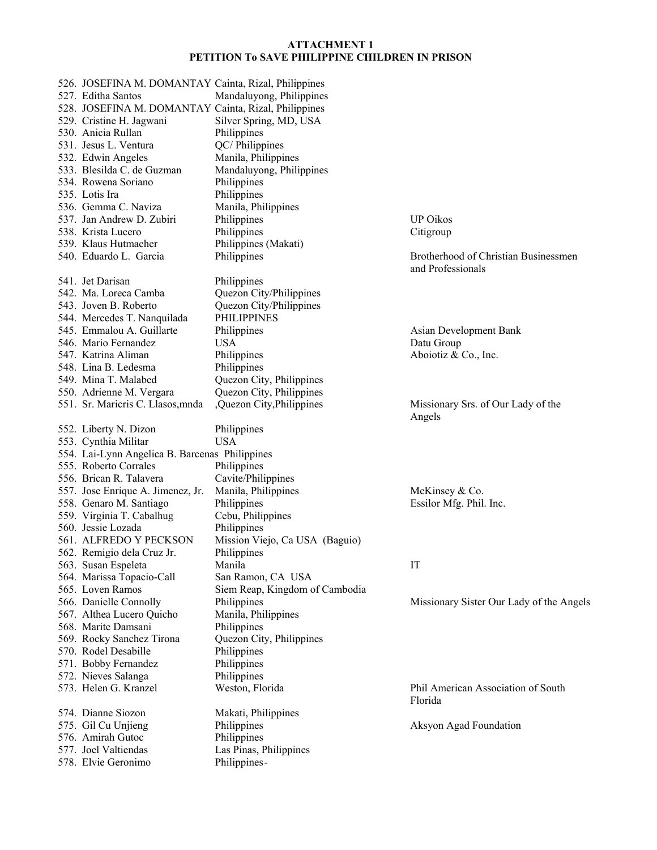| 526. JOSEFINA M. DOMANTAY Cainta, Rizal, Philippines |                                |                                              |
|------------------------------------------------------|--------------------------------|----------------------------------------------|
| 527. Editha Santos                                   | Mandaluyong, Philippines       |                                              |
| 528. JOSEFINA M. DOMANTAY Cainta, Rizal, Philippines |                                |                                              |
| 529. Cristine H. Jagwani                             | Silver Spring, MD, USA         |                                              |
| 530. Anicia Rullan                                   | Philippines                    |                                              |
| 531. Jesus L. Ventura                                | QC/Philippines                 |                                              |
| 532. Edwin Angeles                                   | Manila, Philippines            |                                              |
| 533. Blesilda C. de Guzman                           | Mandaluyong, Philippines       |                                              |
| 534. Rowena Soriano                                  | Philippines                    |                                              |
| 535. Lotis Ira                                       | Philippines                    |                                              |
| 536. Gemma C. Naviza                                 | Manila, Philippines            |                                              |
| 537. Jan Andrew D. Zubiri                            | Philippines                    | <b>UP Oikos</b>                              |
| 538. Krista Lucero                                   | Philippines                    | Citigroup                                    |
| 539. Klaus Hutmacher                                 | Philippines (Makati)           |                                              |
| 540. Eduardo L. Garcia                               | Philippines                    | Brotherhood of Christian Businessmen         |
|                                                      |                                | and Professionals                            |
| 541. Jet Darisan                                     | Philippines                    |                                              |
| 542. Ma. Loreca Camba                                | Quezon City/Philippines        |                                              |
| 543. Joven B. Roberto                                | Quezon City/Philippines        |                                              |
|                                                      |                                |                                              |
| 544. Mercedes T. Nanquilada                          | <b>PHILIPPINES</b>             |                                              |
| 545. Emmalou A. Guillarte                            | Philippines                    | Asian Development Bank                       |
| 546. Mario Fernandez                                 | <b>USA</b>                     | Datu Group                                   |
| 547. Katrina Aliman                                  | Philippines                    | Aboiotiz & Co., Inc.                         |
| 548. Lina B. Ledesma                                 | Philippines                    |                                              |
| 549. Mina T. Malabed                                 | Quezon City, Philippines       |                                              |
| 550. Adrienne M. Vergara                             | Quezon City, Philippines       |                                              |
| 551. Sr. Marieris C. Llasos, mnda                    | ,Quezon City,Philippines       | Missionary Srs. of Our Lady of the<br>Angels |
| 552. Liberty N. Dizon                                | Philippines                    |                                              |
| 553. Cynthia Militar                                 | <b>USA</b>                     |                                              |
| 554. Lai-Lynn Angelica B. Barcenas Philippines       |                                |                                              |
| 555. Roberto Corrales                                | Philippines                    |                                              |
| 556. Brican R. Talavera                              | Cavite/Philippines             |                                              |
| 557. Jose Enrique A. Jimenez, Jr.                    | Manila, Philippines            | McKinsey & Co.                               |
| 558. Genaro M. Santiago                              | Philippines                    | Essilor Mfg. Phil. Inc.                      |
| 559. Virginia T. Cabalhug                            | Cebu, Philippines              |                                              |
| 560. Jessie Lozada                                   | Philippines                    |                                              |
| 561. ALFREDO Y PECKSON                               | Mission Viejo, Ca USA (Baguio) |                                              |
| 562. Remigio dela Cruz Jr.                           | Philippines                    |                                              |
| 563. Susan Espeleta                                  | Manila                         | IT                                           |
| 564. Marissa Topacio-Call                            | San Ramon, CA USA              |                                              |
| 565. Loven Ramos                                     | Siem Reap, Kingdom of Cambodia |                                              |
| 566. Danielle Connolly                               | Philippines                    | Missionary Sister Our Lady of the Angels     |
| 567. Althea Lucero Quicho                            | Manila, Philippines            |                                              |
| 568. Marite Damsani                                  | Philippines                    |                                              |
| 569. Rocky Sanchez Tirona                            | Quezon City, Philippines       |                                              |
| 570. Rodel Desabille                                 | Philippines                    |                                              |
| 571. Bobby Fernandez                                 | Philippines                    |                                              |
| 572. Nieves Salanga                                  | Philippines                    |                                              |
| 573. Helen G. Kranzel                                | Weston, Florida                | Phil American Association of South           |
|                                                      |                                | Florida                                      |
| 574. Dianne Siozon                                   | Makati, Philippines            |                                              |
| 575. Gil Cu Unjieng                                  | Philippines                    | Aksyon Agad Foundation                       |
| 576. Amirah Gutoc                                    | Philippines                    |                                              |
| 577. Joel Valtiendas                                 | Las Pinas, Philippines         |                                              |
|                                                      |                                |                                              |
| 578. Elvie Geronimo                                  | Philippines-                   |                                              |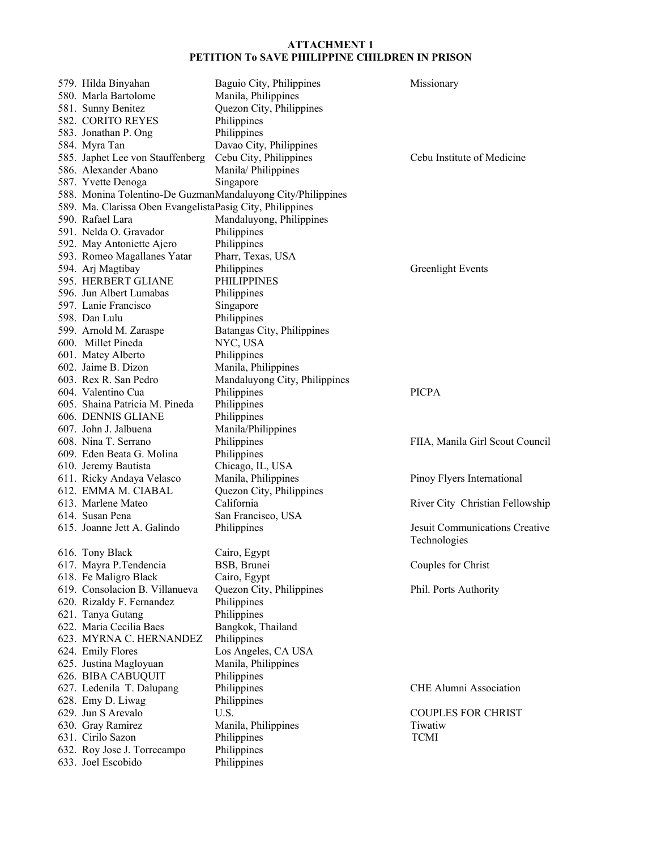| 579. Hilda Binyahan                                       | Baguio City, Philippines                                    | Missionary                      |
|-----------------------------------------------------------|-------------------------------------------------------------|---------------------------------|
| 580. Marla Bartolome                                      | Manila, Philippines                                         |                                 |
| 581. Sunny Benitez                                        | Quezon City, Philippines                                    |                                 |
| 582. CORITO REYES                                         | Philippines                                                 |                                 |
| 583. Jonathan P. Ong                                      | Philippines                                                 |                                 |
| 584. Myra Tan                                             | Davao City, Philippines                                     |                                 |
| 585. Japhet Lee von Stauffenberg                          | Cebu City, Philippines                                      | Cebu Institute of Medicine      |
| 586. Alexander Abano                                      | Manila/ Philippines                                         |                                 |
| 587. Yvette Denoga                                        | Singapore                                                   |                                 |
|                                                           | 588. Monina Tolentino-De GuzmanMandaluyong City/Philippines |                                 |
| 589. Ma. Clarissa Oben EvangelistaPasig City, Philippines |                                                             |                                 |
| 590. Rafael Lara                                          | Mandaluyong, Philippines                                    |                                 |
| 591. Nelda O. Gravador                                    | Philippines                                                 |                                 |
| 592. May Antoniette Ajero                                 | Philippines                                                 |                                 |
| 593. Romeo Magallanes Yatar                               | Pharr, Texas, USA                                           |                                 |
| 594. Arj Magtibay                                         | Philippines                                                 | <b>Greenlight Events</b>        |
| 595. HERBERT GLIANE                                       | <b>PHILIPPINES</b>                                          |                                 |
| 596. Jun Albert Lumabas                                   | Philippines                                                 |                                 |
| 597. Lanie Francisco                                      | Singapore                                                   |                                 |
| 598. Dan Lulu                                             | Philippines                                                 |                                 |
| 599. Arnold M. Zaraspe                                    | Batangas City, Philippines                                  |                                 |
| 600. Millet Pineda                                        | NYC, USA                                                    |                                 |
| 601. Matey Alberto                                        | Philippines                                                 |                                 |
| 602. Jaime B. Dizon                                       |                                                             |                                 |
| 603. Rex R. San Pedro                                     | Manila, Philippines<br>Mandaluyong City, Philippines        |                                 |
| 604. Valentino Cua                                        | Philippines                                                 | <b>PICPA</b>                    |
|                                                           |                                                             |                                 |
| 605. Shaina Patricia M. Pineda                            | Philippines                                                 |                                 |
| 606. DENNIS GLIANE                                        | Philippines                                                 |                                 |
| 607. John J. Jalbuena                                     | Manila/Philippines                                          |                                 |
| 608. Nina T. Serrano                                      | Philippines                                                 | FIIA, Manila Girl Scout Council |
| 609. Eden Beata G. Molina                                 | Philippines                                                 |                                 |
| 610. Jeremy Bautista                                      | Chicago, IL, USA                                            |                                 |
| 611. Ricky Andaya Velasco                                 | Manila, Philippines                                         | Pinoy Flyers International      |
| 612. EMMA M. CIABAL                                       | Quezon City, Philippines                                    |                                 |
| 613. Marlene Mateo                                        | California                                                  | River City Christian Fellowship |
| 614. Susan Pena                                           | San Francisco, USA                                          |                                 |
| 615. Joanne Jett A. Galindo                               | Philippines                                                 | Jesuit Communications Creative  |
|                                                           |                                                             | Technologies                    |
| 616. Tony Black                                           | Cairo, Egypt                                                |                                 |
| 617. Mayra P.Tendencia                                    | BSB, Brunei                                                 | Couples for Christ              |
| 618. Fe Maligro Black                                     | Cairo, Egypt                                                |                                 |
| 619. Consolacion B. Villanueva                            | Quezon City, Philippines                                    | Phil. Ports Authority           |
| 620. Rizaldy F. Fernandez                                 | Philippines                                                 |                                 |
| 621. Tanya Gutang                                         | Philippines                                                 |                                 |
| 622. Maria Cecilia Baes                                   | Bangkok, Thailand                                           |                                 |
| 623. MYRNA C. HERNANDEZ                                   | Philippines                                                 |                                 |
| 624. Emily Flores                                         | Los Angeles, CA USA                                         |                                 |
| 625. Justina Magloyuan                                    | Manila, Philippines                                         |                                 |
| 626. BIBA CABUQUIT                                        | Philippines                                                 |                                 |
| 627. Ledenila T. Dalupang                                 | Philippines                                                 | <b>CHE Alumni Association</b>   |
| 628. Emy D. Liwag                                         | Philippines                                                 |                                 |
| 629. Jun S Arevalo                                        | U.S.                                                        | <b>COUPLES FOR CHRIST</b>       |
| 630. Gray Ramirez                                         | Manila, Philippines                                         | Tiwatiw                         |
| 631. Cirilo Sazon                                         | Philippines                                                 | <b>TCMI</b>                     |
| 632. Roy Jose J. Torrecampo                               | Philippines                                                 |                                 |
| 633. Joel Escobido                                        | Philippines                                                 |                                 |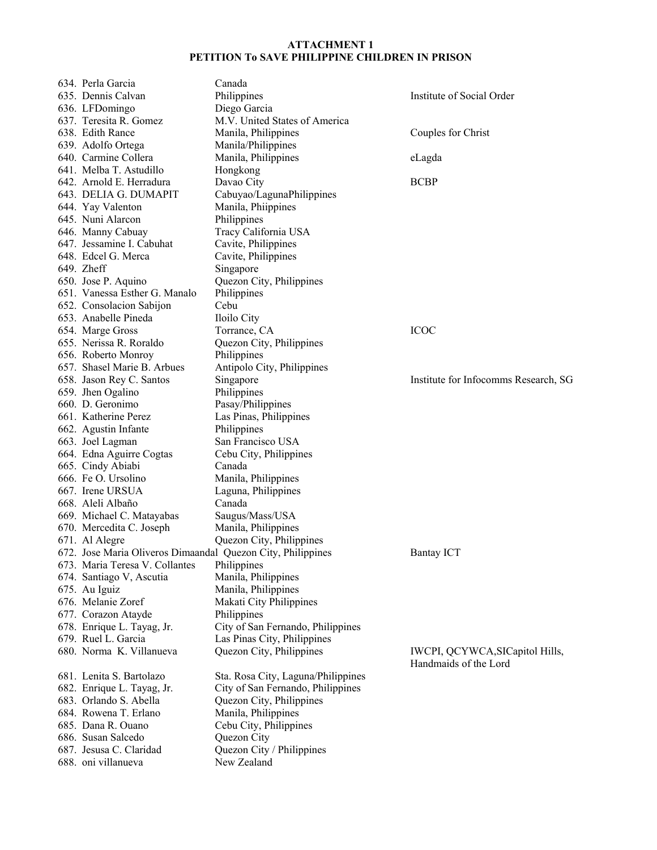| 634. Perla Garcia                                           | Canada                             |                                      |
|-------------------------------------------------------------|------------------------------------|--------------------------------------|
| 635. Dennis Calvan                                          | Philippines                        | Institute of Social Order            |
| 636. LFDomingo                                              | Diego Garcia                       |                                      |
| 637. Teresita R. Gomez                                      | M.V. United States of America      |                                      |
|                                                             |                                    |                                      |
| 638. Edith Rance                                            | Manila, Philippines                | Couples for Christ                   |
| 639. Adolfo Ortega                                          | Manila/Philippines                 |                                      |
| 640. Carmine Collera                                        | Manila, Philippines                | eLagda                               |
| 641. Melba T. Astudillo                                     | Hongkong                           |                                      |
| 642. Arnold E. Herradura                                    | Davao City                         | <b>BCBP</b>                          |
| 643. DELIA G. DUMAPIT                                       | Cabuyao/LagunaPhilippines          |                                      |
| 644. Yay Valenton                                           | Manila, Phiippines                 |                                      |
| 645. Nuni Alarcon                                           | Philippines                        |                                      |
| 646. Manny Cabuay                                           | Tracy California USA               |                                      |
| 647. Jessamine I. Cabuhat                                   | Cavite, Philippines                |                                      |
| 648. Edcel G. Merca                                         | Cavite, Philippines                |                                      |
| 649. Zheff                                                  | Singapore                          |                                      |
| 650. Jose P. Aquino                                         | Quezon City, Philippines           |                                      |
| 651. Vanessa Esther G. Manalo                               | Philippines                        |                                      |
| 652. Consolacion Sabijon                                    | Cebu                               |                                      |
| 653. Anabelle Pineda                                        | Iloilo City                        |                                      |
| 654. Marge Gross                                            | Torrance, CA                       | <b>ICOC</b>                          |
| 655. Nerissa R. Roraldo                                     | Quezon City, Philippines           |                                      |
| 656. Roberto Monroy                                         | Philippines                        |                                      |
| 657. Shasel Marie B. Arbues                                 | Antipolo City, Philippines         |                                      |
| 658. Jason Rey C. Santos                                    | Singapore                          | Institute for Infocomms Research, SG |
| 659. Jhen Ogalino                                           | Philippines                        |                                      |
| 660. D. Geronimo                                            | Pasay/Philippines                  |                                      |
| 661. Katherine Perez                                        | Las Pinas, Philippines             |                                      |
| 662. Agustin Infante                                        | Philippines                        |                                      |
| 663. Joel Lagman                                            | San Francisco USA                  |                                      |
| 664. Edna Aguirre Cogtas                                    | Cebu City, Philippines             |                                      |
| 665. Cindy Abiabi                                           | Canada                             |                                      |
| 666. Fe O. Ursolino                                         | Manila, Philippines                |                                      |
| 667. Irene URSUA                                            | Laguna, Philippines                |                                      |
| 668. Aleli Albaño                                           | Canada                             |                                      |
| 669. Michael C. Matayabas                                   | Saugus/Mass/USA                    |                                      |
| 670. Mercedita C. Joseph                                    | Manila, Philippines                |                                      |
| 671. Al Alegre                                              | Quezon City, Philippines           |                                      |
| 672. Jose Maria Oliveros Dimaandal Quezon City, Philippines |                                    | <b>Bantay ICT</b>                    |
| 673. Maria Teresa V. Collantes                              | Philippines                        |                                      |
| 674. Santiago V, Ascutia                                    | Manila, Philippines                |                                      |
| 675. Au Iguiz                                               | Manila, Philippines                |                                      |
| 676. Melanie Zoref                                          | Makati City Philippines            |                                      |
| 677. Corazon Atayde                                         | Philippines                        |                                      |
|                                                             | City of San Fernando, Philippines  |                                      |
| 678. Enrique L. Tayag, Jr.<br>679. Ruel L. Garcia           |                                    |                                      |
|                                                             | Las Pinas City, Philippines        |                                      |
| 680. Norma K. Villanueva                                    | Quezon City, Philippines           | IWCPI, QCYWCA, SICapitol Hills,      |
|                                                             |                                    | Handmaids of the Lord                |
| 681. Lenita S. Bartolazo                                    | Sta. Rosa City, Laguna/Philippines |                                      |
| 682. Enrique L. Tayag, Jr.                                  | City of San Fernando, Philippines  |                                      |
| 683. Orlando S. Abella                                      | Quezon City, Philippines           |                                      |
| 684. Rowena T. Erlano                                       | Manila, Philippines                |                                      |
| 685. Dana R. Ouano                                          | Cebu City, Philippines             |                                      |
| 686. Susan Salcedo                                          | Quezon City                        |                                      |
| 687. Jesusa C. Claridad                                     | Quezon City / Philippines          |                                      |
| 688. oni villanueva                                         | New Zealand                        |                                      |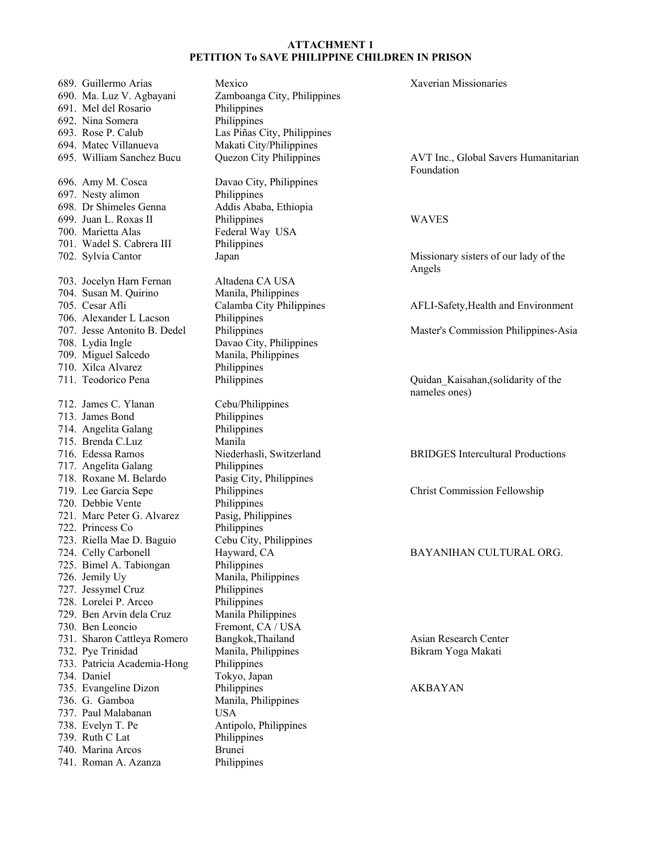689. Guillermo Arias Mexico Xaverian Missionaries 690. Ma. Luz V. Agbayani Zamboanga City, Philippines 691. Mel del Rosario Philippines 692. Nina Somera Philippines 693. Rose P. Calub Las Piñas City, Philippines 694. Matec Villanueva Makati City/Philippines 695. William Sanchez Bucu Quezon City Philippines AVT Inc., Global Savers Humanitarian Foundation 696. Amy M. Cosca Davao City, Philippines 697. Nesty alimon Philippines 698. Dr Shimeles Genna Addis Ababa, Ethiopia 699. Juan L. Roxas II Philippines WAVES 700. Marietta Alas Federal Way USA 701. Wadel S. Cabrera III Philippines 702. Sylvia Cantor Japan Missionary sisters of our lady of the Angels 703. Jocelyn Harn Fernan Altadena CA USA 704. Susan M. Quirino Manila, Philippines 705. Cesar Afli Calamba City Philippines AFLI-Safety,Health and Environment 706. Alexander L Lacson Philippines<br>707. Jesse Antonito B. Dedel Philippines 707. Jesse Antonito B. Dedel Philippines Master's Commission Philippines-Asia 708. Lydia Ingle Davao City, Philippines 709. Miguel Salcedo Manila, Philippines 710. Xilca Alvarez Philippines 711. Teodorico Pena Philippines Quidan\_Kaisahan,(solidarity of the nameles ones) 712. James C. Ylanan Cebu/Philippines 713. James Bond Philippines 714. Angelita Galang Philippines 715. Brenda C.Luz Manila 716. Edessa Ramos Niederhasli, Switzerland BRIDGES Intercultural Productions 717. Angelita Galang Philippines 718. Roxane M. Belardo Pasig City, Philippines 719. Lee Garcia Sepe Philippines Christ Commission Fellowship 720. Debbie Vente Philippines<br>721. Marc Peter G. Alvarez Pasig, Philippines 721. Marc Peter G. Alvarez 722. Princess Co Philippines 723. Riella Mae D. Baguio Cebu City, Philippines 724. Celly Carbonell Hayward, CA BAYANIHAN CULTURAL ORG. 725. Bimel A. Tabiongan Philippines 726. Jemily Uy Manila, Philippines 727. Jessymel Cruz Philippines 728. Lorelei P. Arceo 729. Ben Arvin dela Cruz Manila Philippines 730. Ben Leoncio Fremont, CA / USA 731. Sharon Cattleya Romero Bangkok,Thailand Asian Research Center 732. Pye Trinidad Manila, Philippines Bikram Yoga Makati 733. Patricia Academia-Hong Philippines 734. Daniel Tokyo, Japan 735. Evangeline Dizon Philippines AKBAYAN 736. G. Gamboa Manila, Philippines 737. Paul Malabanan USA 738. Evelyn T. Pe Antipolo, Philippines 739. Ruth C Lat Philippines 740. Marina Arcos Brunei 741. Roman A. Azanza Philippines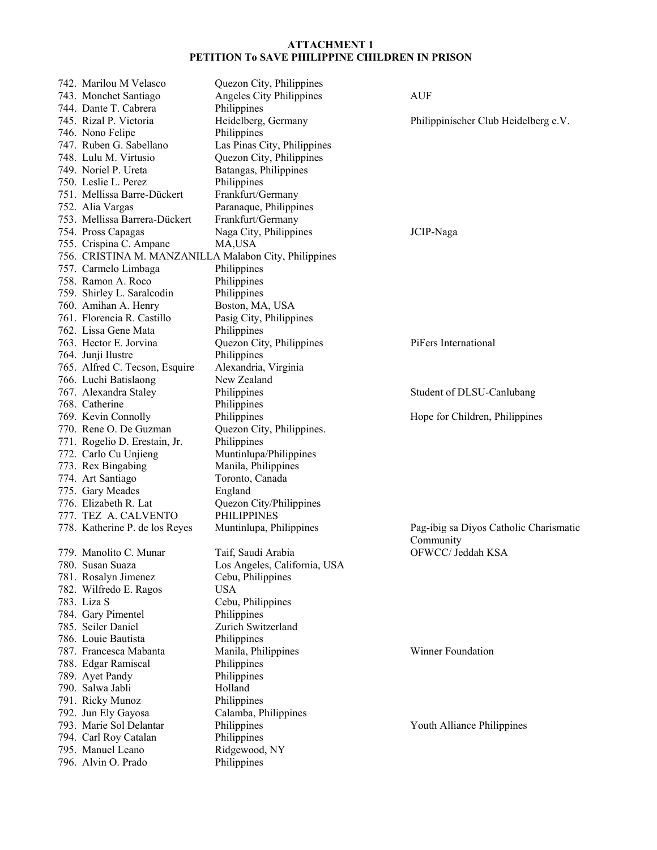| 742. Marilou M Velasco                                | Quezon City, Philippines     |                                        |
|-------------------------------------------------------|------------------------------|----------------------------------------|
| 743. Monchet Santiago                                 | Angeles City Philippines     | <b>AUF</b>                             |
| 744. Dante T. Cabrera                                 | Philippines                  |                                        |
| 745. Rizal P. Victoria                                | Heidelberg, Germany          | Philippinischer Club Heidelberg e.V.   |
| 746. Nono Felipe                                      | Philippines                  |                                        |
| 747. Ruben G. Sabellano                               | Las Pinas City, Philippines  |                                        |
| 748. Lulu M. Virtusio                                 | Quezon City, Philippines     |                                        |
| 749. Noriel P. Ureta                                  | Batangas, Philippines        |                                        |
| 750. Leslie L. Perez                                  | Philippines                  |                                        |
| 751. Mellissa Barre-Dückert                           | Frankfurt/Germany            |                                        |
| 752. Alia Vargas                                      | Paranaque, Philippines       |                                        |
| 753. Mellissa Barrera-Dückert                         | Frankfurt/Germany            |                                        |
| 754. Pross Capagas                                    | Naga City, Philippines       | JCIP-Naga                              |
| 755. Crispina C. Ampane                               | MA,USA                       |                                        |
| 756. CRISTINA M. MANZANILLA Malabon City, Philippines |                              |                                        |
| 757. Carmelo Limbaga                                  | Philippines                  |                                        |
| 758. Ramon A. Roco                                    | Philippines                  |                                        |
| 759. Shirley L. Saralcodin                            | Philippines                  |                                        |
|                                                       |                              |                                        |
| 760. Amihan A. Henry                                  | Boston, MA, USA              |                                        |
| 761. Florencia R. Castillo                            | Pasig City, Philippines      |                                        |
| 762. Lissa Gene Mata                                  | Philippines                  |                                        |
| 763. Hector E. Jorvina                                | Quezon City, Philippines     | PiFers International                   |
| 764. Junji Ilustre                                    | Philippines                  |                                        |
| 765. Alfred C. Tecson, Esquire                        | Alexandria, Virginia         |                                        |
| 766. Luchi Batislaong                                 | New Zealand                  |                                        |
| 767. Alexandra Staley                                 | Philippines                  | Student of DLSU-Canlubang              |
| 768. Catherine                                        | Philippines                  |                                        |
| 769. Kevin Connolly                                   | Philippines                  | Hope for Children, Philippines         |
| 770. Rene O. De Guzman                                | Quezon City, Philippines.    |                                        |
| 771. Rogelio D. Erestain, Jr.                         | Philippines                  |                                        |
| 772. Carlo Cu Unjieng                                 | Muntinlupa/Philippines       |                                        |
| 773. Rex Bingabing                                    | Manila, Philippines          |                                        |
| 774. Art Santiago                                     | Toronto, Canada              |                                        |
| 775. Gary Meades                                      | England                      |                                        |
| 776. Elizabeth R. Lat                                 | Quezon City/Philippines      |                                        |
| 777. TEZ A. CALVENTO                                  | <b>PHILIPPINES</b>           |                                        |
|                                                       |                              |                                        |
| 778. Katherine P. de los Reyes                        | Muntinlupa, Philippines      | Pag-ibig sa Diyos Catholic Charismatic |
|                                                       |                              | Community                              |
| 779. Manolito C. Munar                                | Taif, Saudi Arabia           | OFWCC/ Jeddah KSA                      |
| 780. Susan Suaza                                      | Los Angeles, California, USA |                                        |
| 781. Rosalyn Jimenez                                  | Cebu, Philippines            |                                        |
| 782. Wilfredo E. Ragos                                | <b>USA</b>                   |                                        |
| 783. Liza S                                           | Cebu, Philippines            |                                        |
| 784. Gary Pimentel                                    | Philippines                  |                                        |
| 785. Seiler Daniel                                    | Zurich Switzerland           |                                        |
| 786. Louie Bautista                                   | Philippines                  |                                        |
| 787. Francesca Mabanta                                | Manila, Philippines          | Winner Foundation                      |
| 788. Edgar Ramiscal                                   | Philippines                  |                                        |
| 789. Ayet Pandy                                       | Philippines                  |                                        |
| 790. Salwa Jabli                                      | Holland                      |                                        |
| 791. Ricky Munoz                                      | Philippines                  |                                        |
| 792. Jun Ely Gayosa                                   | Calamba, Philippines         |                                        |
| 793. Marie Sol Delantar                               | Philippines                  | Youth Alliance Philippines             |
|                                                       |                              |                                        |
| 794. Carl Roy Catalan                                 | Philippines                  |                                        |
| 795. Manuel Leano                                     | Ridgewood, NY                |                                        |
| 796. Alvin O. Prado                                   | Philippines                  |                                        |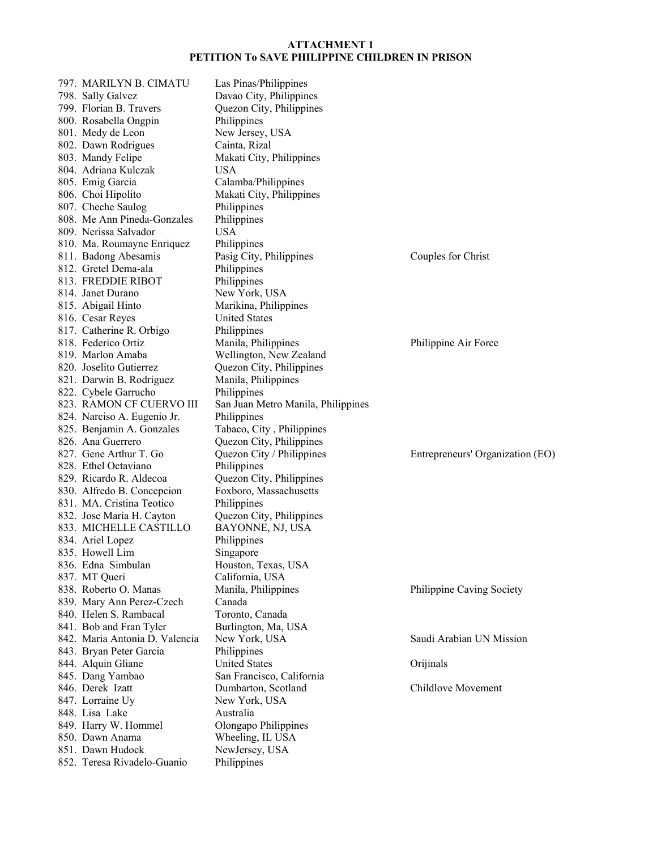| 797. MARILYN B. CIMATU                          | Las Pinas/Philippines                             |                                  |
|-------------------------------------------------|---------------------------------------------------|----------------------------------|
| 798. Sally Galvez                               | Davao City, Philippines                           |                                  |
| 799. Florian B. Travers                         | Quezon City, Philippines                          |                                  |
| 800. Rosabella Ongpin                           | Philippines                                       |                                  |
| 801. Medy de Leon                               | New Jersey, USA                                   |                                  |
| 802. Dawn Rodrigues                             | Cainta, Rizal                                     |                                  |
| 803. Mandy Felipe                               | Makati City, Philippines                          |                                  |
| 804. Adriana Kulczak                            | <b>USA</b>                                        |                                  |
| 805. Emig Garcia                                | Calamba/Philippines                               |                                  |
| 806. Choi Hipolito                              | Makati City, Philippines                          |                                  |
| 807. Cheche Saulog                              | Philippines                                       |                                  |
| 808. Me Ann Pineda-Gonzales                     | Philippines                                       |                                  |
| 809. Nerissa Salvador                           | <b>USA</b>                                        |                                  |
| 810. Ma. Roumayne Enriquez                      | Philippines                                       |                                  |
| 811. Badong Abesamis                            | Pasig City, Philippines                           | Couples for Christ               |
| 812. Gretel Dema-ala                            | Philippines                                       |                                  |
| 813. FREDDIE RIBOT                              | Philippines                                       |                                  |
| 814. Janet Durano                               | New York, USA                                     |                                  |
| 815. Abigail Hinto                              | Marikina, Philippines                             |                                  |
| 816. Cesar Reyes                                | <b>United States</b>                              |                                  |
| 817. Catherine R. Orbigo                        | Philippines                                       |                                  |
| 818. Federico Ortiz                             | Manila, Philippines                               | Philippine Air Force             |
| 819. Marlon Amaba                               | Wellington, New Zealand                           |                                  |
| 820. Joselito Gutierrez                         | Quezon City, Philippines                          |                                  |
| 821. Darwin B. Rodriguez                        | Manila, Philippines                               |                                  |
| 822. Cybele Garrucho                            | Philippines                                       |                                  |
| 823. RAMON CF CUERVO III                        |                                                   |                                  |
|                                                 | San Juan Metro Manila, Philippines<br>Philippines |                                  |
| 824. Narciso A. Eugenio Jr.                     |                                                   |                                  |
| 825. Benjamin A. Gonzales<br>826. Ana Guerrero  | Tabaco, City, Philippines                         |                                  |
|                                                 | Quezon City, Philippines                          |                                  |
| 827. Gene Arthur T. Go                          | Quezon City / Philippines                         | Entrepreneurs' Organization (EO) |
| 828. Ethel Octaviano<br>829. Ricardo R. Aldecoa | Philippines<br>Quezon City, Philippines           |                                  |
| 830. Alfredo B. Concepcion                      | Foxboro, Massachusetts                            |                                  |
|                                                 |                                                   |                                  |
| 831. MA. Cristina Teotico                       | Philippines                                       |                                  |
| 832. Jose Maria H. Cayton                       | Quezon City, Philippines                          |                                  |
| 833. MICHELLE CASTILLO                          | BAYONNE, NJ, USA                                  |                                  |
| 834. Ariel Lopez                                | Philippines                                       |                                  |
| 835. Howell Lim                                 | Singapore                                         |                                  |
| 836. Edna Simbulan                              | Houston, Texas, USA                               |                                  |
| 837. MT Queri                                   | California, USA                                   |                                  |
| 838. Roberto O. Manas                           | Manila, Philippines                               | Philippine Caving Society        |
| 839. Mary Ann Perez-Czech                       | Canada                                            |                                  |
| 840. Helen S. Rambacal                          | Toronto, Canada                                   |                                  |
| 841. Bob and Fran Tyler                         | Burlington, Ma, USA                               |                                  |
| 842. Maria Antonia D. Valencia                  | New York, USA                                     | Saudi Arabian UN Mission         |
| 843. Bryan Peter Garcia                         | Philippines<br><b>United States</b>               |                                  |
| 844. Alquin Gliane<br>845. Dang Yambao          | San Francisco, California                         | Orijinals                        |
| 846. Derek Izatt                                |                                                   |                                  |
|                                                 | Dumbarton, Scotland                               | Childlove Movement               |
| 847. Lorraine Uy<br>848. Lisa Lake              | New York, USA<br>Australia                        |                                  |
|                                                 |                                                   |                                  |
| 849. Harry W. Hommel                            | Olongapo Philippines                              |                                  |
| 850. Dawn Anama<br>851. Dawn Hudock             | Wheeling, IL USA                                  |                                  |
| 852. Teresa Rivadelo-Guanio                     | NewJersey, USA<br>Philippines                     |                                  |
|                                                 |                                                   |                                  |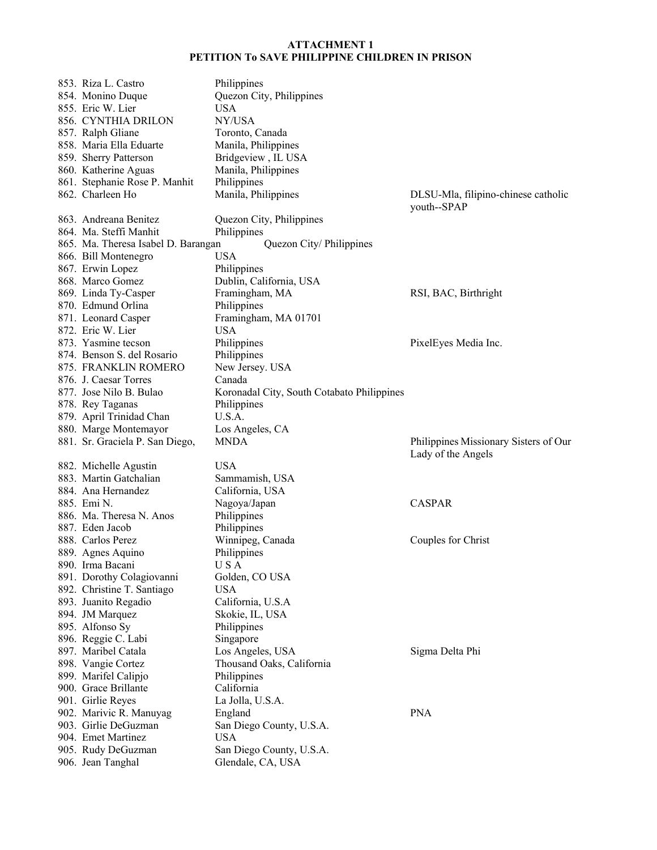| 853. Riza L. Castro                     | Philippines                                   |                                       |
|-----------------------------------------|-----------------------------------------------|---------------------------------------|
| 854. Monino Duque                       | Quezon City, Philippines                      |                                       |
| 855. Eric W. Lier                       | <b>USA</b>                                    |                                       |
| 856. CYNTHIA DRILON                     | NY/USA                                        |                                       |
| 857. Ralph Gliane                       | Toronto, Canada                               |                                       |
| 858. Maria Ella Eduarte                 | Manila, Philippines                           |                                       |
| 859. Sherry Patterson                   | Bridgeview, IL USA                            |                                       |
| 860. Katherine Aguas                    | Manila, Philippines                           |                                       |
| 861. Stephanie Rose P. Manhit           | Philippines                                   |                                       |
| 862. Charleen Ho                        | Manila, Philippines                           | DLSU-Mla, filipino-chinese catholic   |
|                                         |                                               | youth--SPAP                           |
| 863. Andreana Benitez                   | Quezon City, Philippines                      |                                       |
| 864. Ma. Steffi Manhit                  | Philippines                                   |                                       |
| 865. Ma. Theresa Isabel D. Barangan     | Quezon City/Philippines                       |                                       |
| 866. Bill Montenegro                    | <b>USA</b>                                    |                                       |
|                                         |                                               |                                       |
| 867. Erwin Lopez                        | Philippines                                   |                                       |
| 868. Marco Gomez                        | Dublin, California, USA                       |                                       |
| 869. Linda Ty-Casper                    | Framingham, MA                                | RSI, BAC, Birthright                  |
| 870. Edmund Orlina                      | Philippines                                   |                                       |
| 871. Leonard Casper                     | Framingham, MA 01701                          |                                       |
| 872. Eric W. Lier                       | <b>USA</b>                                    |                                       |
| 873. Yasmine tecson                     | Philippines                                   | PixelEyes Media Inc.                  |
| 874. Benson S. del Rosario              | Philippines                                   |                                       |
| 875. FRANKLIN ROMERO                    | New Jersey. USA                               |                                       |
| 876. J. Caesar Torres                   | Canada                                        |                                       |
| 877. Jose Nilo B. Bulao                 | Koronadal City, South Cotabato Philippines    |                                       |
| 878. Rey Taganas                        | Philippines                                   |                                       |
| 879. April Trinidad Chan                | U.S.A.                                        |                                       |
|                                         |                                               |                                       |
| 880. Marge Montemayor                   | Los Angeles, CA                               |                                       |
| 881. Sr. Graciela P. San Diego,         | <b>MNDA</b>                                   | Philippines Missionary Sisters of Our |
|                                         |                                               | Lady of the Angels                    |
| 882. Michelle Agustin                   | <b>USA</b>                                    |                                       |
| 883. Martin Gatchalian                  | Sammamish, USA                                |                                       |
| 884. Ana Hernandez                      | California, USA                               |                                       |
| 885. Emi N.                             | Nagoya/Japan                                  | <b>CASPAR</b>                         |
| 886. Ma. Theresa N. Anos                |                                               |                                       |
| 887. Eden Jacob                         | Philippines                                   |                                       |
| 888. Carlos Perez                       | Philippines                                   |                                       |
|                                         | Winnipeg, Canada                              | Couples for Christ                    |
| 889. Agnes Aquino                       | Philippines                                   |                                       |
| 890. Irma Bacani                        | U S A                                         |                                       |
| 891. Dorothy Colagiovanni               | Golden, CO USA                                |                                       |
| 892. Christine T. Santiago              | <b>USA</b>                                    |                                       |
| 893. Juanito Regadio                    | California, U.S.A                             |                                       |
| 894. JM Marquez                         | Skokie, IL, USA                               |                                       |
| 895. Alfonso Sy                         | Philippines                                   |                                       |
| 896. Reggie C. Labi                     | Singapore                                     |                                       |
| 897. Maribel Catala                     | Los Angeles, USA                              | Sigma Delta Phi                       |
| 898. Vangie Cortez                      | Thousand Oaks, California                     |                                       |
| 899. Marifel Calipjo                    | Philippines                                   |                                       |
| 900. Grace Brillante                    | California                                    |                                       |
| 901. Girlie Reyes                       | La Jolla, U.S.A.                              |                                       |
| 902. Marivic R. Manuyag                 | England                                       | <b>PNA</b>                            |
| 903. Girlie DeGuzman                    | San Diego County, U.S.A.                      |                                       |
| 904. Emet Martinez                      | <b>USA</b>                                    |                                       |
| 905. Rudy DeGuzman<br>906. Jean Tanghal | San Diego County, U.S.A.<br>Glendale, CA, USA |                                       |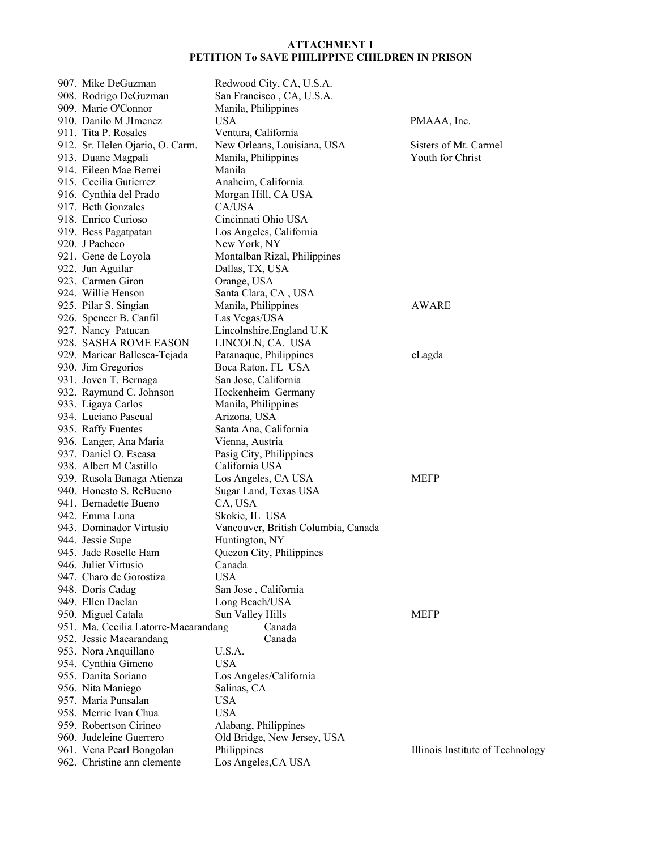| 907. Mike DeGuzman                   | Redwood City, CA, U.S.A.            |                                  |
|--------------------------------------|-------------------------------------|----------------------------------|
| 908. Rodrigo DeGuzman                | San Francisco, CA, U.S.A.           |                                  |
| 909. Marie O'Connor                  | Manila, Philippines                 |                                  |
| 910. Danilo M JImenez                | <b>USA</b>                          | PMAAA, Inc.                      |
| 911. Tita P. Rosales                 | Ventura, California                 |                                  |
| 912. Sr. Helen Ojario, O. Carm.      | New Orleans, Louisiana, USA         | Sisters of Mt. Carmel            |
| 913. Duane Magpali                   | Manila, Philippines                 | Youth for Christ                 |
| 914. Eileen Mae Berrei               | Manila                              |                                  |
| 915. Cecilia Gutierrez               | Anaheim, California                 |                                  |
| 916. Cynthia del Prado               | Morgan Hill, CA USA                 |                                  |
| 917. Beth Gonzales                   | CA/USA                              |                                  |
| 918. Enrico Curioso                  | Cincinnati Ohio USA                 |                                  |
| 919. Bess Pagatpatan                 | Los Angeles, California             |                                  |
| 920. J Pacheco                       | New York, NY                        |                                  |
| 921. Gene de Loyola                  | Montalban Rizal, Philippines        |                                  |
| 922. Jun Aguilar                     | Dallas, TX, USA                     |                                  |
| 923. Carmen Giron                    | Orange, USA                         |                                  |
| 924. Willie Henson                   | Santa Clara, CA, USA                |                                  |
| 925. Pilar S. Singian                | Manila, Philippines                 | AWARE                            |
| 926. Spencer B. Canfil               | Las Vegas/USA                       |                                  |
| 927. Nancy Patucan                   | Lincolnshire, England U.K.          |                                  |
| 928. SASHA ROME EASON                | LINCOLN, CA. USA                    |                                  |
| 929. Maricar Ballesca-Tejada         | Paranaque, Philippines              | eLagda                           |
| 930. Jim Gregorios                   | Boca Raton, FL USA                  |                                  |
| 931. Joven T. Bernaga                | San Jose, California                |                                  |
| 932. Raymund C. Johnson              | Hockenheim Germany                  |                                  |
| 933. Ligaya Carlos                   | Manila, Philippines                 |                                  |
| 934. Luciano Pascual                 | Arizona, USA                        |                                  |
| 935. Raffy Fuentes                   | Santa Ana, California               |                                  |
| 936. Langer, Ana Maria               | Vienna, Austria                     |                                  |
| 937. Daniel O. Escasa                | Pasig City, Philippines             |                                  |
| 938. Albert M Castillo               | California USA                      |                                  |
| 939. Rusola Banaga Atienza           | Los Angeles, CA USA                 | <b>MEFP</b>                      |
| 940. Honesto S. ReBueno              | Sugar Land, Texas USA               |                                  |
| 941. Bernadette Bueno                | CA, USA                             |                                  |
| 942. Emma Luna                       | Skokie, IL USA                      |                                  |
| 943. Dominador Virtusio              | Vancouver, British Columbia, Canada |                                  |
| 944. Jessie Supe                     | Huntington, NY                      |                                  |
| 945. Jade Roselle Ham                | Quezon City, Philippines            |                                  |
| 946. Juliet Virtusio                 | Canada                              |                                  |
| 947. Charo de Gorostiza              | <b>USA</b>                          |                                  |
| 948. Doris Cadag                     | San Jose, California                |                                  |
| 949. Ellen Daclan                    | Long Beach/USA                      |                                  |
| 950. Miguel Catala                   | Sun Valley Hills                    | <b>MEFP</b>                      |
| 951. Ma. Cecilia Latorre-Macarandang | Canada                              |                                  |
| 952. Jessie Macarandang              | Canada                              |                                  |
| 953. Nora Anquillano                 | U.S.A.                              |                                  |
| 954. Cynthia Gimeno                  | <b>USA</b>                          |                                  |
| 955. Danita Soriano                  | Los Angeles/California              |                                  |
| 956. Nita Maniego                    | Salinas, CA                         |                                  |
| 957. Maria Punsalan                  | <b>USA</b>                          |                                  |
| 958. Merrie Ivan Chua                | <b>USA</b>                          |                                  |
| 959. Robertson Cirineo               | Alabang, Philippines                |                                  |
| 960. Judeleine Guerrero              | Old Bridge, New Jersey, USA         |                                  |
| 961. Vena Pearl Bongolan             | Philippines                         | Illinois Institute of Technology |
| 962. Christine ann clemente          | Los Angeles, CA USA                 |                                  |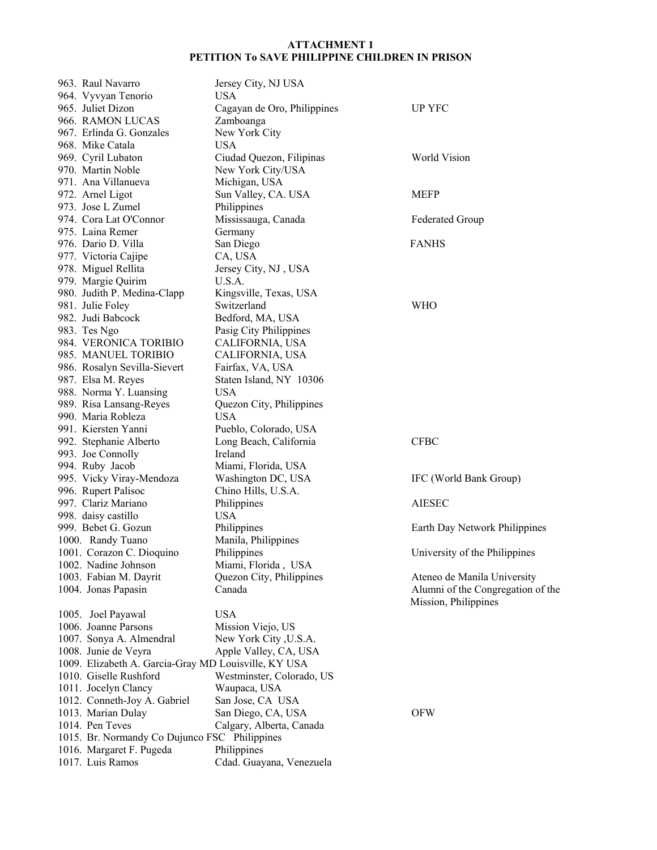| 963. Raul Navarro                                    | Jersey City, NJ USA         |                                   |
|------------------------------------------------------|-----------------------------|-----------------------------------|
| 964. Vyvyan Tenorio                                  | <b>USA</b>                  |                                   |
| 965. Juliet Dizon                                    | Cagayan de Oro, Philippines | <b>UP YFC</b>                     |
| 966. RAMON LUCAS                                     | Zamboanga                   |                                   |
| 967. Erlinda G. Gonzales                             | New York City               |                                   |
| 968. Mike Catala                                     | <b>USA</b>                  |                                   |
| 969. Cyril Lubaton                                   | Ciudad Quezon, Filipinas    | World Vision                      |
| 970. Martin Noble                                    | New York City/USA           |                                   |
| 971. Ana Villanueva                                  | Michigan, USA               |                                   |
| 972. Arnel Ligot                                     | Sun Valley, CA. USA         | <b>MEFP</b>                       |
| 973. Jose L Zumel                                    | Philippines                 |                                   |
| 974. Cora Lat O'Connor                               | Mississauga, Canada         | <b>Federated Group</b>            |
| 975. Laina Remer                                     | Germany                     |                                   |
| 976. Dario D. Villa                                  |                             | <b>FANHS</b>                      |
|                                                      | San Diego                   |                                   |
| 977. Victoria Cajipe                                 | CA, USA                     |                                   |
| 978. Miguel Rellita                                  | Jersey City, NJ, USA        |                                   |
| 979. Margie Quirim                                   | U.S.A.                      |                                   |
| 980. Judith P. Medina-Clapp                          | Kingsville, Texas, USA      |                                   |
| 981. Julie Foley                                     | Switzerland                 | <b>WHO</b>                        |
| 982. Judi Babcock                                    | Bedford, MA, USA            |                                   |
| 983. Tes Ngo                                         | Pasig City Philippines      |                                   |
| 984. VERONICA TORIBIO                                | CALIFORNIA, USA             |                                   |
| 985. MANUEL TORIBIO                                  | CALIFORNIA, USA             |                                   |
| 986. Rosalyn Sevilla-Sievert                         | Fairfax, VA, USA            |                                   |
| 987. Elsa M. Reyes                                   | Staten Island, NY 10306     |                                   |
| 988. Norma Y. Luansing                               | <b>USA</b>                  |                                   |
| 989. Risa Lansang-Reyes                              | Quezon City, Philippines    |                                   |
| 990. Maria Robleza                                   | <b>USA</b>                  |                                   |
| 991. Kiersten Yanni                                  | Pueblo, Colorado, USA       |                                   |
| 992. Stephanie Alberto                               | Long Beach, California      | <b>CFBC</b>                       |
| 993. Joe Connolly                                    | Ireland                     |                                   |
| 994. Ruby Jacob                                      | Miami, Florida, USA         |                                   |
| 995. Vicky Viray-Mendoza                             | Washington DC, USA          | IFC (World Bank Group)            |
| 996. Rupert Palisoc                                  | Chino Hills, U.S.A.         |                                   |
| 997. Clariz Mariano                                  | Philippines                 | <b>AIESEC</b>                     |
| 998. daisy castillo                                  | <b>USA</b>                  |                                   |
| 999. Bebet G. Gozun                                  | Philippines                 | Earth Day Network Philippines     |
| 1000. Randy Tuano                                    | Manila, Philippines         |                                   |
| 1001. Corazon C. Dioquino                            | Philippines                 | University of the Philippines     |
| 1002. Nadine Johnson                                 | Miami, Florida, USA         |                                   |
|                                                      |                             |                                   |
| 1003. Fabian M. Dayrit                               | Quezon City, Philippines    | Ateneo de Manila University       |
| 1004. Jonas Papasin                                  | Canada                      | Alumni of the Congregation of the |
|                                                      |                             | Mission, Philippines              |
| 1005. Joel Payawal                                   | <b>USA</b>                  |                                   |
| 1006. Joanne Parsons                                 | Mission Viejo, US           |                                   |
| 1007. Sonya A. Almendral                             | New York City, U.S.A.       |                                   |
| 1008. Junie de Veyra                                 | Apple Valley, CA, USA       |                                   |
| 1009. Elizabeth A. Garcia-Gray MD Louisville, KY USA |                             |                                   |
| 1010. Giselle Rushford                               | Westminster, Colorado, US   |                                   |
| 1011. Jocelyn Clancy                                 | Waupaca, USA                |                                   |
| 1012. Conneth-Joy A. Gabriel                         | San Jose, CA USA            |                                   |
| 1013. Marian Dulay                                   | San Diego, CA, USA          | <b>OFW</b>                        |
| 1014. Pen Teves                                      | Calgary, Alberta, Canada    |                                   |
| 1015. Br. Normandy Co Dujunco FSC Philippines        |                             |                                   |
| 1016. Margaret F. Pugeda                             | Philippines                 |                                   |
| 1017. Luis Ramos                                     | Cdad. Guayana, Venezuela    |                                   |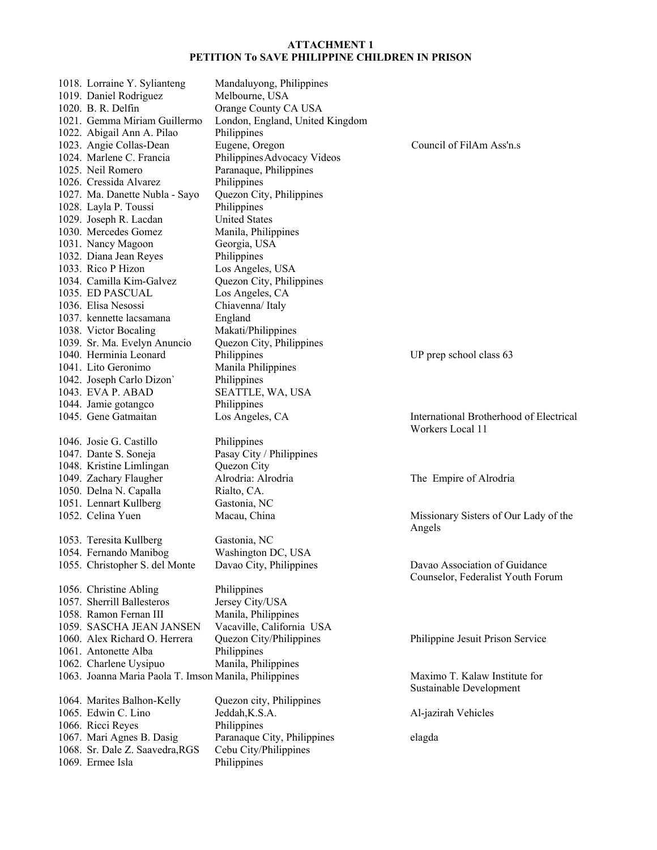| 1018. Lorraine Y. Sylianteng                          | Mandaluyong, Philippines        |                                         |
|-------------------------------------------------------|---------------------------------|-----------------------------------------|
| 1019. Daniel Rodriguez                                | Melbourne, USA                  |                                         |
| 1020. B. R. Delfin                                    | Orange County CA USA            |                                         |
| 1021. Gemma Miriam Guillermo                          | London, England, United Kingdom |                                         |
| 1022. Abigail Ann A. Pilao                            | Philippines                     |                                         |
| 1023. Angie Collas-Dean                               | Eugene, Oregon                  | Council of FilAm Ass'n.s                |
| 1024. Marlene C. Francia                              | Philippines Advocacy Videos     |                                         |
| 1025. Neil Romero                                     | Paranaque, Philippines          |                                         |
| 1026. Cressida Alvarez                                | Philippines                     |                                         |
| 1027. Ma. Danette Nubla - Sayo                        | Quezon City, Philippines        |                                         |
| 1028. Layla P. Toussi                                 | Philippines                     |                                         |
| 1029. Joseph R. Lacdan                                | <b>United States</b>            |                                         |
| 1030. Mercedes Gomez                                  | Manila, Philippines             |                                         |
| 1031. Nancy Magoon                                    | Georgia, USA                    |                                         |
| 1032. Diana Jean Reyes                                | Philippines                     |                                         |
| 1033. Rico P Hizon                                    | Los Angeles, USA                |                                         |
| 1034. Camilla Kim-Galvez                              | Quezon City, Philippines        |                                         |
| 1035. ED PASCUAL                                      | Los Angeles, CA                 |                                         |
| 1036. Elisa Nesossi                                   | Chiavenna/Italy                 |                                         |
| 1037. kennette lacsamana                              | England                         |                                         |
| 1038. Victor Bocaling                                 | Makati/Philippines              |                                         |
| 1039. Sr. Ma. Evelyn Anuncio                          | Quezon City, Philippines        |                                         |
| 1040. Herminia Leonard                                | Philippines                     | UP prep school class 63                 |
| 1041. Lito Geronimo                                   | Manila Philippines              |                                         |
| 1042. Joseph Carlo Dizon                              | Philippines                     |                                         |
| 1043. EVA P. ABAD                                     | SEATTLE, WA, USA                |                                         |
| 1044. Jamie gotangco                                  | Philippines                     |                                         |
| 1045. Gene Gatmaitan                                  | Los Angeles, CA                 | International Brotherhood of Electrical |
|                                                       |                                 | Workers Local 11                        |
| 1046. Josie G. Castillo                               | Philippines                     |                                         |
| 1047. Dante S. Soneja                                 | Pasay City / Philippines        |                                         |
| 1048. Kristine Limlingan                              | Quezon City                     |                                         |
| 1049. Zachary Flaugher                                | Alrodria: Alrodria              | The Empire of Alrodria                  |
| 1050. Delna N. Capalla                                | Rialto, CA.                     |                                         |
| 1051. Lennart Kullberg                                | Gastonia, NC                    |                                         |
| 1052. Celina Yuen                                     | Macau, China                    | Missionary Sisters of Our Lady of the   |
|                                                       |                                 | Angels                                  |
| 1053. Teresita Kullberg                               | Gastonia, NC                    |                                         |
| 1054. Fernando Manibog                                | Washington DC, USA              |                                         |
| 1055. Christopher S. del Monte                        | Davao City, Philippines         | Davao Association of Guidance           |
|                                                       |                                 |                                         |
|                                                       | Philippines                     | Counselor, Federalist Youth Forum       |
| 1056. Christine Abling                                |                                 |                                         |
| 1057. Sherrill Ballesteros                            | Jersey City/USA                 |                                         |
| 1058. Ramon Fernan III                                | Manila, Philippines             |                                         |
| 1059. SASCHA JEAN JANSEN                              | Vacaville, California USA       |                                         |
| 1060. Alex Richard O. Herrera                         | Quezon City/Philippines         | Philippine Jesuit Prison Service        |
| 1061. Antonette Alba                                  | Philippines                     |                                         |
| 1062. Charlene Uysipuo                                | Manila, Philippines             |                                         |
| 1063. Joanna Maria Paola T. Imson Manila, Philippines |                                 | Maximo T. Kalaw Institute for           |
|                                                       |                                 | Sustainable Development                 |
| 1064. Marites Balhon-Kelly                            | Quezon city, Philippines        |                                         |
| 1065. Edwin C. Lino                                   | Jeddah, K.S.A.                  | Al-jazirah Vehicles                     |
| 1066. Ricci Reyes                                     | Philippines                     |                                         |
| 1067. Mari Agnes B. Dasig                             | Paranaque City, Philippines     | elagda                                  |
| 1068. Sr. Dale Z. Saavedra, RGS<br>1069. Ermee Isla   | Cebu City/Philippines           |                                         |
|                                                       | Philippines                     |                                         |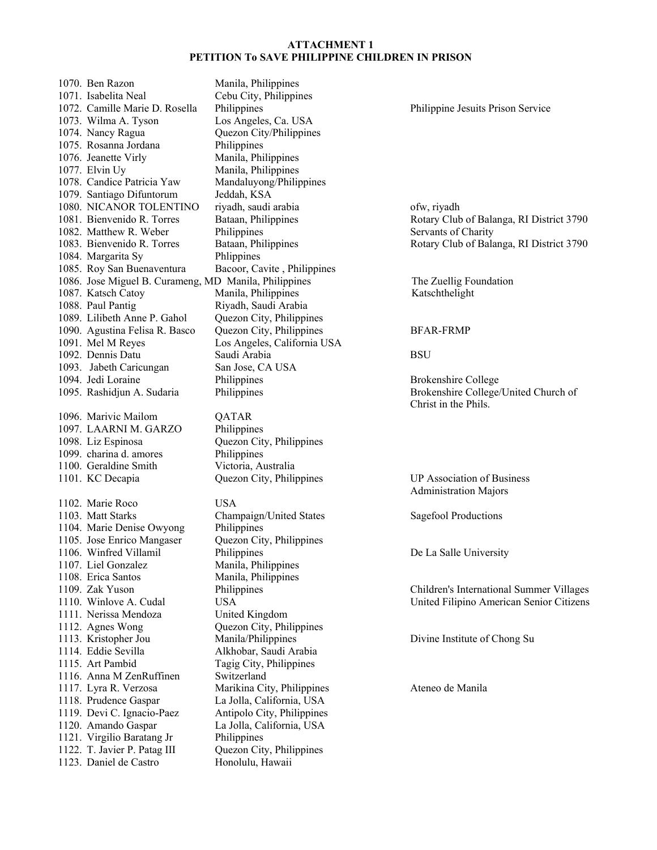1070. Ben Razon Manila, Philippines 1071. Isabelita Neal Cebu City, Philippines 1072. Camille Marie D. Rosella Philippines Philippine Jesuits Prison Service 1073. Wilma A. Tyson Los Angeles, Ca. USA 1074. Nancy Ragua Quezon City/Philippines 1075. Rosanna Jordana Philippines 1076. Jeanette Virly Manila, Philippines 1077. Elvin Uy Manila, Philippines 1078. Candice Patricia Yaw Mandaluyong/Philippines 1079. Santiago Difuntorum Jeddah, KSA 1080. NICANOR TOLENTINO riyadh, saudi arabia ofw, riyadh 1082. Matthew R. Weber Philippines Servants of Charity 1084. Margarita Sy Phlippines 1085. Roy San Buenaventura Bacoor, Cavite , Philippines 1086. Jose Miguel B. Curameng, MD Manila, Philippines The Zuellig Foundation 1087. Katsch Catoy **Manila, Philippines** Katschthelight 1088. Paul Pantig Riyadh, Saudi Arabia 1089. Lilibeth Anne P. Gahol Quezon City, Philippines<br>1090. Agustina Felisa R. Basco Quezon City, Philippines 1090. Agustina Felisa R. Basco Quezon City, Philippines BFAR-FRMP 1091. Mel M Reyes Los Angeles, California USA 1092. Dennis Datu Saudi Arabia BSU 1093. Jabeth Caricungan San Jose, CA USA 1094. Jedi Loraine **Philippines** Philippines Brokenshire College 1095. Rashidjun A. Sudaria Philippines Brokenshire College/United Church of 1096. Marivic Mailom QATAR 1097. LAARNI M. GARZO Philippines 1098. Liz Espinosa Quezon City, Philippines 1099. charina d. amores Philippines 1100. Geraldine Smith Victoria, Australia 1101. KC Decapia Quezon City, Philippines UP Association of Business 1102. Marie Roco USA 1103. Matt Starks Champaign/United States Sagefool Productions 1104. Marie Denise Owyong Philippines 1105. Jose Enrico Mangaser Quezon City, Philippines 1106. Winfred Villamil Philippines De La Salle University 1107. Liel Gonzalez Manila, Philippines 1108. Erica Santos Manila, Philippines 1109. Zak Yuson Philippines Children's International Summer Villages 1111. Nerissa Mendoza United Kingdom 1112. Agnes Wong Quezon City, Philippines 1113. Kristopher Jou Manila/Philippines Divine Institute of Chong Su 1114. Eddie Sevilla Alkhobar, Saudi Arabia 1115. Art Pambid Tagig City, Philippines 1116. Anna M ZenRuffinen Switzerland 1117. Lyra R. Verzosa Marikina City, Philippines Ateneo de Manila 1118. Prudence Gaspar La Jolla, California, USA 1119. Devi C. Ignacio-Paez Antipolo City, Philippines 1120. Amando Gaspar La Jolla, California, USA 1121. Virgilio Baratang Jr Philippines 1122. T. Javier P. Patag III Quezon City, Philippines 1123. Daniel de Castro Honolulu, Hawaii

1081. Bienvenido R. Torres Bataan, Philippines Rotary Club of Balanga, RI District 3790 1083. Bienvenido R. Torres Bataan, Philippines Rotary Club of Balanga, RI District 3790

Christ in the Phils.

Administration Majors

1110. Winlove A. Cudal USA United Filipino American Senior Citizens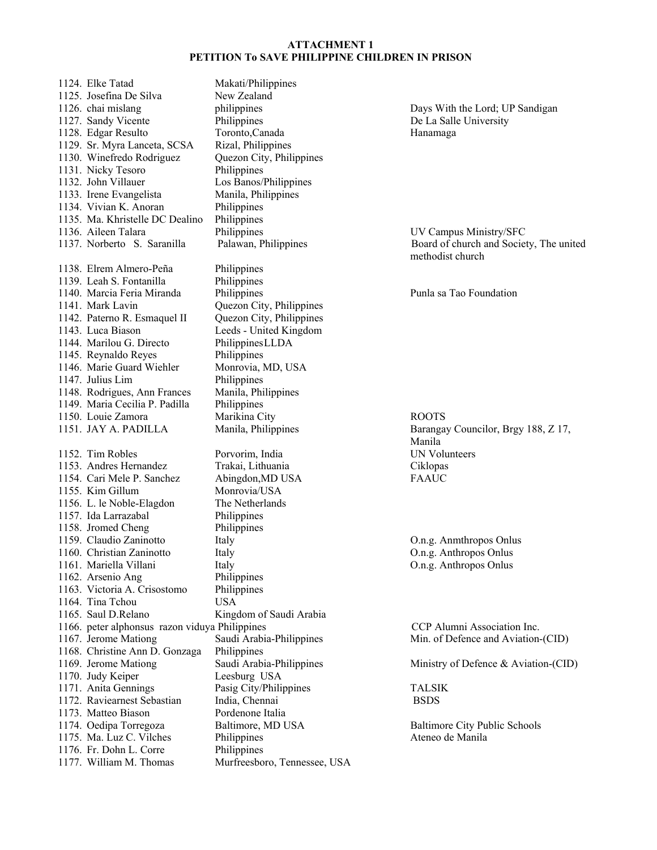1124. Elke Tatad Makati/Philippines 1125. Josefina De Silva New Zealand 1126. chai mislang philippines Days With the Lord; UP Sandigan 1127. Sandy Vicente Philippines Philippines De La Salle University 1128. Edgar Resulto Toronto,Canada Hanamaga 1129. Sr. Myra Lanceta, SCSA Rizal, Philippines 1130. Winefredo Rodriguez Quezon City, Philippines 1131. Nicky Tesoro Philippines 1132. John Villauer Los Banos/Philippines<br>1133. Irene Evangelista Manila, Philippines 1133. Irene Evangelista 1134. Vivian K. Anoran Philippines 1135. Ma. Khristelle DC Dealino Philippines 1136. Aileen Talara Philippines UV Campus Ministry/SFC 1137. Norberto S. Saranilla Palawan, Philippines Board of church and Society, The united 1138. Elrem Almero-Peña Philippines 1139. Leah S. Fontanilla Philippines 1140. Marcia Feria Miranda Philippines Punla sa Tao Foundation 1141. Mark Lavin Quezon City, Philippines 1142. Paterno R. Esmaquel II Quezon City, Philippines 1143. Luca Biason Leeds - United Kingdom 1144. Marilou G. Directo Philippines LLDA 1145. Reynaldo Reyes Philippines 1146. Marie Guard Wiehler Monrovia, MD, USA 1147. Julius Lim Philippines 1148. Rodrigues, Ann Frances Manila, Philippines 1149. Maria Cecilia P. Padilla Philippines 1150. Louie Zamora Marikina City ROOTS 1151. JAY A. PADILLA Manila, Philippines Barangay Councilor, Brgy 188, Z 17, 1152. Tim Robles Porvorim, India UN Volunteers 1153. Andres Hernandez Trakai, Lithuania Ciklopas 1154. Cari Mele P. Sanchez Abingdon,MD USA FAAUC 1155. Kim Gillum Monrovia/USA 1156. L. le Noble-Elagdon The Netherlands 1157. Ida Larrazabal Philippines 1158. Jromed Cheng Philippines 1159. Claudio Zaninotto Italy O.n.g. Anmthropos Onlus 1160. Christian Zaninotto Italy O.n.g. Anthropos Onlus 1161. Mariella Villani Italy Italy O.n.g. Anthropos Onlus 1162. Arsenio Ang Philippines 1163. Victoria A. Crisostomo Philippines 1164. Tina Tchou USA 1165. Saul D.Relano Kingdom of Saudi Arabia 1166. peter alphonsus razon viduya Philippines CCP Alumni Association Inc. 1167. Jerome Mationg Saudi Arabia-Philippines Min. of Defence and Aviation-(CID) 1168. Christine Ann D. Gonzaga Philippines 1169. Jerome Mationg Saudi Arabia-Philippines Ministry of Defence & Aviation-(CID) 1170. Judy Keiper Leesburg USA 1171. Anita Gennings Pasig City/Philippines TALSIK 1172. Raviearnest Sebastian India, Chennai BSDS 1173. Matteo Biason Pordenone Italia 1174. Oedipa Torregoza Baltimore, MD USA Baltimore City Public Schools 1175. Ma. Luz C. Vilches Philippines Philippines Ateneo de Manila 1176. Fr. Dohn L. Corre Philippines 1177. William M. Thomas Murfreesboro, Tennessee, USA

methodist church

Manila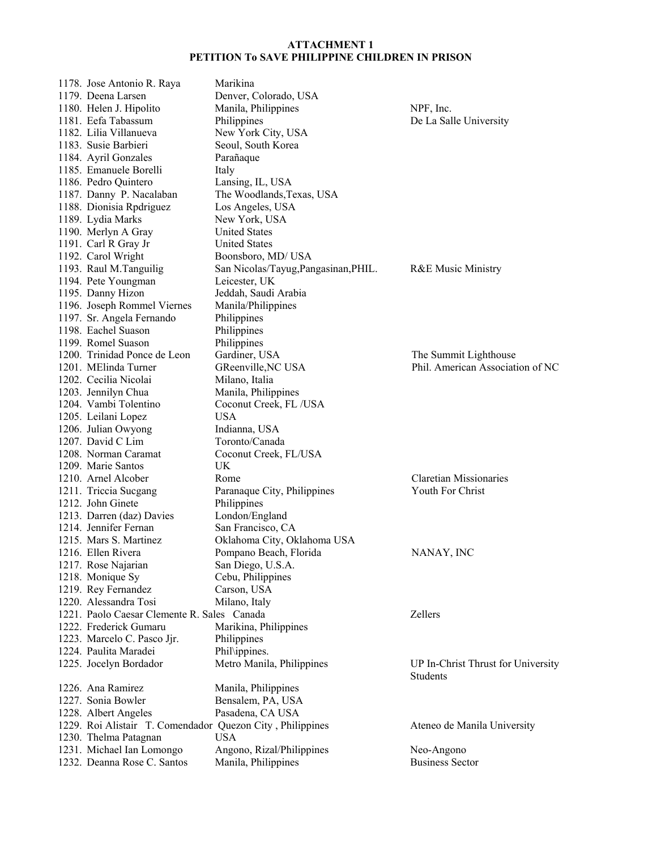| 1178. Jose Antonio R. Raya                                | Marikina                             |                                    |
|-----------------------------------------------------------|--------------------------------------|------------------------------------|
| 1179. Deena Larsen                                        | Denver, Colorado, USA                |                                    |
| 1180. Helen J. Hipolito                                   | Manila, Philippines                  | NPF, Inc.                          |
| 1181. Eefa Tabassum                                       | Philippines                          | De La Salle University             |
| 1182. Lilia Villanueva                                    | New York City, USA                   |                                    |
| 1183. Susie Barbieri                                      | Seoul, South Korea                   |                                    |
| 1184. Ayril Gonzales                                      | Parañaque                            |                                    |
| 1185. Emanuele Borelli                                    | Italy                                |                                    |
| 1186. Pedro Quintero                                      | Lansing, IL, USA                     |                                    |
| 1187. Danny P. Nacalaban                                  | The Woodlands, Texas, USA            |                                    |
| 1188. Dionisia Rpdriguez                                  | Los Angeles, USA                     |                                    |
| 1189. Lydia Marks                                         | New York, USA                        |                                    |
| 1190. Merlyn A Gray                                       | <b>United States</b>                 |                                    |
| 1191. Carl R Gray Jr                                      | <b>United States</b>                 |                                    |
| 1192. Carol Wright                                        | Boonsboro, MD/ USA                   |                                    |
| 1193. Raul M.Tanguilig                                    | San Nicolas/Tayug, Pangasinan, PHIL. | <b>R&amp;E Music Ministry</b>      |
| 1194. Pete Youngman                                       | Leicester, UK                        |                                    |
| 1195. Danny Hizon                                         | Jeddah, Saudi Arabia                 |                                    |
| 1196. Joseph Rommel Viernes                               | Manila/Philippines                   |                                    |
| 1197. Sr. Angela Fernando                                 | Philippines                          |                                    |
| 1198. Eachel Suason                                       | Philippines                          |                                    |
| 1199. Romel Suason                                        | Philippines                          |                                    |
| 1200. Trinidad Ponce de Leon                              | Gardiner, USA                        | The Summit Lighthouse              |
| 1201. MElinda Turner                                      | GReenville, NC USA                   | Phil. American Association of NC   |
| 1202. Cecilia Nicolai                                     | Milano, Italia                       |                                    |
| 1203. Jennilyn Chua                                       | Manila, Philippines                  |                                    |
| 1204. Vambi Tolentino                                     | Coconut Creek, FL/USA                |                                    |
| 1205. Leilani Lopez                                       | <b>USA</b>                           |                                    |
| 1206. Julian Owyong                                       | Indianna, USA                        |                                    |
| 1207. David C Lim                                         | Toronto/Canada                       |                                    |
| 1208. Norman Caramat                                      | Coconut Creek, FL/USA                |                                    |
| 1209. Marie Santos                                        | UK                                   |                                    |
| 1210. Arnel Alcober                                       | Rome                                 | <b>Claretian Missionaries</b>      |
| 1211. Triccia Sucgang                                     | Paranaque City, Philippines          | Youth For Christ                   |
| 1212. John Ginete                                         | Philippines                          |                                    |
| 1213. Darren (daz) Davies                                 | London/England                       |                                    |
| 1214. Jennifer Fernan                                     | San Francisco, CA                    |                                    |
| 1215. Mars S. Martinez                                    | Oklahoma City, Oklahoma USA          |                                    |
| 1216. Ellen Rivera                                        | Pompano Beach, Florida               | NANAY, INC                         |
| 1217. Rose Najarian                                       | San Diego, U.S.A.                    |                                    |
| 1218. Monique Sy                                          | Cebu, Philippines                    |                                    |
| 1219. Rey Fernandez                                       | Carson, USA                          |                                    |
| 1220. Alessandra Tosi                                     | Milano, Italy                        |                                    |
| 1221. Paolo Caesar Clemente R. Sales Canada               |                                      | Zellers                            |
| 1222. Frederick Gumaru                                    | Marikina, Philippines                |                                    |
| 1223. Marcelo C. Pasco Jjr.                               | Philippines                          |                                    |
| 1224. Paulita Maradei                                     | Phil\ippines.                        |                                    |
| 1225. Jocelyn Bordador                                    | Metro Manila, Philippines            | UP In-Christ Thrust for University |
|                                                           |                                      | <b>Students</b>                    |
| 1226. Ana Ramirez                                         | Manila, Philippines                  |                                    |
| 1227. Sonia Bowler                                        | Bensalem, PA, USA                    |                                    |
| 1228. Albert Angeles                                      | Pasadena, CA USA                     |                                    |
| 1229. Roi Alistair T. Comendador Quezon City, Philippines |                                      | Ateneo de Manila University        |
| 1230. Thelma Patagnan                                     | <b>USA</b>                           |                                    |
| 1231. Michael Ian Lomongo                                 | Angono, Rizal/Philippines            | Neo-Angono                         |
| 1232. Deanna Rose C. Santos                               | Manila, Philippines                  | <b>Business Sector</b>             |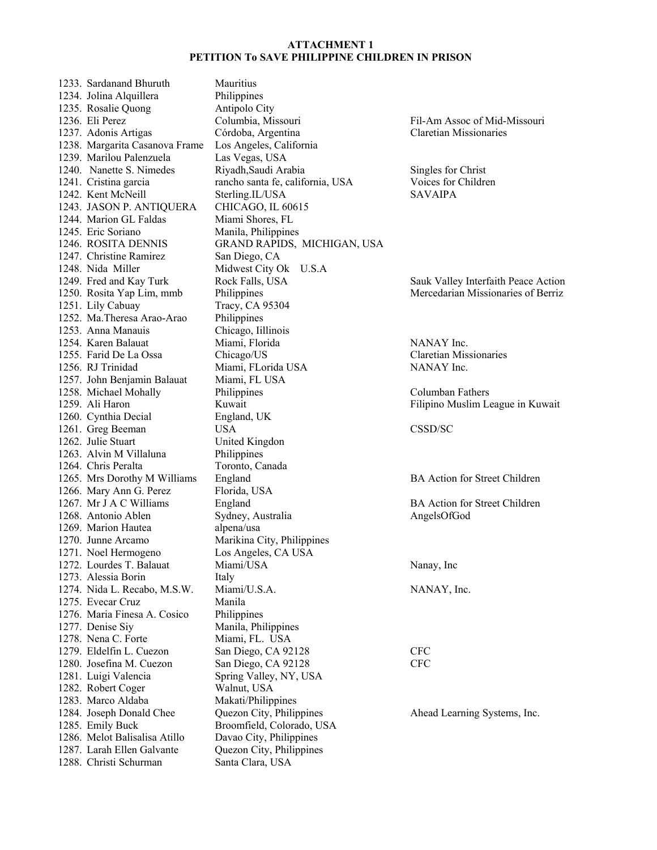1233. Sardanand Bhuruth Mauritius 1234. Jolina Alquillera Philippines 1235. Rosalie Quong Antipolo City 1236. Eli Perez Columbia, Missouri Fil-Am Assoc of Mid-Missouri 1237. Adonis Artigas Córdoba, Argentina Claretian Missionaries 1238. Margarita Casanova Frame Los Angeles, California 1239. Marilou Palenzuela Las Vegas, USA 1240. Nanette S. Nimedes Riyadh,Saudi Arabia Singles for Christ 1241. Cristina garcia rancho santa fe, california, USA Voices for Children<br>1242. Kent McNeill Sterling.IL/USA SAVAIPA 1242. Kent McNeill Sterling.IL/USA 1243. JASON P. ANTIQUERA CHICAGO, IL 60615 1244. Marion GL Faldas Miami Shores, FL 1245. Eric Soriano Manila, Philippines 1246. ROSITA DENNIS GRAND RAPIDS, MICHIGAN, USA 1247. Christine Ramirez San Diego, CA 1248. Nida Miller Midwest City Ok U.S.A 1249. Fred and Kay Turk Rock Falls, USA Sauk Valley Interfaith Peace Action<br>1250. Rosita Yap Lim, mmb Philippines Mercedarian Missionaries of Berriz 1251. Lily Cabuay Tracy, CA 95304 1252. Ma.Theresa Arao-Arao Philippines<br>1253. Anna Manauis Chicago, Iillinois 1253. Anna Manauis 1254. Karen Balauat Miami, Florida NANAY Inc. 1255. Farid De La Ossa Chicago/US Claretian Missionaries 1256. RJ Trinidad Miami, FLorida USA NANAY Inc. 1257. John Benjamin Balauat Miami, FL USA 1258. Michael Mohally Philippines Columban Fathers 1259. Ali Haron Kuwait Filipino Muslim League in Kuwait 1260. Cynthia Decial England, UK 1261. Greg Beeman USA CSSD/SC 1262. Julie Stuart United Kingdon 1263. Alvin M Villaluna Philippines 1264. Chris Peralta Toronto, Canada 1265. Mrs Dorothy M Williams England BA Action for Street Children 1266. Mary Ann G. Perez Florida, USA 1267. Mr J A C Williams England BA Action for Street Children 1268. Antonio Ablen Sydney, Australia AngelsOfGod 1269. Marion Hautea alpena/usa 1270. Junne Arcamo Marikina City, Philippines 1271. Noel Hermogeno Los Angeles, CA USA 1272. Lourdes T. Balauat Miami/USA Nanay, Inc 1273. Alessia Borin Italy 1274. Nida L. Recabo, M.S.W. Miami/U.S.A. NANAY, Inc. 1275. Evecar Cruz Manila 1276. Maria Finesa A. Cosico Philippines 1277. Denise Siy Manila, Philippines 1278. Nena C. Forte Miami, FL. USA 1279. Eldelfin L. Cuezon San Diego, CA 92128 CFC 1280. Josefina M. Cuezon San Diego, CA 92128 CFC 1281. Luigi Valencia Spring Valley, NY, USA 1282. Robert Coger Walnut, USA 1283. Marco Aldaba Makati/Philippines 1284. Joseph Donald Chee Quezon City, Philippines Ahead Learning Systems, Inc. 1285. Emily Buck Broomfield, Colorado, USA<br>1286. Melot Balisalisa Atillo Davao City, Philippines 1286. Melot Balisalisa Atillo<br>1287. Larah Ellen Galvante 1288. Christi Schurman Santa Clara, USA

Quezon City, Philippines

Philippines Mercedarian Missionaries of Berriz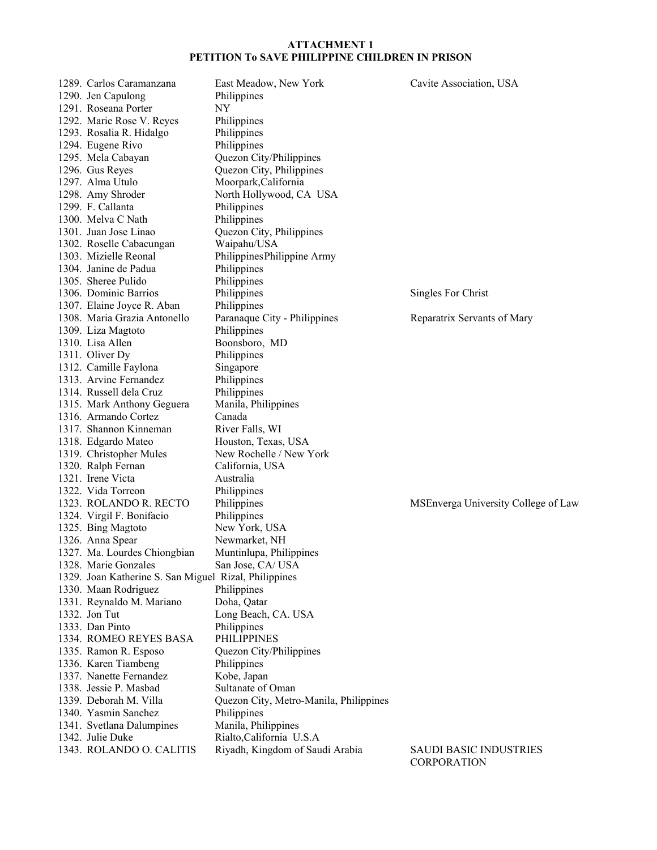| 1289. Carlos Caramanzana                              | East Meadow, New York                  | Cavite Association, USA             |
|-------------------------------------------------------|----------------------------------------|-------------------------------------|
| 1290. Jen Capulong                                    | Philippines                            |                                     |
| 1291. Roseana Porter                                  | <b>NY</b>                              |                                     |
| 1292. Marie Rose V. Reyes                             | Philippines                            |                                     |
| 1293. Rosalia R. Hidalgo                              | Philippines                            |                                     |
| 1294. Eugene Rivo                                     | Philippines                            |                                     |
| 1295. Mela Cabayan                                    | Quezon City/Philippines                |                                     |
| 1296. Gus Reyes                                       | Quezon City, Philippines               |                                     |
| 1297. Alma Utulo                                      | Moorpark, California                   |                                     |
| 1298. Amy Shroder                                     | North Hollywood, CA USA                |                                     |
| 1299. F. Callanta                                     | Philippines                            |                                     |
| 1300. Melva C Nath                                    | Philippines                            |                                     |
| 1301. Juan Jose Linao                                 | Quezon City, Philippines               |                                     |
| 1302. Roselle Cabacungan                              | Waipahu/USA                            |                                     |
| 1303. Mizielle Reonal                                 | Philippines Philippine Army            |                                     |
| 1304. Janine de Padua                                 | Philippines                            |                                     |
| 1305. Sheree Pulido                                   | Philippines                            |                                     |
| 1306. Dominic Barrios                                 | Philippines                            | Singles For Christ                  |
| 1307. Elaine Joyce R. Aban                            | Philippines                            |                                     |
| 1308. Maria Grazia Antonello                          | Paranaque City - Philippines           | Reparatrix Servants of Mary         |
| 1309. Liza Magtoto                                    | Philippines                            |                                     |
| 1310. Lisa Allen                                      | Boonsboro, MD                          |                                     |
| 1311. Oliver Dy                                       | Philippines                            |                                     |
| 1312. Camille Faylona                                 | Singapore                              |                                     |
| 1313. Arvine Fernandez                                | Philippines                            |                                     |
| 1314. Russell dela Cruz                               | Philippines                            |                                     |
| 1315. Mark Anthony Geguera                            | Manila, Philippines                    |                                     |
| 1316. Armando Cortez                                  | Canada                                 |                                     |
| 1317. Shannon Kinneman                                | River Falls, WI                        |                                     |
| 1318. Edgardo Mateo                                   | Houston, Texas, USA                    |                                     |
| 1319. Christopher Mules                               | New Rochelle / New York                |                                     |
| 1320. Ralph Fernan                                    | California, USA                        |                                     |
| 1321. Irene Victa                                     | Australia                              |                                     |
| 1322. Vida Torreon                                    | Philippines                            |                                     |
| 1323. ROLANDO R. RECTO                                | Philippines                            | MSEnverga University College of Law |
| 1324. Virgil F. Bonifacio                             | Philippines                            |                                     |
| 1325. Bing Magtoto                                    | New York, USA                          |                                     |
| 1326. Anna Spear                                      | Newmarket, NH                          |                                     |
| 1327. Ma. Lourdes Chiongbian                          | Muntinlupa, Philippines                |                                     |
| 1328. Marie Gonzales                                  | San Jose, CA/USA                       |                                     |
| 1329. Joan Katherine S. San Miguel Rizal, Philippines |                                        |                                     |
| 1330. Maan Rodriguez                                  | Philippines                            |                                     |
| 1331. Reynaldo M. Mariano                             | Doha, Qatar                            |                                     |
| 1332. Jon Tut                                         | Long Beach, CA. USA                    |                                     |
| 1333. Dan Pinto                                       | Philippines                            |                                     |
| 1334. ROMEO REYES BASA                                | <b>PHILIPPINES</b>                     |                                     |
| 1335. Ramon R. Esposo                                 | Quezon City/Philippines                |                                     |
| 1336. Karen Tiambeng                                  | Philippines                            |                                     |
| 1337. Nanette Fernandez                               | Kobe, Japan                            |                                     |
| 1338. Jessie P. Masbad                                | Sultanate of Oman                      |                                     |
| 1339. Deborah M. Villa                                | Quezon City, Metro-Manila, Philippines |                                     |
| 1340. Yasmin Sanchez                                  | Philippines                            |                                     |
|                                                       | Manila, Philippines                    |                                     |
| 1341. Svetlana Dalumpines<br>1342. Julie Duke         | Rialto, California U.S.A               |                                     |
| 1343. ROLANDO O. CALITIS                              | Riyadh, Kingdom of Saudi Arabia        | <b>SAUDI BASIC INDUSTRIES</b>       |
|                                                       |                                        | CORPORATION                         |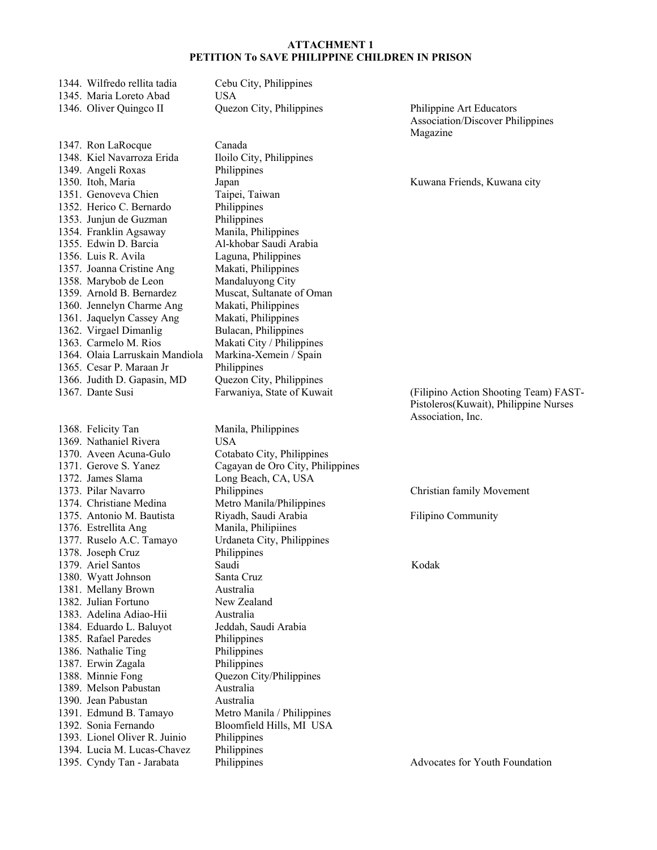| 1344. Wilfredo rellita tadia<br>1345. Maria Loreto Abad | Cebu City, Philippines<br><b>USA</b> |                                         |
|---------------------------------------------------------|--------------------------------------|-----------------------------------------|
| 1346. Oliver Quingco II                                 | Quezon City, Philippines             | Philippine Art Educators                |
|                                                         |                                      | <b>Association/Discover Philippines</b> |
|                                                         |                                      | Magazine                                |
| 1347. Ron LaRocque                                      | Canada                               |                                         |
| 1348. Kiel Navarroza Erida                              | Iloilo City, Philippines             |                                         |
| 1349. Angeli Roxas                                      | Philippines                          |                                         |
| 1350. Itoh, Maria                                       | Japan                                | Kuwana Friends, Kuwana city             |
| 1351. Genoveva Chien                                    | Taipei, Taiwan                       |                                         |
| 1352. Herico C. Bernardo                                | Philippines                          |                                         |
| 1353. Junjun de Guzman                                  | Philippines                          |                                         |
| 1354. Franklin Agsaway                                  | Manila, Philippines                  |                                         |
| 1355. Edwin D. Barcia                                   | Al-khobar Saudi Arabia               |                                         |
| 1356. Luis R. Avila                                     | Laguna, Philippines                  |                                         |
| 1357. Joanna Cristine Ang                               | Makati, Philippines                  |                                         |
| 1358. Marybob de Leon                                   | Mandaluyong City                     |                                         |
| 1359. Arnold B. Bernardez                               | Muscat, Sultanate of Oman            |                                         |
| 1360. Jennelyn Charme Ang                               | Makati, Philippines                  |                                         |
| 1361. Jaquelyn Cassey Ang                               | Makati, Philippines                  |                                         |
| 1362. Virgael Dimanlig                                  | Bulacan, Philippines                 |                                         |
| 1363. Carmelo M. Rios                                   | Makati City / Philippines            |                                         |
| 1364. Olaia Larruskain Mandiola                         | Markina-Xemein / Spain               |                                         |
| 1365. Cesar P. Maraan Jr                                | Philippines                          |                                         |
| 1366. Judith D. Gapasin, MD                             | Quezon City, Philippines             |                                         |
| 1367. Dante Susi                                        | Farwaniya, State of Kuwait           | (Filipino Action Shooting Team) FAST-   |
|                                                         |                                      | Pistoleros(Kuwait), Philippine Nurses   |
|                                                         |                                      | Association, Inc.                       |
| 1368. Felicity Tan                                      | Manila, Philippines                  |                                         |
| 1369. Nathaniel Rivera                                  | <b>USA</b>                           |                                         |
| 1370. Aveen Acuna-Gulo                                  | Cotabato City, Philippines           |                                         |
| 1371. Gerove S. Yanez                                   | Cagayan de Oro City, Philippines     |                                         |
| 1372. James Slama                                       | Long Beach, CA, USA                  |                                         |
| 1373. Pilar Navarro                                     | Philippines                          | Christian family Movement               |
| 1374. Christiane Medina                                 | Metro Manila/Philippines             |                                         |
| 1375. Antonio M. Bautista                               | Riyadh, Saudi Arabia                 | Filipino Community                      |
| 1376. Estrellita Ang                                    | Manila, Philipiines                  |                                         |
| 1377. Ruselo A.C. Tamayo                                | Urdaneta City, Philippines           |                                         |
| 1378. Joseph Cruz                                       | Philippines                          |                                         |
| 1379. Ariel Santos                                      | Saudi                                | Kodak                                   |
| 1380. Wyatt Johnson                                     | Santa Cruz                           |                                         |
| 1381. Mellany Brown<br>1382. Julian Fortuno             | Australia                            |                                         |
| 1383. Adelina Adiao-Hii                                 | New Zealand                          |                                         |
|                                                         | Australia                            |                                         |
| 1384. Eduardo L. Baluyot<br>1385. Rafael Paredes        | Jeddah, Saudi Arabia<br>Philippines  |                                         |
| 1386. Nathalie Ting                                     | Philippines                          |                                         |
| 1387. Erwin Zagala                                      | Philippines                          |                                         |
| 1388. Minnie Fong                                       | Quezon City/Philippines              |                                         |
| 1389. Melson Pabustan                                   | Australia                            |                                         |
| 1390. Jean Pabustan                                     | Australia                            |                                         |
| 1391. Edmund B. Tamayo                                  | Metro Manila / Philippines           |                                         |
| 1392. Sonia Fernando                                    | Bloomfield Hills, MI USA             |                                         |
| 1393. Lionel Oliver R. Juinio                           | Philippines                          |                                         |
| 1394. Lucia M. Lucas-Chavez                             | Philippines                          |                                         |
|                                                         |                                      |                                         |

1395. Each M. Edeas Chavez Thingpines<br>1395. Cyndy Tan - Jarabata Philippines Advocates for Youth Foundation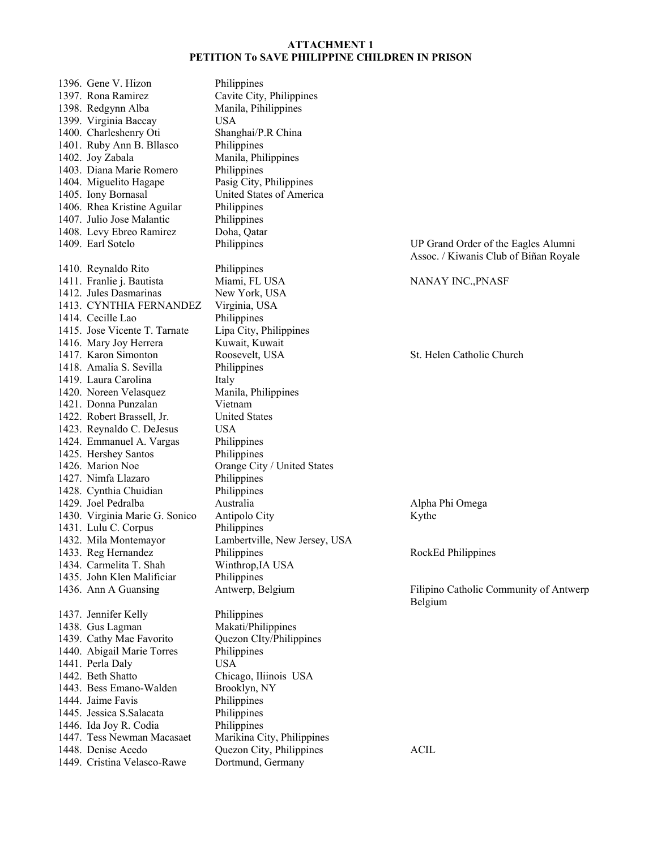| 1396. Gene V. Hizon                            | Philippines                   |                                        |
|------------------------------------------------|-------------------------------|----------------------------------------|
| 1397. Rona Ramirez                             | Cavite City, Philippines      |                                        |
| 1398. Redgynn Alba                             | Manila, Pihilippines          |                                        |
| 1399. Virginia Baccay                          | <b>USA</b>                    |                                        |
| 1400. Charleshenry Oti                         | Shanghai/P.R China            |                                        |
| 1401. Ruby Ann B. Bllasco                      | Philippines                   |                                        |
| 1402. Joy Zabala                               | Manila, Philippines           |                                        |
| 1403. Diana Marie Romero                       | Philippines                   |                                        |
| 1404. Miguelito Hagape                         | Pasig City, Philippines       |                                        |
| 1405. Iony Bornasal                            | United States of America      |                                        |
| 1406. Rhea Kristine Aguilar                    | Philippines                   |                                        |
| 1407. Julio Jose Malantic                      | Philippines                   |                                        |
| 1408. Levy Ebreo Ramirez                       | Doha, Qatar                   |                                        |
| 1409. Earl Sotelo                              | Philippines                   | UP Grand Order of the Eagles Alumni    |
|                                                |                               | Assoc. / Kiwanis Club of Biñan Royale  |
| 1410. Reynaldo Rito                            | Philippines                   |                                        |
| 1411. Franlie j. Bautista                      | Miami, FL USA                 | NANAY INC., PNASF                      |
| 1412. Jules Dasmarinas                         | New York, USA                 |                                        |
| 1413. CYNTHIA FERNANDEZ                        | Virginia, USA                 |                                        |
| 1414. Cecille Lao                              | Philippines                   |                                        |
| 1415. Jose Vicente T. Tarnate                  | Lipa City, Philippines        |                                        |
| 1416. Mary Joy Herrera                         | Kuwait, Kuwait                |                                        |
| 1417. Karon Simonton                           | Roosevelt, USA                | St. Helen Catholic Church              |
| 1418. Amalia S. Sevilla                        | Philippines                   |                                        |
| 1419. Laura Carolina                           | Italy                         |                                        |
| 1420. Noreen Velasquez                         | Manila, Philippines           |                                        |
| 1421. Donna Punzalan                           | Vietnam                       |                                        |
| 1422. Robert Brassell, Jr.                     | <b>United States</b>          |                                        |
| 1423. Reynaldo C. DeJesus                      | <b>USA</b>                    |                                        |
| 1424. Emmanuel A. Vargas                       | Philippines                   |                                        |
| 1425. Hershey Santos                           | Philippines                   |                                        |
| 1426. Marion Noe                               | Orange City / United States   |                                        |
| 1427. Nimfa Llazaro                            | Philippines                   |                                        |
| 1428. Cynthia Chuidian                         | Philippines                   |                                        |
| 1429. Joel Pedralba                            | Australia                     | Alpha Phi Omega                        |
|                                                |                               |                                        |
| 1430. Virginia Marie G. Sonico                 | Antipolo City                 | Kythe                                  |
| 1431. Lulu C. Corpus                           | Philippines                   |                                        |
| 1432. Mila Montemayor                          | Lambertville, New Jersey, USA |                                        |
| 1433. Reg Hernandez<br>1434. Carmelita T. Shah | Philippines                   | RockEd Philippines                     |
|                                                | Winthrop, IA USA              |                                        |
| 1435. John Klen Malificiar                     | Philippines                   |                                        |
| 1436. Ann A Guansing                           | Antwerp, Belgium              | Filipino Catholic Community of Antwerp |
|                                                |                               | Belgium                                |
| 1437. Jennifer Kelly                           | Philippines                   |                                        |
| 1438. Gus Lagman                               | Makati/Philippines            |                                        |
| 1439. Cathy Mae Favorito                       | Quezon CIty/Philippines       |                                        |
| 1440. Abigail Marie Torres                     | Philippines                   |                                        |
| 1441. Perla Daly                               | <b>USA</b>                    |                                        |
| 1442. Beth Shatto                              | Chicago, Iliinois USA         |                                        |
| 1443. Bess Emano-Walden                        | Brooklyn, NY                  |                                        |
| 1444. Jaime Favis                              | Philippines                   |                                        |
| 1445. Jessica S. Salacata                      | Philippines                   |                                        |
| 1446. Ida Joy R. Codia                         | Philippines                   |                                        |
| 1447. Tess Newman Macasaet                     | Marikina City, Philippines    |                                        |
| 1448. Denise Acedo                             | Quezon City, Philippines      | <b>ACIL</b>                            |
| 1449. Cristina Velasco-Rawe                    | Dortmund, Germany             |                                        |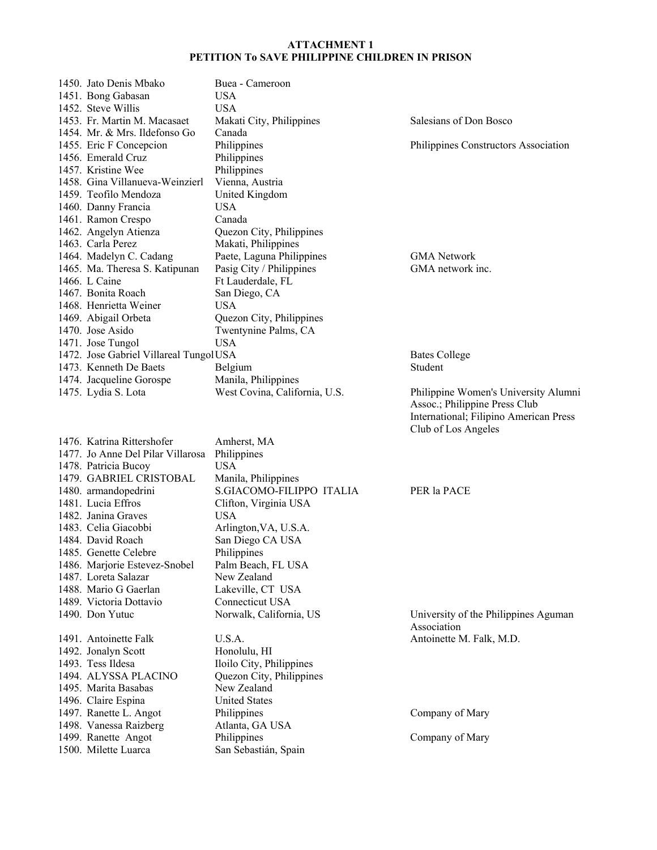| 1450. Jato Denis Mbako                 | Buea - Cameroon               |          |
|----------------------------------------|-------------------------------|----------|
| 1451. Bong Gabasan                     | USA.                          |          |
| 1452. Steve Willis                     | USA.                          |          |
| 1453. Fr. Martin M. Macasaet           | Makati City, Philippines      | Salesian |
| 1454. Mr. & Mrs. Ildefonso Go          | Canada                        |          |
| 1455. Eric F Concepcion                | Philippines                   | Philippi |
| 1456. Emerald Cruz                     | Philippines                   |          |
| 1457. Kristine Wee                     | Philippines                   |          |
| 1458. Gina Villanueva-Weinzierl        | Vienna, Austria               |          |
| 1459. Teofilo Mendoza                  | United Kingdom                |          |
| 1460. Danny Francia                    | USA.                          |          |
| 1461. Ramon Crespo                     | Canada                        |          |
| 1462. Angelyn Atienza                  | Quezon City, Philippines      |          |
| 1463. Carla Perez                      | Makati, Philippines           |          |
| 1464. Madelyn C. Cadang                | Paete, Laguna Philippines     | GMA N    |
| 1465. Ma. Theresa S. Katipunan         | Pasig City / Philippines      | GMA no   |
| 1466. L Caine                          | Ft Lauderdale, FL             |          |
| 1467. Bonita Roach                     | San Diego, CA                 |          |
| 1468. Henrietta Weiner                 | USA.                          |          |
| 1469. Abigail Orbeta                   | Quezon City, Philippines      |          |
| 1470. Jose Asido                       | Twentynine Palms, CA          |          |
| 1471. Jose Tungol                      | USA                           |          |
| 1472. Jose Gabriel Villareal TungolUSA |                               | Bates Co |
| 1473. Kenneth De Baets                 | Belgium                       | Student  |
| 1474. Jacqueline Gorospe               | Manila, Philippines           |          |
| 1475. Lydia S. Lota                    | West Covina, California, U.S. | Philippi |
|                                        |                               |          |

1476. Katrina Rittershofer Amherst, MA 1477. Jo Anne Del Pilar Villarosa Philippines 1478. Patricia Bucoy USA 1479. GABRIEL CRISTOBAL Manila, Philippines 1480. armandopedrini S.GIACOMO-FILIPPO ITALIA PER la PACE 1481. Lucia Effros Clifton, Virginia USA 1482. Janina Graves USA 1483. Celia Giacobbi Arlington,VA, U.S.A. 1484. David Roach San Diego CA USA 1485. Genette Celebre Philippines<br>1486. Mariorie Estevez-Snobel Palm Beach, FL USA 1486. Marjorie Estevez-Snobel 1487. Loreta Salazar New Zealand 1488. Mario G Gaerlan Lakeville, CT USA 1489. Victoria Dottavio Connecticut USA 1490. Don Yutuc Norwalk, California, US University of the Philippines Aguman 1491. Antoinette Falk U.S.A. Antoinette M. Falk, M.D. 1492. Jonalyn Scott Honolulu, HI 1493. Tess Ildesa Iloilo City, Philippines 1494. ALYSSA PLACINO Quezon City, Philippines 1495. Marita Basabas New Zealand 1496. Claire Espina United States 1497. Ranette L. Angot Philippines Company of Mary 1498. Vanessa Raizberg Atlanta, GA USA 1499. Ranette Angot Philippines Company of Mary 1500. Milette Luarca San Sebastián, Spain

Salesians of Don Bosco

Philippines Constructors Association

GMA Network GMA network inc.

Bates College

Philippine Women's University Alumni Assoc.; Philippine Press Club International; Filipino American Press Club of Los Angeles

Association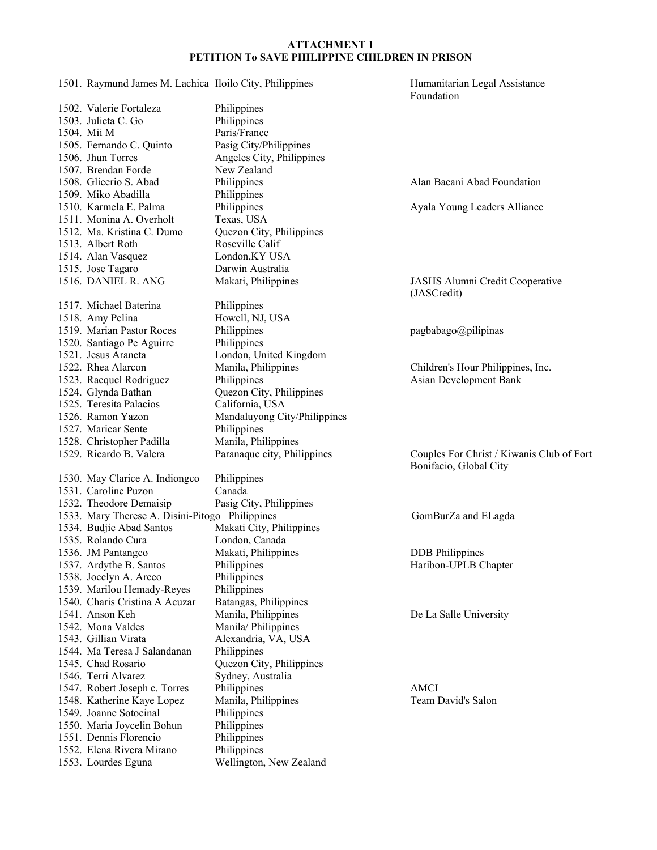1501. Raymund James M. Lachica Iloilo City, Philippines Humanitarian Legal Assistance Foundation 1502. Valerie Fortaleza Philippines 1503. Julieta C. Go Philippines 1504. Mii M Paris/France 1505. Fernando C. Quinto Pasig City/Philippines 1506. Jhun Torres Angeles City, Philippines 1507. Brendan Forde New Zealand 1508. Glicerio S. Abad Philippines Alan Bacani Abad Foundation<br>1509. Miko Abadilla Philippines 1509. Miko Abadilla 1510. Karmela E. Palma Philippines Ayala Young Leaders Alliance 1511. Monina A. Overholt Texas, USA 1512. Ma. Kristina C. Dumo Quezon City, Philippines 1513. Albert Roth Roseville Calif 1514. Alan Vasquez London,KY USA 1515. Jose Tagaro Darwin Australia 1516. DANIEL R. ANG Makati, Philippines JASHS Alumni Credit Cooperative (JASCredit) 1517. Michael Baterina Philippines 1518. Amy Pelina Howell, NJ, USA<br>1519. Marian Pastor Roces Philippines 1519. Marian Pastor Roces Philippines pagbabago@pilipinas 1520. Santiago Pe Aguirre Philippines 1521. Jesus Araneta London, United Kingdom 1522. Rhea Alarcon Manila, Philippines Children's Hour Philippines, Inc. 1523. Racquel Rodriguez Philippines Asian Development Bank 1524. Glynda Bathan Quezon City, Philippines 1525. Teresita Palacios California, USA 1526. Ramon Yazon Mandaluyong City/Philippines 1527. Maricar Sente Philippines 1528. Christopher Padilla Manila, Philippines 1529. Ricardo B. Valera Paranaque city, Philippines Couples For Christ / Kiwanis Club of Fort Bonifacio, Global City 1530. May Clarice A. Indiongco Philippines 1531. Caroline Puzon Canada 1532. Theodore Demaisip Pasig City, Philippines 1533. Mary Therese A. Disini-Pitogo Philippines GomBurZa and ELagda 1534. Budjie Abad Santos Makati City, Philippines 1535. Rolando Cura London, Canada 1536. JM Pantangco Makati, Philippines DDB Philippines 1537. Ardythe B. Santos Philippines Philippines Haribon-UPLB Chapter 1538. Jocelyn A. Arceo Philippines 1539. Marilou Hemady-Reyes Philippines 1540. Charis Cristina A Acuzar Batangas, Philippines 1541. Anson Keh Manila, Philippines De La Salle University 1542. Mona Valdes Manila/ Philippines 1543. Gillian Virata Alexandria, VA, USA 1544. Ma Teresa J Salandanan Philippines 1545. Chad Rosario Quezon City, Philippines 1546. Terri Alvarez Sydney, Australia 1547. Robert Joseph c. Torres Philippines AMCI 1548. Katherine Kaye Lopez Manila, Philippines Team David's Salon 1549. Joanne Sotocinal Philippines 1550. Maria Joycelin Bohun Philippines<br>1551. Dennis Florencio Philippines 1551. Dennis Florencio Philippines<br>1552. Elena Rivera Mirano Philippines 1552. Elena Rivera Mirano 1553. Lourdes Eguna Wellington, New Zealand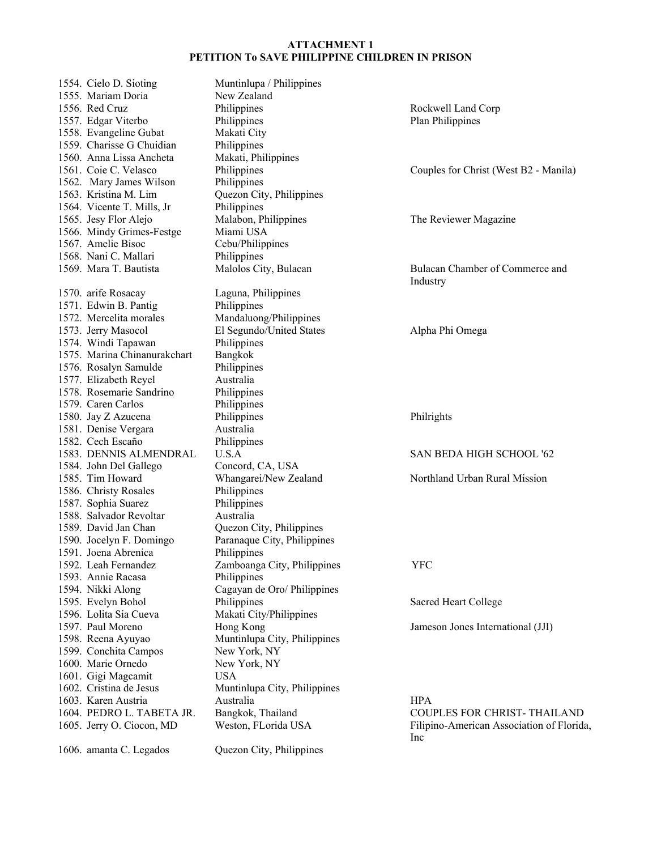| 1554. Cielo D. Sioting                         | Muntinlupa / Philippines     |                                           |
|------------------------------------------------|------------------------------|-------------------------------------------|
| 1555. Mariam Doria                             | New Zealand                  |                                           |
| 1556. Red Cruz                                 | Philippines                  | Rockwell Land Corp                        |
| 1557. Edgar Viterbo                            | Philippines                  | <b>Plan Philippines</b>                   |
| 1558. Evangeline Gubat                         | Makati City                  |                                           |
| 1559. Charisse G Chuidian                      | Philippines                  |                                           |
| 1560. Anna Lissa Ancheta                       | Makati, Philippines          |                                           |
| 1561. Coie C. Velasco                          | Philippines                  |                                           |
|                                                |                              | Couples for Christ (West B2 - Manila)     |
| 1562. Mary James Wilson                        | Philippines                  |                                           |
| 1563. Kristina M. Lim                          | Quezon City, Philippines     |                                           |
| 1564. Vicente T. Mills, Jr                     | Philippines                  |                                           |
| 1565. Jesy Flor Alejo                          | Malabon, Philippines         | The Reviewer Magazine                     |
| 1566. Mindy Grimes-Festge                      | Miami USA                    |                                           |
| 1567. Amelie Bisoc                             | Cebu/Philippines             |                                           |
| 1568. Nani C. Mallari                          | Philippines                  |                                           |
| 1569. Mara T. Bautista                         | Malolos City, Bulacan        | Bulacan Chamber of Commerce and           |
|                                                |                              | Industry                                  |
| 1570. arife Rosacay                            | Laguna, Philippines          |                                           |
| 1571. Edwin B. Pantig                          | Philippines                  |                                           |
| 1572. Mercelita morales                        | Mandaluong/Philippines       |                                           |
| 1573. Jerry Masocol                            | El Segundo/United States     | Alpha Phi Omega                           |
| 1574. Windi Tapawan                            | Philippines                  |                                           |
| 1575. Marina Chinanurakchart                   | Bangkok                      |                                           |
| 1576. Rosalyn Samulde                          | Philippines                  |                                           |
| 1577. Elizabeth Reyel                          | Australia                    |                                           |
| 1578. Rosemarie Sandrino                       | Philippines                  |                                           |
| 1579. Caren Carlos                             | Philippines                  |                                           |
| 1580. Jay Z Azucena                            | Philippines                  | Philrights                                |
| 1581. Denise Vergara                           | Australia                    |                                           |
| 1582. Cech Escaño                              | Philippines                  |                                           |
| 1583. DENNIS ALMENDRAL                         | U.S.A                        | SAN BEDA HIGH SCHOOL '62                  |
| 1584. John Del Gallego                         | Concord, CA, USA             |                                           |
| 1585. Tim Howard                               | Whangarei/New Zealand        | Northland Urban Rural Mission             |
| 1586. Christy Rosales                          | Philippines                  |                                           |
|                                                | Philippines                  |                                           |
| 1587. Sophia Suarez<br>1588. Salvador Revoltar |                              |                                           |
|                                                | Australia                    |                                           |
| 1589. David Jan Chan                           | Quezon City, Philippines     |                                           |
| 1590. Jocelyn F. Domingo                       | Paranaque City, Philippines  |                                           |
| 1591. Joena Abrenica                           | Philippines                  |                                           |
| 1592. Leah Fernandez                           | Zamboanga City, Philippines  | YFC                                       |
| 1593. Annie Racasa                             | Philippines                  |                                           |
| 1594. Nikki Along                              | Cagayan de Oro/ Philippines  |                                           |
| 1595. Evelyn Bohol                             | Philippines                  | Sacred Heart College                      |
| 1596. Lolita Sia Cueva                         | Makati City/Philippines      |                                           |
| 1597. Paul Moreno                              | Hong Kong                    | Jameson Jones International (JJI)         |
| 1598. Reena Ayuyao                             | Muntinlupa City, Philippines |                                           |
| 1599. Conchita Campos                          | New York, NY                 |                                           |
| 1600. Marie Ornedo                             | New York, NY                 |                                           |
| 1601. Gigi Magcamit                            | <b>USA</b>                   |                                           |
| 1602. Cristina de Jesus                        | Muntinlupa City, Philippines |                                           |
| 1603. Karen Austria                            | Australia                    | <b>HPA</b>                                |
| 1604. PEDRO L. TABETA JR.                      | Bangkok, Thailand            | <b>COUPLES FOR CHRIST-THAILAND</b>        |
| 1605. Jerry O. Ciocon, MD                      | Weston, FLorida USA          | Filipino-American Association of Florida, |
|                                                |                              | Inc                                       |
| 1606. amanta C. Legados                        | Quezon City, Philippines     |                                           |
|                                                |                              |                                           |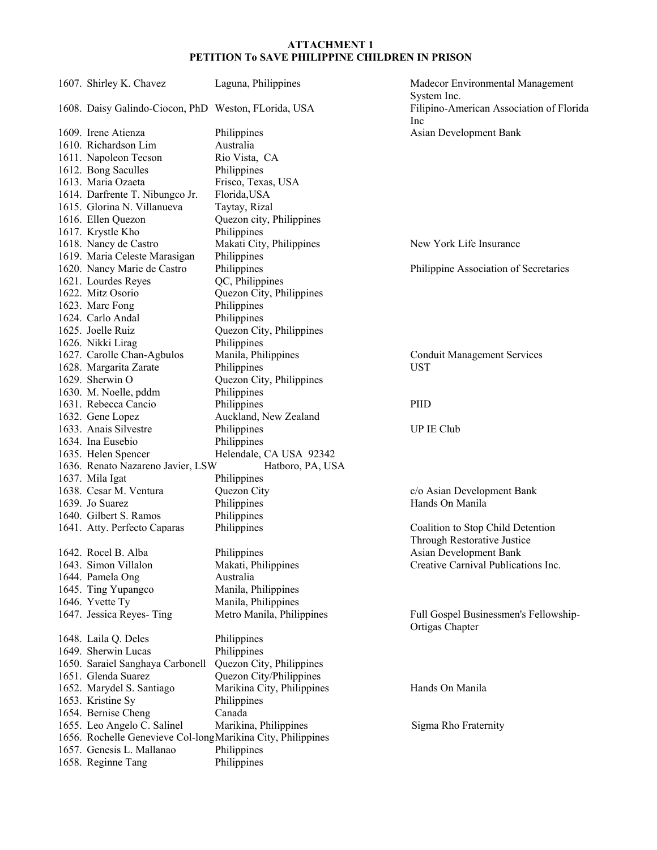| 1607. Shirley K. Chavez                                     | Laguna, Philippines        | Madecor Environmental Management<br>System Inc.          |
|-------------------------------------------------------------|----------------------------|----------------------------------------------------------|
| 1608. Daisy Galindo-Ciocon, PhD Weston, FLorida, USA        |                            | Filipino-American Association of Florida                 |
|                                                             |                            | Inc                                                      |
| 1609. Irene Atienza                                         | Philippines                | Asian Development Bank                                   |
| 1610. Richardson Lim                                        | Australia                  |                                                          |
| 1611. Napoleon Tecson                                       | Rio Vista, CA              |                                                          |
| 1612. Bong Saculles                                         | Philippines                |                                                          |
| 1613. Maria Ozaeta                                          | Frisco, Texas, USA         |                                                          |
| 1614. Darfrente T. Nibungco Jr.                             | Florida, USA               |                                                          |
| 1615. Glorina N. Villanueva                                 | Taytay, Rizal              |                                                          |
| 1616. Ellen Quezon                                          | Quezon city, Philippines   |                                                          |
| 1617. Krystle Kho                                           | Philippines                |                                                          |
| 1618. Nancy de Castro                                       | Makati City, Philippines   | New York Life Insurance                                  |
| 1619. Maria Celeste Marasigan                               | Philippines                |                                                          |
| 1620. Nancy Marie de Castro                                 | Philippines                | Philippine Association of Secretaries                    |
| 1621. Lourdes Reyes                                         | QC, Philippines            |                                                          |
| 1622. Mitz Osorio                                           | Quezon City, Philippines   |                                                          |
|                                                             | Philippines                |                                                          |
| 1623. Marc Fong                                             | Philippines                |                                                          |
| 1624. Carlo Andal                                           |                            |                                                          |
| 1625. Joelle Ruiz                                           | Quezon City, Philippines   |                                                          |
| 1626. Nikki Lirag                                           | Philippines                |                                                          |
| 1627. Carolle Chan-Agbulos                                  | Manila, Philippines        | <b>Conduit Management Services</b>                       |
| 1628. Margarita Zarate                                      | Philippines                | <b>UST</b>                                               |
| 1629. Sherwin O                                             | Quezon City, Philippines   |                                                          |
| 1630. M. Noelle, pddm                                       | Philippines                |                                                          |
| 1631. Rebecca Cancio                                        | Philippines                | PIID                                                     |
| 1632. Gene Lopez                                            | Auckland, New Zealand      |                                                          |
| 1633. Anais Silvestre                                       | Philippines                | UP IE Club                                               |
| 1634. Ina Eusebio                                           | Philippines                |                                                          |
| 1635. Helen Spencer                                         | Helendale, CA USA 92342    |                                                          |
| 1636. Renato Nazareno Javier, LSW                           | Hatboro, PA, USA           |                                                          |
| 1637. Mila Igat                                             | Philippines                |                                                          |
| 1638. Cesar M. Ventura                                      | Quezon City                | c/o Asian Development Bank                               |
| 1639. Jo Suarez                                             | Philippines                | Hands On Manila                                          |
| 1640. Gilbert S. Ramos                                      | Philippines                |                                                          |
| 1641. Atty. Perfecto Caparas                                | Philippines                | Coalition to Stop Child Detention                        |
|                                                             |                            | Through Restorative Justice                              |
| 1642. Rocel B. Alba                                         | Philippines                | Asian Development Bank                                   |
| 1643. Simon Villalon                                        | Makati, Philippines        | Creative Carnival Publications Inc.                      |
| 1644. Pamela Ong                                            | Australia                  |                                                          |
| 1645. Ting Yupangco                                         | Manila, Philippines        |                                                          |
| 1646. Yvette Ty                                             | Manila, Philippines        |                                                          |
| 1647. Jessica Reyes-Ting                                    | Metro Manila, Philippines  | Full Gospel Businessmen's Fellowship-<br>Ortigas Chapter |
| 1648. Laila Q. Deles                                        | Philippines                |                                                          |
| 1649. Sherwin Lucas                                         | Philippines                |                                                          |
| 1650. Saraiel Sanghaya Carbonell                            | Quezon City, Philippines   |                                                          |
| 1651. Glenda Suarez                                         | Quezon City/Philippines    |                                                          |
| 1652. Marydel S. Santiago                                   | Marikina City, Philippines | Hands On Manila                                          |
| 1653. Kristine Sy                                           | Philippines                |                                                          |
| 1654. Bernise Cheng                                         | Canada                     |                                                          |
| 1655. Leo Angelo C. Salinel                                 | Marikina, Philippines      | Sigma Rho Fraternity                                     |
| 1656. Rochelle Genevieve Col-longMarikina City, Philippines |                            |                                                          |
| 1657. Genesis L. Mallanao                                   | Philippines                |                                                          |
| 1658. Reginne Tang                                          | Philippines                |                                                          |
|                                                             |                            |                                                          |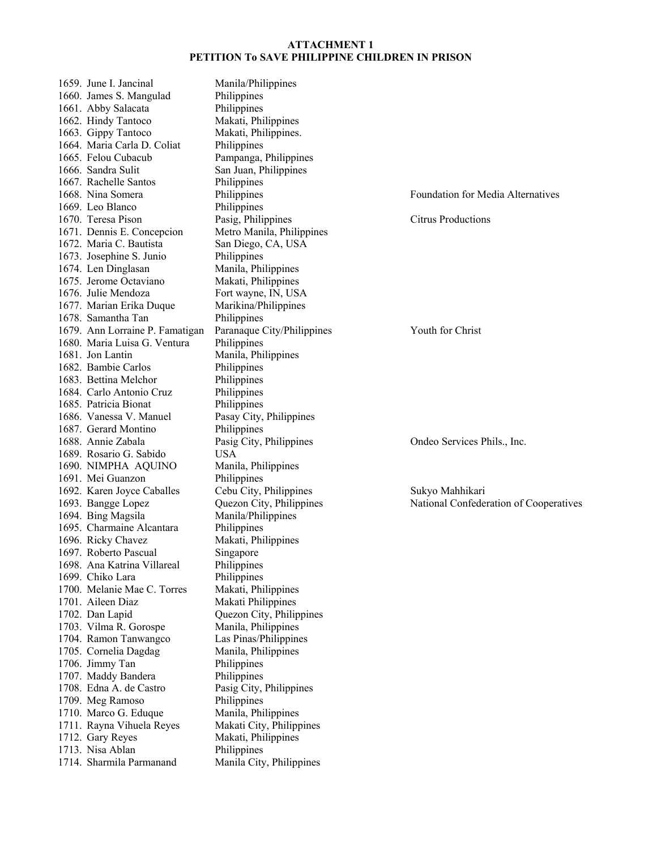| 1659. June I. Jancinal          | Manila/Philippines         |                                          |
|---------------------------------|----------------------------|------------------------------------------|
| 1660. James S. Mangulad         | Philippines                |                                          |
| 1661. Abby Salacata             | Philippines                |                                          |
| 1662. Hindy Tantoco             | Makati, Philippines        |                                          |
| 1663. Gippy Tantoco             | Makati, Philippines.       |                                          |
| 1664. Maria Carla D. Coliat     | Philippines                |                                          |
| 1665. Felou Cubacub             | Pampanga, Philippines      |                                          |
| 1666. Sandra Sulit              | San Juan, Philippines      |                                          |
| 1667. Rachelle Santos           | Philippines                |                                          |
| 1668. Nina Somera               | Philippines                | <b>Foundation for Media Alternatives</b> |
| 1669. Leo Blanco                | Philippines                |                                          |
| 1670. Teresa Pison              | Pasig, Philippines         | <b>Citrus Productions</b>                |
| 1671. Dennis E. Concepcion      | Metro Manila, Philippines  |                                          |
| 1672. Maria C. Bautista         | San Diego, CA, USA         |                                          |
| 1673. Josephine S. Junio        | Philippines                |                                          |
| 1674. Len Dinglasan             | Manila, Philippines        |                                          |
| 1675. Jerome Octaviano          | Makati, Philippines        |                                          |
| 1676. Julie Mendoza             | Fort wayne, IN, USA        |                                          |
| 1677. Marian Erika Duque        | Marikina/Philippines       |                                          |
| 1678. Samantha Tan              | Philippines                |                                          |
| 1679. Ann Lorraine P. Famatigan | Paranaque City/Philippines | Youth for Christ                         |
| 1680. Maria Luisa G. Ventura    | Philippines                |                                          |
| 1681. Jon Lantin                | Manila, Philippines        |                                          |
| 1682. Bambie Carlos             | Philippines                |                                          |
| 1683. Bettina Melchor           | Philippines                |                                          |
| 1684. Carlo Antonio Cruz        | Philippines                |                                          |
| 1685. Patricia Bionat           | Philippines                |                                          |
| 1686. Vanessa V. Manuel         | Pasay City, Philippines    |                                          |
| 1687. Gerard Montino            | Philippines                |                                          |
| 1688. Annie Zabala              | Pasig City, Philippines    | Ondeo Services Phils., Inc.              |
| 1689. Rosario G. Sabido         | <b>USA</b>                 |                                          |
| 1690. NIMPHA AQUINO             | Manila, Philippines        |                                          |
| 1691. Mei Guanzon               | Philippines                |                                          |
| 1692. Karen Joyce Caballes      | Cebu City, Philippines     | Sukyo Mahhikari                          |
| 1693. Bangge Lopez              | Quezon City, Philippines   | National Confederation of Cooperatives   |
| 1694. Bing Magsila              | Manila/Philippines         |                                          |
| 1695. Charmaine Alcantara       | Philippines                |                                          |
| 1696. Ricky Chavez              | Makati, Philippines        |                                          |
| 1697. Roberto Pascual           | Singapore                  |                                          |
| 1698. Ana Katrina Villareal     | Philippines                |                                          |
| 1699. Chiko Lara                | Philippines                |                                          |
| 1700. Melanie Mae C. Torres     | Makati, Philippines        |                                          |
| 1701. Aileen Diaz               | Makati Philippines         |                                          |
| 1702. Dan Lapid                 | Quezon City, Philippines   |                                          |
| 1703. Vilma R. Gorospe          | Manila, Philippines        |                                          |
| 1704. Ramon Tanwangco           | Las Pinas/Philippines      |                                          |
| 1705. Cornelia Dagdag           | Manila, Philippines        |                                          |
| 1706. Jimmy Tan                 | Philippines                |                                          |
| 1707. Maddy Bandera             | Philippines                |                                          |
| 1708. Edna A. de Castro         | Pasig City, Philippines    |                                          |
| 1709. Meg Ramoso                | Philippines                |                                          |
| 1710. Marco G. Eduque           | Manila, Philippines        |                                          |
| 1711. Rayna Vihuela Reyes       | Makati City, Philippines   |                                          |
| 1712. Gary Reyes                | Makati, Philippines        |                                          |
| 1713. Nisa Ablan                | Philippines                |                                          |
| 1714. Sharmila Parmanand        | Manila City, Philippines   |                                          |
|                                 |                            |                                          |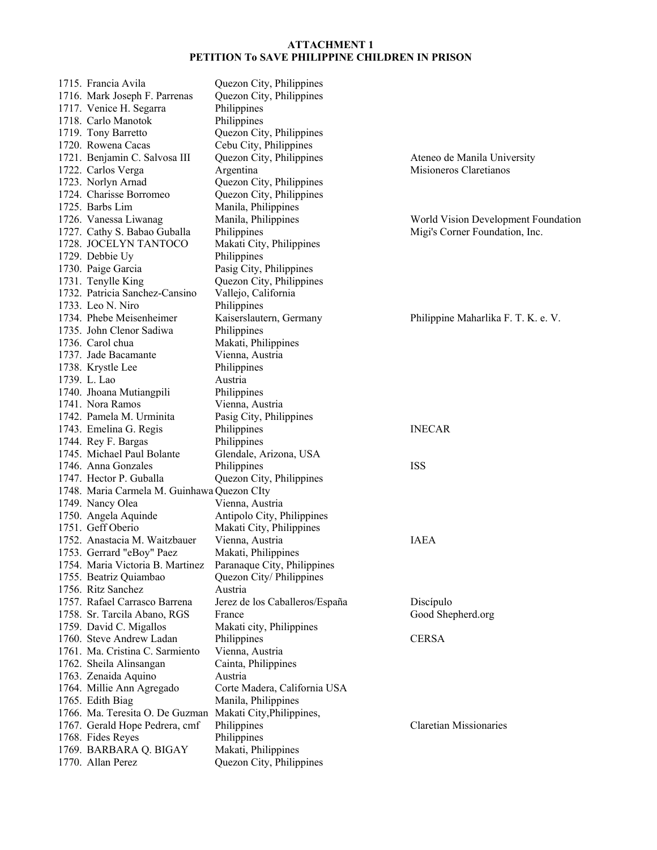| 1715. Francia Avila                         | Quezon City, Philippines       |                                     |
|---------------------------------------------|--------------------------------|-------------------------------------|
| 1716. Mark Joseph F. Parrenas               | Quezon City, Philippines       |                                     |
| 1717. Venice H. Segarra                     | Philippines                    |                                     |
| 1718. Carlo Manotok                         | Philippines                    |                                     |
| 1719. Tony Barretto                         | Quezon City, Philippines       |                                     |
| 1720. Rowena Cacas                          | Cebu City, Philippines         |                                     |
| 1721. Benjamin C. Salvosa III               | Quezon City, Philippines       | Ateneo de Manila University         |
| 1722. Carlos Verga                          | Argentina                      | Misioneros Claretianos              |
| 1723. Norlyn Arnad                          | Quezon City, Philippines       |                                     |
| 1724. Charisse Borromeo                     | Quezon City, Philippines       |                                     |
| 1725. Barbs Lim                             | Manila, Philippines            |                                     |
| 1726. Vanessa Liwanag                       |                                |                                     |
|                                             | Manila, Philippines            | World Vision Development Foundation |
| 1727. Cathy S. Babao Guballa                | Philippines                    | Migi's Corner Foundation, Inc.      |
| 1728. JOCELYN TANTOCO                       | Makati City, Philippines       |                                     |
| 1729. Debbie Uy                             | Philippines                    |                                     |
| 1730. Paige Garcia                          | Pasig City, Philippines        |                                     |
| 1731. Tenylle King                          | Quezon City, Philippines       |                                     |
| 1732. Patricia Sanchez-Cansino              | Vallejo, California            |                                     |
| 1733. Leo N. Niro                           | Philippines                    |                                     |
| 1734. Phebe Meisenheimer                    | Kaiserslautern, Germany        | Philippine Maharlika F. T. K. e. V. |
| 1735. John Clenor Sadiwa                    | Philippines                    |                                     |
| 1736. Carol chua                            | Makati, Philippines            |                                     |
| 1737. Jade Bacamante                        | Vienna, Austria                |                                     |
| 1738. Krystle Lee                           | Philippines                    |                                     |
| 1739. L. Lao                                | Austria                        |                                     |
| 1740. Jhoana Mutiangpili                    | Philippines                    |                                     |
| 1741. Nora Ramos                            | Vienna, Austria                |                                     |
| 1742. Pamela M. Urminita                    | Pasig City, Philippines        |                                     |
| 1743. Emelina G. Regis                      | Philippines                    | <b>INECAR</b>                       |
| 1744. Rey F. Bargas                         | Philippines                    |                                     |
| 1745. Michael Paul Bolante                  | Glendale, Arizona, USA         |                                     |
| 1746. Anna Gonzales                         | Philippines                    | <b>ISS</b>                          |
|                                             |                                |                                     |
| 1747. Hector P. Guballa                     | Quezon City, Philippines       |                                     |
| 1748. Maria Carmela M. Guinhawa Quezon CIty |                                |                                     |
| 1749. Nancy Olea                            | Vienna, Austria                |                                     |
| 1750. Angela Aquinde                        | Antipolo City, Philippines     |                                     |
| 1751. Geff Oberio                           | Makati City, Philippines       |                                     |
| 1752. Anastacia M. Waitzbauer               | Vienna, Austria                | <b>IAEA</b>                         |
| 1753. Gerrard "eBoy" Paez                   | Makati, Philippines            |                                     |
| 1754. Maria Victoria B. Martinez            | Paranaque City, Philippines    |                                     |
| 1755. Beatriz Quiambao                      | Quezon City/Philippines        |                                     |
| 1756. Ritz Sanchez                          | Austria                        |                                     |
| 1757. Rafael Carrasco Barrena               | Jerez de los Caballeros/España | Discípulo                           |
| 1758. Sr. Tarcila Abano, RGS                | France                         | Good Shepherd.org                   |
| 1759. David C. Migallos                     | Makati city, Philippines       |                                     |
| 1760. Steve Andrew Ladan                    | Philippines                    | <b>CERSA</b>                        |
| 1761. Ma. Cristina C. Sarmiento             | Vienna, Austria                |                                     |
| 1762. Sheila Alinsangan                     | Cainta, Philippines            |                                     |
| 1763. Zenaida Aquino                        | Austria                        |                                     |
| 1764. Millie Ann Agregado                   | Corte Madera, California USA   |                                     |
| 1765. Edith Biag                            | Manila, Philippines            |                                     |
| 1766. Ma. Teresita O. De Guzman             | Makati City, Philippines,      |                                     |
| 1767. Gerald Hope Pedrera, cmf              | Philippines                    | <b>Claretian Missionaries</b>       |
| 1768. Fides Reyes                           | Philippines                    |                                     |
| 1769. BARBARA Q. BIGAY                      | Makati, Philippines            |                                     |
|                                             |                                |                                     |
| 1770. Allan Perez                           | Quezon City, Philippines       |                                     |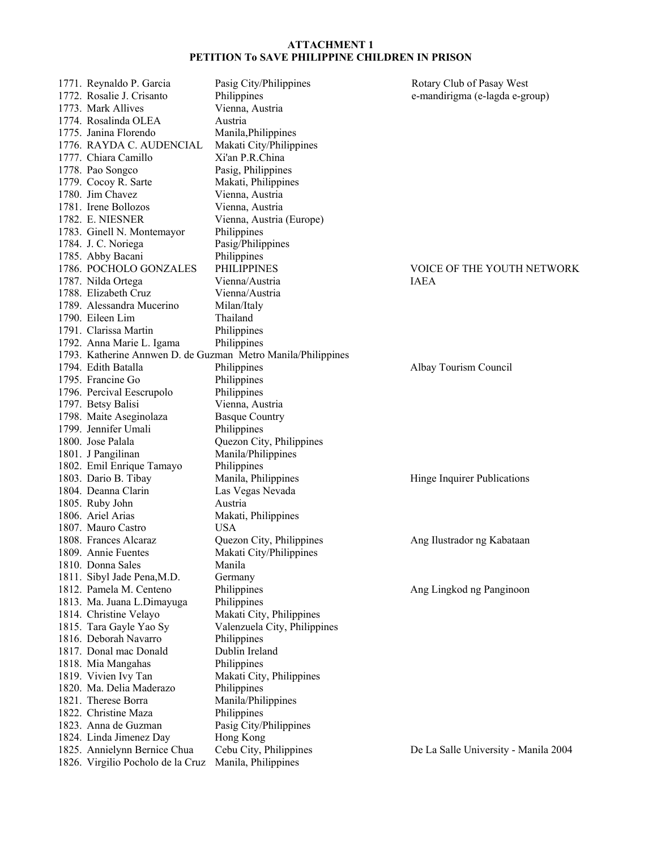1771. Reynaldo P. Garcia Pasig City/Philippines Rotary Club of Pasay West 1772. Rosalie J. Crisanto Philippines e-mandirigma (e-lagda e-group) 1773. Mark Allives Vienna, Austria 1774. Rosalinda OLEA Austria 1775. Janina Florendo Manila,Philippines 1776. RAYDA C. AUDENCIAL Makati City/Philippines 1777. Chiara Camillo Xi'an P.R.China 1778. Pao Songco Pasig, Philippines 1779. Cocoy R. Sarte Makati, Philippines 1780. Jim Chavez Vienna, Austria 1781. Irene Bollozos Vienna, Austria 1782. E. NIESNER Vienna, Austria (Europe) 1783. Ginell N. Montemayor Philippines 1784. J. C. Noriega Pasig/Philippines 1785. Abby Bacani Philippines 1786. POCHOLO GONZALES PHILIPPINES VOICE OF THE YOUTH NETWORK 1787. Nilda Ortega Vienna/Austria IAEA 1788. Elizabeth Cruz Vienna/Austria 1789. Alessandra Mucerino Milan/Italy 1790. Eileen Lim Thailand 1791. Clarissa Martin Philippines 1792. Anna Marie L. Igama Philippines 1793. Katherine Annwen D. de Guzman Metro Manila/Philippines 1794. Edith Batalla **Philippines** Philippines Albay Tourism Council 1795. Francine Go Philippines 1796. Percival Eescrupolo Philippines 1797. Betsy Balisi Vienna, Austria 1798. Maite Aseginolaza Basque Country 1799. Jennifer Umali Philippines 1800. Jose Palala Quezon City, Philippines 1801. J Pangilinan Manila/Philippines 1802. Emil Enrique Tamayo Philippines 1803. Dario B. Tibay Manila, Philippines Hinge Inquirer Publications 1804. Deanna Clarin Las Vegas Nevada 1805. Ruby John Austria 1806. Ariel Arias Makati, Philippines 1807. Mauro Castro USA 1808. Frances Alcaraz Quezon City, Philippines Ang Ilustrador ng Kabataan 1809. Annie Fuentes Makati City/Philippines 1810. Donna Sales Manila 1811. Sibyl Jade Pena, M.D. Germany 1812. Pamela M. Centeno Philippines **Ang Lingkod ng Panginoon** 1813. Ma. Juana L.Dimayuga Philippines 1814. Christine Velayo Makati City, Philippines 1815. Tara Gayle Yao Sy Valenzuela City, Philippines 1816. Deborah Navarro Philippines 1817. Donal mac Donald Dublin Ireland 1818. Mia Mangahas Philippines 1819. Vivien Ivy Tan Makati City, Philippines 1820. Ma. Delia Maderazo Philippines 1821. Therese Borra Manila/Philippines 1822. Christine Maza Philippines 1823. Anna de Guzman Pasig City/Philippines 1824. Linda Jimenez Day Hong Kong 1825. Annielynn Bernice Chua Cebu City, Philippines De La Salle University - Manila 2004 1826. Virgilio Pocholo de la Cruz Manila, Philippines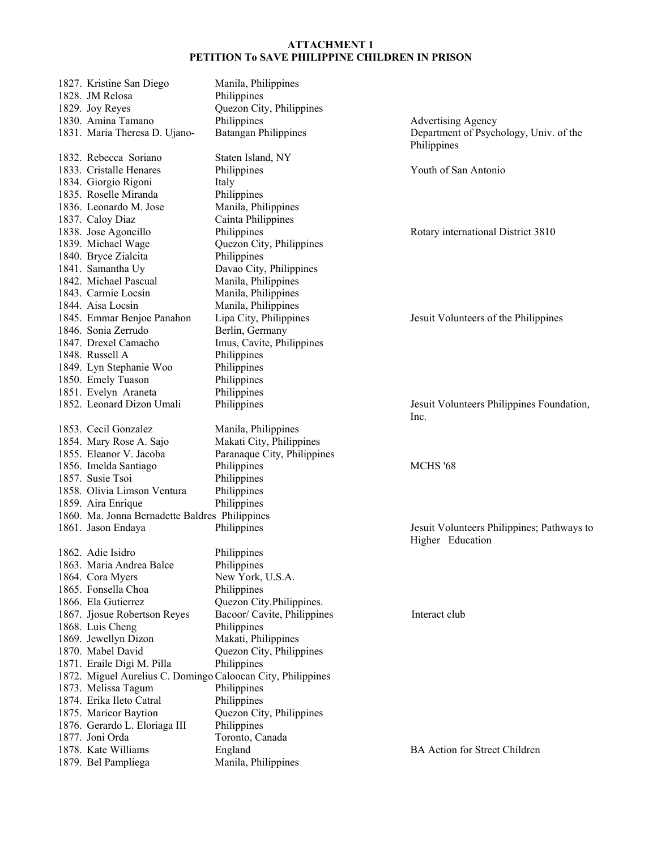| 1827. Kristine San Diego                                    | Manila, Philippines         |                                                                |
|-------------------------------------------------------------|-----------------------------|----------------------------------------------------------------|
| 1828. JM Relosa                                             | Philippines                 |                                                                |
| 1829. Joy Reyes                                             | Quezon City, Philippines    |                                                                |
| 1830. Amina Tamano                                          | Philippines                 | <b>Advertising Agency</b>                                      |
| 1831. Maria Theresa D. Ujano-                               | <b>Batangan Philippines</b> | Department of Psychology, Univ. of the<br>Philippines          |
| 1832. Rebecca Soriano                                       | Staten Island, NY           |                                                                |
| 1833. Cristalle Henares                                     | Philippines                 | Youth of San Antonio                                           |
| 1834. Giorgio Rigoni                                        | Italy                       |                                                                |
| 1835. Roselle Miranda                                       | Philippines                 |                                                                |
| 1836. Leonardo M. Jose                                      | Manila, Philippines         |                                                                |
| 1837. Caloy Diaz                                            | Cainta Philippines          |                                                                |
| 1838. Jose Agoncillo                                        | Philippines                 | Rotary international District 3810                             |
| 1839. Michael Wage                                          | Quezon City, Philippines    |                                                                |
| 1840. Bryce Zialcita                                        | Philippines                 |                                                                |
| 1841. Samantha Uy                                           | Davao City, Philippines     |                                                                |
| 1842. Michael Pascual                                       | Manila, Philippines         |                                                                |
| 1843. Carmie Locsin                                         | Manila, Philippines         |                                                                |
| 1844. Aisa Locsin                                           | Manila, Philippines         |                                                                |
| 1845. Emmar Benjoe Panahon                                  | Lipa City, Philippines      | Jesuit Volunteers of the Philippines                           |
| 1846. Sonia Zerrudo                                         | Berlin, Germany             |                                                                |
| 1847. Drexel Camacho                                        | Imus, Cavite, Philippines   |                                                                |
| 1848. Russell A                                             | Philippines                 |                                                                |
| 1849. Lyn Stephanie Woo                                     | Philippines                 |                                                                |
| 1850. Emely Tuason                                          | Philippines                 |                                                                |
| 1851. Evelyn Araneta                                        | Philippines                 |                                                                |
| 1852. Leonard Dizon Umali                                   | Philippines                 | Jesuit Volunteers Philippines Foundation,<br>Inc.              |
| 1853. Cecil Gonzalez                                        | Manila, Philippines         |                                                                |
| 1854. Mary Rose A. Sajo                                     | Makati City, Philippines    |                                                                |
| 1855. Eleanor V. Jacoba                                     | Paranaque City, Philippines |                                                                |
| 1856. Imelda Santiago                                       | Philippines                 | MCHS '68                                                       |
| 1857. Susie Tsoi                                            | Philippines                 |                                                                |
| 1858. Olivia Limson Ventura                                 | Philippines                 |                                                                |
| 1859. Aira Enrique                                          | Philippines                 |                                                                |
| 1860. Ma. Jonna Bernadette Baldres Philippines              |                             |                                                                |
| 1861. Jason Endaya                                          | Philippines                 | Jesuit Volunteers Philippines; Pathways to<br>Higher Education |
| 1862. Adie Isidro                                           | Philippines                 |                                                                |
| 1863. Maria Andrea Balce                                    | Philippines                 |                                                                |
| 1864. Cora Myers                                            | New York, U.S.A.            |                                                                |
| 1865. Fonsella Choa                                         | Philippines                 |                                                                |
| 1866. Ela Gutierrez                                         | Quezon City.Philippines.    |                                                                |
| 1867. Jjosue Robertson Reyes                                | Bacoor/ Cavite, Philippines | Interact club                                                  |
| 1868. Luis Cheng                                            | Philippines                 |                                                                |
| 1869. Jewellyn Dizon                                        | Makati, Philippines         |                                                                |
| 1870. Mabel David                                           | Quezon City, Philippines    |                                                                |
| 1871. Eraile Digi M. Pilla                                  | Philippines                 |                                                                |
| 1872. Miguel Aurelius C. Domingo Caloocan City, Philippines |                             |                                                                |
| 1873. Melissa Tagum                                         | Philippines                 |                                                                |
| 1874. Erika Ileto Catral                                    | Philippines                 |                                                                |
| 1875. Maricor Baytion                                       | Quezon City, Philippines    |                                                                |
| 1876. Gerardo L. Eloriaga III                               | Philippines                 |                                                                |
| 1877. Joni Orda                                             | Toronto, Canada             |                                                                |
| 1878. Kate Williams                                         | England                     | <b>BA Action for Street Children</b>                           |
| 1879. Bel Pampliega                                         | Manila, Philippines         |                                                                |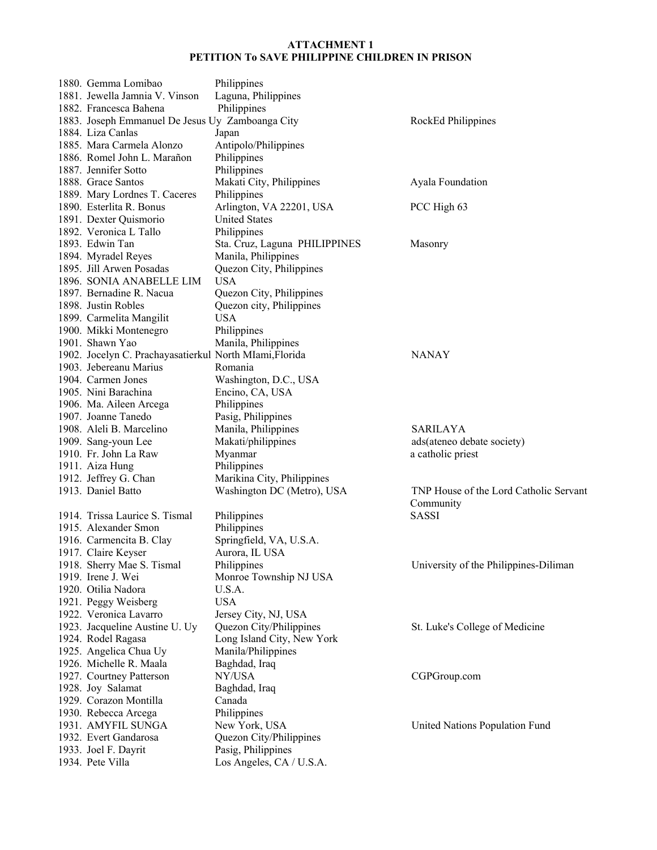| 1880. Gemma Lomibao                                     | Philippines                   |                                        |
|---------------------------------------------------------|-------------------------------|----------------------------------------|
| 1881. Jewella Jamnia V. Vinson                          | Laguna, Philippines           |                                        |
| 1882. Francesca Bahena                                  | Philippines                   |                                        |
| 1883. Joseph Emmanuel De Jesus Uy Zamboanga City        |                               | RockEd Philippines                     |
| 1884. Liza Canlas                                       | Japan                         |                                        |
| 1885. Mara Carmela Alonzo                               | Antipolo/Philippines          |                                        |
| 1886. Romel John L. Marañon                             | Philippines                   |                                        |
| 1887. Jennifer Sotto                                    | Philippines                   |                                        |
| 1888. Grace Santos                                      | Makati City, Philippines      | Ayala Foundation                       |
| 1889. Mary Lordnes T. Caceres                           | Philippines                   |                                        |
| 1890. Esterlita R. Bonus                                | Arlington, VA 22201, USA      | PCC High 63                            |
| 1891. Dexter Quismorio                                  | <b>United States</b>          |                                        |
| 1892. Veronica L Tallo                                  | Philippines                   |                                        |
| 1893. Edwin Tan                                         | Sta. Cruz, Laguna PHILIPPINES | Masonry                                |
| 1894. Myradel Reyes                                     | Manila, Philippines           |                                        |
| 1895. Jill Arwen Posadas                                | Quezon City, Philippines      |                                        |
| 1896. SONIA ANABELLE LIM                                | <b>USA</b>                    |                                        |
| 1897. Bernadine R. Nacua                                | Quezon City, Philippines      |                                        |
| 1898. Justin Robles                                     | Quezon city, Philippines      |                                        |
| 1899. Carmelita Mangilit                                | <b>USA</b>                    |                                        |
| 1900. Mikki Montenegro                                  | Philippines                   |                                        |
| 1901. Shawn Yao                                         | Manila, Philippines           |                                        |
| 1902. Jocelyn C. Prachayasatierkul North MIami, Florida |                               | <b>NANAY</b>                           |
| 1903. Jebereanu Marius                                  | Romania                       |                                        |
| 1904. Carmen Jones                                      | Washington, D.C., USA         |                                        |
| 1905. Nini Barachina                                    | Encino, CA, USA               |                                        |
| 1906. Ma. Aileen Arcega                                 | Philippines                   |                                        |
| 1907. Joanne Tanedo                                     | Pasig, Philippines            |                                        |
| 1908. Aleli B. Marcelino                                | Manila, Philippines           | <b>SARILAYA</b>                        |
| 1909. Sang-youn Lee                                     | Makati/philippines            | ads(ateneo debate society)             |
| 1910. Fr. John La Raw                                   | Myanmar                       | a catholic priest                      |
| 1911. Aiza Hung                                         | Philippines                   |                                        |
| 1912. Jeffrey G. Chan                                   | Marikina City, Philippines    |                                        |
| 1913. Daniel Batto                                      | Washington DC (Metro), USA    | TNP House of the Lord Catholic Servant |
|                                                         |                               | Community                              |
| 1914. Trissa Laurice S. Tismal                          | Philippines                   | SASSI                                  |
| 1915. Alexander Smon                                    | Philippines                   |                                        |
| 1916. Carmencita B. Clay                                | Springfield, VA, U.S.A.       |                                        |
| 1917. Claire Keyser                                     | Aurora, IL USA                |                                        |
| 1918. Sherry Mae S. Tismal                              | Philippines                   | University of the Philippines-Diliman  |
| 1919. Irene J. Wei                                      | Monroe Township NJ USA        |                                        |
| 1920. Otilia Nadora                                     | U.S.A.                        |                                        |
| 1921. Peggy Weisberg                                    | <b>USA</b>                    |                                        |
| 1922. Veronica Lavarro                                  | Jersey City, NJ, USA          |                                        |
| 1923. Jacqueline Austine U. Uy                          | Quezon City/Philippines       | St. Luke's College of Medicine         |
| 1924. Rodel Ragasa                                      | Long Island City, New York    |                                        |
| 1925. Angelica Chua Uy                                  | Manila/Philippines            |                                        |
| 1926. Michelle R. Maala                                 | Baghdad, Iraq                 |                                        |
| 1927. Courtney Patterson                                | NY/USA                        | CGPGroup.com                           |
| 1928. Joy Salamat                                       |                               |                                        |
| 1929. Corazon Montilla                                  | Baghdad, Iraq                 |                                        |
|                                                         | Canada                        |                                        |
| 1930. Rebecca Arcega                                    | Philippines                   |                                        |
| 1931. AMYFIL SUNGA                                      | New York, USA                 | United Nations Population Fund         |
| 1932. Evert Gandarosa                                   | Quezon City/Philippines       |                                        |
| 1933. Joel F. Dayrit                                    | Pasig, Philippines            |                                        |
| 1934. Pete Villa                                        | Los Angeles, CA / U.S.A.      |                                        |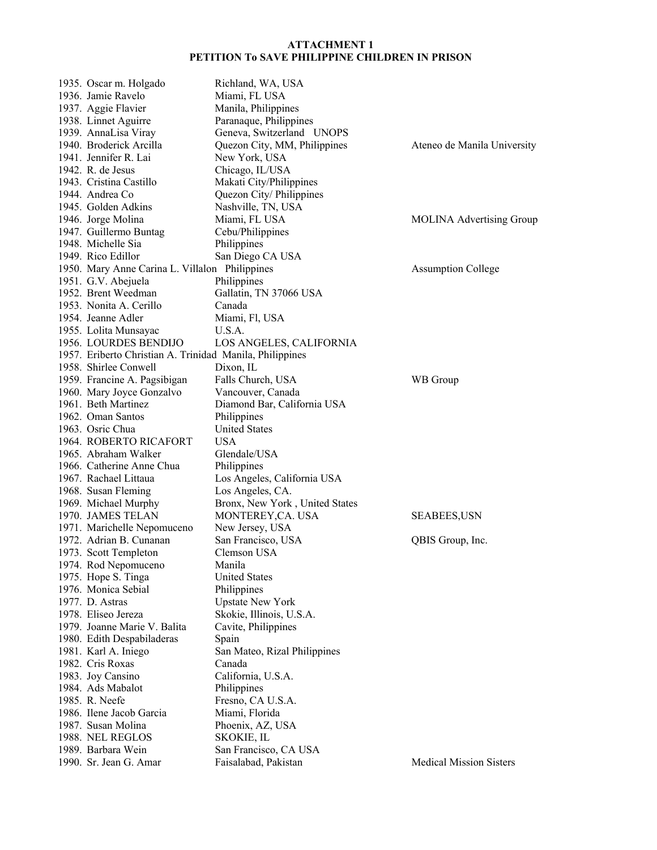| 1935. Oscar m. Holgado                                   | Richland, WA, USA              |                                 |
|----------------------------------------------------------|--------------------------------|---------------------------------|
| 1936. Jamie Ravelo                                       | Miami, FL USA                  |                                 |
| 1937. Aggie Flavier                                      | Manila, Philippines            |                                 |
| 1938. Linnet Aguirre                                     | Paranaque, Philippines         |                                 |
| 1939. AnnaLisa Viray                                     | Geneva, Switzerland UNOPS      |                                 |
| 1940. Broderick Arcilla                                  | Quezon City, MM, Philippines   | Ateneo de Manila University     |
| 1941. Jennifer R. Lai                                    | New York, USA                  |                                 |
| 1942. R. de Jesus                                        | Chicago, IL/USA                |                                 |
| 1943. Cristina Castillo                                  | Makati City/Philippines        |                                 |
| 1944. Andrea Co                                          | Quezon City/ Philippines       |                                 |
| 1945. Golden Adkins                                      | Nashville, TN, USA             |                                 |
| 1946. Jorge Molina                                       | Miami, FL USA                  | <b>MOLINA Advertising Group</b> |
| 1947. Guillermo Buntag                                   | Cebu/Philippines               |                                 |
| 1948. Michelle Sia                                       | Philippines                    |                                 |
| 1949. Rico Edillor                                       | San Diego CA USA               |                                 |
| 1950. Mary Anne Carina L. Villalon Philippines           |                                | <b>Assumption College</b>       |
| 1951. G.V. Abejuela                                      | Philippines                    |                                 |
| 1952. Brent Weedman                                      | Gallatin, TN 37066 USA         |                                 |
| 1953. Nonita A. Cerillo                                  | Canada                         |                                 |
| 1954. Jeanne Adler                                       | Miami, Fl, USA                 |                                 |
| 1955. Lolita Munsayac                                    | U.S.A.                         |                                 |
| 1956. LOURDES BENDIJO                                    | LOS ANGELES, CALIFORNIA        |                                 |
| 1957. Eriberto Christian A. Trinidad Manila, Philippines |                                |                                 |
| 1958. Shirlee Conwell                                    | Dixon, IL                      |                                 |
| 1959. Francine A. Pagsibigan                             | Falls Church, USA              | WB Group                        |
| 1960. Mary Joyce Gonzalvo                                | Vancouver, Canada              |                                 |
| 1961. Beth Martinez                                      | Diamond Bar, California USA    |                                 |
| 1962. Oman Santos                                        | Philippines                    |                                 |
| 1963. Osric Chua                                         | <b>United States</b>           |                                 |
| 1964. ROBERTO RICAFORT                                   | USA                            |                                 |
| 1965. Abraham Walker                                     | Glendale/USA                   |                                 |
| 1966. Catherine Anne Chua                                | Philippines                    |                                 |
| 1967. Rachael Littaua                                    | Los Angeles, California USA    |                                 |
| 1968. Susan Fleming                                      | Los Angeles, CA.               |                                 |
| 1969. Michael Murphy                                     | Bronx, New York, United States |                                 |
| 1970. JAMES TELAN                                        | MONTEREY, CA. USA              | <b>SEABEES,USN</b>              |
| 1971. Marichelle Nepomuceno                              | New Jersey, USA                |                                 |
| 1972. Adrian B. Cunanan                                  | San Francisco, USA             | QBIS Group, Inc.                |
| 1973. Scott Templeton                                    | Clemson USA                    |                                 |
| 1974. Rod Nepomuceno                                     | Manila                         |                                 |
| 1975. Hope S. Tinga                                      | <b>United States</b>           |                                 |
| 1976. Monica Sebial                                      | Philippines                    |                                 |
| 1977. D. Astras                                          | <b>Upstate New York</b>        |                                 |
| 1978. Eliseo Jereza                                      | Skokie, Illinois, U.S.A.       |                                 |
| 1979. Joanne Marie V. Balita                             | Cavite, Philippines            |                                 |
| 1980. Edith Despabiladeras                               | Spain                          |                                 |
| 1981. Karl A. Iniego                                     | San Mateo, Rizal Philippines   |                                 |
| 1982. Cris Roxas                                         | Canada                         |                                 |
| 1983. Joy Cansino                                        | California, U.S.A.             |                                 |
| 1984. Ads Mabalot                                        | Philippines                    |                                 |
| 1985. R. Neefe                                           | Fresno, CA U.S.A.              |                                 |
| 1986. Ilene Jacob Garcia                                 | Miami, Florida                 |                                 |
| 1987. Susan Molina                                       | Phoenix, AZ, USA               |                                 |
| 1988. NEL REGLOS                                         | SKOKIE, IL                     |                                 |
| 1989. Barbara Wein                                       | San Francisco, CA USA          |                                 |
| 1990. Sr. Jean G. Amar                                   | Faisalabad, Pakistan           | <b>Medical Mission Sisters</b>  |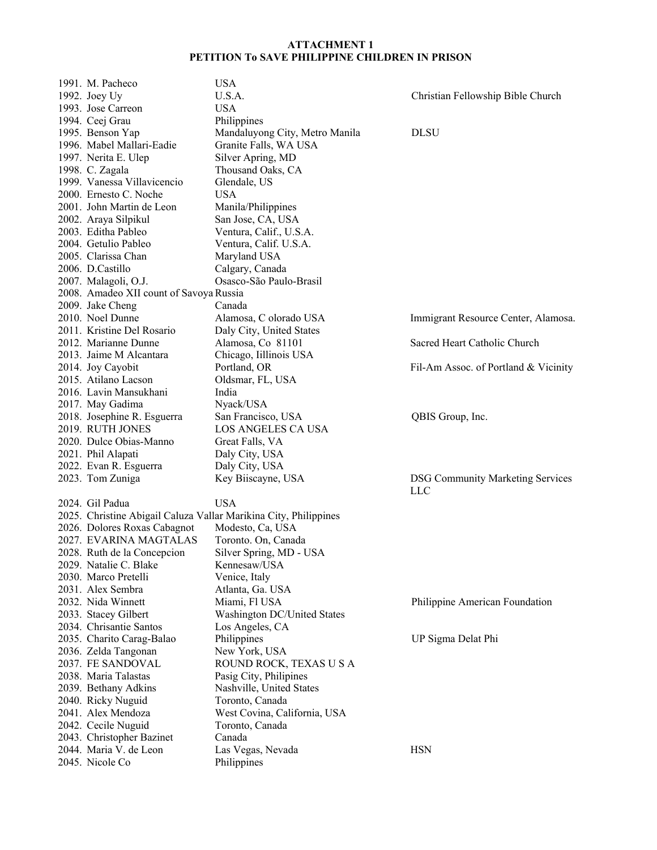| 1991. M. Pacheco                        | <b>USA</b>                                                       |                                         |
|-----------------------------------------|------------------------------------------------------------------|-----------------------------------------|
| 1992. Joey Uy                           | U.S.A.                                                           | Christian Fellowship Bible Church       |
| 1993. Jose Carreon                      | <b>USA</b>                                                       |                                         |
| 1994. Ceej Grau                         | Philippines                                                      |                                         |
| 1995. Benson Yap                        | Mandaluyong City, Metro Manila                                   | <b>DLSU</b>                             |
| 1996. Mabel Mallari-Eadie               | Granite Falls, WA USA                                            |                                         |
| 1997. Nerita E. Ulep                    | Silver Apring, MD                                                |                                         |
| 1998. C. Zagala                         | Thousand Oaks, CA                                                |                                         |
| 1999. Vanessa Villavicencio             | Glendale, US                                                     |                                         |
| 2000. Ernesto C. Noche                  | <b>USA</b>                                                       |                                         |
| 2001. John Martin de Leon               | Manila/Philippines                                               |                                         |
| 2002. Araya Silpikul                    | San Jose, CA, USA                                                |                                         |
| 2003. Editha Pableo                     | Ventura, Calif., U.S.A.                                          |                                         |
| 2004. Getulio Pableo                    | Ventura, Calif. U.S.A.                                           |                                         |
| 2005. Clarissa Chan                     | Maryland USA                                                     |                                         |
| 2006. D.Castillo                        | Calgary, Canada                                                  |                                         |
| 2007. Malagoli, O.J.                    | Osasco-São Paulo-Brasil                                          |                                         |
| 2008. Amadeo XII count of Savoya Russia |                                                                  |                                         |
| 2009. Jake Cheng                        | Canada                                                           |                                         |
| 2010. Noel Dunne                        | Alamosa, C olorado USA                                           | Immigrant Resource Center, Alamosa.     |
| 2011. Kristine Del Rosario              | Daly City, United States                                         |                                         |
| 2012. Marianne Dunne                    | Alamosa, Co 81101                                                | Sacred Heart Catholic Church            |
| 2013. Jaime M Alcantara                 | Chicago, Iillinois USA                                           |                                         |
| 2014. Joy Cayobit                       | Portland, OR                                                     | Fil-Am Assoc. of Portland & Vicinity    |
| 2015. Atilano Lacson                    | Oldsmar, FL, USA                                                 |                                         |
| 2016. Lavin Mansukhani                  | India                                                            |                                         |
| 2017. May Gadima                        | Nyack/USA                                                        |                                         |
| 2018. Josephine R. Esguerra             | San Francisco, USA                                               | QBIS Group, Inc.                        |
| 2019. RUTH JONES                        | LOS ANGELES CA USA                                               |                                         |
| 2020. Dulce Obias-Manno                 | Great Falls, VA                                                  |                                         |
| 2021. Phil Alapati                      | Daly City, USA                                                   |                                         |
| 2022. Evan R. Esguerra                  | Daly City, USA                                                   |                                         |
| 2023. Tom Zuniga                        | Key Biiscayne, USA                                               | <b>DSG Community Marketing Services</b> |
|                                         |                                                                  | <b>LLC</b>                              |
| 2024. Gil Padua                         | <b>USA</b>                                                       |                                         |
|                                         | 2025. Christine Abigail Caluza Vallar Marikina City, Philippines |                                         |
| 2026. Dolores Roxas Cabagnot            | Modesto, Ca, USA                                                 |                                         |
| 2027. EVARINA MAGTALAS                  | Toronto. On, Canada                                              |                                         |
| 2028. Ruth de la Concepcion             | Silver Spring, MD - USA                                          |                                         |
| 2029. Natalie C. Blake                  | Kennesaw/USA                                                     |                                         |
| 2030. Marco Pretelli                    | Venice, Italy                                                    |                                         |
| 2031. Alex Sembra                       | Atlanta, Ga. USA                                                 |                                         |
| 2032. Nida Winnett                      | Miami, Fl USA                                                    | Philippine American Foundation          |
| 2033. Stacey Gilbert                    | Washington DC/United States                                      |                                         |
| 2034. Chrisantie Santos                 | Los Angeles, CA                                                  |                                         |
| 2035. Charito Carag-Balao               | Philippines                                                      | UP Sigma Delat Phi                      |
| 2036. Zelda Tangonan                    | New York, USA                                                    |                                         |
| 2037. FE SANDOVAL                       | ROUND ROCK, TEXAS U S A                                          |                                         |
| 2038. Maria Talastas                    | Pasig City, Philipines                                           |                                         |
| 2039. Bethany Adkins                    | Nashville, United States                                         |                                         |
| 2040. Ricky Nuguid                      | Toronto, Canada                                                  |                                         |
| 2041. Alex Mendoza                      | West Covina, California, USA                                     |                                         |
| 2042. Cecile Nuguid                     | Toronto, Canada                                                  |                                         |
| 2043. Christopher Bazinet               | Canada                                                           |                                         |
| 2044. Maria V. de Leon                  | Las Vegas, Nevada                                                | <b>HSN</b>                              |
| 2045. Nicole Co                         | Philippines                                                      |                                         |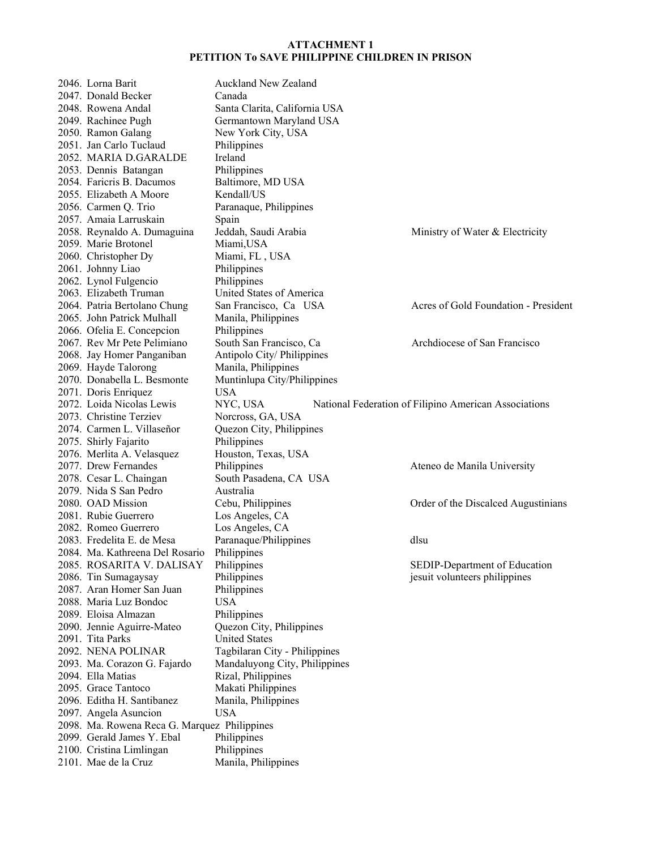2046. Lorna Barit Auckland New Zealand 2047. Donald Becker Canada 2048. Rowena Andal Santa Clarita, California USA 2049. Rachinee Pugh Germantown Maryland USA 2050. Ramon Galang New York City, USA 2051. Jan Carlo Tuclaud Philippines 2052. MARIA D.GARALDE Ireland 2053. Dennis Batangan Philippines 2054. Faricris B. Dacumos Baltimore, MD USA 2055. Elizabeth A Moore Kendall/US 2056. Carmen Q. Trio Paranaque, Philippines 2057. Amaia Larruskain Spain 2058. Reynaldo A. Dumaguina Jeddah, Saudi Arabia Ministry of Water & Electricity 2059. Marie Brotonel Miami,USA 2060. Christopher Dy Miami, FL , USA 2061. Johnny Liao Philippines 2062. Lynol Fulgencio Philippines 2063. Elizabeth Truman United States of America 2064. Patria Bertolano Chung San Francisco, Ca USA Acres of Gold Foundation - President 2065. John Patrick Mulhall Manila, Philippines 2066. Ofelia E. Concepcion Philippines 2067. Rev Mr Pete Pelimiano South San Francisco, Ca Archdiocese of San Francisco 2068. Jay Homer Panganiban Antipolo City/ Philippines 2069. Hayde Talorong Manila, Philippines 2070. Donabella L. Besmonte Muntinlupa City/Philippines 2071. Doris Enriquez USA 2072. Loida Nicolas Lewis NYC, USA National Federation of Filipino American Associations 2073. Christine Terziev Norcross, GA, USA 2074. Carmen L. Villaseñor Quezon City, Philippines 2075. Shirly Fajarito Philippines 2076. Merlita A. Velasquez Houston, Texas, USA 2077. Drew Fernandes Philippines Philippines Ateneo de Manila University 2078. Cesar L. Chaingan South Pasadena, CA USA 2079. Nida S San Pedro Australia 2080. OAD Mission Cebu, Philippines Order of the Discalced Augustinians 2081. Rubie Guerrero Los Angeles, CA 2082. Romeo Guerrero Los Angeles, CA 2083. Fredelita E. de Mesa Paranaque/Philippines dlsu 2084. Ma. Kathreena Del Rosario Philippines 2085. ROSARITA V. DALISAY Philippines SEDIP-Department of Education 2086. Tin Sumagaysay Philippines jesuit volunteers philippines 2087. Aran Homer San Juan Philippines 2088. Maria Luz Bondoc USA 2089. Eloisa Almazan Philippines 2090. Jennie Aguirre-Mateo Quezon City, Philippines 2091. Tita Parks United States 2092. NENA POLINAR Tagbilaran City - Philippines 2093. Ma. Corazon G. Fajardo Mandaluyong City, Philippines 2094. Ella Matias Rizal, Philippines 2095. Grace Tantoco Makati Philippines 2096. Editha H. Santibanez Manila, Philippines 2097. Angela Asuncion USA 2098. Ma. Rowena Reca G. Marquez Philippines 2099. Gerald James Y. Ebal Philippines<br>2100. Cristina Limlingan Philippines 2100. Cristina Limlingan 2101. Mae de la Cruz Manila, Philippines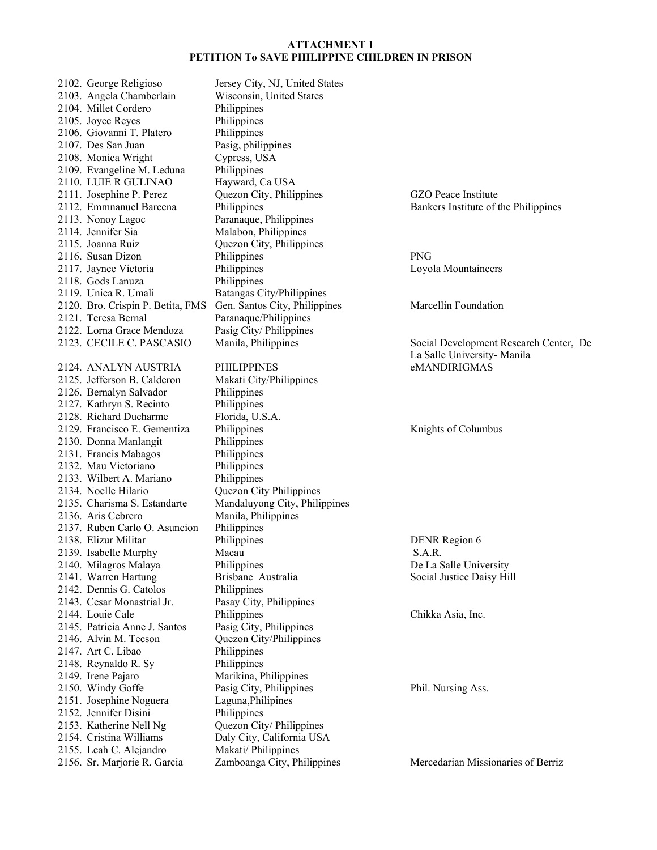2102. George Religioso Jersey City, NJ, United States 2103. Angela Chamberlain Wisconsin, United States 2104. Millet Cordero Philippines 2105. Joyce Reyes Philippines 2106. Giovanni T. Platero Philippines 2107. Des San Juan Pasig, philippines 2108. Monica Wright Cypress, USA 2109. Evangeline M. Leduna Philippines 2110. LUIE R GULINAO Hayward, Ca USA 2111. Josephine P. Perez Quezon City, Philippines GZO Peace Institute 2112. Emmnanuel Barcena Philippines Bankers Institute of the Philippines 2113. Nonoy Lagoc Paranaque, Philippines 2114. Jennifer Sia Malabon, Philippines 2115. Joanna Ruiz Quezon City, Philippines 2116. Susan Dizon Philippines PNG 2117. Jaynee Victoria Philippines Loyola Mountaineers 2118. Gods Lanuza Philippines 2119. Unica R. Umali Batangas City/Philippines 2120. Bro. Crispin P. Betita, FMS Gen. Santos City, Philippines Marcellin Foundation 2121. Teresa Bernal Paranaque/Philippines 2122. Lorna Grace Mendoza Pasig City/ Philippines 2124. ANALYN AUSTRIA PHILIPPINES eMANDIRIGMAS 2125. Jefferson B. Calderon Makati City/Philippines 2126. Bernalyn Salvador Philippines 2127. Kathryn S. Recinto Philippines 2128. Richard Ducharme Florida, U.S.A. 2129. Francisco E. Gementiza Philippines Knights of Columbus 2130. Donna Manlangit Philippines 2131. Francis Mabagos Philippines 2132. Mau Victoriano Philippines 2133. Wilbert A. Mariano Philippines 2134. Noelle Hilario Quezon City Philippines 2135. Charisma S. Estandarte Mandaluyong City, Philippines 2136. Aris Cebrero Manila, Philippines 2137. Ruben Carlo O. Asuncion Philippines 2138. Elizur Militar Philippines DENR Region 6 2139. Isabelle Murphy Macau S.A.R. 2140. Milagros Malaya Philippines De La Salle University 2141. Warren Hartung Brisbane Australia Social Justice Daisy Hill 2142. Dennis G. Catolos Philippines 2143. Cesar Monastrial Jr. Pasay City, Philippines 2144. Louie Cale Philippines Chikka Asia, Inc. 2145. Patricia Anne J. Santos Pasig City, Philippines 2146. Alvin M. Tecson Quezon City/Philippines 2147. Art C. Libao Philippines 2148. Reynaldo R. Sy Philippines 2149. Irene Pajaro Marikina, Philippines 2150. Windy Goffe Pasig City, Philippines Phil. Nursing Ass. 2151. Josephine Noguera Laguna,Philipines 2152. Jennifer Disini Philippines 2153. Katherine Nell Ng Quezon City/ Philippines 2154. Cristina Williams<br>
2155. Leah C. Alejandro Makati/ Philippines 2155. Leah C. Alejandro

2123. CECILE C. PASCASIO Manila, Philippines Social Development Research Center, De La Salle University- Manila

2156. Sr. Marjorie R. Garcia Zamboanga City, Philippines Mercedarian Missionaries of Berriz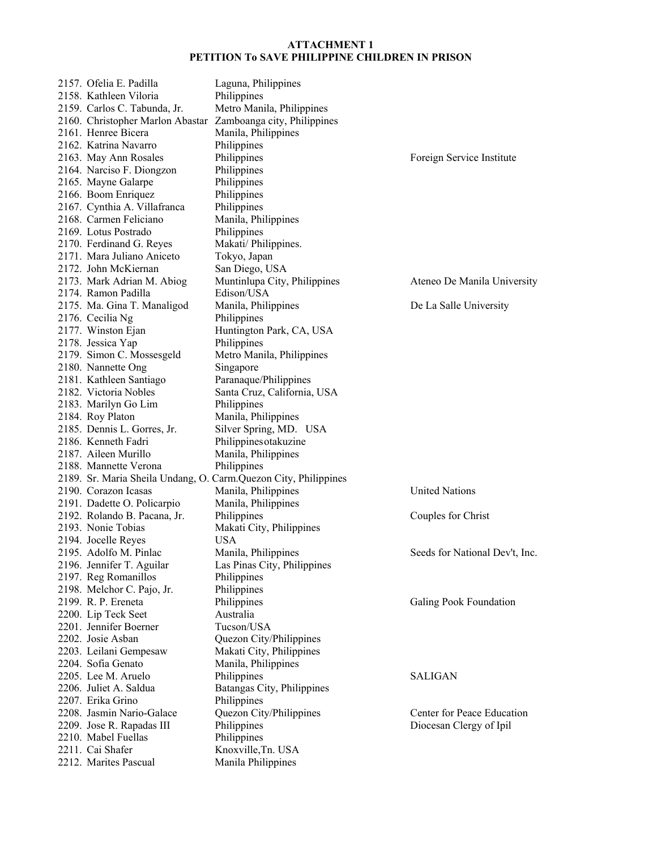| 2157. Ofelia E. Padilla                                      | Laguna, Philippines                                             |                                |
|--------------------------------------------------------------|-----------------------------------------------------------------|--------------------------------|
| 2158. Kathleen Viloria                                       | Philippines                                                     |                                |
| 2159. Carlos C. Tabunda, Jr.                                 | Metro Manila, Philippines                                       |                                |
| 2160. Christopher Marlon Abastar Zamboanga city, Philippines |                                                                 |                                |
| 2161. Henree Bicera                                          | Manila, Philippines                                             |                                |
| 2162. Katrina Navarro                                        | Philippines                                                     |                                |
| 2163. May Ann Rosales                                        | Philippines                                                     | Foreign Service Institute      |
| 2164. Narciso F. Diongzon                                    | Philippines                                                     |                                |
| 2165. Mayne Galarpe                                          | Philippines                                                     |                                |
| 2166. Boom Enriquez                                          | Philippines                                                     |                                |
| 2167. Cynthia A. Villafranca                                 | Philippines                                                     |                                |
| 2168. Carmen Feliciano                                       | Manila, Philippines                                             |                                |
| 2169. Lotus Postrado                                         | Philippines                                                     |                                |
|                                                              |                                                                 |                                |
| 2170. Ferdinand G. Reyes                                     | Makati/ Philippines.                                            |                                |
| 2171. Mara Juliano Aniceto                                   | Tokyo, Japan                                                    |                                |
| 2172. John McKiernan                                         | San Diego, USA                                                  |                                |
| 2173. Mark Adrian M. Abiog                                   | Muntinlupa City, Philippines                                    | Ateneo De Manila University    |
| 2174. Ramon Padilla                                          | Edison/USA                                                      |                                |
| 2175. Ma. Gina T. Manaligod                                  | Manila, Philippines                                             | De La Salle University         |
| 2176. Cecilia Ng                                             | Philippines                                                     |                                |
| 2177. Winston Ejan                                           | Huntington Park, CA, USA                                        |                                |
| 2178. Jessica Yap                                            | Philippines                                                     |                                |
| 2179. Simon C. Mossesgeld                                    | Metro Manila, Philippines                                       |                                |
| 2180. Nannette Ong                                           | Singapore                                                       |                                |
| 2181. Kathleen Santiago                                      | Paranaque/Philippines                                           |                                |
| 2182. Victoria Nobles                                        | Santa Cruz, California, USA                                     |                                |
| 2183. Marilyn Go Lim                                         | Philippines                                                     |                                |
| 2184. Roy Platon                                             | Manila, Philippines                                             |                                |
| 2185. Dennis L. Gorres, Jr.                                  | Silver Spring, MD. USA                                          |                                |
| 2186. Kenneth Fadri                                          | Philippinesotakuzine                                            |                                |
| 2187. Aileen Murillo                                         | Manila, Philippines                                             |                                |
| 2188. Mannette Verona                                        | Philippines                                                     |                                |
|                                                              | 2189. Sr. Maria Sheila Undang, O. Carm.Quezon City, Philippines |                                |
| 2190. Corazon Icasas                                         | Manila, Philippines                                             | <b>United Nations</b>          |
| 2191. Dadette O. Policarpio                                  | Manila, Philippines                                             |                                |
| 2192. Rolando B. Pacana, Jr.                                 | Philippines                                                     | Couples for Christ             |
| 2193. Nonie Tobias                                           | Makati City, Philippines                                        |                                |
| 2194. Jocelle Reyes                                          | <b>USA</b>                                                      |                                |
| 2195. Adolfo M. Pinlac                                       | Manila, Philippines                                             | Seeds for National Dev't, Inc. |
| 2196. Jennifer T. Aguilar                                    | Las Pinas City, Philippines                                     |                                |
| 2197. Reg Romanillos                                         | Philippines                                                     |                                |
| 2198. Melchor C. Pajo, Jr.                                   | Philippines                                                     |                                |
| 2199. R. P. Ereneta                                          | Philippines                                                     | Galing Pook Foundation         |
|                                                              | Australia                                                       |                                |
| 2200. Lip Teck Seet<br>2201. Jennifer Boerner                | Tucson/USA                                                      |                                |
| 2202. Josie Asban                                            |                                                                 |                                |
|                                                              | Quezon City/Philippines                                         |                                |
| 2203. Leilani Gempesaw                                       | Makati City, Philippines                                        |                                |
| 2204. Sofia Genato                                           | Manila, Philippines                                             |                                |
| 2205. Lee M. Aruelo                                          | Philippines                                                     | <b>SALIGAN</b>                 |
| 2206. Juliet A. Saldua                                       | Batangas City, Philippines                                      |                                |
| 2207. Erika Grino                                            | Philippines                                                     |                                |
| 2208. Jasmin Nario-Galace                                    | Quezon City/Philippines                                         | Center for Peace Education     |
| 2209. Jose R. Rapadas III                                    | Philippines                                                     | Diocesan Clergy of Ipil        |
| 2210. Mabel Fuellas                                          | Philippines                                                     |                                |
| 2211. Cai Shafer                                             | Knoxville, Tn. USA                                              |                                |
| 2212. Marites Pascual                                        | Manila Philippines                                              |                                |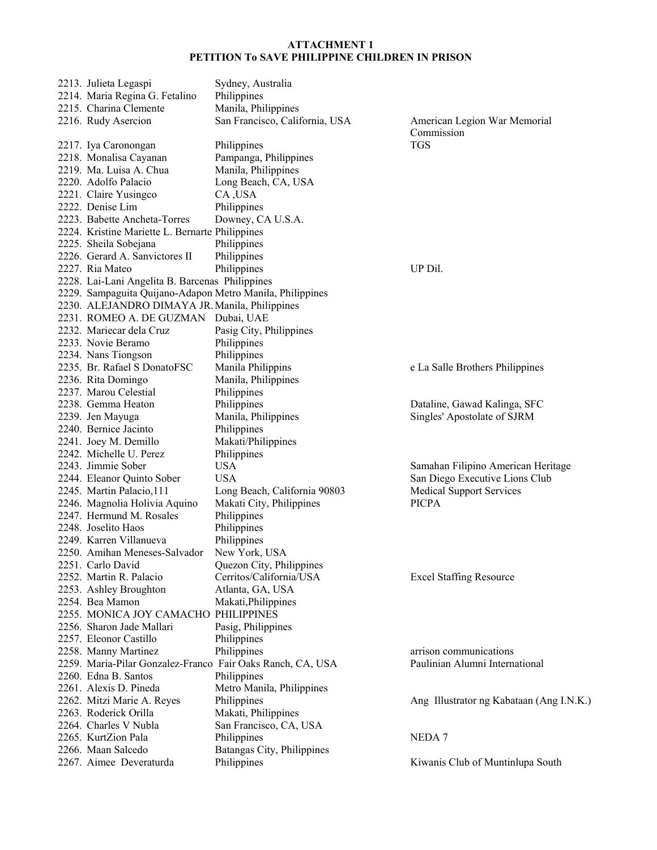| 2213. Julieta Legaspi                                      | Sydney, Australia                      |                                            |
|------------------------------------------------------------|----------------------------------------|--------------------------------------------|
| 2214. Maria Regina G. Fetalino                             | Philippines                            |                                            |
| 2215. Charina Clemente                                     | Manila, Philippines                    |                                            |
| 2216. Rudy Asercion                                        | San Francisco, California, USA         | American Legion War Memorial<br>Commission |
| 2217. Iya Caronongan                                       | Philippines                            | <b>TGS</b>                                 |
| 2218. Monalisa Cayanan                                     | Pampanga, Philippines                  |                                            |
| 2219. Ma. Luisa A. Chua                                    | Manila, Philippines                    |                                            |
| 2220. Adolfo Palacio                                       | Long Beach, CA, USA                    |                                            |
| 2221. Claire Yusingco                                      | CA, USA                                |                                            |
| 2222. Denise Lim                                           | Philippines                            |                                            |
| 2223. Babette Ancheta-Torres                               | Downey, CA U.S.A.                      |                                            |
| 2224. Kristine Mariette L. Bernarte Philippines            |                                        |                                            |
| 2225. Sheila Sobejana                                      | Philippines                            |                                            |
| 2226. Gerard A. Sanvictores II                             | Philippines                            |                                            |
| 2227. Ria Mateo                                            | Philippines                            | UP Dil.                                    |
| 2228. Lai-Lani Angelita B. Barcenas Philippines            |                                        |                                            |
| 2229. Sampaguita Quijano-Adapon Metro Manila, Philippines  |                                        |                                            |
| 2230. ALEJANDRO DIMAYA JR. Manila, Philippines             |                                        |                                            |
| 2231. ROMEO A. DE GUZMAN Dubai, UAE                        |                                        |                                            |
| 2232. Mariecar dela Cruz                                   |                                        |                                            |
| 2233. Novie Beramo                                         | Pasig City, Philippines<br>Philippines |                                            |
| 2234. Nans Tiongson                                        | Philippines                            |                                            |
| 2235. Br. Rafael S DonatoFSC                               | Manila Philippins                      |                                            |
|                                                            | Manila, Philippines                    | e La Salle Brothers Philippines            |
| 2236. Rita Domingo                                         |                                        |                                            |
| 2237. Marou Celestial                                      | Philippines                            |                                            |
| 2238. Gemma Heaton                                         | Philippines                            | Dataline, Gawad Kalinga, SFC               |
| 2239. Jen Mayuga                                           | Manila, Philippines                    | Singles' Apostolate of SJRM                |
| 2240. Bernice Jacinto                                      | Philippines                            |                                            |
| 2241. Joey M. Demillo                                      | Makati/Philippines                     |                                            |
| 2242. Michelle U. Perez                                    | Philippines                            |                                            |
| 2243. Jimmie Sober                                         | <b>USA</b>                             | Samahan Filipino American Heritage         |
| 2244. Eleanor Quinto Sober                                 | <b>USA</b>                             | San Diego Executive Lions Club             |
| 2245. Martin Palacio, 111                                  | Long Beach, California 90803           | <b>Medical Support Services</b>            |
| 2246. Magnolia Holivia Aquino                              | Makati City, Philippines               | <b>PICPA</b>                               |
| 2247. Hermund M. Rosales                                   | Philippines                            |                                            |
| 2248. Joselito Haos                                        | Philippines                            |                                            |
| 2249. Karren Villanueva                                    | Philippines                            |                                            |
| 2250. Amihan Meneses-Salvador                              | New York, USA                          |                                            |
| 2251. Carlo David                                          | Quezon City, Philippines               |                                            |
| 2252. Martin R. Palacio                                    | Cerritos/California/USA                | <b>Excel Staffing Resource</b>             |
| 2253. Ashley Broughton                                     | Atlanta, GA, USA                       |                                            |
| 2254. Bea Mamon                                            | Makati, Philippines                    |                                            |
| 2255. MONICA JOY CAMACHO PHILIPPINES                       |                                        |                                            |
| 2256. Sharon Jade Mallari                                  | Pasig, Philippines                     |                                            |
| 2257. Eleonor Castillo                                     | Philippines                            |                                            |
| 2258. Manny Martinez                                       | Philippines                            | arrison communications                     |
| 2259. Maria-Pilar Gonzalez-Franco Fair Oaks Ranch, CA, USA |                                        | Paulinian Alumni International             |
| 2260. Edna B. Santos                                       | Philippines                            |                                            |
| 2261. Alexis D. Pineda                                     | Metro Manila, Philippines              |                                            |
| 2262. Mitzi Marie A. Reyes                                 | Philippines                            | Ang Illustrator ng Kabataan (Ang I.N.K.)   |
| 2263. Roderick Orilla                                      | Makati, Philippines                    |                                            |
| 2264. Charles V Nubla                                      | San Francisco, CA, USA                 |                                            |
| 2265. KurtZion Pala                                        | Philippines                            | NEDA <sub>7</sub>                          |
| 2266. Maan Salcedo                                         | Batangas City, Philippines             |                                            |
| 2267. Aimee Deveraturda                                    | Philippines                            | Kiwanis Club of Muntinlupa South           |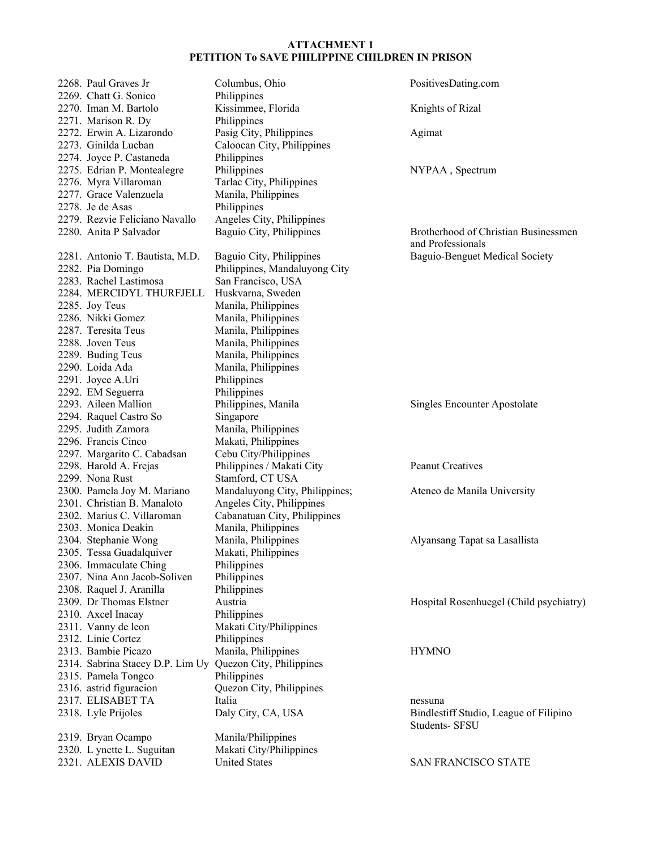| 2268. Paul Graves Jr                      | Columbus, Ohio                 | PositivesDating.com                     |
|-------------------------------------------|--------------------------------|-----------------------------------------|
| 2269. Chatt G. Sonico                     | Philippines                    |                                         |
| 2270. Iman M. Bartolo                     | Kissimmee, Florida             | Knights of Rizal                        |
| 2271. Marison R. Dy                       | Philippines                    |                                         |
| 2272. Erwin A. Lizarondo                  | Pasig City, Philippines        | Agimat                                  |
| 2273. Ginilda Lucban                      | Caloocan City, Philippines     |                                         |
| 2274. Joyce P. Castaneda                  | Philippines                    |                                         |
| 2275. Edrian P. Montealegre               | Philippines                    | NYPAA, Spectrum                         |
| 2276. Myra Villaroman                     | Tarlac City, Philippines       |                                         |
| 2277. Grace Valenzuela                    | Manila, Philippines            |                                         |
| 2278. Je de Asas                          | Philippines                    |                                         |
| 2279. Rezvie Feliciano Navallo            | Angeles City, Philippines      |                                         |
| 2280. Anita P Salvador                    | Baguio City, Philippines       | Brotherhood of Christian Businessmen    |
|                                           |                                | and Professionals                       |
| 2281. Antonio T. Bautista, M.D.           | Baguio City, Philippines       | Baguio-Benguet Medical Society          |
| 2282. Pia Domingo                         | Philippines, Mandaluyong City  |                                         |
| 2283. Rachel Lastimosa                    | San Francisco, USA             |                                         |
| 2284. MERCIDYL THURFJELL                  | Huskvarna, Sweden              |                                         |
| 2285. Joy Teus                            | Manila, Philippines            |                                         |
| 2286. Nikki Gomez                         | Manila, Philippines            |                                         |
| 2287. Teresita Teus                       | Manila, Philippines            |                                         |
| 2288. Joven Teus                          | Manila, Philippines            |                                         |
| 2289. Buding Teus                         | Manila, Philippines            |                                         |
| 2290. Loida Ada                           | Manila, Philippines            |                                         |
| 2291. Joyce A.Uri                         | Philippines                    |                                         |
|                                           | Philippines                    |                                         |
| 2292. EM Seguerra<br>2293. Aileen Mallion |                                |                                         |
|                                           | Philippines, Manila            | Singles Encounter Apostolate            |
| 2294. Raquel Castro So                    | Singapore                      |                                         |
| 2295. Judith Zamora                       | Manila, Philippines            |                                         |
| 2296. Francis Cinco                       | Makati, Philippines            |                                         |
| 2297. Margarito C. Cabadsan               | Cebu City/Philippines          |                                         |
| 2298. Harold A. Frejas                    | Philippines / Makati City      | <b>Peanut Creatives</b>                 |
| 2299. Nona Rust                           | Stamford, CT USA               |                                         |
| 2300. Pamela Joy M. Mariano               | Mandaluyong City, Philippines; | Ateneo de Manila University             |
| 2301. Christian B. Manaloto               | Angeles City, Philippines      |                                         |
| 2302. Marius C. Villaroman                | Cabanatuan City, Philippines   |                                         |
| 2303. Monica Deakin                       | Manila, Philippines            |                                         |
| 2304. Stephanie Wong                      | Manila, Philippines            | Alyansang Tapat sa Lasallista           |
| 2305. Tessa Guadalquiver                  | Makati, Philippines            |                                         |
| 2306. Immaculate Ching                    | Philippines                    |                                         |
| 2307. Nina Ann Jacob-Soliven              | Philippines                    |                                         |
| 2308. Raquel J. Aranilla                  | Philippines                    |                                         |
| 2309. Dr Thomas Elstner                   | Austria                        | Hospital Rosenhuegel (Child psychiatry) |
| 2310. Axcel Inacay                        | Philippines                    |                                         |
| 2311. Vanny de leon                       | Makati City/Philippines        |                                         |
| 2312. Linie Cortez                        | Philippines                    |                                         |
| 2313. Bambie Picazo                       | Manila, Philippines            | <b>HYMNO</b>                            |
| 2314. Sabrina Stacey D.P. Lim Uy          | Quezon City, Philippines       |                                         |
| 2315. Pamela Tongco                       | Philippines                    |                                         |
| 2316. astrid figuracion                   | Quezon City, Philippines       |                                         |
| 2317. ELISABET TA                         | Italia                         | nessuna                                 |
| 2318. Lyle Prijoles                       | Daly City, CA, USA             | Bindlestiff Studio, League of Filipino  |
|                                           |                                | Students- SFSU                          |
| 2319. Bryan Ocampo                        | Manila/Philippines             |                                         |
| 2320. L ynette L. Suguitan                | Makati City/Philippines        |                                         |
| 2321. ALEXIS DAVID                        | <b>United States</b>           | SAN FRANCISCO STATE                     |
|                                           |                                |                                         |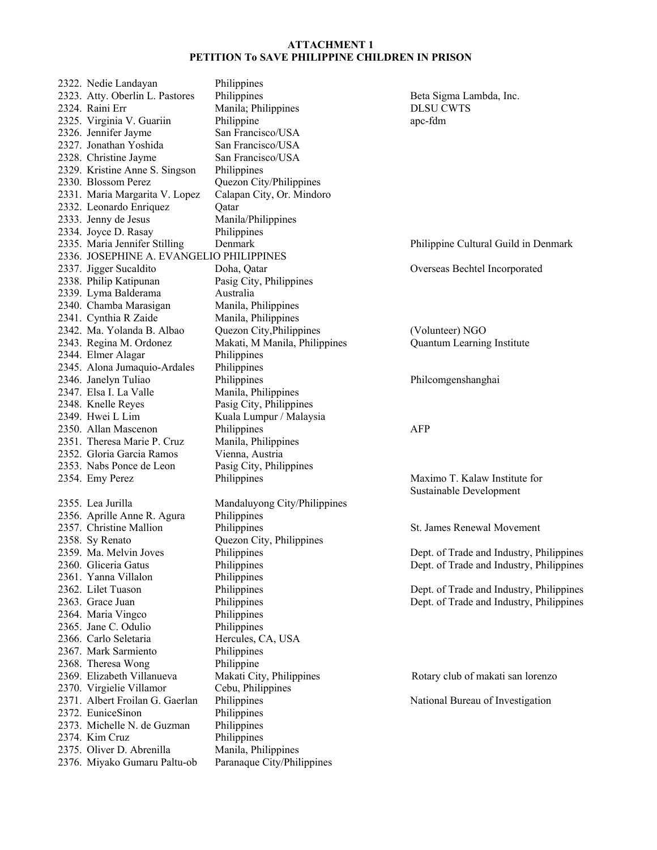2322. Nedie Landayan Philippines 2323. Atty. Oberlin L. Pastores Philippines Beta Sigma Lambda, Inc. 2324. Raini Err Manila; Philippines DLSU CWTS 2325. Virginia V. Guariin Philippine apc-fdm 2326. Jennifer Jayme San Francisco/USA 2327. Jonathan Yoshida San Francisco/USA 2328. Christine Jayme San Francisco/USA 2329. Kristine Anne S. Singson Philippines 2330. Blossom Perez Quezon City/Philippines 2331. Maria Margarita V. Lopez Calapan City, Or. Mindoro 2332. Leonardo Enriquez Qatar 2333. Jenny de Jesus Manila/Philippines 2334. Joyce D. Rasay Philippines 2335. Maria Jennifer Stilling Denmark Philippine Cultural Guild in Denmark 2336. JOSEPHINE A. EVANGELIO PHILIPPINES 2337. Jigger Sucaldito Doha, Qatar Overseas Bechtel Incorporated 2338. Philip Katipunan Pasig City, Philippines 2339. Lyma Balderama Australia 2340. Chamba Marasigan Manila, Philippines 2341. Cynthia R Zaide Manila, Philippines<br>2342. Ma. Yolanda B. Albao Quezon City, Philippines 2342. Ma. Yolanda B. Albao Quezon City,Philippines (Volunteer) NGO 2343. Regina M. Ordonez Makati, M Manila, Philippines Quantum Learning Institute 2344. Elmer Alagar Philippines 2345. Alona Jumaquio-Ardales Philippines 2346. Janelyn Tuliao Philippines Philcomgenshanghai 2347. Elsa I. La Valle Manila, Philippines 2348. Knelle Reyes Pasig City, Philippines 2349. Hwei L Lim Kuala Lumpur / Malaysia 2350. Allan Mascenon Philippines AFP 2351. Theresa Marie P. Cruz Manila, Philippines 2352. Gloria Garcia Ramos Vienna, Austria 2353. Nabs Ponce de Leon Pasig City, Philippines 2354. Emy Perez Philippines Philippines Maximo T. Kalaw Institute for 2355. Lea Jurilla Mandaluyong City/Philippines 2356. Aprille Anne R. Agura Philippines 2357. Christine Mallion Philippines St. James Renewal Movement 2358. Sy Renato Quezon City, Philippines 2359. Ma. Melvin Joves Philippines Dept. of Trade and Industry, Philippines 2360. Gliceria Gatus Philippines Dept. of Trade and Industry, Philippines 2361. Yanna Villalon Philippines 2362. Lilet Tuason Philippines Philippines Dept. of Trade and Industry, Philippines 2363. Grace Juan Philippines Dept. of Trade and Industry, Philippines 2363. Grace Juan Philippines Dept. of Trade and Industry, Philippines 2364. Maria Vingco Philippines 2365. Jane C. Odulio Philippines 2366. Carlo Seletaria Hercules, CA, USA 2367. Mark Sarmiento Philippines 2368. Theresa Wong Philippine 2369. Elizabeth Villanueva Makati City, Philippines Rotary club of makati san lorenzo 2370. Virgielie Villamor Cebu, Philippines<br>2371. Albert Froilan G. Gaerlan Philippines 2372. EuniceSinon Philippines 2373. Michelle N. de Guzman Philippines 2374. Kim Cruz Philippines 2375. Oliver D. Abrenilla Manila, Philippines 2376. Miyako Gumaru Paltu-ob Paranaque City/Philippines

Sustainable Development

Philippines National Bureau of Investigation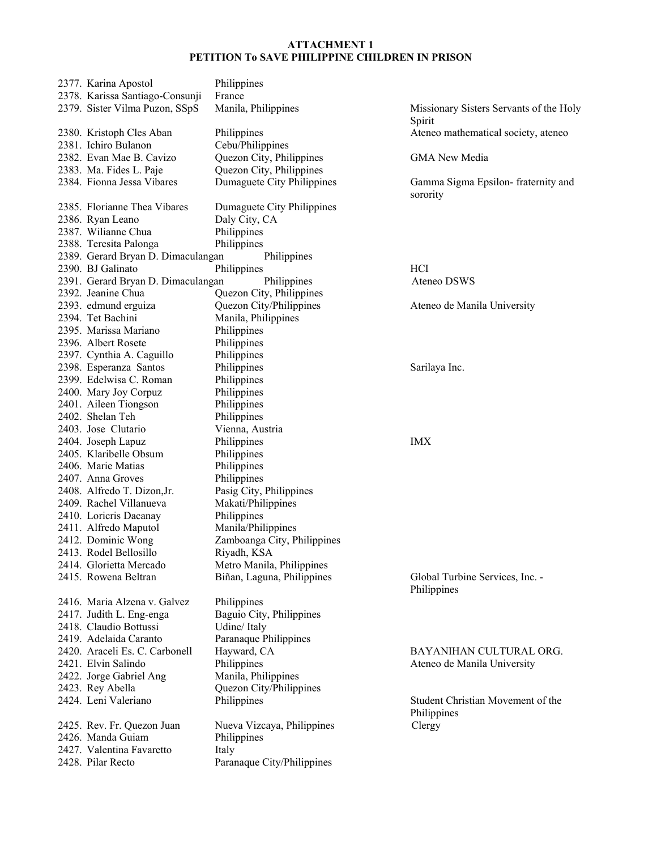| 2377. Karina Apostol                    | Philippines                 |                     |
|-----------------------------------------|-----------------------------|---------------------|
| 2378. Karissa Santiago-Consunji         | France                      |                     |
| 2379. Sister Vilma Puzon, SSpS          | Manila, Philippines         | Missior             |
|                                         |                             | Spirit              |
| 2380. Kristoph Cles Aban                | Philippines                 | Ateneo              |
| 2381. Ichiro Bulanon                    | Cebu/Philippines            |                     |
| 2382. Evan Mae B. Cavizo                | Quezon City, Philippines    | GMA N               |
| 2383. Ma. Fides L. Paje                 | Quezon City, Philippines    |                     |
| 2384. Fionna Jessa Vibares              | Dumaguete City Philippines  | Gamma               |
|                                         |                             | sorority            |
| 2385. Florianne Thea Vibares            | Dumaguete City Philippines  |                     |
| 2386. Ryan Leano<br>2387. Wilianne Chua | Daly City, CA               |                     |
|                                         | Philippines                 |                     |
| 2388. Teresita Palonga                  | Philippines                 |                     |
| 2389. Gerard Bryan D. Dimaculangan      | Philippines                 |                     |
| 2390. BJ Galinato                       | Philippines                 | HCI                 |
| 2391. Gerard Bryan D. Dimaculangan      | Philippines                 | Ateneo              |
| 2392. Jeanine Chua                      | Quezon City, Philippines    |                     |
| 2393. edmund erguiza                    | Quezon City/Philippines     | Ateneo              |
| 2394. Tet Bachini                       | Manila, Philippines         |                     |
| 2395. Marissa Mariano                   | Philippines                 |                     |
| 2396. Albert Rosete                     | Philippines                 |                     |
| 2397. Cynthia A. Caguillo               | Philippines                 |                     |
| 2398. Esperanza Santos                  | Philippines                 | Sarilaya            |
| 2399. Edelwisa C. Roman                 | Philippines                 |                     |
| 2400. Mary Joy Corpuz                   | Philippines                 |                     |
| 2401. Aileen Tiongson                   | Philippines                 |                     |
| 2402. Shelan Teh                        | Philippines                 |                     |
| 2403. Jose Clutario                     | Vienna, Austria             |                     |
| 2404. Joseph Lapuz                      | Philippines                 | IMX                 |
| 2405. Klaribelle Obsum                  | Philippines                 |                     |
| 2406. Marie Matias                      | Philippines                 |                     |
| 2407. Anna Groves                       | Philippines                 |                     |
| 2408. Alfredo T. Dizon, Jr.             | Pasig City, Philippines     |                     |
| 2409. Rachel Villanueva                 | Makati/Philippines          |                     |
| 2410. Loricris Dacanay                  | Philippines                 |                     |
| 2411. Alfredo Maputol                   | Manila/Philippines          |                     |
| 2412. Dominic Wong                      | Zamboanga City, Philippines |                     |
| 2413. Rodel Bellosillo                  | Riyadh, KSA                 |                     |
| 2414. Glorietta Mercado                 | Metro Manila, Philippines   |                     |
| 2415. Rowena Beltran                    | Biñan, Laguna, Philippines  | Global <sup>'</sup> |
|                                         |                             | Philippi            |
| 2416. Maria Alzena v. Galvez            | Philippines                 |                     |
| 2417. Judith L. Eng-enga                | Baguio City, Philippines    |                     |
| 2418. Claudio Bottussi                  | Udine/Italy                 |                     |
| 2419. Adelaida Caranto                  | Paranaque Philippines       |                     |
| 2420. Araceli Es. C. Carbonell          | Hayward, CA                 | <b>BAYA</b>         |
| 2421. Elvin Salindo                     | Philippines                 | Ateneo              |
| 2422. Jorge Gabriel Ang                 | Manila, Philippines         |                     |
| 2423. Rey Abella                        | Quezon City/Philippines     |                     |
| 2424. Leni Valeriano                    | Philippines                 | Student             |
|                                         |                             | Philippi            |
| 2425. Rev. Fr. Quezon Juan              | Nueva Vizcaya, Philippines  | Clergy              |
| 2426. Manda Guiam                       | Philippines                 |                     |
| 2427. Valentina Favaretto               | Italy                       |                     |
| 2428. Pilar Recto                       | Paranaque City/Philippines  |                     |
|                                         |                             |                     |

Missionary Sisters Servants of the Holy Spirit Ateneo mathematical society, ateneo

GMA New Media

Gamma Sigma Epsilon- fraternity and sorority

Ateneo DSWS

Ateneo de Manila University

Sarilaya Inc.

Global Turbine Services, Inc. -Philippines

BAYANIHAN CULTURAL ORG. Ateneo de Manila University

Student Christian Movement of the Philippines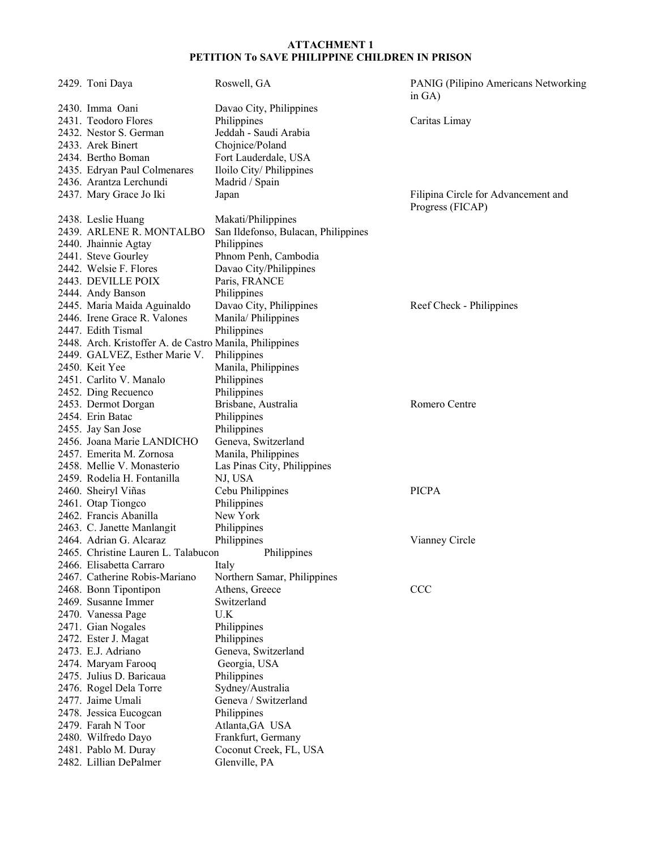| 2429. Toni Daya                                         | Roswell, GA                         | PANIG (Pilipino Americans Networking)<br>in $GA$ ) |
|---------------------------------------------------------|-------------------------------------|----------------------------------------------------|
| 2430. Imma Oani                                         | Davao City, Philippines             |                                                    |
| 2431. Teodoro Flores                                    | Philippines                         | Caritas Limay                                      |
| 2432. Nestor S. German                                  | Jeddah - Saudi Arabia               |                                                    |
| 2433. Arek Binert                                       | Chojnice/Poland                     |                                                    |
| 2434. Bertho Boman                                      | Fort Lauderdale, USA                |                                                    |
| 2435. Edryan Paul Colmenares                            | Iloilo City/Philippines             |                                                    |
| 2436. Arantza Lerchundi                                 | Madrid / Spain                      |                                                    |
| 2437. Mary Grace Jo Iki                                 | Japan                               | Filipina Circle for Advancement and                |
|                                                         |                                     | Progress (FICAP)                                   |
| 2438. Leslie Huang                                      | Makati/Philippines                  |                                                    |
| 2439. ARLENE R. MONTALBO                                | San Ildefonso, Bulacan, Philippines |                                                    |
|                                                         | Philippines                         |                                                    |
| 2440. Jhainnie Agtay                                    | Phnom Penh, Cambodia                |                                                    |
| 2441. Steve Gourley<br>2442. Welsie F. Flores           |                                     |                                                    |
|                                                         | Davao City/Philippines              |                                                    |
| 2443. DEVILLE POIX                                      | Paris, FRANCE                       |                                                    |
| 2444. Andy Banson                                       | Philippines                         |                                                    |
| 2445. Maria Maida Aguinaldo                             | Davao City, Philippines             | Reef Check - Philippines                           |
| 2446. Irene Grace R. Valones                            | Manila/Philippines                  |                                                    |
| 2447. Edith Tismal                                      | Philippines                         |                                                    |
| 2448. Arch. Kristoffer A. de Castro Manila, Philippines |                                     |                                                    |
| 2449. GALVEZ, Esther Marie V.                           | Philippines                         |                                                    |
| 2450. Keit Yee                                          | Manila, Philippines                 |                                                    |
| 2451. Carlito V. Manalo                                 | Philippines                         |                                                    |
| 2452. Ding Recuenco                                     | Philippines                         |                                                    |
| 2453. Dermot Dorgan                                     | Brisbane, Australia                 | Romero Centre                                      |
| 2454. Erin Batac                                        | Philippines                         |                                                    |
| 2455. Jay San Jose                                      | Philippines                         |                                                    |
| 2456. Joana Marie LANDICHO                              | Geneva, Switzerland                 |                                                    |
| 2457. Emerita M. Zornosa                                | Manila, Philippines                 |                                                    |
| 2458. Mellie V. Monasterio                              | Las Pinas City, Philippines         |                                                    |
| 2459. Rodelia H. Fontanilla                             | NJ, USA                             |                                                    |
| 2460. Sheiryl Viñas                                     | Cebu Philippines                    | <b>PICPA</b>                                       |
| 2461. Otap Tiongco                                      | Philippines                         |                                                    |
| 2462. Francis Abanilla                                  | New York                            |                                                    |
| 2463. C. Janette Manlangit                              | Philippines                         |                                                    |
| 2464. Adrian G. Alcaraz                                 | Philippines                         | Vianney Circle                                     |
| 2465. Christine Lauren L. Talabucon                     | Philippines                         |                                                    |
| 2466. Elisabetta Carraro                                | Italy                               |                                                    |
| 2467. Catherine Robis-Mariano                           | Northern Samar, Philippines         |                                                    |
| 2468. Bonn Tipontipon                                   | Athens, Greece                      | <b>CCC</b>                                         |
| 2469. Susanne Immer                                     | Switzerland                         |                                                    |
| 2470. Vanessa Page                                      | U.K                                 |                                                    |
| 2471. Gian Nogales                                      | Philippines                         |                                                    |
| 2472. Ester J. Magat                                    | Philippines                         |                                                    |
| 2473. E.J. Adriano                                      | Geneva, Switzerland                 |                                                    |
| 2474. Maryam Farooq                                     | Georgia, USA                        |                                                    |
| 2475. Julius D. Baricaua                                | Philippines                         |                                                    |
| 2476. Rogel Dela Torre                                  | Sydney/Australia                    |                                                    |
| 2477. Jaime Umali                                       | Geneva / Switzerland                |                                                    |
| 2478. Jessica Eucogcan                                  | Philippines                         |                                                    |
| 2479. Farah N Toor                                      | Atlanta, GA USA                     |                                                    |
| 2480. Wilfredo Dayo                                     | Frankfurt, Germany                  |                                                    |
| 2481. Pablo M. Duray                                    | Coconut Creek, FL, USA              |                                                    |
| 2482. Lillian DePalmer                                  | Glenville, PA                       |                                                    |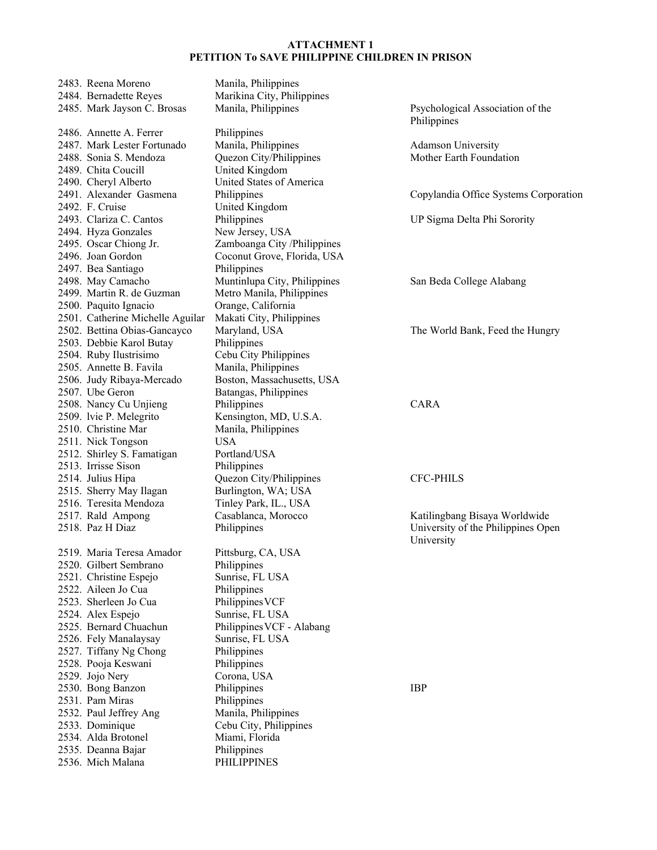| 2483. Reena Moreno               | Manila, Philippines          |                                       |
|----------------------------------|------------------------------|---------------------------------------|
| 2484. Bernadette Reyes           | Marikina City, Philippines   |                                       |
| 2485. Mark Jayson C. Brosas      | Manila, Philippines          | Psychological Association of the      |
|                                  |                              | Philippines                           |
| 2486. Annette A. Ferrer          | Philippines                  |                                       |
| 2487. Mark Lester Fortunado      | Manila, Philippines          | <b>Adamson University</b>             |
| 2488. Sonia S. Mendoza           | Quezon City/Philippines      | Mother Earth Foundation               |
| 2489. Chita Coucill              | United Kingdom               |                                       |
| 2490. Cheryl Alberto             | United States of America     |                                       |
| 2491. Alexander Gasmena          | Philippines                  | Copylandia Office Systems Corporation |
| 2492. F. Cruise                  | United Kingdom               |                                       |
| 2493. Clariza C. Cantos          | Philippines                  | UP Sigma Delta Phi Sorority           |
| 2494. Hyza Gonzales              | New Jersey, USA              |                                       |
| 2495. Oscar Chiong Jr.           | Zamboanga City /Philippines  |                                       |
| 2496. Joan Gordon                | Coconut Grove, Florida, USA  |                                       |
| 2497. Bea Santiago               | Philippines                  |                                       |
| 2498. May Camacho                | Muntinlupa City, Philippines | San Beda College Alabang              |
| 2499. Martin R. de Guzman        | Metro Manila, Philippines    |                                       |
| 2500. Paquito Ignacio            | Orange, California           |                                       |
| 2501. Catherine Michelle Aguilar | Makati City, Philippines     |                                       |
| 2502. Bettina Obias-Gancayco     | Maryland, USA                | The World Bank, Feed the Hungry       |
| 2503. Debbie Karol Butay         | Philippines                  |                                       |
| 2504. Ruby Ilustrisimo           | Cebu City Philippines        |                                       |
| 2505. Annette B. Favila          | Manila, Philippines          |                                       |
| 2506. Judy Ribaya-Mercado        | Boston, Massachusetts, USA   |                                       |
| 2507. Ube Geron                  | Batangas, Philippines        |                                       |
| 2508. Nancy Cu Unjieng           | Philippines                  | <b>CARA</b>                           |
| 2509. Ivie P. Melegrito          | Kensington, MD, U.S.A.       |                                       |
| 2510. Christine Mar              | Manila, Philippines          |                                       |
| 2511. Nick Tongson               | <b>USA</b>                   |                                       |
| 2512. Shirley S. Famatigan       | Portland/USA                 |                                       |
| 2513. Irrisse Sison              | Philippines                  |                                       |
| 2514. Julius Hipa                | Quezon City/Philippines      | <b>CFC-PHILS</b>                      |
| 2515. Sherry May Ilagan          | Burlington, WA; USA          |                                       |
| 2516. Teresita Mendoza           | Tinley Park, IL., USA        |                                       |
| 2517. Rald Ampong                | Casablanca, Morocco          | Katilingbang Bisaya Worldwide         |
| 2518. Paz H Diaz                 | Philippines                  | University of the Philippines Open    |
|                                  |                              | University                            |
| 2519. Maria Teresa Amador        | Pittsburg, CA, USA           |                                       |
| 2520. Gilbert Sembrano           | Philippines                  |                                       |
| 2521. Christine Espejo           | Sunrise, FL USA              |                                       |
| 2522. Aileen Jo Cua              | Philippines                  |                                       |
| 2523. Sherleen Jo Cua            | Philippines VCF              |                                       |
| 2524. Alex Espejo                | Sunrise, FL USA              |                                       |
| 2525. Bernard Chuachun           | Philippines VCF - Alabang    |                                       |
| 2526. Fely Manalaysay            | Sunrise, FL USA              |                                       |
| 2527. Tiffany Ng Chong           | Philippines                  |                                       |
| 2528. Pooja Keswani              | Philippines                  |                                       |
| 2529. Jojo Nery                  | Corona, USA                  |                                       |
| 2530. Bong Banzon                | Philippines                  | <b>IBP</b>                            |
| 2531. Pam Miras                  | Philippines                  |                                       |
| 2532. Paul Jeffrey Ang           | Manila, Philippines          |                                       |
| 2533. Dominique                  | Cebu City, Philippines       |                                       |
| 2534. Alda Brotonel              | Miami, Florida               |                                       |
| 2535. Deanna Bajar               | Philippines                  |                                       |
| 2536. Mich Malana                | <b>PHILIPPINES</b>           |                                       |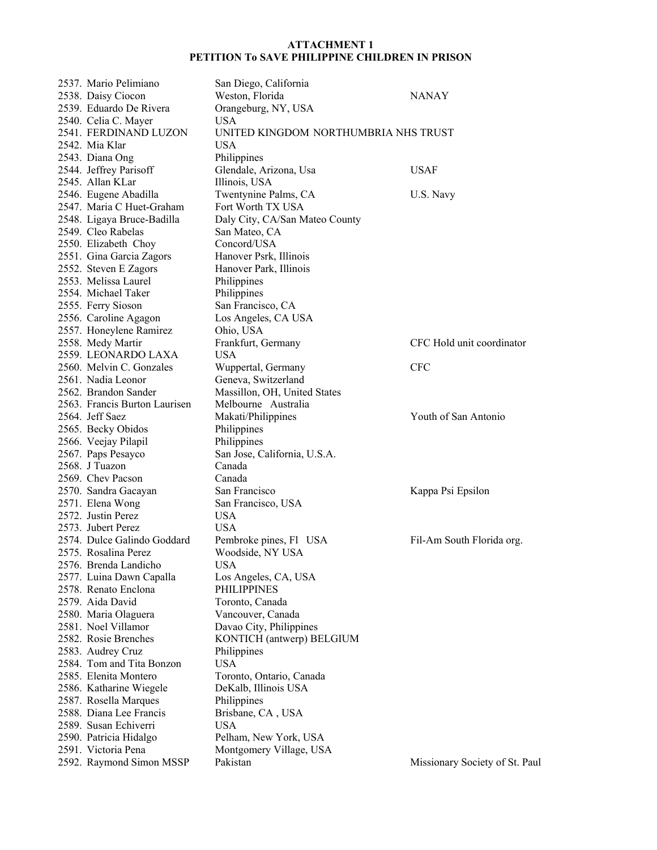| 2537. Mario Pelimiano         | San Diego, California                |                                |
|-------------------------------|--------------------------------------|--------------------------------|
| 2538. Daisy Ciocon            | Weston, Florida                      | <b>NANAY</b>                   |
| 2539. Eduardo De Rivera       | Orangeburg, NY, USA                  |                                |
| 2540. Celia C. Mayer          | <b>USA</b>                           |                                |
| 2541. FERDINAND LUZON         | UNITED KINGDOM NORTHUMBRIA NHS TRUST |                                |
| 2542. Mia Klar                | <b>USA</b>                           |                                |
| 2543. Diana Ong               | Philippines                          |                                |
| 2544. Jeffrey Parisoff        | Glendale, Arizona, Usa               | <b>USAF</b>                    |
| 2545. Allan KLar              | Illinois, USA                        |                                |
| 2546. Eugene Abadilla         | Twentynine Palms, CA                 | U.S. Navy                      |
| 2547. Maria C Huet-Graham     | Fort Worth TX USA                    |                                |
| 2548. Ligaya Bruce-Badilla    | Daly City, CA/San Mateo County       |                                |
| 2549. Cleo Rabelas            | San Mateo, CA                        |                                |
|                               | Concord/USA                          |                                |
| 2550. Elizabeth Choy          |                                      |                                |
| 2551. Gina Garcia Zagors      | Hanover Psrk, Illinois               |                                |
| 2552. Steven E Zagors         | Hanover Park, Illinois               |                                |
| 2553. Melissa Laurel          | Philippines                          |                                |
| 2554. Michael Taker           | Philippines                          |                                |
| 2555. Ferry Sioson            | San Francisco, CA                    |                                |
| 2556. Caroline Agagon         | Los Angeles, CA USA                  |                                |
| 2557. Honeylene Ramirez       | Ohio, USA                            |                                |
| 2558. Medy Martir             | Frankfurt, Germany                   | CFC Hold unit coordinator      |
| 2559. LEONARDO LAXA           | <b>USA</b>                           |                                |
| 2560. Melvin C. Gonzales      | Wuppertal, Germany                   | <b>CFC</b>                     |
| 2561. Nadia Leonor            | Geneva, Switzerland                  |                                |
| 2562. Brandon Sander          | Massillon, OH, United States         |                                |
| 2563. Francis Burton Laurisen | Melbourne Australia                  |                                |
| 2564. Jeff Saez               | Makati/Philippines                   | Youth of San Antonio           |
| 2565. Becky Obidos            | Philippines                          |                                |
| 2566. Veejay Pilapil          | Philippines                          |                                |
| 2567. Paps Pesayco            | San Jose, California, U.S.A.         |                                |
| 2568. J Tuazon                | Canada                               |                                |
| 2569. Chev Pacson             | Canada                               |                                |
| 2570. Sandra Gacayan          | San Francisco                        | Kappa Psi Epsilon              |
| 2571. Elena Wong              | San Francisco, USA                   |                                |
| 2572. Justin Perez            | <b>USA</b>                           |                                |
| 2573. Jubert Perez            | <b>USA</b>                           |                                |
| 2574. Dulce Galindo Goddard   | Pembroke pines, Fl USA               | Fil-Am South Florida org.      |
| 2575. Rosalina Perez          | Woodside, NY USA                     |                                |
| 2576. Brenda Landicho         | <b>USA</b>                           |                                |
| 2577. Luina Dawn Capalla      | Los Angeles, CA, USA                 |                                |
| 2578. Renato Enclona          | <b>PHILIPPINES</b>                   |                                |
| 2579. Aida David              | Toronto, Canada                      |                                |
| 2580. Maria Olaguera          | Vancouver, Canada                    |                                |
| 2581. Noel Villamor           | Davao City, Philippines              |                                |
| 2582. Rosie Brenches          | KONTICH (antwerp) BELGIUM            |                                |
|                               |                                      |                                |
| 2583. Audrey Cruz             | Philippines                          |                                |
| 2584. Tom and Tita Bonzon     | <b>USA</b>                           |                                |
| 2585. Elenita Montero         | Toronto, Ontario, Canada             |                                |
| 2586. Katharine Wiegele       | DeKalb, Illinois USA                 |                                |
| 2587. Rosella Marques         | Philippines                          |                                |
| 2588. Diana Lee Francis       | Brisbane, CA, USA                    |                                |
| 2589. Susan Echiverri         | <b>USA</b>                           |                                |
| 2590. Patricia Hidalgo        | Pelham, New York, USA                |                                |
| 2591. Victoria Pena           | Montgomery Village, USA              |                                |
| 2592. Raymond Simon MSSP      | Pakistan                             | Missionary Society of St. Paul |
|                               |                                      |                                |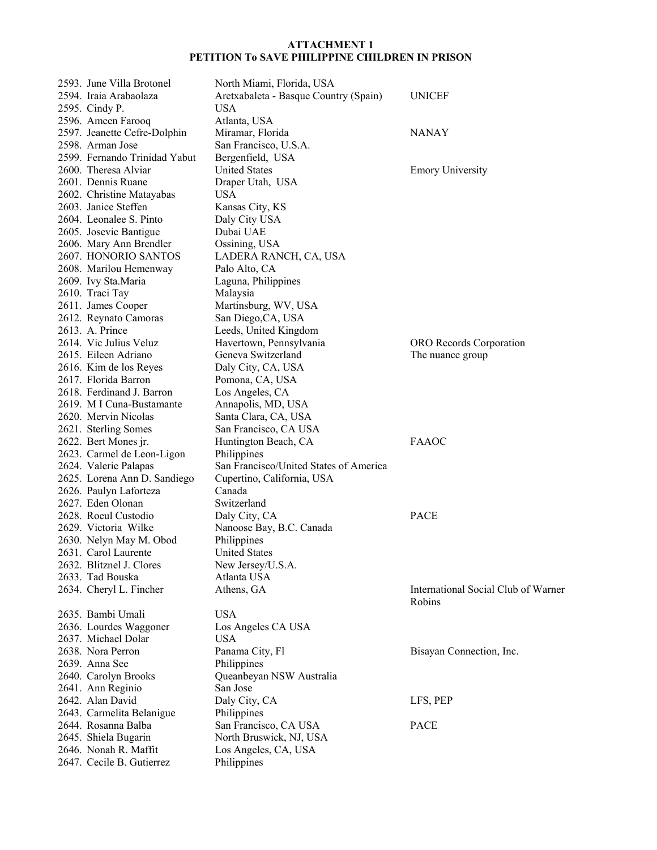| 2593. June Villa Brotonel     | North Miami, Florida, USA              |                                     |
|-------------------------------|----------------------------------------|-------------------------------------|
| 2594. Iraia Arabaolaza        | Aretxabaleta - Basque Country (Spain)  | <b>UNICEF</b>                       |
| 2595. Cindy P.                | <b>USA</b>                             |                                     |
| 2596. Ameen Farooq            | Atlanta, USA                           |                                     |
| 2597. Jeanette Cefre-Dolphin  | Miramar, Florida                       | <b>NANAY</b>                        |
| 2598. Arman Jose              | San Francisco, U.S.A.                  |                                     |
| 2599. Fernando Trinidad Yabut | Bergenfield, USA                       |                                     |
| 2600. Theresa Alviar          | <b>United States</b>                   | <b>Emory University</b>             |
| 2601. Dennis Ruane            | Draper Utah, USA                       |                                     |
| 2602. Christine Matayabas     | USA                                    |                                     |
| 2603. Janice Steffen          | Kansas City, KS                        |                                     |
| 2604. Leonalee S. Pinto       | Daly City USA                          |                                     |
|                               | Dubai UAE                              |                                     |
| 2605. Josevic Bantigue        |                                        |                                     |
| 2606. Mary Ann Brendler       | Ossining, USA                          |                                     |
| 2607. HONORIO SANTOS          | LADERA RANCH, CA, USA                  |                                     |
| 2608. Marilou Hemenway        | Palo Alto, CA                          |                                     |
| 2609. Ivy Sta.Maria           | Laguna, Philippines                    |                                     |
| 2610. Traci Tay               | Malaysia                               |                                     |
| 2611. James Cooper            | Martinsburg, WV, USA                   |                                     |
| 2612. Reynato Camoras         | San Diego, CA, USA                     |                                     |
| 2613. A. Prince               | Leeds, United Kingdom                  |                                     |
| 2614. Vic Julius Veluz        | Havertown, Pennsylvania                | ORO Records Corporation             |
| 2615. Eileen Adriano          | Geneva Switzerland                     | The nuance group                    |
| 2616. Kim de los Reyes        | Daly City, CA, USA                     |                                     |
| 2617. Florida Barron          | Pomona, CA, USA                        |                                     |
| 2618. Ferdinand J. Barron     | Los Angeles, CA                        |                                     |
| 2619. M I Cuna-Bustamante     | Annapolis, MD, USA                     |                                     |
| 2620. Mervin Nicolas          | Santa Clara, CA, USA                   |                                     |
| 2621. Sterling Somes          | San Francisco, CA USA                  |                                     |
| 2622. Bert Mones jr.          | Huntington Beach, CA                   | <b>FAAOC</b>                        |
| 2623. Carmel de Leon-Ligon    | Philippines                            |                                     |
| 2624. Valerie Palapas         | San Francisco/United States of America |                                     |
| 2625. Lorena Ann D. Sandiego  | Cupertino, California, USA             |                                     |
| 2626. Paulyn Laforteza        | Canada                                 |                                     |
| 2627. Eden Olonan             | Switzerland                            |                                     |
| 2628. Roeul Custodio          | Daly City, CA                          | <b>PACE</b>                         |
| 2629. Victoria Wilke          | Nanoose Bay, B.C. Canada               |                                     |
| 2630. Nelyn May M. Obod       | Philippines                            |                                     |
| 2631. Carol Laurente          | <b>United States</b>                   |                                     |
| 2632. Blitznel J. Clores      | New Jersey/U.S.A.                      |                                     |
| 2633. Tad Bouska              | Atlanta USA                            |                                     |
| 2634. Cheryl L. Fincher       | Athens, GA                             | International Social Club of Warner |
|                               |                                        | Robins                              |
| 2635. Bambi Umali             | <b>USA</b>                             |                                     |
| 2636. Lourdes Waggoner        | Los Angeles CA USA                     |                                     |
| 2637. Michael Dolar           | <b>USA</b>                             |                                     |
| 2638. Nora Perron             | Panama City, Fl                        | Bisayan Connection, Inc.            |
| 2639. Anna See                | Philippines                            |                                     |
| 2640. Carolyn Brooks          | Queanbeyan NSW Australia               |                                     |
| 2641. Ann Reginio             | San Jose                               |                                     |
| 2642. Alan David              | Daly City, CA                          | LFS, PEP                            |
| 2643. Carmelita Belanigue     | Philippines                            |                                     |
| 2644. Rosanna Balba           | San Francisco, CA USA                  | <b>PACE</b>                         |
| 2645. Shiela Bugarin          | North Bruswick, NJ, USA                |                                     |
| 2646. Nonah R. Maffit         | Los Angeles, CA, USA                   |                                     |
| 2647. Cecile B. Gutierrez     | Philippines                            |                                     |
|                               |                                        |                                     |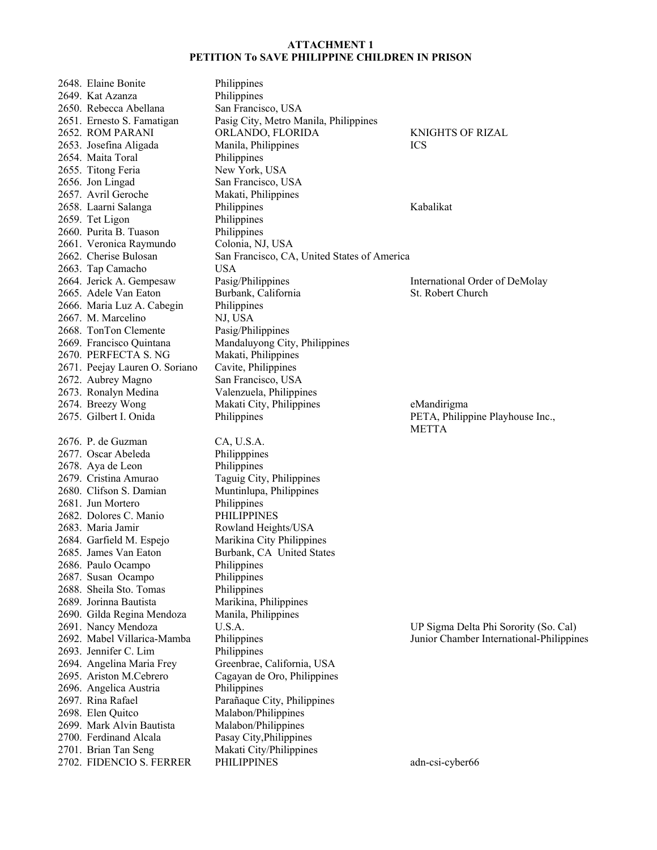2648. Elaine Bonite Philippines 2649. Kat Azanza Philippines 2650. Rebecca Abellana San Francisco, USA 2654. Maita Toral Philippines 2655. Titong Feria New York, USA 2656. Jon Lingad San Francisco, USA 2657. Avril Geroche Makati, Philippines 2659. Tet Ligon Philippines 2660. Purita B. Tuason Philippines 2661. Veronica Raymundo Colonia, NJ, USA 2663. Tap Camacho USA 2666. Maria Luz A. Cabegin Philippines 2667. M. Marcelino NJ, USA 2668. TonTon Clemente Pasig/Philippines 2669. Francisco Quintana Mandaluyong City, Philippines 2670. PERFECTA S. NG Makati, Philippines 2671. Peejay Lauren O. Soriano Cavite, Philippines 2672. Aubrey Magno San Francisco, USA 2673. Ronalyn Medina Valenzuela, Philippines 2676. P. de Guzman CA, U.S.A. 2677. Oscar Abeleda Philipppines 2678. Aya de Leon Philippines 2679. Cristina Amurao Taguig City, Philippines 2680. Clifson S. Damian Muntinlupa, Philippines 2681. Jun Mortero Philippines 2682. Dolores C. Manio PHILIPPINES 2683. Maria Jamir Rowland Heights/USA 2684. Garfield M. Espejo Marikina City Philippines 2685. James Van Eaton Burbank, CA United States 2686. Paulo Ocampo Philippines 2687. Susan Ocampo Philippines 2688. Sheila Sto. Tomas Philippines 2689. Jorinna Bautista Marikina, Philippines 2690. Gilda Regina Mendoza Manila, Philippines 2693. Jennifer C. Lim Philippines 2694. Angelina Maria Frey Greenbrae, California, USA 2695. Ariston M.Cebrero Cagayan de Oro, Philippines 2696. Angelica Austria Philippines 2697. Rina Rafael Parañaque City, Philippines 2698. Elen Quitco Malabon/Philippines 2699. Mark Alvin Bautista Malabon/Philippines 2700. Ferdinand Alcala Pasay City,Philippines 2701. Brian Tan Seng Makati City/Philippines

2651. Ernesto S. Famatigan Pasig City, Metro Manila, Philippines 2652. ROM PARANI ORLANDO, FLORIDA KNIGHTS OF RIZAL 2653. Josefina Aligada Manila, Philippines ICS 2658. Laarni Salanga Philippines Kabalikat 2662. Cherise Bulosan San Francisco, CA, United States of America 2664. Jerick A. Gempesaw Pasig/Philippines International Order of DeMolay 2665. Adele Van Eaton Burbank, California St. Robert Church 2674. Breezy Wong Makati City, Philippines eMandirigma 2675. Gilbert I. Onida Philippines PETA, Philippine Playhouse Inc.,

2702. FIDENCIO S. FERRER PHILIPPINES adn-csi-cyber66

METTA

2691. Nancy Mendoza U.S.A. UP Sigma Delta Phi Sorority (So. Cal) 2692. Mabel Villarica-Mamba Philippines Junior Chamber International-Philippines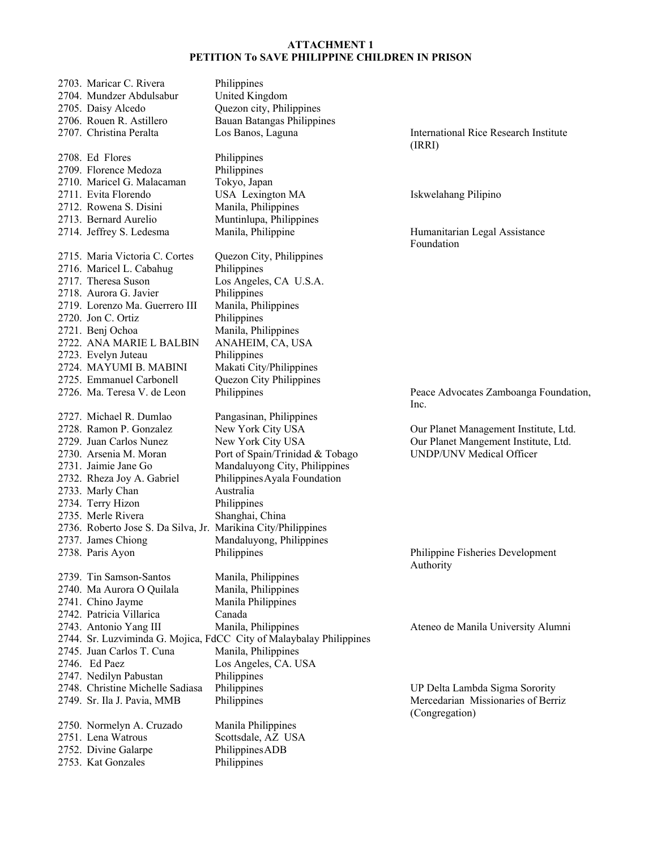| 2703. Maricar C. Rivera                                       | Philippines                                                         |                                                      |
|---------------------------------------------------------------|---------------------------------------------------------------------|------------------------------------------------------|
| 2704. Mundzer Abdulsabur                                      | United Kingdom                                                      |                                                      |
| 2705. Daisy Alcedo                                            | Quezon city, Philippines                                            |                                                      |
| 2706. Rouen R. Astillero                                      | <b>Bauan Batangas Philippines</b>                                   |                                                      |
| 2707. Christina Peralta                                       | Los Banos, Laguna                                                   | <b>International Rice Research Institute</b>         |
|                                                               |                                                                     | (IRRI)                                               |
| 2708. Ed Flores                                               | Philippines                                                         |                                                      |
| 2709. Florence Medoza                                         | Philippines                                                         |                                                      |
| 2710. Maricel G. Malacaman                                    | Tokyo, Japan                                                        |                                                      |
| 2711. Evita Florendo                                          | USA Lexington MA                                                    | Iskwelahang Pilipino                                 |
| 2712. Rowena S. Disini                                        | Manila, Philippines                                                 |                                                      |
| 2713. Bernard Aurelio                                         | Muntinlupa, Philippines                                             |                                                      |
| 2714. Jeffrey S. Ledesma                                      | Manila, Philippine                                                  | Humanitarian Legal Assistance<br>Foundation          |
| 2715. Maria Victoria C. Cortes                                | Quezon City, Philippines                                            |                                                      |
| 2716. Maricel L. Cabahug                                      | Philippines                                                         |                                                      |
| 2717. Theresa Suson                                           | Los Angeles, CA U.S.A.                                              |                                                      |
| 2718. Aurora G. Javier                                        | Philippines                                                         |                                                      |
| 2719. Lorenzo Ma. Guerrero III                                | Manila, Philippines                                                 |                                                      |
| 2720. Jon C. Ortiz                                            | Philippines                                                         |                                                      |
| 2721. Benj Ochoa                                              | Manila, Philippines                                                 |                                                      |
| 2722. ANA MARIE L BALBIN                                      | ANAHEIM, CA, USA                                                    |                                                      |
| 2723. Evelyn Juteau                                           | Philippines                                                         |                                                      |
| 2724. MAYUMI B. MABINI                                        | Makati City/Philippines                                             |                                                      |
| 2725. Emmanuel Carbonell                                      | Quezon City Philippines                                             |                                                      |
| 2726. Ma. Teresa V. de Leon                                   | Philippines                                                         | Peace Advocates Zamboanga Foundation,<br>Inc.        |
| 2727. Michael R. Dumlao                                       | Pangasinan, Philippines                                             |                                                      |
| 2728. Ramon P. Gonzalez                                       | New York City USA                                                   | Our Planet Management Institute, Ltd.                |
| 2729. Juan Carlos Nunez                                       | New York City USA                                                   | Our Planet Mangement Institute, Ltd.                 |
| 2730. Arsenia M. Moran                                        | Port of Spain/Trinidad & Tobago                                     | <b>UNDP/UNV Medical Officer</b>                      |
| 2731. Jaimie Jane Go                                          | Mandaluyong City, Philippines                                       |                                                      |
| 2732. Rheza Joy A. Gabriel                                    | Philippines Ayala Foundation                                        |                                                      |
| 2733. Marly Chan                                              | Australia                                                           |                                                      |
| 2734. Terry Hizon                                             | Philippines                                                         |                                                      |
| 2735. Merle Rivera                                            | Shanghai, China                                                     |                                                      |
| 2736. Roberto Jose S. Da Silva, Jr. Marikina City/Philippines |                                                                     |                                                      |
| 2737. James Chiong                                            | Mandaluyong, Philippines                                            |                                                      |
| 2738. Paris Ayon                                              | Philippines                                                         | Philippine Fisheries Development<br>Authority        |
| 2739. Tin Samson-Santos                                       | Manila, Philippines                                                 |                                                      |
| 2740. Ma Aurora O Quilala                                     | Manila, Philippines                                                 |                                                      |
| 2741. Chino Jayme                                             | Manila Philippines                                                  |                                                      |
| 2742. Patricia Villarica                                      | Canada                                                              |                                                      |
| 2743. Antonio Yang III                                        | Manila, Philippines                                                 | Ateneo de Manila University Alumni                   |
|                                                               | 2744. Sr. Luzviminda G. Mojica, FdCC City of Malaybalay Philippines |                                                      |
| 2745. Juan Carlos T. Cuna                                     | Manila, Philippines                                                 |                                                      |
| 2746. Ed Paez                                                 | Los Angeles, CA. USA                                                |                                                      |
| 2747. Nedilyn Pabustan                                        | Philippines                                                         |                                                      |
| 2748. Christine Michelle Sadiasa                              | Philippines                                                         | UP Delta Lambda Sigma Sorority                       |
| 2749. Sr. Ila J. Pavia, MMB                                   | Philippines                                                         | Mercedarian Missionaries of Berriz<br>(Congregation) |
| 2750. Normelyn A. Cruzado                                     | Manila Philippines                                                  |                                                      |
| 2751. Lena Watrous                                            | Scottsdale, AZ USA                                                  |                                                      |
| 2752. Divine Galarpe                                          | Philippines ADB                                                     |                                                      |
| 2753. Kat Gonzales                                            | Philippines                                                         |                                                      |
|                                                               |                                                                     |                                                      |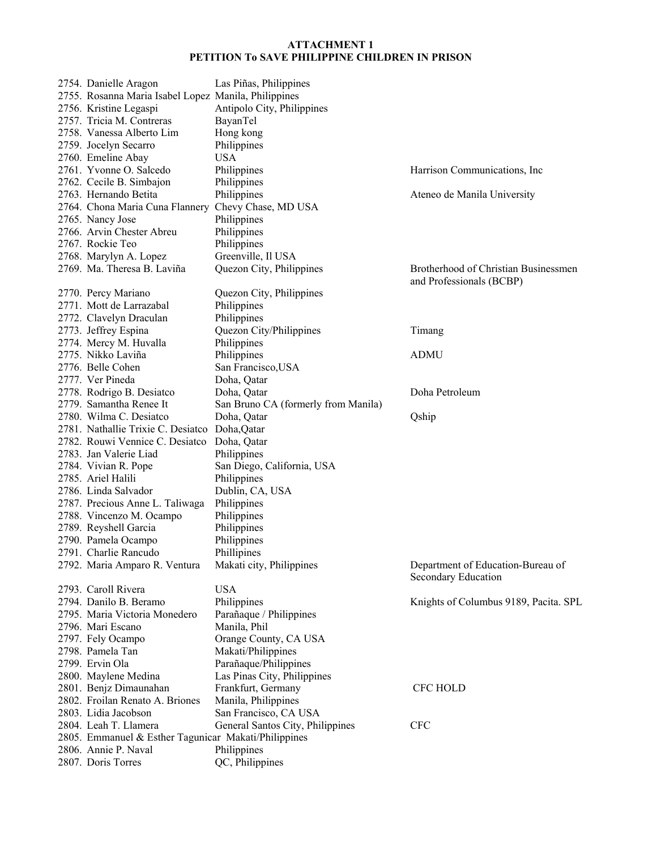| 2754. Danielle Aragon                                | Las Piñas, Philippines              |                                                                  |
|------------------------------------------------------|-------------------------------------|------------------------------------------------------------------|
| 2755. Rosanna Maria Isabel Lopez Manila, Philippines |                                     |                                                                  |
| 2756. Kristine Legaspi                               | Antipolo City, Philippines          |                                                                  |
| 2757. Tricia M. Contreras                            | BayanTel                            |                                                                  |
| 2758. Vanessa Alberto Lim                            | Hong kong                           |                                                                  |
| 2759. Jocelyn Secarro                                | Philippines                         |                                                                  |
| 2760. Emeline Abay                                   | USA                                 |                                                                  |
| 2761. Yvonne O. Salcedo                              | Philippines                         | Harrison Communications, Inc.                                    |
| 2762. Cecile B. Simbajon                             | Philippines                         |                                                                  |
| 2763. Hernando Betita                                | Philippines                         | Ateneo de Manila University                                      |
| 2764. Chona Maria Cuna Flannery                      | Chevy Chase, MD USA                 |                                                                  |
| 2765. Nancy Jose                                     | Philippines                         |                                                                  |
| 2766. Arvin Chester Abreu                            | Philippines                         |                                                                  |
| 2767. Rockie Teo                                     | Philippines                         |                                                                  |
| 2768. Marylyn A. Lopez                               | Greenville, Il USA                  |                                                                  |
| 2769. Ma. Theresa B. Laviña                          | Quezon City, Philippines            | Brotherhood of Christian Businessmen<br>and Professionals (BCBP) |
| 2770. Percy Mariano                                  | Quezon City, Philippines            |                                                                  |
| 2771. Mott de Larrazabal                             | Philippines                         |                                                                  |
| 2772. Clavelyn Draculan                              | Philippines                         |                                                                  |
| 2773. Jeffrey Espina                                 | Quezon City/Philippines             | Timang                                                           |
| 2774. Mercy M. Huvalla                               | Philippines                         |                                                                  |
| 2775. Nikko Laviña                                   | Philippines                         | <b>ADMU</b>                                                      |
| 2776. Belle Cohen                                    | San Francisco, USA                  |                                                                  |
| 2777. Ver Pineda                                     | Doha, Qatar                         |                                                                  |
| 2778. Rodrigo B. Desiatco                            | Doha, Qatar                         | Doha Petroleum                                                   |
| 2779. Samantha Renee It                              | San Bruno CA (formerly from Manila) |                                                                  |
| 2780. Wilma C. Desiatco                              | Doha, Qatar                         | Qship                                                            |
| 2781. Nathallie Trixie C. Desiatco                   | Doha, Qatar                         |                                                                  |
| 2782. Rouwi Vennice C. Desiatco                      | Doha, Qatar                         |                                                                  |
| 2783. Jan Valerie Liad                               | Philippines                         |                                                                  |
| 2784. Vivian R. Pope                                 | San Diego, California, USA          |                                                                  |
| 2785. Ariel Halili                                   | Philippines                         |                                                                  |
| 2786. Linda Salvador                                 | Dublin, CA, USA                     |                                                                  |
| 2787. Precious Anne L. Taliwaga                      | Philippines                         |                                                                  |
| 2788. Vincenzo M. Ocampo                             | Philippines                         |                                                                  |
| 2789. Reyshell Garcia                                | Philippines                         |                                                                  |
| 2790. Pamela Ocampo                                  | Philippines                         |                                                                  |
| 2791. Charlie Rancudo                                | Phillipines                         |                                                                  |
| 2792. Maria Amparo R. Ventura                        | Makati city, Philippines            | Department of Education-Bureau of                                |
| 2793. Caroll Rivera                                  | <b>USA</b>                          | Secondary Education                                              |
| 2794. Danilo B. Beramo                               | Philippines                         | Knights of Columbus 9189, Pacita. SPL                            |
| 2795. Maria Victoria Monedero                        | Parañaque / Philippines             |                                                                  |
| 2796. Mari Escano                                    | Manila, Phil                        |                                                                  |
| 2797. Fely Ocampo                                    | Orange County, CA USA               |                                                                  |
| 2798. Pamela Tan                                     | Makati/Philippines                  |                                                                  |
| 2799. Ervin Ola                                      |                                     |                                                                  |
|                                                      | Parañaque/Philippines               |                                                                  |
| 2800. Maylene Medina                                 | Las Pinas City, Philippines         |                                                                  |
| 2801. Benjz Dimaunahan                               | Frankfurt, Germany                  | <b>CFC HOLD</b>                                                  |
| 2802. Froilan Renato A. Briones                      | Manila, Philippines                 |                                                                  |
| 2803. Lidia Jacobson                                 | San Francisco, CA USA               |                                                                  |
| 2804. Leah T. Llamera                                | General Santos City, Philippines    | <b>CFC</b>                                                       |
| 2805. Emmanuel & Esther Tagunicar Makati/Philippines |                                     |                                                                  |
| 2806. Annie P. Naval                                 | Philippines<br>QC, Philippines      |                                                                  |
| 2807. Doris Torres                                   |                                     |                                                                  |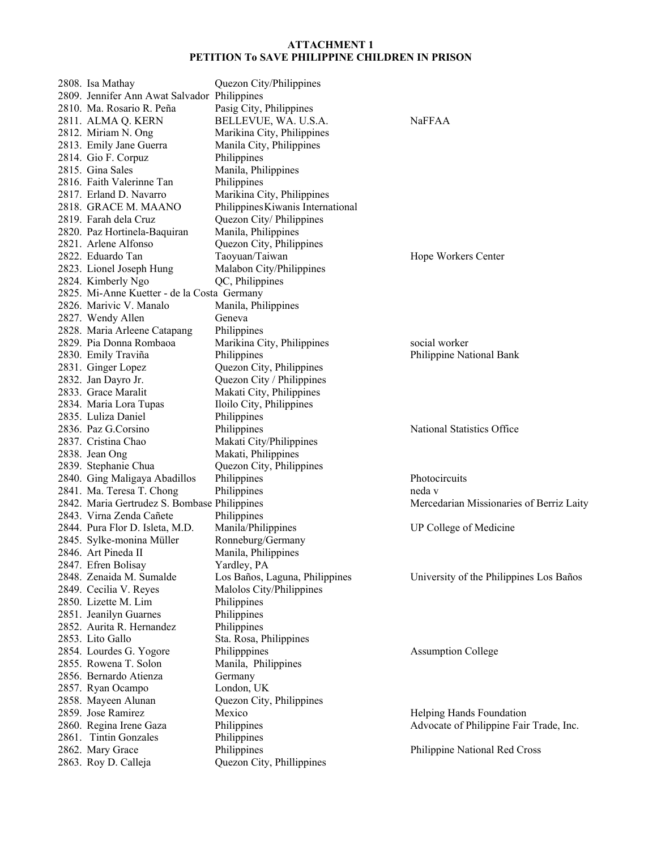| 2808. Isa Mathay                             | Quezon City/Philippines           |                                          |
|----------------------------------------------|-----------------------------------|------------------------------------------|
| 2809. Jennifer Ann Awat Salvador Philippines |                                   |                                          |
| 2810. Ma. Rosario R. Peña                    | Pasig City, Philippines           |                                          |
| 2811. ALMA Q. KERN                           | BELLEVUE, WA. U.S.A.              | <b>NaFFAA</b>                            |
| 2812. Miriam N. Ong                          | Marikina City, Philippines        |                                          |
| 2813. Emily Jane Guerra                      | Manila City, Philippines          |                                          |
| 2814. Gio F. Corpuz                          | Philippines                       |                                          |
| 2815. Gina Sales                             | Manila, Philippines               |                                          |
| 2816. Faith Valerinne Tan                    | Philippines                       |                                          |
| 2817. Erland D. Navarro                      | Marikina City, Philippines        |                                          |
| 2818. GRACE M. MAANO                         | Philippines Kiwanis International |                                          |
| 2819. Farah dela Cruz                        | Quezon City/Philippines           |                                          |
| 2820. Paz Hortinela-Baquiran                 | Manila, Philippines               |                                          |
| 2821. Arlene Alfonso                         | Quezon City, Philippines          |                                          |
| 2822. Eduardo Tan                            | Taoyuan/Taiwan                    | Hope Workers Center                      |
| 2823. Lionel Joseph Hung                     | Malabon City/Philippines          |                                          |
| 2824. Kimberly Ngo                           | QC, Philippines                   |                                          |
| 2825. Mi-Anne Kuetter - de la Costa Germany  |                                   |                                          |
| 2826. Marivic V. Manalo                      | Manila, Philippines               |                                          |
| 2827. Wendy Allen                            | Geneva                            |                                          |
| 2828. Maria Arleene Catapang                 | Philippines                       |                                          |
| 2829. Pia Donna Rombaoa                      | Marikina City, Philippines        | social worker                            |
| 2830. Emily Traviña                          | Philippines                       | Philippine National Bank                 |
| 2831. Ginger Lopez                           | Quezon City, Philippines          |                                          |
| 2832. Jan Dayro Jr.                          | Quezon City / Philippines         |                                          |
| 2833. Grace Maralit                          | Makati City, Philippines          |                                          |
| 2834. Maria Lora Tupas                       | Iloilo City, Philippines          |                                          |
| 2835. Luliza Daniel                          | Philippines                       |                                          |
| 2836. Paz G.Corsino                          | Philippines                       | National Statistics Office               |
| 2837. Cristina Chao                          | Makati City/Philippines           |                                          |
| 2838. Jean Ong                               | Makati, Philippines               |                                          |
| 2839. Stephanie Chua                         | Quezon City, Philippines          |                                          |
| 2840. Ging Maligaya Abadillos                | Philippines                       | Photocircuits                            |
| 2841. Ma. Teresa T. Chong                    | Philippines                       | neda v                                   |
| 2842. Maria Gertrudez S. Bombase Philippines |                                   | Mercedarian Missionaries of Berriz Laity |
| 2843. Virna Zenda Cañete                     | Philippines                       |                                          |
| 2844. Pura Flor D. Isleta, M.D.              | Manila/Philippines                | UP College of Medicine                   |
| 2845. Sylke-monina Müller                    | Ronneburg/Germany                 |                                          |
| 2846. Art Pineda II                          | Manila, Philippines               |                                          |
| 2847. Efren Bolisay                          | Yardley, PA                       |                                          |
| 2848. Zenaida M. Sumalde                     | Los Baños, Laguna, Philippines    | University of the Philippines Los Baños  |
| 2849. Cecilia V. Reyes                       | Malolos City/Philippines          |                                          |
| 2850. Lizette M. Lim                         | Philippines                       |                                          |
| 2851. Jeanilyn Guarnes                       | Philippines                       |                                          |
| 2852. Aurita R. Hernandez                    | Philippines                       |                                          |
| 2853. Lito Gallo                             | Sta. Rosa, Philippines            |                                          |
| 2854. Lourdes G. Yogore                      | Philipppines                      | <b>Assumption College</b>                |
| 2855. Rowena T. Solon                        | Manila, Philippines               |                                          |
| 2856. Bernardo Atienza                       | Germany                           |                                          |
| 2857. Ryan Ocampo                            | London, UK                        |                                          |
| 2858. Mayeen Alunan                          | Quezon City, Philippines          |                                          |
| 2859. Jose Ramirez                           | Mexico                            | Helping Hands Foundation                 |
| 2860. Regina Irene Gaza                      | Philippines                       | Advocate of Philippine Fair Trade, Inc.  |
| 2861. Tintin Gonzales                        | Philippines                       |                                          |
| 2862. Mary Grace                             | Philippines                       | Philippine National Red Cross            |
| 2863. Roy D. Calleja                         | Quezon City, Phillippines         |                                          |
|                                              |                                   |                                          |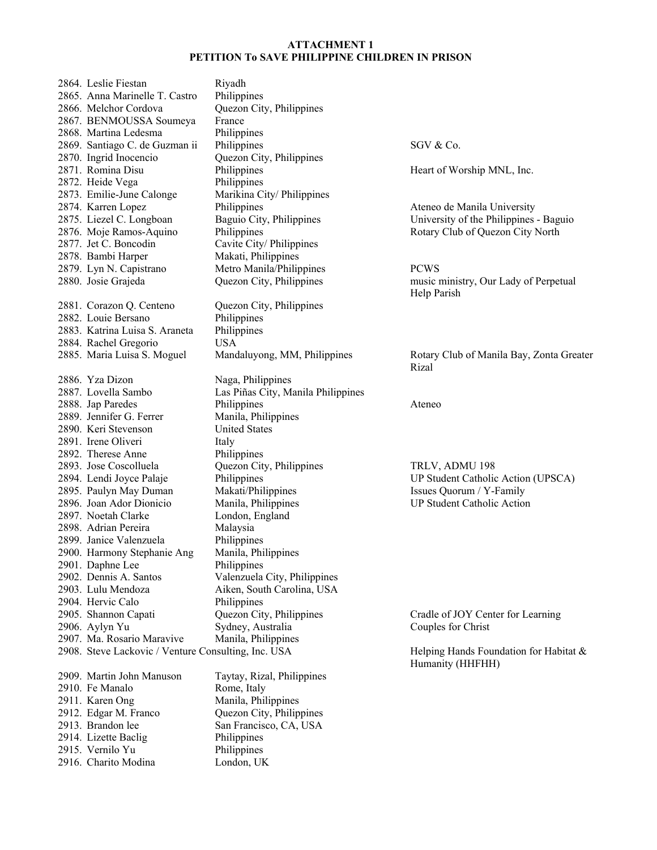| 2864. Leslie Fiestan                                 | Riyadh                             |                                                            |
|------------------------------------------------------|------------------------------------|------------------------------------------------------------|
| 2865. Anna Marinelle T. Castro                       | Philippines                        |                                                            |
| 2866. Melchor Cordova                                | Quezon City, Philippines           |                                                            |
| 2867. BENMOUSSA Soumeya                              | France                             |                                                            |
| 2868. Martina Ledesma                                | Philippines                        |                                                            |
| 2869. Santiago C. de Guzman ii                       | Philippines                        | SGV & Co.                                                  |
| 2870. Ingrid Inocencio                               | Quezon City, Philippines           |                                                            |
| 2871. Romina Disu                                    | Philippines                        | Heart of Worship MNL, Inc.                                 |
| 2872. Heide Vega                                     | Philippines                        |                                                            |
| 2873. Emilie-June Calonge                            | Marikina City/ Philippines         |                                                            |
| 2874. Karren Lopez                                   | Philippines                        | Ateneo de Manila University                                |
| 2875. Liezel C. Longboan                             | Baguio City, Philippines           | University of the Philippines - Baguio                     |
| 2876. Moje Ramos-Aquino                              | Philippines                        | Rotary Club of Quezon City North                           |
| 2877. Jet C. Boncodin                                | Cavite City/ Philippines           |                                                            |
| 2878. Bambi Harper                                   | Makati, Philippines                |                                                            |
| 2879. Lyn N. Capistrano                              | Metro Manila/Philippines           | <b>PCWS</b>                                                |
| 2880. Josie Grajeda                                  | Quezon City, Philippines           | music ministry, Our Lady of Perpetual                      |
|                                                      |                                    | Help Parish                                                |
| 2881. Corazon Q. Centeno                             | Quezon City, Philippines           |                                                            |
| 2882. Louie Bersano                                  | Philippines                        |                                                            |
| 2883. Katrina Luisa S. Araneta                       | Philippines                        |                                                            |
|                                                      | <b>USA</b>                         |                                                            |
| 2884. Rachel Gregorio<br>2885. Maria Luisa S. Moguel |                                    | Rotary Club of Manila Bay, Zonta Greater                   |
|                                                      | Mandaluyong, MM, Philippines       | Rizal                                                      |
|                                                      |                                    |                                                            |
| 2886. Yza Dizon                                      | Naga, Philippines                  |                                                            |
| 2887. Lovella Sambo                                  | Las Piñas City, Manila Philippines |                                                            |
| 2888. Jap Paredes                                    | Philippines                        | Ateneo                                                     |
| 2889. Jennifer G. Ferrer                             | Manila, Philippines                |                                                            |
| 2890. Keri Stevenson                                 | <b>United States</b>               |                                                            |
| 2891. Irene Oliveri                                  | Italy                              |                                                            |
| 2892. Therese Anne                                   | Philippines                        |                                                            |
| 2893. Jose Coscolluela                               | Quezon City, Philippines           | TRLV, ADMU 198                                             |
| 2894. Lendi Joyce Palaje                             | Philippines                        | UP Student Catholic Action (UPSCA)                         |
| 2895. Paulyn May Duman                               | Makati/Philippines                 | Issues Quorum / Y-Family                                   |
| 2896. Joan Ador Dionicio                             | Manila, Philippines                | <b>UP Student Catholic Action</b>                          |
| 2897. Noetah Clarke                                  | London, England                    |                                                            |
| 2898. Adrian Pereira                                 | Malaysia                           |                                                            |
| 2899. Janice Valenzuela                              | Philippines                        |                                                            |
| 2900. Harmony Stephanie Ang                          | Manila, Philippines                |                                                            |
| 2901. Daphne Lee                                     | Philippines                        |                                                            |
| 2902. Dennis A. Santos                               | Valenzuela City, Philippines       |                                                            |
| 2903. Lulu Mendoza                                   | Aiken, South Carolina, USA         |                                                            |
| 2904. Hervic Calo                                    | Philippines                        |                                                            |
| 2905. Shannon Capati                                 | Quezon City, Philippines           | Cradle of JOY Center for Learning                          |
| 2906. Aylyn Yu                                       | Sydney, Australia                  | Couples for Christ                                         |
| 2907. Ma. Rosario Maravive                           | Manila, Philippines                |                                                            |
| 2908. Steve Lackovic / Venture Consulting, Inc. USA  |                                    | Helping Hands Foundation for Habitat &<br>Humanity (HHFHH) |
| 2909. Martin John Manuson                            | Taytay, Rizal, Philippines         |                                                            |
| 2910. Fe Manalo                                      | Rome, Italy                        |                                                            |
| 2911. Karen Ong                                      | Manila, Philippines                |                                                            |
| 2912. Edgar M. Franco                                | Quezon City, Philippines           |                                                            |
| 2913. Brandon lee                                    | San Francisco, CA, USA             |                                                            |
| 2914. Lizette Baclig                                 | Philippines                        |                                                            |
| 2915. Vernilo Yu                                     | Philippines                        |                                                            |
| 2916. Charito Modina                                 | London, UK                         |                                                            |
|                                                      |                                    |                                                            |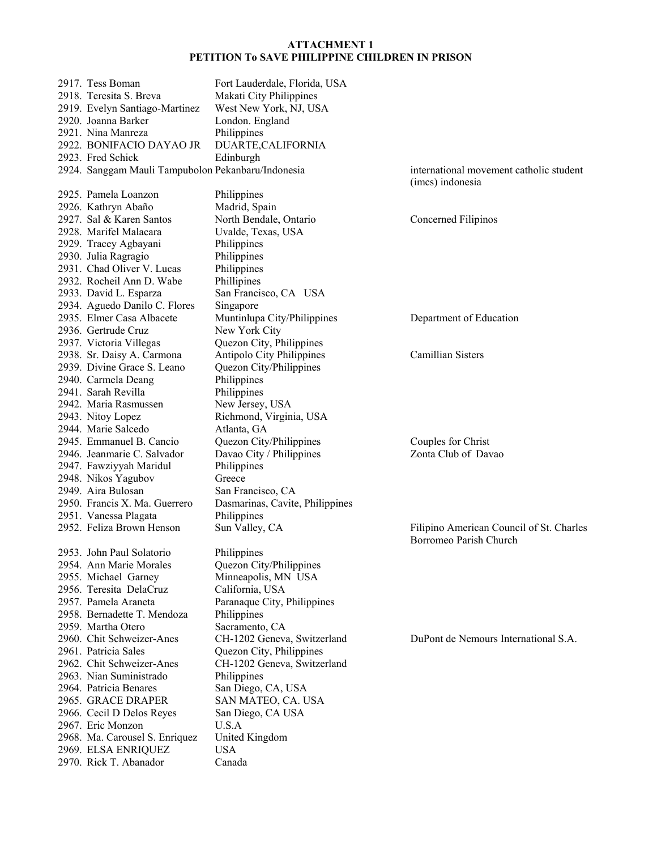2917. Tess Boman Fort Lauderdale, Florida, USA 2918. Teresita S. Breva Makati City Philippines 2919. Evelyn Santiago-Martinez West New York, NJ, USA 2920. Joanna Barker 2921. Nina Manreza Philippines 2922. BONIFACIO DAYAO JR DUARTE,CALIFORNIA 2923. Fred Schick Edinburgh 2924. Sanggam Mauli Tampubolon Pekanbaru/Indonesia international movement catholic student (imcs) indonesia 2925. Pamela Loanzon Philippines 2926. Kathryn Abaño Madrid, Spain 2927. Sal & Karen Santos North Bendale, Ontario Concerned Filipinos 2928. Marifel Malacara Uvalde, Texas, USA 2929. Tracey Agbayani Philippines 2930. Julia Ragragio Philippines 2931. Chad Oliver V. Lucas Philippines 2932. Rocheil Ann D. Wabe Phillipines 2933. David L. Esparza San Francisco, CA USA 2934. Aguedo Danilo C. Flores Singapore 2935. Elmer Casa Albacete Muntinlupa City/Philippines Department of Education 2936. Gertrude Cruz New York City 2936. Gertrude Cruz 2937. Victoria Villegas Quezon City, Philippines 2938. Sr. Daisy A. Carmona Antipolo City Philippines Camillian Sisters<br>2939. Divine Grace S. Leano Quezon City/Philippines 2939. Divine Grace S. Leano 2940. Carmela Deang Philippines 2941. Sarah Revilla Philippines 2942. Maria Rasmussen New Jersey, USA 2943. Nitoy Lopez Richmond, Virginia, USA 2944. Marie Salcedo Atlanta, GA 2945. Emmanuel B. Cancio Quezon City/Philippines Couples for Christ 2946. Jeanmarie C. Salvador Davao City / Philippines Zonta Club of Davao 2947. Fawziyyah Maridul Philippines 2948. Nikos Yagubov Greece 2949. Aira Bulosan San Francisco, CA 2950. Francis X. Ma. Guerrero Dasmarinas, Cavite, Philippines 2951. Vanessa Plagata Philippines 2952. Feliza Brown Henson Sun Valley, CA Filipino American Council of St. Charles Borromeo Parish Church 2953. John Paul Solatorio Philippines 2954. Ann Marie Morales Quezon City/Philippines 2955. Michael Garney Minneapolis, MN USA 2956. Teresita DelaCruz California, USA 2957. Pamela Araneta Paranaque City, Philippines 2958. Bernadette T. Mendoza Philippines 2959. Martha Otero Sacramento, CA 2960. Chit Schweizer-Anes CH-1202 Geneva, Switzerland DuPont de Nemours International S.A. 2961. Patricia Sales Quezon City, Philippines 2962. Chit Schweizer-Anes CH-1202 Geneva, Switzerland 2963. Nian Suministrado Philippines 2964. Patricia Benares San Diego, CA, USA 2965. GRACE DRAPER SAN MATEO, CA. USA 2966. Cecil D Delos Reyes San Diego, CA USA 2967. Eric Monzon U.S.A 2968. Ma. Carousel S. Enriquez United Kingdom 2969. ELSA ENRIQUEZ USA 2970. Rick T. Abanador Canada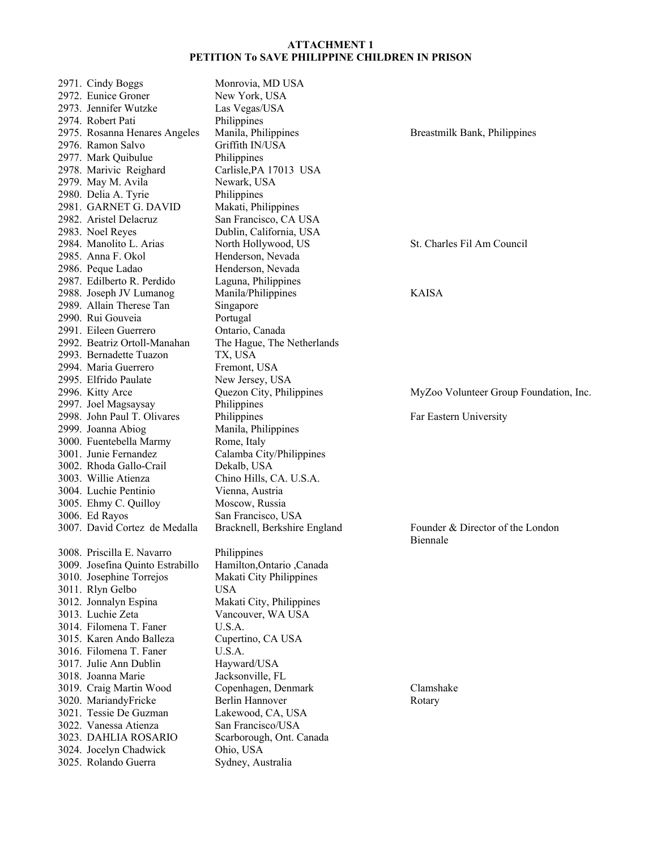|  | 2971. Cindy Boggs                | Monrovia, MD USA             |                                        |
|--|----------------------------------|------------------------------|----------------------------------------|
|  | 2972. Eunice Groner              | New York, USA                |                                        |
|  | 2973. Jennifer Wutzke            | Las Vegas/USA                |                                        |
|  | 2974. Robert Pati                | Philippines                  |                                        |
|  | 2975. Rosanna Henares Angeles    | Manila, Philippines          | Breastmilk Bank, Philippines           |
|  | 2976. Ramon Salvo                | Griffith IN/USA              |                                        |
|  | 2977. Mark Quibulue              | Philippines                  |                                        |
|  | 2978. Marivic Reighard           | Carlisle, PA 17013 USA       |                                        |
|  | 2979. May M. Avila               | Newark, USA                  |                                        |
|  | 2980. Delia A. Tyrie             |                              |                                        |
|  |                                  | Philippines                  |                                        |
|  | 2981. GARNET G. DAVID            | Makati, Philippines          |                                        |
|  | 2982. Aristel Delacruz           | San Francisco, CA USA        |                                        |
|  | 2983. Noel Reyes                 | Dublin, California, USA      |                                        |
|  | 2984. Manolito L. Arias          | North Hollywood, US          | St. Charles Fil Am Council             |
|  | 2985. Anna F. Okol               | Henderson, Nevada            |                                        |
|  | 2986. Peque Ladao                | Henderson, Nevada            |                                        |
|  | 2987. Edilberto R. Perdido       | Laguna, Philippines          |                                        |
|  | 2988. Joseph JV Lumanog          | Manila/Philippines           | <b>KAISA</b>                           |
|  | 2989. Allain Therese Tan         | Singapore                    |                                        |
|  | 2990. Rui Gouveia                | Portugal                     |                                        |
|  | 2991. Eileen Guerrero            | Ontario, Canada              |                                        |
|  | 2992. Beatriz Ortoll-Manahan     | The Hague, The Netherlands   |                                        |
|  | 2993. Bernadette Tuazon          | TX, USA                      |                                        |
|  | 2994. Maria Guerrero             | Fremont, USA                 |                                        |
|  | 2995. Elfrido Paulate            | New Jersey, USA              |                                        |
|  | 2996. Kitty Arce                 | Quezon City, Philippines     | MyZoo Volunteer Group Foundation, Inc. |
|  | 2997. Joel Magsaysay             | Philippines                  |                                        |
|  | 2998. John Paul T. Olivares      | Philippines                  | Far Eastern University                 |
|  | 2999. Joanna Abiog               | Manila, Philippines          |                                        |
|  | 3000. Fuentebella Marmy          | Rome, Italy                  |                                        |
|  | 3001. Junie Fernandez            | Calamba City/Philippines     |                                        |
|  |                                  |                              |                                        |
|  | 3002. Rhoda Gallo-Crail          | Dekalb, USA                  |                                        |
|  | 3003. Willie Atienza             | Chino Hills, CA. U.S.A.      |                                        |
|  | 3004. Luchie Pentinio            | Vienna, Austria              |                                        |
|  | 3005. Ehmy C. Quilloy            | Moscow, Russia               |                                        |
|  | 3006. Ed Rayos                   | San Francisco, USA           |                                        |
|  | 3007. David Cortez de Medalla    | Bracknell, Berkshire England | Founder & Director of the London       |
|  |                                  |                              | Biennale                               |
|  | 3008. Priscilla E. Navarro       | Philippines                  |                                        |
|  | 3009. Josefina Quinto Estrabillo | Hamilton, Ontario, Canada    |                                        |
|  | 3010. Josephine Torrejos         | Makati City Philippines      |                                        |
|  | 3011. Rlyn Gelbo                 | <b>USA</b>                   |                                        |
|  | 3012. Jonnalyn Espina            | Makati City, Philippines     |                                        |
|  | 3013. Luchie Zeta                | Vancouver, WA USA            |                                        |
|  | 3014. Filomena T. Faner          | U.S.A.                       |                                        |
|  | 3015. Karen Ando Balleza         | Cupertino, CA USA            |                                        |
|  | 3016. Filomena T. Faner          | U.S.A.                       |                                        |
|  | 3017. Julie Ann Dublin           | Hayward/USA                  |                                        |
|  | 3018. Joanna Marie               | Jacksonville, FL             |                                        |
|  | 3019. Craig Martin Wood          | Copenhagen, Denmark          | Clamshake                              |
|  | 3020. MariandyFricke             | Berlin Hannover              | Rotary                                 |
|  | 3021. Tessie De Guzman           | Lakewood, CA, USA            |                                        |
|  |                                  |                              |                                        |
|  | 3022. Vanessa Atienza            | San Francisco/USA            |                                        |
|  | 3023. DAHLIA ROSARIO             | Scarborough, Ont. Canada     |                                        |
|  | 3024. Jocelyn Chadwick           | Ohio, USA                    |                                        |
|  | 3025. Rolando Guerra             | Sydney, Australia            |                                        |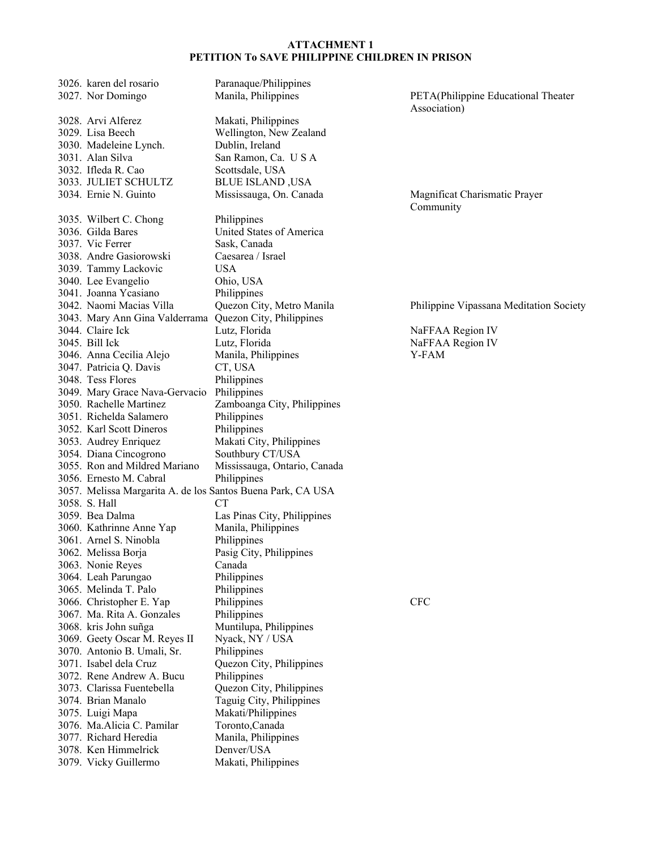3026. karen del rosario Paranaque/Philippines 3027. Nor Domingo Manila, Philippines PETA(Philippine Educational Theater 3028. Arvi Alferez Makati, Philippines 3029. Lisa Beech Wellington, New Zealand 3030. Madeleine Lynch. Dublin, Ireland 3030. Madeleine Lynch. 3031. Alan Silva San Ramon, Ca. U S A 3032. Ifleda R. Cao Scottsdale, USA 3033. JULIET SCHULTZ BLUE ISLAND ,USA 3034. Ernie N. Guinto Mississauga, On. Canada Magnificat Charismatic Prayer 3035. Wilbert C. Chong Philippines 3036. Gilda Bares United States of America 3037. Vic Ferrer Sask, Canada 3038. Andre Gasiorowski Caesarea / Israel 3039. Tammy Lackovic USA 3040. Lee Evangelio Ohio, USA 3041. Joanna Ycasiano Philippines 3042. Naomi Macias Villa Quezon City, Metro Manila Philippine Vipassana Meditation Society 3043. Mary Ann Gina Valderrama Quezon City, Philippines Lutz, Florida NaFFAA Region IV 3045. Bill Ick Lutz, Florida NaFFAA Region IV 3046. Anna Cecilia Alejo Manila, Philippines Y-FAM 3047. Patricia Q. Davis CT, USA 3048. Tess Flores Philippines 3049. Mary Grace Nava-Gervacio Philippines 3050. Rachelle Martinez Zamboanga City, Philippines 3051. Richelda Salamero Philippines 3052. Karl Scott Dineros Philippines 3053. Audrey Enriquez Makati City, Philippines 3054. Diana Cincogrono Southbury CT/USA 3055. Ron and Mildred Mariano Mississauga, Ontario, Canada 3056. Ernesto M. Cabral Philippines 3057. Melissa Margarita A. de los Santos Buena Park, CA USA 3058. S. Hall CT 3059. Bea Dalma Las Pinas City, Philippines 3060. Kathrinne Anne Yap Manila, Philippines 3061. Arnel S. Ninobla Philippines 3062. Melissa Borja Pasig City, Philippines 3063. Nonie Reyes Canada 3064. Leah Parungao Philippines 3065. Melinda T. Palo Philippines 3066. Christopher E. Yap Philippines CFC 3067. Ma. Rita A. Gonzales Philippines 3068. kris John suñga Muntilupa, Philippines 3069. Geety Oscar M. Reyes II Nyack, NY / USA 3070. Antonio B. Umali, Sr. Philippines 3071. Isabel dela Cruz Quezon City, Philippines 3072. Rene Andrew A. Bucu Philippines 3073. Clarissa Fuentebella Quezon City, Philippines 3074. Brian Manalo Taguig City, Philippines 3075. Luigi Mapa Makati/Philippines 3076. Ma.Alicia C. Pamilar Toronto,Canada 3077. Richard Heredia Manila, Philippines 3078. Ken Himmelrick Denver/USA 3079. Vicky Guillermo Makati, Philippines

Association)

Community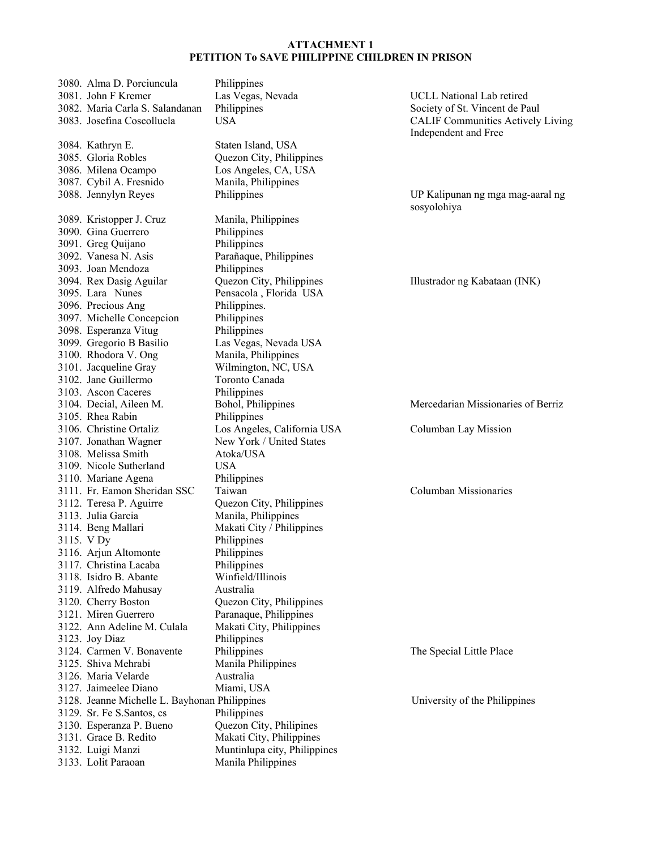|  | 3080. Alma D. Porciuncula                     | Philippines                  |                  |
|--|-----------------------------------------------|------------------------------|------------------|
|  | 3081. John F Kremer                           | Las Vegas, Nevada            | UCLL Na          |
|  | 3082. Maria Carla S. Salandanan               | Philippines                  | Society of       |
|  | 3083. Josefina Coscolluela                    | <b>USA</b>                   | <b>CALIF Co</b>  |
|  |                                               |                              | Independe        |
|  | 3084. Kathryn E.                              | Staten Island, USA           |                  |
|  | 3085. Gloria Robles                           | Quezon City, Philippines     |                  |
|  | 3086. Milena Ocampo                           | Los Angeles, CA, USA         |                  |
|  | 3087. Cybil A. Fresnido                       | Manila, Philippines          |                  |
|  | 3088. Jennylyn Reyes                          | Philippines                  | <b>UP Kalipu</b> |
|  |                                               |                              | sosyolohiy       |
|  | 3089. Kristopper J. Cruz                      | Manila, Philippines          |                  |
|  | 3090. Gina Guerrero                           | Philippines                  |                  |
|  | 3091. Greg Quijano                            | Philippines                  |                  |
|  | 3092. Vanesa N. Asis                          | Parañaque, Philippines       |                  |
|  | 3093. Joan Mendoza                            | Philippines                  |                  |
|  | 3094. Rex Dasig Aguilar                       | Quezon City, Philippines     | Illustrador      |
|  | 3095. Lara Nunes                              | Pensacola, Florida USA       |                  |
|  | 3096. Precious Ang                            | Philippines.                 |                  |
|  | 3097. Michelle Concepcion                     | Philippines                  |                  |
|  | 3098. Esperanza Vitug                         | Philippines                  |                  |
|  | 3099. Gregorio B Basilio                      | Las Vegas, Nevada USA        |                  |
|  | 3100. Rhodora V. Ong                          | Manila, Philippines          |                  |
|  | 3101. Jacqueline Gray                         | Wilmington, NC, USA          |                  |
|  | 3102. Jane Guillermo                          | Toronto Canada               |                  |
|  | 3103. Ascon Caceres                           | Philippines                  |                  |
|  | 3104. Decial, Aileen M.                       | Bohol, Philippines           | Mercedari        |
|  | 3105. Rhea Rabin                              | Philippines                  |                  |
|  | 3106. Christine Ortaliz                       | Los Angeles, California USA  | Columban         |
|  | 3107. Jonathan Wagner                         | New York / United States     |                  |
|  | 3108. Melissa Smith                           | Atoka/USA                    |                  |
|  | 3109. Nicole Sutherland                       | USA                          |                  |
|  | 3110. Mariane Agena                           | Philippines                  |                  |
|  | 3111. Fr. Eamon Sheridan SSC                  | Taiwan                       | Columban         |
|  | 3112. Teresa P. Aguirre                       | Quezon City, Philippines     |                  |
|  | 3113. Julia Garcia                            | Manila, Philippines          |                  |
|  | 3114. Beng Mallari                            | Makati City / Philippines    |                  |
|  | 3115. V Dy                                    | Philippines                  |                  |
|  | 3116. Arjun Altomonte                         | Philippines                  |                  |
|  | 3117. Christina Lacaba                        | Philippines                  |                  |
|  | 3118. Isidro B. Abante                        | Winfield/Illinois            |                  |
|  | 3119. Alfredo Mahusay                         | Australia                    |                  |
|  | 3120. Cherry Boston                           | Quezon City, Philippines     |                  |
|  | 3121. Miren Guerrero                          | Paranaque, Philippines       |                  |
|  | 3122. Ann Adeline M. Culala                   | Makati City, Philippines     |                  |
|  | 3123. Joy Diaz                                | Philippines                  |                  |
|  | 3124. Carmen V. Bonavente                     | Philippines                  | The Specia       |
|  | 3125. Shiva Mehrabi                           | Manila Philippines           |                  |
|  | 3126. Maria Velarde                           | Australia                    |                  |
|  | 3127. Jaimeelee Diano                         | Miami, USA                   |                  |
|  | 3128. Jeanne Michelle L. Bayhonan Philippines |                              | University       |
|  | 3129. Sr. Fe S. Santos, cs                    | Philippines                  |                  |
|  | 3130. Esperanza P. Bueno                      | Quezon City, Philipines      |                  |
|  | 3131. Grace B. Redito                         | Makati City, Philippines     |                  |
|  | 3132. Luigi Manzi                             | Muntinlupa city, Philippines |                  |
|  | 3133. Lolit Paraoan                           | Manila Philippines           |                  |
|  |                                               |                              |                  |

ational Lab retired St. Vincent de Paul ommunities Actively Living ent and Free

unan ng mga mag-aaral ng ya

r ng Kabataan (INK)

ian Missionaries of Berriz

Lay Mission

Missionaries

ial Little Place

y of the Philippines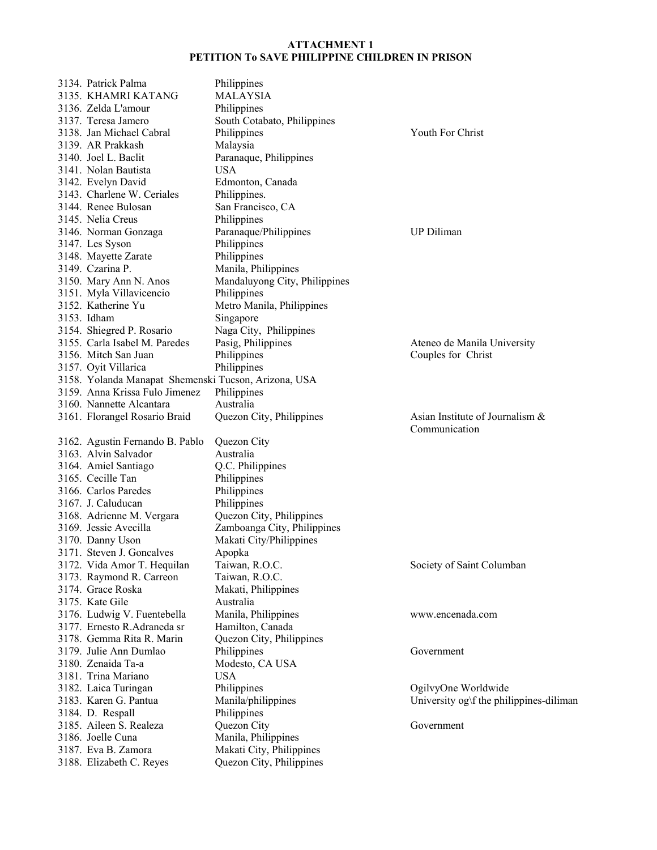| 3134. Patrick Palma                                  | Philippines                   |                                         |
|------------------------------------------------------|-------------------------------|-----------------------------------------|
| 3135. KHAMRI KATANG                                  | <b>MALAYSIA</b>               |                                         |
| 3136. Zelda L'amour                                  | Philippines                   |                                         |
| 3137. Teresa Jamero                                  | South Cotabato, Philippines   |                                         |
| 3138. Jan Michael Cabral                             | Philippines                   | Youth For Christ                        |
| 3139. AR Prakkash                                    | Malaysia                      |                                         |
| 3140. Joel L. Baclit                                 | Paranaque, Philippines        |                                         |
| 3141. Nolan Bautista                                 | <b>USA</b>                    |                                         |
|                                                      |                               |                                         |
| 3142. Evelyn David                                   | Edmonton, Canada              |                                         |
| 3143. Charlene W. Ceriales                           | Philippines.                  |                                         |
| 3144. Renee Bulosan                                  | San Francisco, CA             |                                         |
| 3145. Nelia Creus                                    | Philippines                   |                                         |
| 3146. Norman Gonzaga                                 | Paranaque/Philippines         | <b>UP</b> Diliman                       |
| 3147. Les Syson                                      | Philippines                   |                                         |
| 3148. Mayette Zarate                                 | Philippines                   |                                         |
| 3149. Czarina P.                                     | Manila, Philippines           |                                         |
| 3150. Mary Ann N. Anos                               | Mandaluyong City, Philippines |                                         |
| 3151. Myla Villavicencio                             | Philippines                   |                                         |
| 3152. Katherine Yu                                   | Metro Manila, Philippines     |                                         |
| 3153. Idham                                          | Singapore                     |                                         |
| 3154. Shiegred P. Rosario                            | Naga City, Philippines        |                                         |
| 3155. Carla Isabel M. Paredes                        | Pasig, Philippines            | Ateneo de Manila University             |
| 3156. Mitch San Juan                                 | Philippines                   | Couples for Christ                      |
| 3157. Oyit Villarica                                 | Philippines                   |                                         |
| 3158. Yolanda Manapat Shemenski Tucson, Arizona, USA |                               |                                         |
| 3159. Anna Krissa Fulo Jimenez                       | Philippines                   |                                         |
| 3160. Nannette Alcantara                             | Australia                     |                                         |
| 3161. Florangel Rosario Braid                        | Quezon City, Philippines      | Asian Institute of Journalism &         |
|                                                      |                               | Communication                           |
| 3162. Agustin Fernando B. Pablo                      | Quezon City                   |                                         |
| 3163. Alvin Salvador                                 | Australia                     |                                         |
|                                                      |                               |                                         |
| 3164. Amiel Santiago                                 | Q.C. Philippines              |                                         |
| 3165. Cecille Tan                                    | Philippines                   |                                         |
| 3166. Carlos Paredes                                 | Philippines                   |                                         |
| 3167. J. Caluducan                                   | Philippines                   |                                         |
| 3168. Adrienne M. Vergara                            | Quezon City, Philippines      |                                         |
| 3169. Jessie Avecilla                                | Zamboanga City, Philippines   |                                         |
| 3170. Danny Uson                                     | Makati City/Philippines       |                                         |
| 3171. Steven J. Goncalves                            | Apopka                        |                                         |
| 3172. Vida Amor T. Hequilan                          | Taiwan, R.O.C.                | Society of Saint Columban               |
| 3173. Raymond R. Carreon                             | Taiwan, R.O.C.                |                                         |
| 3174. Grace Roska                                    | Makati, Philippines           |                                         |
| 3175. Kate Gile                                      | Australia                     |                                         |
| 3176. Ludwig V. Fuentebella                          | Manila, Philippines           | www.encenada.com                        |
| 3177. Ernesto R.Adraneda sr                          | Hamilton, Canada              |                                         |
| 3178. Gemma Rita R. Marin                            | Quezon City, Philippines      |                                         |
| 3179. Julie Ann Dumlao                               | Philippines                   | Government                              |
| 3180. Zenaida Ta-a                                   | Modesto, CA USA               |                                         |
| 3181. Trina Mariano                                  | <b>USA</b>                    |                                         |
| 3182. Laica Turingan                                 | Philippines                   | OgilvyOne Worldwide                     |
| 3183. Karen G. Pantua                                | Manila/philippines            | University og\f the philippines-diliman |
| 3184. D. Respall                                     | Philippines                   |                                         |
| 3185. Aileen S. Realeza                              | Quezon City                   | Government                              |
| 3186. Joelle Cuna                                    | Manila, Philippines           |                                         |
| 3187. Eva B. Zamora                                  | Makati City, Philippines      |                                         |
| 3188. Elizabeth C. Reyes                             | Quezon City, Philippines      |                                         |
|                                                      |                               |                                         |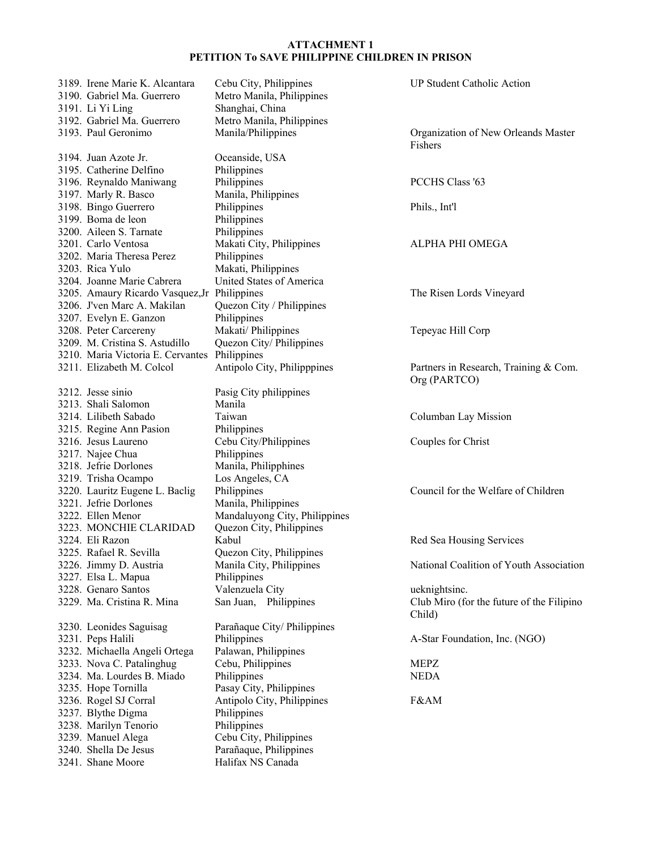|  | 3189. Irene Marie K. Alcantara               | Cebu City, Philippines        | <b>UP Student Catholic Action</b>         |
|--|----------------------------------------------|-------------------------------|-------------------------------------------|
|  | 3190. Gabriel Ma. Guerrero                   | Metro Manila, Philippines     |                                           |
|  | 3191. Li Yi Ling                             | Shanghai, China               |                                           |
|  | 3192. Gabriel Ma. Guerrero                   | Metro Manila, Philippines     |                                           |
|  | 3193. Paul Geronimo                          | Manila/Philippines            | Organization of New Orleands Master       |
|  |                                              |                               | Fishers                                   |
|  | 3194. Juan Azote Jr.                         | Oceanside, USA                |                                           |
|  | 3195. Catherine Delfino                      | Philippines                   |                                           |
|  | 3196. Reynaldo Maniwang                      | Philippines                   | <b>PCCHS Class '63</b>                    |
|  | 3197. Marly R. Basco                         | Manila, Philippines           |                                           |
|  | 3198. Bingo Guerrero                         | Philippines                   | Phils., Int'l                             |
|  | 3199. Boma de leon                           | Philippines                   |                                           |
|  | 3200. Aileen S. Tarnate                      | Philippines                   |                                           |
|  | 3201. Carlo Ventosa                          | Makati City, Philippines      | ALPHA PHI OMEGA                           |
|  | 3202. Maria Theresa Perez                    | Philippines                   |                                           |
|  | 3203. Rica Yulo                              | Makati, Philippines           |                                           |
|  | 3204. Joanne Marie Cabrera                   | United States of America      |                                           |
|  | 3205. Amaury Ricardo Vasquez, Jr Philippines |                               | The Risen Lords Vineyard                  |
|  | 3206. J'ven Marc A. Makilan                  | Quezon City / Philippines     |                                           |
|  | 3207. Evelyn E. Ganzon                       | Philippines                   |                                           |
|  | 3208. Peter Carcereny                        | Makati/ Philippines           | Tepeyac Hill Corp                         |
|  | 3209. M. Cristina S. Astudillo               | Quezon City/ Philippines      |                                           |
|  | 3210. Maria Victoria E. Cervantes            | Philippines                   |                                           |
|  | 3211. Elizabeth M. Colcol                    | Antipolo City, Philipppines   | Partners in Research, Training & Com.     |
|  |                                              |                               | Org (PARTCO)                              |
|  | 3212. Jesse sinio                            | Pasig City philippines        |                                           |
|  | 3213. Shali Salomon                          | Manila                        |                                           |
|  | 3214. Lilibeth Sabado                        | Taiwan                        | Columban Lay Mission                      |
|  | 3215. Regine Ann Pasion                      | Philippines                   |                                           |
|  | 3216. Jesus Laureno                          | Cebu City/Philippines         | Couples for Christ                        |
|  | 3217. Najee Chua                             | Philippines                   |                                           |
|  | 3218. Jefrie Dorlones                        | Manila, Philipphines          |                                           |
|  | 3219. Trisha Ocampo                          | Los Angeles, CA               |                                           |
|  | 3220. Lauritz Eugene L. Baclig               | Philippines                   | Council for the Welfare of Children       |
|  | 3221. Jefrie Dorlones                        | Manila, Philippines           |                                           |
|  | 3222. Ellen Menor                            | Mandaluyong City, Philippines |                                           |
|  | 3223. MONCHIE CLARIDAD                       | Quezon City, Philippines      |                                           |
|  | 3224. Eli Razon                              | Kabul                         | Red Sea Housing Services                  |
|  | 3225. Rafael R. Sevilla                      | Quezon City, Philippines      |                                           |
|  | 3226. Jimmy D. Austria                       | Manila City, Philippines      | National Coalition of Youth Association   |
|  | 3227. Elsa L. Mapua                          | Philippines                   |                                           |
|  | 3228. Genaro Santos                          | Valenzuela City               | ueknightsinc.                             |
|  | 3229. Ma. Cristina R. Mina                   | San Juan, Philippines         | Club Miro (for the future of the Filipino |
|  |                                              |                               | Child)                                    |
|  | 3230. Leonides Saguisag                      | Parañaque City/ Philippines   |                                           |
|  | 3231. Peps Halili                            | Philippines                   | A-Star Foundation, Inc. (NGO)             |
|  | 3232. Michaella Angeli Ortega                | Palawan, Philippines          |                                           |
|  | 3233. Nova C. Patalinghug                    | Cebu, Philippines             | <b>MEPZ</b>                               |
|  | 3234. Ma. Lourdes B. Miado                   | Philippines                   | <b>NEDA</b>                               |
|  | 3235. Hope Tornilla                          | Pasay City, Philippines       |                                           |
|  | 3236. Rogel SJ Corral                        | Antipolo City, Philippines    | F&AM                                      |
|  | 3237. Blythe Digma                           | Philippines                   |                                           |
|  | 3238. Marilyn Tenorio                        | Philippines                   |                                           |
|  | 3239. Manuel Alega                           | Cebu City, Philippines        |                                           |
|  | 3240. Shella De Jesus                        | Parañaque, Philippines        |                                           |
|  | 3241. Shane Moore                            | Halifax NS Canada             |                                           |
|  |                                              |                               |                                           |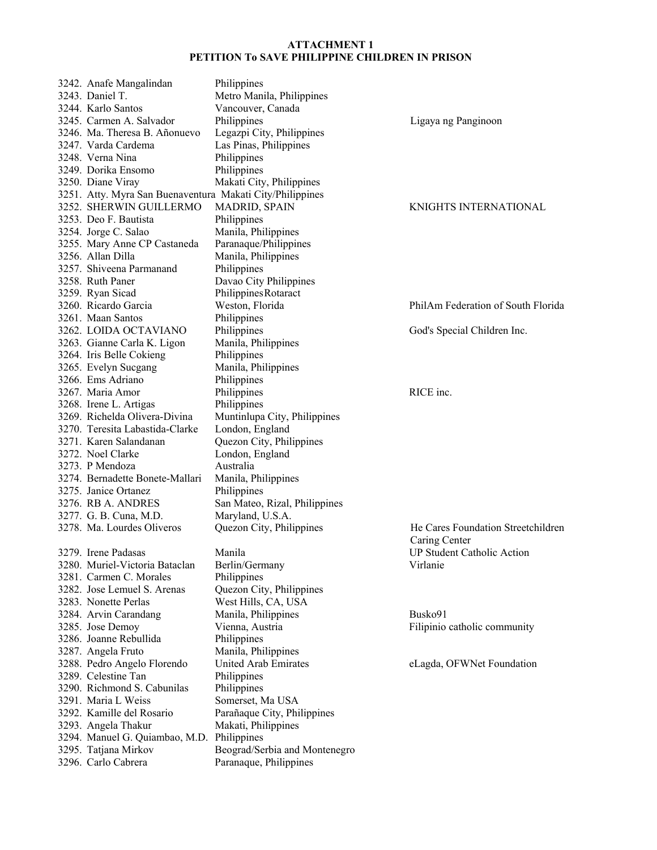| 3242. Anafe Mangalindan                                   | Philippines                   |                                    |
|-----------------------------------------------------------|-------------------------------|------------------------------------|
| 3243. Daniel T.                                           | Metro Manila, Philippines     |                                    |
| 3244. Karlo Santos                                        | Vancouver, Canada             |                                    |
| 3245. Carmen A. Salvador                                  | Philippines                   | Ligaya ng Panginoon                |
| 3246. Ma. Theresa B. Añonuevo                             | Legazpi City, Philippines     |                                    |
| 3247. Varda Cardema                                       | Las Pinas, Philippines        |                                    |
| 3248. Verna Nina                                          | Philippines                   |                                    |
| 3249. Dorika Ensomo                                       | Philippines                   |                                    |
| 3250. Diane Viray                                         |                               |                                    |
|                                                           | Makati City, Philippines      |                                    |
| 3251. Atty. Myra San Buenaventura Makati City/Philippines |                               |                                    |
| 3252. SHERWIN GUILLERMO                                   | <b>MADRID, SPAIN</b>          | KNIGHTS INTERNATIONAL              |
| 3253. Deo F. Bautista                                     | Philippines                   |                                    |
| 3254. Jorge C. Salao                                      | Manila, Philippines           |                                    |
| 3255. Mary Anne CP Castaneda                              | Paranaque/Philippines         |                                    |
| 3256. Allan Dilla                                         | Manila, Philippines           |                                    |
| 3257. Shiveena Parmanand                                  | Philippines                   |                                    |
| 3258. Ruth Paner                                          | Davao City Philippines        |                                    |
| 3259. Ryan Sicad                                          | Philippines Rotaract          |                                    |
| 3260. Ricardo Garcia                                      | Weston, Florida               | PhilAm Federation of South Florida |
| 3261. Maan Santos                                         | Philippines                   |                                    |
| 3262. LOIDA OCTAVIANO                                     | Philippines                   | God's Special Children Inc.        |
| 3263. Gianne Carla K. Ligon                               | Manila, Philippines           |                                    |
| 3264. Iris Belle Cokieng                                  | Philippines                   |                                    |
| 3265. Evelyn Sucgang                                      | Manila, Philippines           |                                    |
| 3266. Ems Adriano                                         | Philippines                   |                                    |
| 3267. Maria Amor                                          | Philippines                   | RICE inc.                          |
| 3268. Irene L. Artigas                                    | Philippines                   |                                    |
| 3269. Richelda Olivera-Divina                             | Muntinlupa City, Philippines  |                                    |
|                                                           |                               |                                    |
| 3270. Teresita Labastida-Clarke                           | London, England               |                                    |
| 3271. Karen Salandanan                                    | Quezon City, Philippines      |                                    |
| 3272. Noel Clarke                                         | London, England               |                                    |
| 3273. P Mendoza                                           | Australia                     |                                    |
| 3274. Bernadette Bonete-Mallari                           | Manila, Philippines           |                                    |
| 3275. Janice Ortanez                                      | Philippines                   |                                    |
| 3276. RB A. ANDRES                                        | San Mateo, Rizal, Philippines |                                    |
| 3277. G. B. Cuna, M.D.                                    | Maryland, U.S.A.              |                                    |
| 3278. Ma. Lourdes Oliveros                                | Quezon City, Philippines      | He Cares Foundation Streetchildren |
|                                                           |                               | Caring Center                      |
| 3279. Irene Padasas                                       | Manila                        | <b>UP Student Catholic Action</b>  |
| 3280. Muriel-Victoria Bataclan                            | Berlin/Germany                | Virlanie                           |
| 3281. Carmen C. Morales                                   | Philippines                   |                                    |
| 3282. Jose Lemuel S. Arenas                               | Quezon City, Philippines      |                                    |
| 3283. Nonette Perlas                                      | West Hills, CA, USA           |                                    |
| 3284. Arvin Carandang                                     | Manila, Philippines           | Busko91                            |
| 3285. Jose Demoy                                          | Vienna, Austria               | Filipinio catholic community       |
| 3286. Joanne Rebullida                                    | Philippines                   |                                    |
| 3287. Angela Fruto                                        | Manila, Philippines           |                                    |
| 3288. Pedro Angelo Florendo                               | United Arab Emirates          | eLagda, OFWNet Foundation          |
| 3289. Celestine Tan                                       | Philippines                   |                                    |
| 3290. Richmond S. Cabunilas                               | Philippines                   |                                    |
| 3291. Maria L Weiss                                       |                               |                                    |
|                                                           | Somerset, Ma USA              |                                    |
| 3292. Kamille del Rosario                                 | Parañaque City, Philippines   |                                    |
| 3293. Angela Thakur                                       | Makati, Philippines           |                                    |
| 3294. Manuel G. Quiambao, M.D. Philippines                |                               |                                    |
| 3295. Tatjana Mirkov                                      | Beograd/Serbia and Montenegro |                                    |
| 3296. Carlo Cabrera                                       | Paranaque, Philippines        |                                    |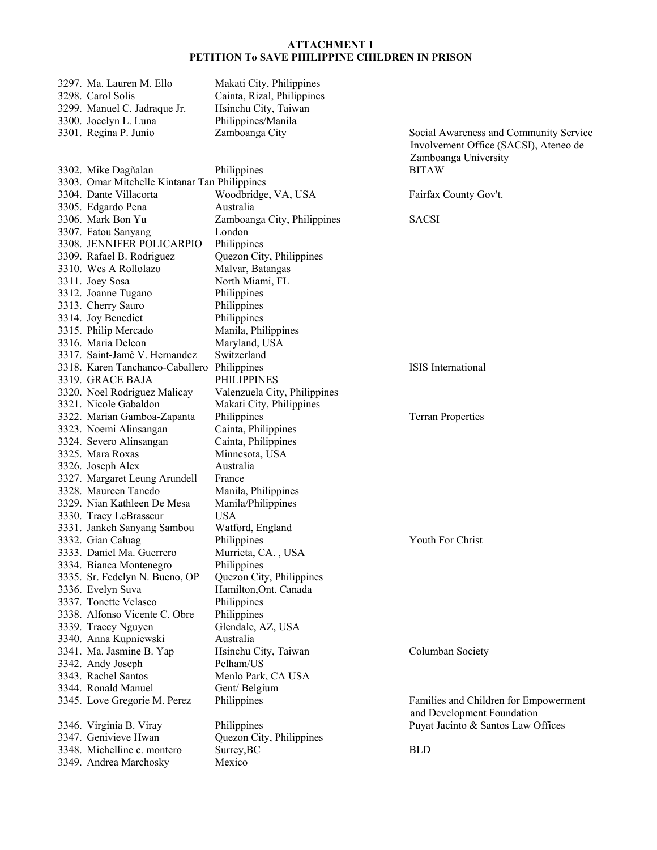| 3297. Ma. Lauren M. Ello                      | Makati City, Philippines                |                                        |
|-----------------------------------------------|-----------------------------------------|----------------------------------------|
| 3298. Carol Solis                             | Cainta, Rizal, Philippines              |                                        |
| 3299. Manuel C. Jadraque Jr.                  | Hsinchu City, Taiwan                    |                                        |
| 3300. Jocelyn L. Luna                         | Philippines/Manila                      |                                        |
| 3301. Regina P. Junio                         | Zamboanga City                          | Social Awareness and Community Service |
|                                               |                                         | Involvement Office (SACSI), Ateneo de  |
|                                               |                                         | Zamboanga University                   |
| 3302. Mike Dagñalan                           | Philippines                             | <b>BITAW</b>                           |
| 3303. Omar Mitchelle Kintanar Tan Philippines |                                         |                                        |
| 3304. Dante Villacorta                        | Woodbridge, VA, USA                     | Fairfax County Gov't.                  |
| 3305. Edgardo Pena                            | Australia                               |                                        |
| 3306. Mark Bon Yu                             | Zamboanga City, Philippines             | <b>SACSI</b>                           |
| 3307. Fatou Sanyang                           | London                                  |                                        |
| 3308. JENNIFER POLICARPIO                     | Philippines                             |                                        |
| 3309. Rafael B. Rodriguez                     | Quezon City, Philippines                |                                        |
| 3310. Wes A Rollolazo                         | Malvar, Batangas                        |                                        |
| 3311. Joey Sosa                               | North Miami, FL                         |                                        |
| 3312. Joanne Tugano                           | Philippines                             |                                        |
| 3313. Cherry Sauro                            | Philippines                             |                                        |
| 3314. Joy Benedict                            | Philippines                             |                                        |
| 3315. Philip Mercado                          | Manila, Philippines                     |                                        |
| 3316. Maria Deleon                            | Maryland, USA                           |                                        |
| 3317. Saint-Jamê V. Hernandez                 | Switzerland                             |                                        |
| 3318. Karen Tanchanco-Caballero               | Philippines                             | ISIS International                     |
| 3319. GRACE BAJA                              | PHILIPPINES                             |                                        |
| 3320. Noel Rodriguez Malicay                  | Valenzuela City, Philippines            |                                        |
| 3321. Nicole Gabaldon                         |                                         |                                        |
|                                               | Makati City, Philippines<br>Philippines |                                        |
| 3322. Marian Gamboa-Zapanta                   |                                         | <b>Terran Properties</b>               |
| 3323. Noemi Alinsangan                        | Cainta, Philippines                     |                                        |
| 3324. Severo Alinsangan                       | Cainta, Philippines                     |                                        |
| 3325. Mara Roxas                              | Minnesota, USA                          |                                        |
| 3326. Joseph Alex                             | Australia                               |                                        |
| 3327. Margaret Leung Arundell                 | France                                  |                                        |
| 3328. Maureen Tanedo                          | Manila, Philippines                     |                                        |
| 3329. Nian Kathleen De Mesa                   | Manila/Philippines                      |                                        |
| 3330. Tracy LeBrasseur                        | <b>USA</b>                              |                                        |
| 3331. Jankeh Sanyang Sambou                   | Watford, England                        |                                        |
| 3332. Gian Caluag                             | Philippines                             | Youth For Christ                       |
| 3333. Daniel Ma. Guerrero                     | Murrieta, CA., USA                      |                                        |
| 3334. Bianca Montenegro                       | Philippines                             |                                        |
| 3335. Sr. Fedelyn N. Bueno, OP                | Quezon City, Philippines                |                                        |
| 3336. Evelyn Suva                             | Hamilton, Ont. Canada                   |                                        |
| 3337. Tonette Velasco                         | Philippines                             |                                        |
| 3338. Alfonso Vicente C. Obre                 | Philippines                             |                                        |
| 3339. Tracey Nguyen                           | Glendale, AZ, USA                       |                                        |
| 3340. Anna Kupniewski                         | Australia                               |                                        |
| 3341. Ma. Jasmine B. Yap                      | Hsinchu City, Taiwan                    | Columban Society                       |
| 3342. Andy Joseph                             | Pelham/US                               |                                        |
| 3343. Rachel Santos                           | Menlo Park, CA USA                      |                                        |
| 3344. Ronald Manuel                           | Gent/Belgium                            |                                        |
| 3345. Love Gregorie M. Perez                  | Philippines                             | Families and Children for Empowerment  |
|                                               |                                         | and Development Foundation             |
| 3346. Virginia B. Viray                       | Philippines                             | Puyat Jacinto & Santos Law Offices     |
| 3347. Genivieve Hwan                          | Quezon City, Philippines                |                                        |
| 3348. Michelline c. montero                   | Surrey, BC                              | <b>BLD</b>                             |
| 3349. Andrea Marchosky                        | Mexico                                  |                                        |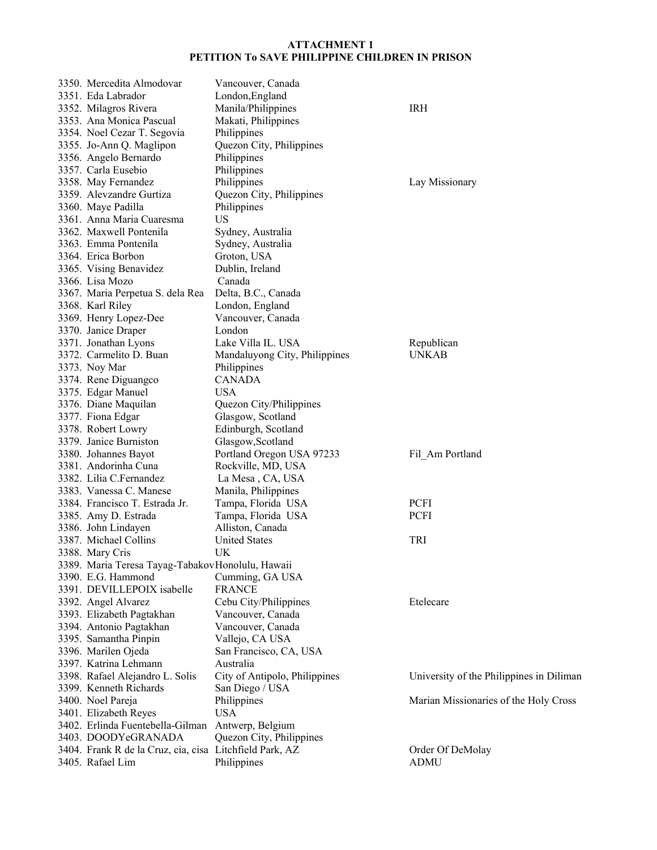| 3350. Mercedita Almodovar                               | Vancouver, Canada             |                                          |
|---------------------------------------------------------|-------------------------------|------------------------------------------|
| 3351. Eda Labrador                                      | London, England               |                                          |
| 3352. Milagros Rivera                                   | Manila/Philippines            | <b>IRH</b>                               |
| 3353. Ana Monica Pascual                                | Makati, Philippines           |                                          |
| 3354. Noel Cezar T. Segovia                             | Philippines                   |                                          |
| 3355. Jo-Ann Q. Maglipon                                | Quezon City, Philippines      |                                          |
| 3356. Angelo Bernardo                                   | Philippines                   |                                          |
| 3357. Carla Eusebio                                     | Philippines                   |                                          |
| 3358. May Fernandez                                     | Philippines                   | Lay Missionary                           |
| 3359. Alevzandre Gurtiza                                | Quezon City, Philippines      |                                          |
| 3360. Maye Padilla                                      | Philippines                   |                                          |
| 3361. Anna Maria Cuaresma                               | <b>US</b>                     |                                          |
| 3362. Maxwell Pontenila                                 | Sydney, Australia             |                                          |
| 3363. Emma Pontenila                                    |                               |                                          |
|                                                         | Sydney, Australia             |                                          |
| 3364. Erica Borbon                                      | Groton, USA                   |                                          |
| 3365. Vising Benavidez                                  | Dublin, Ireland               |                                          |
| 3366. Lisa Mozo                                         | Canada                        |                                          |
| 3367. Maria Perpetua S. dela Rea                        | Delta, B.C., Canada           |                                          |
| 3368. Karl Riley                                        | London, England               |                                          |
| 3369. Henry Lopez-Dee                                   | Vancouver, Canada             |                                          |
| 3370. Janice Draper                                     | London                        |                                          |
| 3371. Jonathan Lyons                                    | Lake Villa IL. USA            | Republican                               |
| 3372. Carmelito D. Buan                                 | Mandaluyong City, Philippines | <b>UNKAB</b>                             |
| 3373. Noy Mar                                           | Philippines                   |                                          |
| 3374. Rene Diguangco                                    | <b>CANADA</b>                 |                                          |
| 3375. Edgar Manuel                                      | <b>USA</b>                    |                                          |
| 3376. Diane Maquilan                                    | Quezon City/Philippines       |                                          |
| 3377. Fiona Edgar                                       | Glasgow, Scotland             |                                          |
| 3378. Robert Lowry                                      | Edinburgh, Scotland           |                                          |
| 3379. Janice Burniston                                  | Glasgow, Scotland             |                                          |
| 3380. Johannes Bayot                                    | Portland Oregon USA 97233     | Fil Am Portland                          |
| 3381. Andorinha Cuna                                    | Rockville, MD, USA            |                                          |
| 3382. Lilia C.Fernandez                                 | La Mesa, CA, USA              |                                          |
| 3383. Vanessa C. Manese                                 | Manila, Philippines           |                                          |
| 3384. Francisco T. Estrada Jr.                          | Tampa, Florida USA            | <b>PCFI</b>                              |
| 3385. Amy D. Estrada                                    | Tampa, Florida USA            | PCFI                                     |
| 3386. John Lindayen                                     | Alliston, Canada              |                                          |
| 3387. Michael Collins                                   | <b>United States</b>          | TRI                                      |
| 3388. Mary Cris                                         | UK.                           |                                          |
| 3389. Maria Teresa Tayag-Tabakov Honolulu, Hawaii       |                               |                                          |
| 3390. E.G. Hammond                                      | Cumming, GA USA               |                                          |
| 3391. DEVILLEPOIX isabelle                              | <b>FRANCE</b>                 |                                          |
|                                                         | Cebu City/Philippines         | Etelecare                                |
| 3392. Angel Alvarez                                     |                               |                                          |
| 3393. Elizabeth Pagtakhan                               | Vancouver, Canada             |                                          |
| 3394. Antonio Pagtakhan                                 | Vancouver, Canada             |                                          |
| 3395. Samantha Pinpin                                   | Vallejo, CA USA               |                                          |
| 3396. Marilen Ojeda                                     | San Francisco, CA, USA        |                                          |
| 3397. Katrina Lehmann                                   | Australia                     |                                          |
| 3398. Rafael Alejandro L. Solis                         | City of Antipolo, Philippines | University of the Philippines in Diliman |
| 3399. Kenneth Richards                                  | San Diego / USA               |                                          |
| 3400. Noel Pareja                                       | Philippines                   | Marian Missionaries of the Holy Cross    |
| 3401. Elizabeth Reyes                                   | <b>USA</b>                    |                                          |
| 3402. Erlinda Fuentebella-Gilman                        | Antwerp, Belgium              |                                          |
| 3403. DOODYeGRANADA                                     | Quezon City, Philippines      |                                          |
| 3404. Frank R de la Cruz, cia, cisa Litchfield Park, AZ |                               | Order Of DeMolay                         |
| 3405. Rafael Lim                                        | Philippines                   | <b>ADMU</b>                              |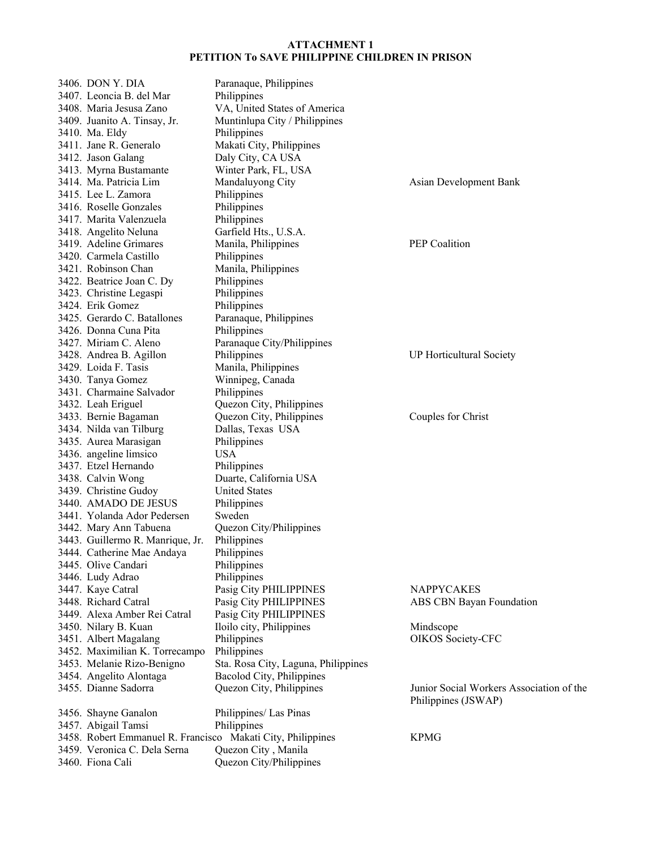3406. DON Y. DIA Paranaque, Philippines 3407. Leoncia B. del Mar Philippines 3408. Maria Jesusa Zano VA, United States of America 3409. Juanito A. Tinsay, Jr. Muntinlupa City / Philippines 3410. Ma. Eldy Philippines 3411. Jane R. Generalo Makati City, Philippines 3412. Jason Galang Daly City, CA USA 3413. Myrna Bustamante Winter Park, FL, USA 3414. Ma. Patricia Lim Mandaluyong City Asian Development Bank 3415. Lee L. Zamora Philippines 3416. Roselle Gonzales Philippines 3417. Marita Valenzuela Philippines 3418. Angelito Neluna Garfield Hts., U.S.A. 3419. Adeline Grimares Manila, Philippines PEP Coalition 3420. Carmela Castillo Philippines 3421. Robinson Chan Manila, Philippines 3422. Beatrice Joan C. Dy Philippines 3423. Christine Legaspi Philippines 3424. Erik Gomez Philippines 3425. Gerardo C. Batallones Paranaque, Philippines 3426. Donna Cuna Pita Philippines 3427. Miriam C. Aleno Paranaque City/Philippines 3428. Andrea B. Agillon Philippines UP Horticultural Society 3429. Loida F. Tasis Manila, Philippines 3430. Tanya Gomez Winnipeg, Canada 3431. Charmaine Salvador Philippines 3432. Leah Eriguel Quezon City, Philippines 3433. Bernie Bagaman Quezon City, Philippines Couples for Christ 3434. Nilda van Tilburg Dallas, Texas USA 3435. Aurea Marasigan Philippines 3436. angeline limsico USA 3437. Etzel Hernando Philippines 3438. Calvin Wong Duarte, California USA 3439. Christine Gudoy United States 3440. AMADO DE JESUS Philippines 3441. Yolanda Ador Pedersen Sweden 3442. Mary Ann Tabuena Quezon City/Philippines 3443. Guillermo R. Manrique, Jr. Philippines 3444. Catherine Mae Andaya Philippines 3445. Olive Candari Philippines 3446. Ludy Adrao Philippines 3447. Kaye Catral Pasig City PHILIPPINES NAPPYCAKES 3448. Richard Catral Pasig City PHILIPPINES ABS CBN Bayan Foundation 3449. Alexa Amber Rei Catral Pasig City PHILIPPINES 3450. Nilary B. Kuan Iloilo city, Philippines Mindscope 3451. Albert Magalang Philippines OIKOS Society-CFC 3452. Maximilian K. Torrecampo Philippines 3453. Melanie Rizo-Benigno Sta. Rosa City, Laguna, Philippines 3454. Angelito Alontaga Bacolod City, Philippines 3455. Dianne Sadorra Quezon City, Philippines Junior Social Workers Association of the Philippines (JSWAP) 3456. Shayne Ganalon Philippines/ Las Pinas 3457. Abigail Tamsi Philippines 3458. Robert Emmanuel R. Francisco Makati City, Philippines KPMG 3459. Veronica C. Dela Serna Quezon City , Manila 3460. Fiona Cali Quezon City/Philippines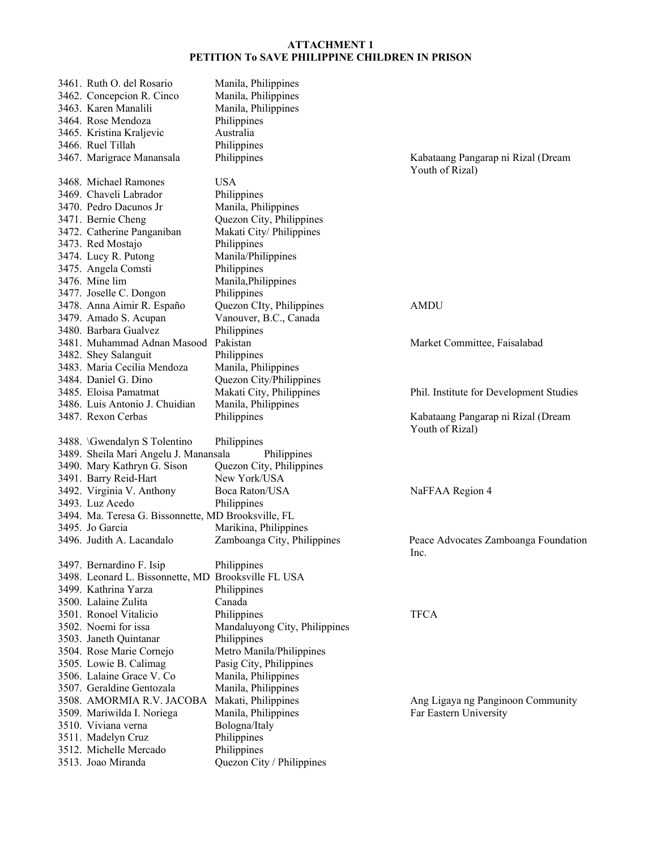| 3461. Ruth O. del Rosario                           | Manila, Philippines           |                                         |
|-----------------------------------------------------|-------------------------------|-----------------------------------------|
| 3462. Concepcion R. Cinco                           | Manila, Philippines           |                                         |
| 3463. Karen Manalili                                | Manila, Philippines           |                                         |
| 3464. Rose Mendoza                                  | Philippines                   |                                         |
| 3465. Kristina Kraljevic                            | Australia                     |                                         |
| 3466. Ruel Tillah                                   | Philippines                   |                                         |
| 3467. Marigrace Manansala                           | Philippines                   | Kabataang Pangarap ni Rizal (Dream      |
|                                                     |                               | Youth of Rizal)                         |
| 3468. Michael Ramones                               | <b>USA</b>                    |                                         |
| 3469. Chaveli Labrador                              | Philippines                   |                                         |
| 3470. Pedro Dacunos Jr                              | Manila, Philippines           |                                         |
| 3471. Bernie Cheng                                  | Quezon City, Philippines      |                                         |
|                                                     |                               |                                         |
| 3472. Catherine Panganiban                          | Makati City/ Philippines      |                                         |
| 3473. Red Mostajo                                   | Philippines                   |                                         |
| 3474. Lucy R. Putong                                | Manila/Philippines            |                                         |
| 3475. Angela Comsti                                 | Philippines                   |                                         |
| 3476. Mine lim                                      | Manila, Philippines           |                                         |
| 3477. Joselle C. Dongon                             | Philippines                   |                                         |
| 3478. Anna Aimir R. Españo                          | Quezon CIty, Philippines      | <b>AMDU</b>                             |
| 3479. Amado S. Acupan                               | Vanouver, B.C., Canada        |                                         |
| 3480. Barbara Gualvez                               | Philippines                   |                                         |
| 3481. Muhammad Adnan Masood Pakistan                |                               | Market Committee, Faisalabad            |
| 3482. Shey Salanguit                                | Philippines                   |                                         |
| 3483. Maria Cecilia Mendoza                         | Manila, Philippines           |                                         |
| 3484. Daniel G. Dino                                | Quezon City/Philippines       |                                         |
| 3485. Eloisa Pamatmat                               | Makati City, Philippines      | Phil. Institute for Development Studies |
| 3486. Luis Antonio J. Chuidian                      | Manila, Philippines           |                                         |
| 3487. Rexon Cerbas                                  | Philippines                   | Kabataang Pangarap ni Rizal (Dream      |
|                                                     |                               | Youth of Rizal)                         |
| 3488. \Gwendalyn S Tolentino                        | Philippines                   |                                         |
| 3489. Sheila Mari Angelu J. Manansala               | Philippines                   |                                         |
| 3490. Mary Kathryn G. Sison                         | Quezon City, Philippines      |                                         |
| 3491. Barry Reid-Hart                               | New York/USA                  |                                         |
|                                                     |                               |                                         |
| 3492. Virginia V. Anthony                           | Boca Raton/USA                | NaFFAA Region 4                         |
| 3493. Luz Acedo                                     | Philippines                   |                                         |
| 3494. Ma. Teresa G. Bissonnette, MD Brooksville, FL |                               |                                         |
| 3495. Jo Garcia                                     | Marikina, Philippines         |                                         |
| 3496. Judith A. Lacandalo                           | Zamboanga City, Philippines   | Peace Advocates Zamboanga Foundation    |
|                                                     |                               | Inc.                                    |
| 3497. Bernardino F. Isip                            | Philippines                   |                                         |
| 3498. Leonard L. Bissonnette, MD Brooksville FL USA |                               |                                         |
| 3499. Kathrina Yarza                                | Philippines                   |                                         |
| 3500. Lalaine Zulita                                | Canada                        |                                         |
| 3501. Ronoel Vitalicio                              | Philippines                   | <b>TFCA</b>                             |
| 3502. Noemi for issa                                | Mandaluyong City, Philippines |                                         |
| 3503. Janeth Quintanar                              | Philippines                   |                                         |
| 3504. Rose Marie Cornejo                            | Metro Manila/Philippines      |                                         |
| 3505. Lowie B. Calimag                              | Pasig City, Philippines       |                                         |
| 3506. Lalaine Grace V. Co.                          | Manila, Philippines           |                                         |
| 3507. Geraldine Gentozala                           | Manila, Philippines           |                                         |
| 3508. AMORMIA R.V. JACOBA                           | Makati, Philippines           | Ang Ligaya ng Panginoon Community       |
| 3509. Mariwilda I. Noriega                          | Manila, Philippines           | Far Eastern University                  |
| 3510. Viviana verna                                 | Bologna/Italy                 |                                         |
| 3511. Madelyn Cruz                                  | Philippines                   |                                         |
| 3512. Michelle Mercado                              | Philippines                   |                                         |
| 3513. Joao Miranda                                  | Quezon City / Philippines     |                                         |
|                                                     |                               |                                         |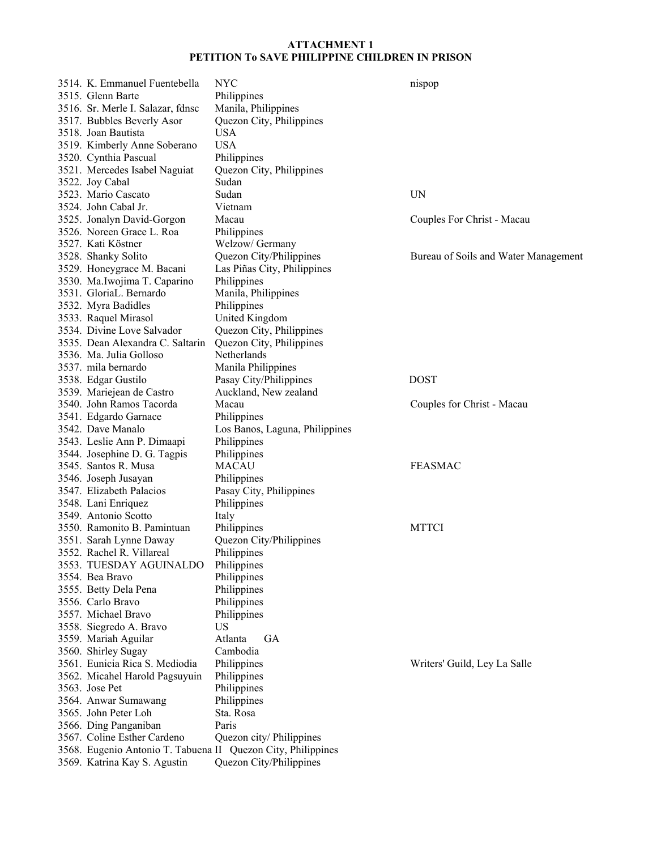| 3514. K. Emmanuel Fuentebella                                | <b>NYC</b>                                           | nispop                               |
|--------------------------------------------------------------|------------------------------------------------------|--------------------------------------|
| 3515. Glenn Barte                                            | Philippines                                          |                                      |
| 3516. Sr. Merle I. Salazar, fdnsc                            | Manila, Philippines                                  |                                      |
| 3517. Bubbles Beverly Asor                                   | Quezon City, Philippines                             |                                      |
| 3518. Joan Bautista                                          | <b>USA</b>                                           |                                      |
| 3519. Kimberly Anne Soberano                                 | <b>USA</b>                                           |                                      |
| 3520. Cynthia Pascual                                        | Philippines                                          |                                      |
| 3521. Mercedes Isabel Naguiat                                | Quezon City, Philippines                             |                                      |
| 3522. Joy Cabal                                              | Sudan                                                |                                      |
| 3523. Mario Cascato                                          | Sudan                                                | UN                                   |
| 3524. John Cabal Jr.                                         | Vietnam                                              |                                      |
| 3525. Jonalyn David-Gorgon                                   | Macau                                                | Couples For Christ - Macau           |
| 3526. Noreen Grace L. Roa                                    | Philippines                                          |                                      |
| 3527. Kati Köstner                                           | Welzow/ Germany                                      |                                      |
| 3528. Shanky Solito                                          | Quezon City/Philippines                              | Bureau of Soils and Water Management |
| 3529. Honeygrace M. Bacani                                   | Las Piñas City, Philippines                          |                                      |
| 3530. Ma.Iwojima T. Caparino                                 | Philippines                                          |                                      |
| 3531. GloriaL. Bernardo                                      | Manila, Philippines                                  |                                      |
| 3532. Myra Badidles                                          | Philippines                                          |                                      |
| 3533. Raquel Mirasol                                         | United Kingdom                                       |                                      |
| 3534. Divine Love Salvador                                   |                                                      |                                      |
| 3535. Dean Alexandra C. Saltarin                             | Quezon City, Philippines<br>Quezon City, Philippines |                                      |
| 3536. Ma. Julia Golloso                                      | Netherlands                                          |                                      |
|                                                              |                                                      |                                      |
| 3537. mila bernardo                                          | Manila Philippines                                   |                                      |
| 3538. Edgar Gustilo                                          | Pasay City/Philippines                               | <b>DOST</b>                          |
| 3539. Mariejean de Castro                                    | Auckland, New zealand                                |                                      |
| 3540. John Ramos Tacorda                                     | Macau                                                | Couples for Christ - Macau           |
| 3541. Edgardo Garnace                                        | Philippines                                          |                                      |
| 3542. Dave Manalo                                            | Los Banos, Laguna, Philippines                       |                                      |
| 3543. Leslie Ann P. Dimaapi                                  | Philippines                                          |                                      |
| 3544. Josephine D. G. Tagpis                                 | Philippines                                          |                                      |
| 3545. Santos R. Musa                                         | <b>MACAU</b>                                         | <b>FEASMAC</b>                       |
| 3546. Joseph Jusayan                                         | Philippines                                          |                                      |
| 3547. Elizabeth Palacios                                     | Pasay City, Philippines                              |                                      |
| 3548. Lani Enriquez                                          | Philippines                                          |                                      |
| 3549. Antonio Scotto                                         | Italy                                                |                                      |
| 3550. Ramonito B. Pamintuan                                  | Philippines                                          | <b>MTTCI</b>                         |
| 3551. Sarah Lynne Daway                                      | Quezon City/Philippines                              |                                      |
| 3552. Rachel R. Villareal                                    | Philippines                                          |                                      |
| 3553. TUESDAY AGUINALDO                                      | Philippines                                          |                                      |
| 3554. Bea Bravo                                              | Philippines                                          |                                      |
| 3555. Betty Dela Pena                                        | Philippines                                          |                                      |
| 3556. Carlo Bravo                                            | Philippines                                          |                                      |
| 3557. Michael Bravo                                          | Philippines                                          |                                      |
| 3558. Siegredo A. Bravo                                      | US                                                   |                                      |
| 3559. Mariah Aguilar                                         | <b>GA</b><br>Atlanta                                 |                                      |
| 3560. Shirley Sugay                                          | Cambodia                                             |                                      |
| 3561. Eunicia Rica S. Mediodia                               | Philippines                                          | Writers' Guild, Ley La Salle         |
| 3562. Micahel Harold Pagsuyuin                               | Philippines                                          |                                      |
| 3563. Jose Pet                                               | Philippines                                          |                                      |
| 3564. Anwar Sumawang                                         | Philippines                                          |                                      |
| 3565. John Peter Loh                                         | Sta. Rosa                                            |                                      |
| 3566. Ding Panganiban                                        | Paris                                                |                                      |
| 3567. Coline Esther Cardeno                                  | Quezon city/ Philippines                             |                                      |
| 3568. Eugenio Antonio T. Tabuena II Quezon City, Philippines |                                                      |                                      |
| 3569. Katrina Kay S. Agustin                                 | Quezon City/Philippines                              |                                      |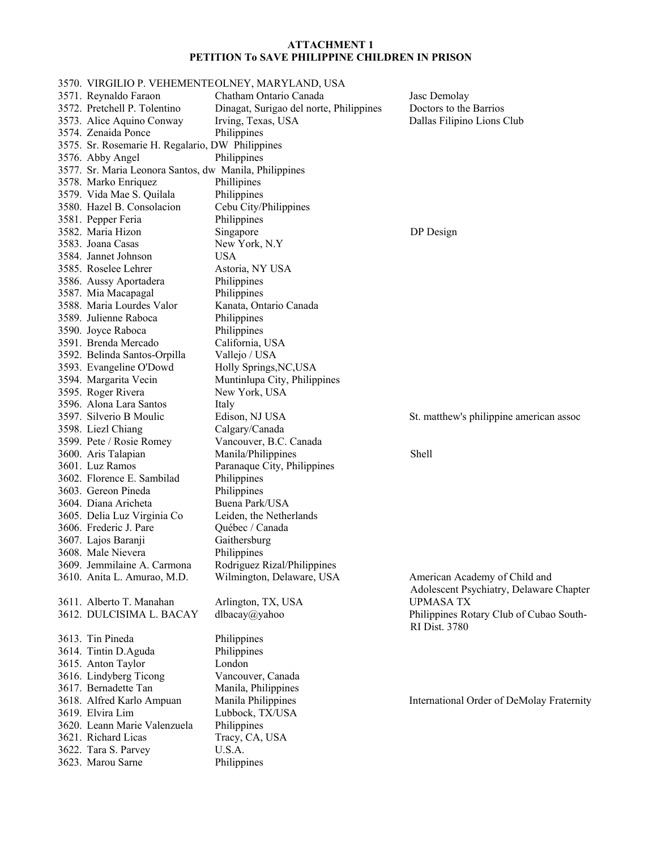3570. VIRGILIO P. VEHEMENTE OLNEY, MARYLAND, USA 3571. Reynaldo Faraon Chatham Ontario Canada Jasc Demolay 3572. Pretchell P. Tolentino Dinagat, Surigao del norte, Philippines Doctors to the Barrios 3573. Alice Aquino Conway Irving, Texas, USA Dallas Filipino Lions Club 3574. Zenaida Ponce Philippines 3575. Sr. Rosemarie H. Regalario, DW Philippines 3576. Abby Angel Philippines 3577. Sr. Maria Leonora Santos, dw Manila, Philippines 3578. Marko Enriquez Phillipines 3579. Vida Mae S. Quilala Philippines 3580. Hazel B. Consolacion Cebu City/Philippines 3581. Pepper Feria Philippines 3582. Maria Hizon Singapore DP Design 3583. Joana Casas New York, N.Y 3584. Jannet Johnson USA 3585. Roselee Lehrer Astoria, NY USA 3586. Aussy Aportadera Philippines 3587. Mia Macapagal Philippines 3588. Maria Lourdes Valor Kanata, Ontario Canada 3589. Julienne Raboca Philippines 3590. Joyce Raboca Philippines 3591. Brenda Mercado California, USA 3592. Belinda Santos-Orpilla Vallejo / USA 3593. Evangeline O'Dowd Holly Springs,NC,USA 3594. Margarita Vecin Muntinlupa City, Philippines 3595. Roger Rivera New York, USA 3596. Alona Lara Santos Italy 3597. Silverio B Moulic Edison, NJ USA St. matthew's philippine american assoc 3598. Liezl Chiang Calgary/Canada 3599. Pete / Rosie Romey Vancouver, B.C. Canada 3600. Aris Talapian Manila/Philippines Shell 3601. Luz Ramos Paranaque City, Philippines 3602. Florence E. Sambilad Philippines 3603. Gereon Pineda Philippines 3604. Diana Aricheta Buena Park/USA 3605. Delia Luz Virginia Co Leiden, the Netherlands 3606. Frederic J. Pare Québec / Canada 3607. Lajos Baranji Gaithersburg 3608. Male Nievera Philippines 3609. Jemmilaine A. Carmona Rodriguez Rizal/Philippines 3610. Anita L. Amurao, M.D. Wilmington, Delaware, USA American Academy of Child and Adolescent Psychiatry, Delaware Chapter 3611. Alberto T. Manahan Arlington, TX, USA UPMASA TX 3612. DULCISIMA L. BACAY dlbacay@yahoo Philippines Rotary Club of Cubao South-RI Dist. 3780 3613. Tin Pineda Philippines 3614. Tintin D.Aguda Philippines 3615. Anton Taylor London 3616. Lindyberg Ticong Vancouver, Canada 3617. Bernadette Tan Manila, Philippines 3618. Alfred Karlo Ampuan Manila Philippines International Order of DeMolay Fraternity 3619. Elvira Lim Lubbock, TX/USA 3620. Leann Marie Valenzuela Philippines 3621. Richard Licas Tracy, CA, USA 3622. Tara S. Parvey U.S.A. 3623. Marou Sarne Philippines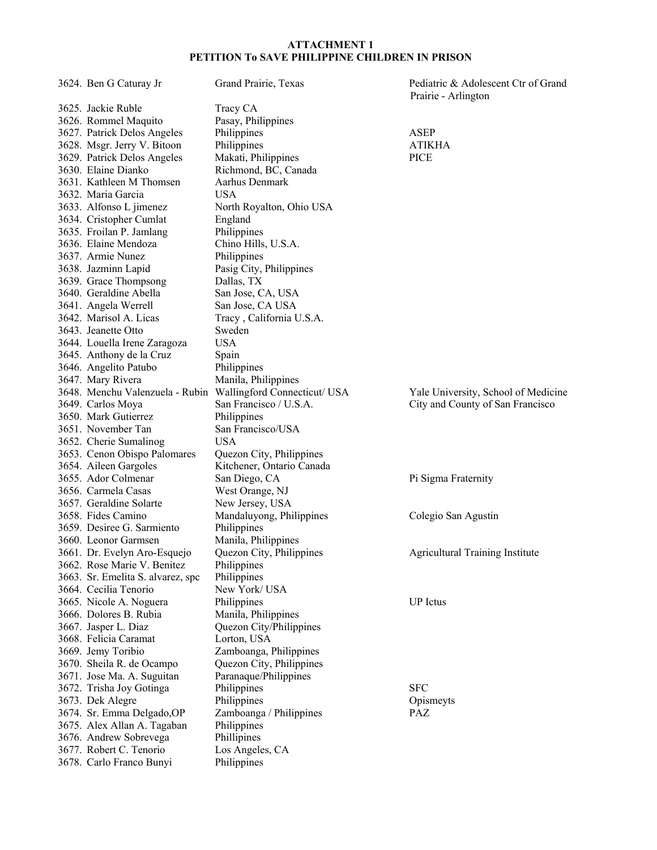| 3624. Ben G Caturay Jr            | Grand Prairie, Texas                                         | Pediatric & Adolescent Ctr of Grand<br>Prairie - Arlington |
|-----------------------------------|--------------------------------------------------------------|------------------------------------------------------------|
| 3625. Jackie Ruble                | Tracy CA                                                     |                                                            |
| 3626. Rommel Maquito              | Pasay, Philippines                                           |                                                            |
| 3627. Patrick Delos Angeles       | Philippines                                                  | ASEP                                                       |
| 3628. Msgr. Jerry V. Bitoon       | Philippines                                                  | <b>ATIKHA</b>                                              |
| 3629. Patrick Delos Angeles       | Makati, Philippines                                          | <b>PICE</b>                                                |
| 3630. Elaine Dianko               | Richmond, BC, Canada                                         |                                                            |
| 3631. Kathleen M Thomsen          | Aarhus Denmark                                               |                                                            |
| 3632. Maria Garcia                | <b>USA</b>                                                   |                                                            |
| 3633. Alfonso L jimenez           | North Royalton, Ohio USA                                     |                                                            |
| 3634. Cristopher Cumlat           |                                                              |                                                            |
| 3635. Froilan P. Jamlang          | England<br>Philippines                                       |                                                            |
| 3636. Elaine Mendoza              |                                                              |                                                            |
|                                   | Chino Hills, U.S.A.                                          |                                                            |
| 3637. Armie Nunez                 | Philippines                                                  |                                                            |
| 3638. Jazminn Lapid               | Pasig City, Philippines                                      |                                                            |
| 3639. Grace Thompsong             | Dallas, TX                                                   |                                                            |
| 3640. Geraldine Abella            | San Jose, CA, USA                                            |                                                            |
| 3641. Angela Werrell              | San Jose, CA USA                                             |                                                            |
| 3642. Marisol A. Licas            | Tracy, California U.S.A.                                     |                                                            |
| 3643. Jeanette Otto               | Sweden                                                       |                                                            |
| 3644. Louella Irene Zaragoza      | <b>USA</b>                                                   |                                                            |
| 3645. Anthony de la Cruz          | Spain                                                        |                                                            |
| 3646. Angelito Patubo             | Philippines                                                  |                                                            |
| 3647. Mary Rivera                 | Manila, Philippines                                          |                                                            |
|                                   | 3648. Menchu Valenzuela - Rubin Wallingford Connecticut/ USA | Yale University, School of Medicine                        |
| 3649. Carlos Moya                 | San Francisco / U.S.A.                                       | City and County of San Francisco                           |
| 3650. Mark Gutierrez              | Philippines                                                  |                                                            |
| 3651. November Tan                | San Francisco/USA                                            |                                                            |
| 3652. Cherie Sumalinog            | <b>USA</b>                                                   |                                                            |
| 3653. Cenon Obispo Palomares      | Quezon City, Philippines                                     |                                                            |
| 3654. Aileen Gargoles             | Kitchener, Ontario Canada                                    |                                                            |
| 3655. Ador Colmenar               | San Diego, CA                                                | Pi Sigma Fraternity                                        |
| 3656. Carmela Casas               | West Orange, NJ                                              |                                                            |
| 3657. Geraldine Solarte           | New Jersey, USA                                              |                                                            |
| 3658. Fides Camino                | Mandaluyong, Philippines                                     | Colegio San Agustin                                        |
| 3659. Desiree G. Sarmiento        | Philippines                                                  |                                                            |
| 3660. Leonor Garmsen              | Manila, Philippines                                          |                                                            |
| 3661. Dr. Evelyn Aro-Esquejo      | Quezon City, Philippines                                     | <b>Agricultural Training Institute</b>                     |
| 3662. Rose Marie V. Benitez       | Philippines                                                  |                                                            |
| 3663. Sr. Emelita S. alvarez, spc | Philippines                                                  |                                                            |
| 3664. Cecilia Tenorio             | New York/USA                                                 |                                                            |
| 3665. Nicole A. Noguera           | Philippines                                                  | <b>UP</b> Ictus                                            |
| 3666. Dolores B. Rubia            | Manila, Philippines                                          |                                                            |
| 3667. Jasper L. Diaz              | Quezon City/Philippines                                      |                                                            |
| 3668. Felicia Caramat             | Lorton, USA                                                  |                                                            |
| 3669. Jemy Toribio                | Zamboanga, Philippines                                       |                                                            |
| 3670. Sheila R. de Ocampo         | Quezon City, Philippines                                     |                                                            |
| 3671. Jose Ma. A. Suguitan        | Paranaque/Philippines                                        |                                                            |
| 3672. Trisha Joy Gotinga          | Philippines                                                  | <b>SFC</b>                                                 |
| 3673. Dek Alegre                  | Philippines                                                  | Opismeyts                                                  |
| 3674. Sr. Emma Delgado, OP        | Zamboanga / Philippines                                      | <b>PAZ</b>                                                 |
| 3675. Alex Allan A. Tagaban       | Philippines                                                  |                                                            |
| 3676. Andrew Sobrevega            | Phillipines                                                  |                                                            |
| 3677. Robert C. Tenorio           | Los Angeles, CA                                              |                                                            |
| 3678. Carlo Franco Bunyi          | Philippines                                                  |                                                            |
|                                   |                                                              |                                                            |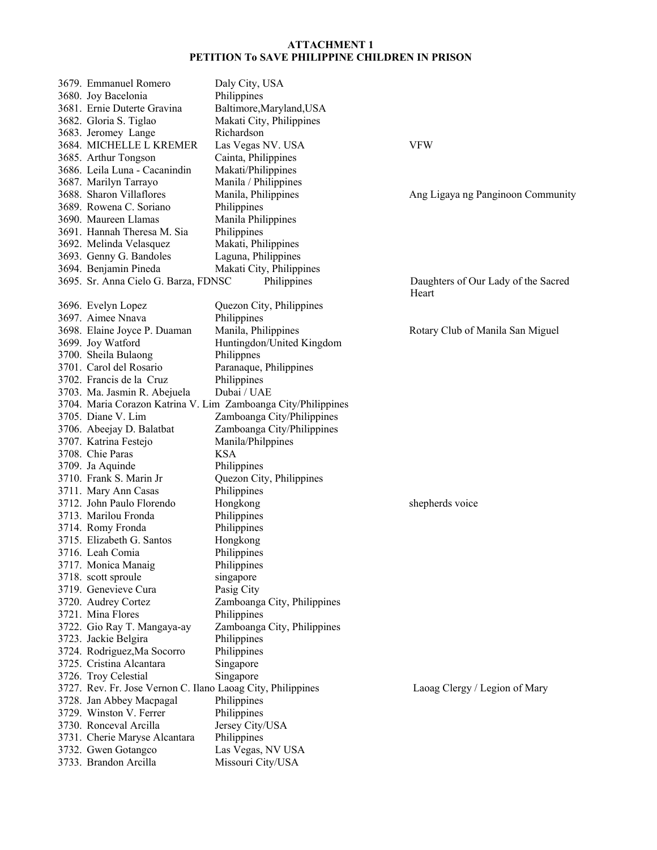| 3679. Emmanuel Romero                                       | Daly City, USA                                                |                                              |
|-------------------------------------------------------------|---------------------------------------------------------------|----------------------------------------------|
| 3680. Joy Bacelonia                                         | Philippines                                                   |                                              |
| 3681. Ernie Duterte Gravina                                 | Baltimore, Maryland, USA                                      |                                              |
| 3682. Gloria S. Tiglao                                      | Makati City, Philippines                                      |                                              |
| 3683. Jeromey Lange                                         | Richardson                                                    |                                              |
| 3684. MICHELLE L KREMER                                     | Las Vegas NV. USA                                             | <b>VFW</b>                                   |
| 3685. Arthur Tongson                                        | Cainta, Philippines                                           |                                              |
| 3686. Leila Luna - Cacanindin                               | Makati/Philippines                                            |                                              |
| 3687. Marilyn Tarrayo                                       | Manila / Philippines                                          |                                              |
| 3688. Sharon Villaflores                                    | Manila, Philippines                                           | Ang Ligaya ng Panginoon Community            |
| 3689. Rowena C. Soriano                                     | Philippines                                                   |                                              |
| 3690. Maureen Llamas                                        | Manila Philippines                                            |                                              |
| 3691. Hannah Theresa M. Sia                                 | Philippines                                                   |                                              |
| 3692. Melinda Velasquez                                     | Makati, Philippines                                           |                                              |
| 3693. Genny G. Bandoles                                     | Laguna, Philippines                                           |                                              |
| 3694. Benjamin Pineda                                       | Makati City, Philippines                                      |                                              |
| 3695. Sr. Anna Cielo G. Barza, FDNSC                        | Philippines                                                   | Daughters of Our Lady of the Sacred<br>Heart |
| 3696. Evelyn Lopez                                          | Quezon City, Philippines                                      |                                              |
| 3697. Aimee Nnava                                           | Philippines                                                   |                                              |
| 3698. Elaine Joyce P. Duaman                                | Manila, Philippines                                           | Rotary Club of Manila San Miguel             |
| 3699. Joy Watford                                           | Huntingdon/United Kingdom                                     |                                              |
| 3700. Sheila Bulaong                                        | Philippnes                                                    |                                              |
| 3701. Carol del Rosario                                     | Paranaque, Philippines                                        |                                              |
| 3702. Francis de la Cruz                                    | Philippines                                                   |                                              |
| 3703. Ma. Jasmin R. Abejuela                                | Dubai / UAE                                                   |                                              |
|                                                             | 3704. Maria Corazon Katrina V. Lim Zamboanga City/Philippines |                                              |
| 3705. Diane V. Lim                                          | Zamboanga City/Philippines                                    |                                              |
| 3706. Abeejay D. Balatbat                                   | Zamboanga City/Philippines                                    |                                              |
| 3707. Katrina Festejo                                       | Manila/Philppines                                             |                                              |
| 3708. Chie Paras                                            | <b>KSA</b>                                                    |                                              |
| 3709. Ja Aquinde                                            | Philippines                                                   |                                              |
| 3710. Frank S. Marin Jr                                     | Quezon City, Philippines                                      |                                              |
| 3711. Mary Ann Casas                                        | Philippines                                                   |                                              |
| 3712. John Paulo Florendo                                   | Hongkong                                                      | shepherds voice                              |
| 3713. Marilou Fronda                                        | Philippines                                                   |                                              |
| 3714. Romy Fronda                                           | Philippines                                                   |                                              |
| 3715. Elizabeth G. Santos                                   | Hongkong                                                      |                                              |
| 3716. Leah Comia                                            | Philippines                                                   |                                              |
| 3717. Monica Manaig                                         | Philippines                                                   |                                              |
| 3718. scott sproule                                         | singapore                                                     |                                              |
| 3719. Genevieve Cura                                        | Pasig City                                                    |                                              |
| 3720. Audrey Cortez                                         | Zamboanga City, Philippines                                   |                                              |
| 3721. Mina Flores                                           | Philippines                                                   |                                              |
| 3722. Gio Ray T. Mangaya-ay                                 | Zamboanga City, Philippines                                   |                                              |
| 3723. Jackie Belgira                                        | Philippines                                                   |                                              |
| 3724. Rodriguez, Ma Socorro                                 | Philippines                                                   |                                              |
| 3725. Cristina Alcantara                                    | Singapore                                                     |                                              |
| 3726. Troy Celestial                                        | Singapore                                                     |                                              |
| 3727. Rev. Fr. Jose Vernon C. Ilano Laoag City, Philippines |                                                               | Laoag Clergy / Legion of Mary                |
| 3728. Jan Abbey Macpagal                                    | Philippines                                                   |                                              |
| 3729. Winston V. Ferrer                                     | Philippines                                                   |                                              |
| 3730. Ronceval Arcilla                                      | Jersey City/USA                                               |                                              |
| 3731. Cherie Maryse Alcantara                               | Philippines                                                   |                                              |
| 3732. Gwen Gotangco                                         | Las Vegas, NV USA                                             |                                              |
| 3733. Brandon Arcilla                                       | Missouri City/USA                                             |                                              |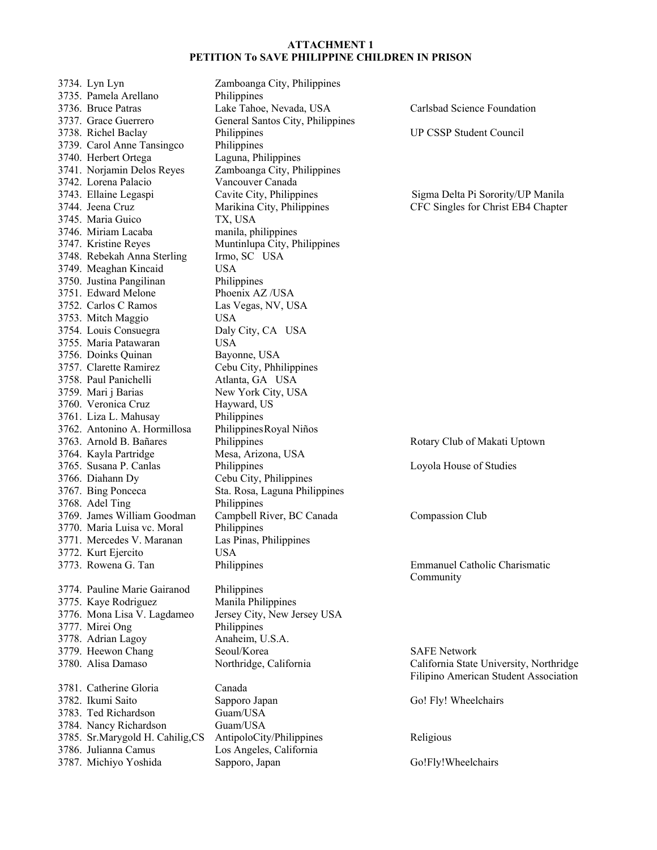3734. Lyn Lyn Zamboanga City, Philippines 3735. Pamela Arellano Philippines 3736. Bruce Patras Lake Tahoe, Nevada, USA Carlsbad Science Foundation 3737. Grace Guerrero General Santos City, Philippines 3738. Richel Baclay Philippines UP CSSP Student Council 3739. Carol Anne Tansingco Philippines 3740. Herbert Ortega Laguna, Philippines 3741. Norjamin Delos Reyes Zamboanga City, Philippines 3742. Lorena Palacio Vancouver Canada 3743. Ellaine Legaspi Cavite City, Philippines Sigma Delta Pi Sorority/UP Manila 3745. Maria Guico TX, USA 3746. Miriam Lacaba manila, philippines 3747. Kristine Reyes Muntinlupa City, Philippines 3748. Rebekah Anna Sterling Irmo, SC USA 3749. Meaghan Kincaid USA 3750. Justina Pangilinan Philippines 3751. Edward Melone Phoenix AZ /USA 3752. Carlos C Ramos Las Vegas, NV, USA 3753. Mitch Maggio USA 3754. Louis Consuegra Daly City, CA USA 3755. Maria Patawaran USA 3756. Doinks Quinan Bayonne, USA 3757. Clarette Ramirez Cebu City, Phhilippines 3758. Paul Panichelli Atlanta, GA USA 3759. Mari j Barias New York City, USA 3760. Veronica Cruz Hayward, US 3761. Liza L. Mahusay Philippines 3762. Antonino A. Hormillosa Philippines Royal Niños 3763. Arnold B. Bañares Philippines Philippines Rotary Club of Makati Uptown 3764. Kayla Partridge Mesa, Arizona, USA 3765. Susana P. Canlas Philippines Loyola House of Studies 3766. Diahann Dy Cebu City, Philippines 3767. Bing Ponceca Sta. Rosa, Laguna Philippines 3768. Adel Ting Philippines 3769. James William Goodman Campbell River, BC Canada Compassion Club 3770. Maria Luisa vc. Moral Philippines 3771. Mercedes V. Maranan Las Pinas, Philippines 3772. Kurt Ejercito USA 3774. Pauline Marie Gairanod Philippines 3775. Kaye Rodriguez Manila Philippines 3776. Mona Lisa V. Lagdameo Jersey City, New Jersey USA 3777. Mirei Ong Philippines 3778. Adrian Lagoy Anaheim, U.S.A. 3779. Heewon Chang Seoul/Korea San Safe Network<br>3780. Alisa Damaso Seoul/Korea Salifornia State Safe California State 3781. Catherine Gloria Canada 3782. Ikumi Saito Sapporo Japan Go! Fly! Wheelchairs 3783. Ted Richardson Guam/USA 3784. Nancy Richardson Guam/USA 3785. Sr.Marygold H. Cahilig, CS AntipoloCity/Philippines Religious 3786. Julianna Camus Los Angeles, California

3787. Michiyo Yoshida Sapporo, Japan Go!Fly!Wheelchairs

3744. Jeena Cruz Marikina City, Philippines CFC Singles for Christ EB4 Chapter

3773. Rowena G. Tan Philippines Emmanuel Catholic Charismatic Community

> Northridge, California California State University, Northridge Filipino American Student Association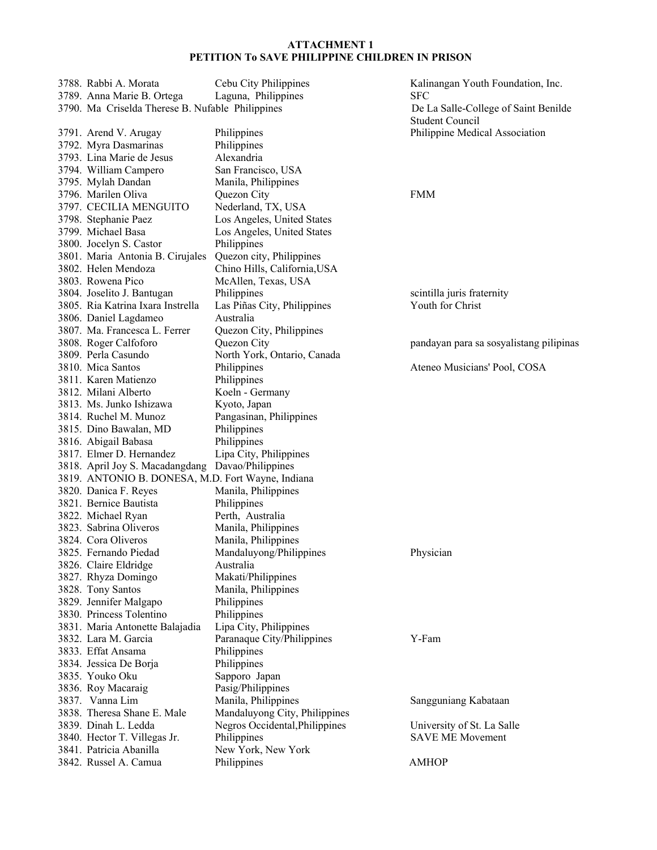3788. Rabbi A. Morata Cebu City Philippines Kalinangan Youth Foundation, Inc. 3789. Anna Marie B. Ortega Laguna, Philippines SFC 3790. Ma Criselda Therese B. Nufable Philippines De La Salle-College of Saint Benilde 3791. Arend V. Arugay Philippines Philippine Medical Association 3792. Myra Dasmarinas Philippines 3793. Lina Marie de Jesus Alexandria 3794. William Campero San Francisco, USA 3795. Mylah Dandan Manila, Philippines 3796. Marilen Oliva Quezon City FMM 3797. CECILIA MENGUITO Nederland, TX, USA 3798. Stephanie Paez Los Angeles, United States 3799. Michael Basa Los Angeles, United States 3800. Jocelyn S. Castor Philippines 3801. Maria Antonia B. Cirujales Quezon city, Philippines 3802. Helen Mendoza Chino Hills, California,USA 3803. Rowena Pico McAllen, Texas, USA 3804. Joselito J. Bantugan Philippines scintilla juris fraternity 3805. Ria Katrina Ixara Instrella Las Piñas City, Philippines Youth for Christ 3806. Daniel Lagdameo Australia 3807. Ma. Francesca L. Ferrer Quezon City, Philippines 3808. Roger Calfoforo Quezon City pandayan para sa sosyalistang pilipinas 3809. Perla Casundo North York, Ontario, Canada 3810. Mica Santos Philippines Philippines Ateneo Musicians' Pool, COSA 3811. Karen Matienzo Philippines 3812. Milani Alberto Koeln - Germany 3813. Ms. Junko Ishizawa Kyoto, Japan 3814. Ruchel M. Munoz Pangasinan, Philippines 3815. Dino Bawalan, MD Philippines 3816. Abigail Babasa Philippines 3817. Elmer D. Hernandez Lipa City, Philippines 3818. April Joy S. Macadangdang Davao/Philippines 3819. ANTONIO B. DONESA, M.D. Fort Wayne, Indiana 3820. Danica F. Reyes Manila, Philippines 3821. Bernice Bautista Philippines 3822. Michael Ryan Perth, Australia 3823. Sabrina Oliveros Manila, Philippines 3824. Cora Oliveros Manila, Philippines 3825. Fernando Piedad Mandaluyong/Philippines Physician 3826. Claire Eldridge Australia 3827. Rhyza Domingo Makati/Philippines 3828. Tony Santos Manila, Philippines 3829. Jennifer Malgapo Philippines 3830. Princess Tolentino Philippines 3831. Maria Antonette Balajadia Lipa City, Philippines 3832. Lara M. Garcia Paranaque City/Philippines Y-Fam 3833. Effat Ansama Philippines 3834. Jessica De Borja Philippines 3835. Youko Oku Sapporo Japan 3836. Roy Macaraig Pasig/Philippines 3837. Vanna Lim Manila, Philippines Sangguniang Kabataan 3838. Theresa Shane E. Male Mandaluyong City, Philippines 3839. Dinah L. Ledda Negros Occidental,Philippines University of St. La Salle 3840. Hector T. Villegas Jr. Philippines SAVE ME Movement 3841. Patricia Abanilla New York, New York 3842. Russel A. Camua Philippines AMHOP

Student Council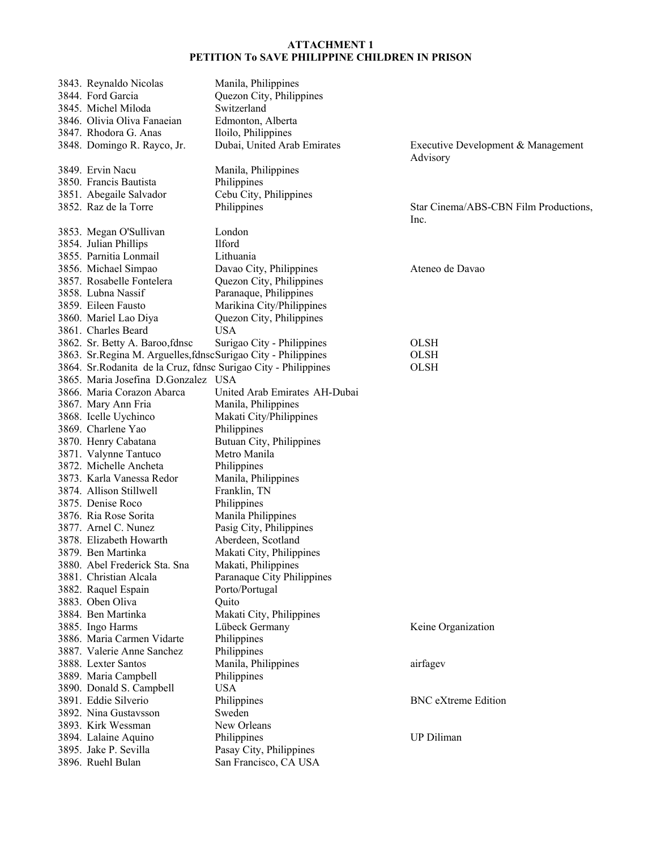| 3843. Reynaldo Nicolas                                          | Manila, Philippines           |                                                |
|-----------------------------------------------------------------|-------------------------------|------------------------------------------------|
| 3844. Ford Garcia                                               | Quezon City, Philippines      |                                                |
| 3845. Michel Miloda                                             | Switzerland                   |                                                |
| 3846. Olivia Oliva Fanaeian                                     | Edmonton, Alberta             |                                                |
| 3847. Rhodora G. Anas                                           | Iloilo, Philippines           |                                                |
| 3848. Domingo R. Rayco, Jr.                                     | Dubai, United Arab Emirates   | Executive Development & Management<br>Advisory |
| 3849. Ervin Nacu                                                | Manila, Philippines           |                                                |
| 3850. Francis Bautista                                          | Philippines                   |                                                |
| 3851. Abegaile Salvador                                         | Cebu City, Philippines        |                                                |
| 3852. Raz de la Torre                                           | Philippines                   | Star Cinema/ABS-CBN Film Productions,<br>Inc.  |
| 3853. Megan O'Sullivan                                          | London                        |                                                |
| 3854. Julian Phillips                                           | <b>Ilford</b>                 |                                                |
| 3855. Parnitia Lonmail                                          | Lithuania                     |                                                |
| 3856. Michael Simpao                                            | Davao City, Philippines       | Ateneo de Davao                                |
| 3857. Rosabelle Fontelera                                       | Quezon City, Philippines      |                                                |
| 3858. Lubna Nassif                                              | Paranaque, Philippines        |                                                |
| 3859. Eileen Fausto                                             | Marikina City/Philippines     |                                                |
| 3860. Mariel Lao Diya                                           | Quezon City, Philippines      |                                                |
| 3861. Charles Beard                                             | <b>USA</b>                    |                                                |
| 3862. Sr. Betty A. Baroo, fdnsc                                 | Surigao City - Philippines    | <b>OLSH</b>                                    |
| 3863. Sr.Regina M. Arguelles, fdnscSurigao City - Philippines   |                               | <b>OLSH</b>                                    |
| 3864. Sr. Rodanita de la Cruz, fdnsc Surigao City - Philippines |                               | <b>OLSH</b>                                    |
| 3865. Maria Josefina D.Gonzalez USA                             |                               |                                                |
| 3866. Maria Corazon Abarca                                      | United Arab Emirates AH-Dubai |                                                |
| 3867. Mary Ann Fria                                             | Manila, Philippines           |                                                |
| 3868. Icelle Uychinco                                           | Makati City/Philippines       |                                                |
| 3869. Charlene Yao                                              | Philippines                   |                                                |
| 3870. Henry Cabatana                                            | Butuan City, Philippines      |                                                |
| 3871. Valynne Tantuco                                           | Metro Manila                  |                                                |
| 3872. Michelle Ancheta                                          | Philippines                   |                                                |
| 3873. Karla Vanessa Redor                                       | Manila, Philippines           |                                                |
| 3874. Allison Stillwell                                         | Franklin, TN                  |                                                |
| 3875. Denise Roco                                               | Philippines                   |                                                |
| 3876. Ria Rose Sorita                                           | Manila Philippines            |                                                |
| 3877. Arnel C. Nunez                                            | Pasig City, Philippines       |                                                |
| 3878. Elizabeth Howarth                                         | Aberdeen, Scotland            |                                                |
| 3879. Ben Martinka                                              | Makati City, Philippines      |                                                |
| 3880. Abel Frederick Sta. Sna                                   | Makati, Philippines           |                                                |
| 3881. Christian Alcala                                          | Paranaque City Philippines    |                                                |
| 3882. Raquel Espain                                             | Porto/Portugal                |                                                |
| 3883. Oben Oliva                                                | Quito                         |                                                |
| 3884. Ben Martinka                                              | Makati City, Philippines      |                                                |
| 3885. Ingo Harms                                                | Lübeck Germany                | Keine Organization                             |
| 3886. Maria Carmen Vidarte                                      | Philippines                   |                                                |
| 3887. Valerie Anne Sanchez                                      | Philippines                   |                                                |
| 3888. Lexter Santos                                             | Manila, Philippines           | airfagev                                       |
| 3889. Maria Campbell                                            | Philippines                   |                                                |
| 3890. Donald S. Campbell                                        | <b>USA</b>                    |                                                |
| 3891. Eddie Silverio                                            | Philippines                   | <b>BNC</b> eXtreme Edition                     |
| 3892. Nina Gustavsson                                           | Sweden                        |                                                |
| 3893. Kirk Wessman                                              | New Orleans                   |                                                |
| 3894. Lalaine Aquino                                            | Philippines                   | <b>UP Diliman</b>                              |
| 3895. Jake P. Sevilla                                           | Pasay City, Philippines       |                                                |
| 3896. Ruehl Bulan                                               | San Francisco, CA USA         |                                                |
|                                                                 |                               |                                                |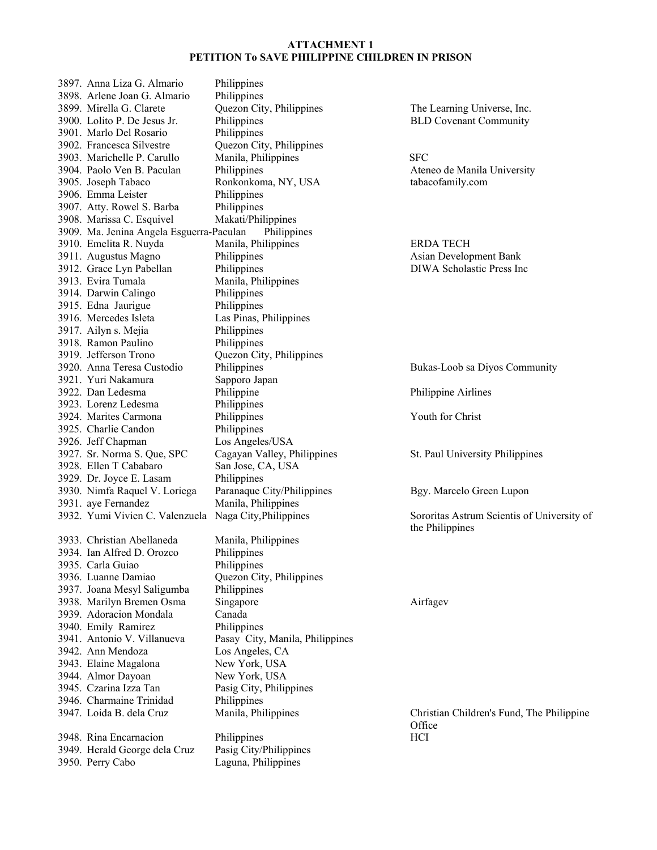3897. Anna Liza G. Almario Philippines 3898. Arlene Joan G. Almario Philippines 3899. Mirella G. Clarete Quezon City, Philippines The Learning Universe, Inc. 3900. Lolito P. De Jesus Jr. Philippines BLD Covenant Community 3901. Marlo Del Rosario Philippines 3902. Francesca Silvestre Quezon City, Philippines 3903. Marichelle P. Carullo Manila, Philippines SFC 3904. Paolo Ven B. Paculan Philippines Ateneo de Manila University 3905. Joseph Tabaco Ronkonkoma, NY, USA tabacofamily.com 3906. Emma Leister Philippines 3907. Atty. Rowel S. Barba Philippines 3908. Marissa C. Esquivel Makati/Philippines 3909. Ma. Jenina Angela Esguerra-Paculan Philippines 3910. Emelita R. Nuyda Manila, Philippines ERDA TECH 3911. Augustus Magno Philippines and Asian Development Bank 3912. Grace Lyn Pabellan Philippines DIWA Scholastic Press Inc 3913. Evira Tumala Manila, Philippines 3914. Darwin Calingo Philippines 3915. Edna Jaurigue Philippines 3916. Mercedes Isleta Las Pinas, Philippines 3917. Ailyn s. Mejia Philippines 3918. Ramon Paulino Philippines 3919. Jefferson Trono Quezon City, Philippines 3920. Anna Teresa Custodio Philippines Bukas-Loob sa Diyos Community 3921. Yuri Nakamura Sapporo Japan 3922. Dan Ledesma Philippine Philippine Airlines 3923. Lorenz Ledesma Philippines 3924. Marites Carmona Philippines Youth for Christ 3925. Charlie Candon Philippines 3926. Jeff Chapman Los Angeles/USA 3927. Sr. Norma S. Que, SPC Cagayan Valley, Philippines St. Paul University Philippines 3928. Ellen T Cababaro San Jose, CA, USA 3929. Dr. Joyce E. Lasam Philippines 3930. Nimfa Raquel V. Loriega Paranaque City/Philippines Bgy. Marcelo Green Lupon 3931. aye Fernandez Manila, Philippines 3933. Christian Abellaneda Manila, Philippines 3934. Ian Alfred D. Orozco Philippines 3935. Carla Guiao Philippines 3936. Luanne Damiao Quezon City, Philippines 3937. Joana Mesyl Saligumba Philippines 3938. Marilyn Bremen Osma Singapore Airfagev 3939. Adoracion Mondala Canada 3940. Emily Ramirez Philippines 3941. Antonio V. Villanueva Pasay City, Manila, Philippines 3942. Ann Mendoza Los Angeles, CA 3943. Elaine Magalona New York, USA 3944. Almor Dayoan New York, USA 3945. Czarina Izza Tan Pasig City, Philippines 3946. Charmaine Trinidad Philippines 3947. Loida B. dela Cruz Manila, Philippines Christian Children's Fund, The Philippine 3948. Rina Encarnacion Philippines HCI 3949. Herald George dela Cruz Pasig City/Philippines 3950. Perry Cabo Laguna, Philippines

Naga City, Philippines Sororitas Astrum Scientis of University of the Philippines

**Office**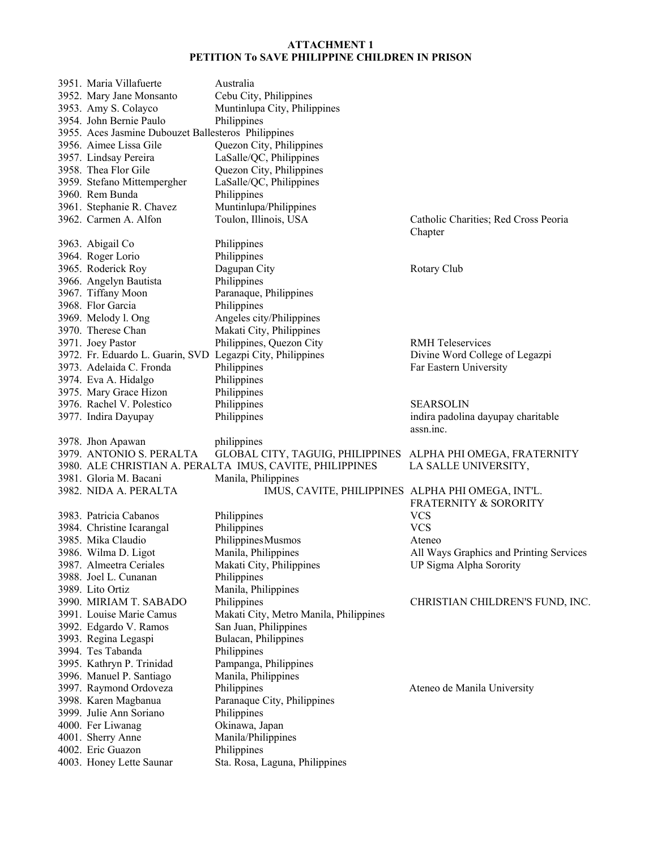| 3951. Maria Villafuerte                                    | Australia                                                    |                                         |
|------------------------------------------------------------|--------------------------------------------------------------|-----------------------------------------|
| 3952. Mary Jane Monsanto                                   | Cebu City, Philippines                                       |                                         |
| 3953. Amy S. Colayco                                       | Muntinlupa City, Philippines                                 |                                         |
| 3954. John Bernie Paulo                                    | Philippines                                                  |                                         |
| 3955. Aces Jasmine Dubouzet Ballesteros Philippines        |                                                              |                                         |
| 3956. Aimee Lissa Gile                                     | Quezon City, Philippines                                     |                                         |
| 3957. Lindsay Pereira                                      | LaSalle/QC, Philippines                                      |                                         |
| 3958. Thea Flor Gile                                       | Quezon City, Philippines                                     |                                         |
| 3959. Stefano Mittempergher                                | LaSalle/QC, Philippines                                      |                                         |
| 3960. Rem Bunda                                            | Philippines                                                  |                                         |
| 3961. Stephanie R. Chavez                                  | Muntinlupa/Philippines                                       |                                         |
| 3962. Carmen A. Alfon                                      | Toulon, Illinois, USA                                        | Catholic Charities; Red Cross Peoria    |
|                                                            |                                                              | Chapter                                 |
| 3963. Abigail Co                                           | Philippines                                                  |                                         |
| 3964. Roger Lorio                                          | Philippines                                                  |                                         |
| 3965. Roderick Roy                                         | Dagupan City                                                 | Rotary Club                             |
| 3966. Angelyn Bautista                                     | Philippines                                                  |                                         |
| 3967. Tiffany Moon                                         | Paranaque, Philippines                                       |                                         |
| 3968. Flor Garcia                                          | Philippines                                                  |                                         |
| 3969. Melody l. Ong                                        | Angeles city/Philippines                                     |                                         |
| 3970. Therese Chan                                         | Makati City, Philippines                                     |                                         |
| 3971. Joey Pastor                                          | Philippines, Quezon City                                     | <b>RMH</b> Teleservices                 |
| 3972. Fr. Eduardo L. Guarin, SVD Legazpi City, Philippines |                                                              | Divine Word College of Legazpi          |
| 3973. Adelaida C. Fronda                                   | Philippines                                                  | Far Eastern University                  |
| 3974. Eva A. Hidalgo                                       | Philippines                                                  |                                         |
| 3975. Mary Grace Hizon                                     | Philippines                                                  |                                         |
| 3976. Rachel V. Polestico                                  | Philippines                                                  | <b>SEARSOLIN</b>                        |
| 3977. Indira Dayupay                                       | Philippines                                                  | indira padolina dayupay charitable      |
|                                                            |                                                              | assn.inc.                               |
| 3978. Jhon Apawan                                          | philippines                                                  |                                         |
| 3979. ANTONIO S. PERALTA                                   | GLOBAL CITY, TAGUIG, PHILIPPINES ALPHA PHI OMEGA, FRATERNITY |                                         |
|                                                            | 3980. ALE CHRISTIAN A. PERALTA IMUS, CAVITE, PHILIPPINES     | LA SALLE UNIVERSITY,                    |
| 3981. Gloria M. Bacani                                     | Manila, Philippines                                          |                                         |
| 3982. NIDA A. PERALTA                                      | IMUS, CAVITE, PHILIPPINES ALPHA PHI OMEGA, INT'L.            |                                         |
|                                                            |                                                              | <b>FRATERNITY &amp; SORORITY</b>        |
| 3983. Patricia Cabanos                                     | Philippines                                                  | <b>VCS</b>                              |
| 3984. Christine Icarangal                                  | Philippines                                                  | <b>VCS</b>                              |
| 3985. Mika Claudio                                         | Philippines Musmos                                           | Ateneo                                  |
| 3986. Wilma D. Ligot                                       | Manila, Philippines                                          | All Ways Graphics and Printing Services |
| 3987. Almeetra Ceriales                                    | Makati City, Philippines                                     | UP Sigma Alpha Sorority                 |
| 3988. Joel L. Cunanan                                      |                                                              |                                         |
|                                                            | Philippines                                                  |                                         |
| 3989. Lito Ortiz<br>3990. MIRIAM T. SABADO                 | Manila, Philippines                                          | CHRISTIAN CHILDREN'S FUND, INC.         |
|                                                            | Philippines                                                  |                                         |
| 3991. Louise Marie Camus                                   | Makati City, Metro Manila, Philippines                       |                                         |
| 3992. Edgardo V. Ramos                                     | San Juan, Philippines                                        |                                         |
| 3993. Regina Legaspi                                       | Bulacan, Philippines                                         |                                         |
| 3994. Tes Tabanda                                          | Philippines                                                  |                                         |
| 3995. Kathryn P. Trinidad                                  | Pampanga, Philippines                                        |                                         |
| 3996. Manuel P. Santiago                                   | Manila, Philippines                                          |                                         |
| 3997. Raymond Ordoveza                                     | Philippines                                                  | Ateneo de Manila University             |
|                                                            |                                                              |                                         |
| 3998. Karen Magbanua                                       | Paranaque City, Philippines                                  |                                         |
| 3999. Julie Ann Soriano                                    | Philippines                                                  |                                         |
| 4000. Fer Liwanag                                          | Okinawa, Japan                                               |                                         |
| 4001. Sherry Anne                                          | Manila/Philippines                                           |                                         |
| 4002. Eric Guazon<br>4003. Honey Lette Saunar              | Philippines<br>Sta. Rosa, Laguna, Philippines                |                                         |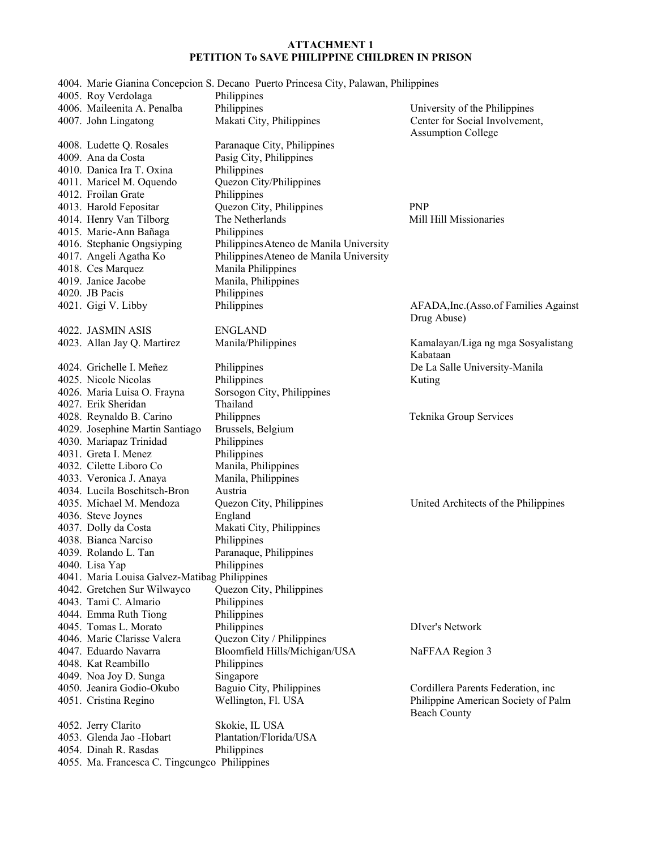|                                               | 4004. Marie Gianina Concepcion S. Decano Puerto Princesa City, Palawan, Philippines |                                                            |
|-----------------------------------------------|-------------------------------------------------------------------------------------|------------------------------------------------------------|
| 4005. Roy Verdolaga                           | Philippines                                                                         |                                                            |
| 4006. Maileenita A. Penalba                   | Philippines                                                                         | University of the Philippines                              |
| 4007. John Lingatong                          | Makati City, Philippines                                                            | Center for Social Involvement,                             |
|                                               |                                                                                     | <b>Assumption College</b>                                  |
| 4008. Ludette Q. Rosales                      | Paranaque City, Philippines                                                         |                                                            |
| 4009. Ana da Costa                            | Pasig City, Philippines                                                             |                                                            |
| 4010. Danica Ira T. Oxina                     | Philippines                                                                         |                                                            |
| 4011. Maricel M. Oquendo                      | Quezon City/Philippines                                                             |                                                            |
| 4012. Froilan Grate                           | Philippines                                                                         |                                                            |
| 4013. Harold Fepositar                        | Quezon City, Philippines                                                            | <b>PNP</b>                                                 |
| 4014. Henry Van Tilborg                       | The Netherlands                                                                     | Mill Hill Missionaries                                     |
| 4015. Marie-Ann Bañaga                        | Philippines                                                                         |                                                            |
| 4016. Stephanie Ongsiyping                    | Philippines Ateneo de Manila University                                             |                                                            |
| 4017. Angeli Agatha Ko                        | Philippines Ateneo de Manila University                                             |                                                            |
| 4018. Ces Marquez                             | Manila Philippines                                                                  |                                                            |
| 4019. Janice Jacobe                           | Manila, Philippines                                                                 |                                                            |
| 4020. JB Pacis                                | Philippines                                                                         |                                                            |
| 4021. Gigi V. Libby                           | Philippines                                                                         | AFADA, Inc. (Asso. of Families Against                     |
|                                               |                                                                                     | Drug Abuse)                                                |
| 4022. JASMIN ASIS                             | <b>ENGLAND</b>                                                                      |                                                            |
| 4023. Allan Jay Q. Martirez                   | Manila/Philippines                                                                  | Kamalayan/Liga ng mga Sosyalistang                         |
|                                               |                                                                                     | Kabataan                                                   |
| 4024. Grichelle I. Meñez                      | Philippines                                                                         | De La Salle University-Manila                              |
| 4025. Nicole Nicolas                          | Philippines                                                                         | Kuting                                                     |
| 4026. Maria Luisa O. Frayna                   | Sorsogon City, Philippines                                                          |                                                            |
| 4027. Erik Sheridan                           | Thailand                                                                            |                                                            |
| 4028. Reynaldo B. Carino                      | Philippnes                                                                          | Teknika Group Services                                     |
|                                               |                                                                                     |                                                            |
| 4029. Josephine Martin Santiago               | Brussels, Belgium                                                                   |                                                            |
| 4030. Mariapaz Trinidad                       | Philippines                                                                         |                                                            |
| 4031. Greta I. Menez                          | Philippines                                                                         |                                                            |
| 4032. Cilette Liboro Co                       | Manila, Philippines                                                                 |                                                            |
| 4033. Veronica J. Anaya                       | Manila, Philippines                                                                 |                                                            |
| 4034. Lucila Boschitsch-Bron                  | Austria                                                                             |                                                            |
| 4035. Michael M. Mendoza                      | Quezon City, Philippines                                                            | United Architects of the Philippines                       |
| 4036. Steve Joynes                            | England                                                                             |                                                            |
| 4037. Dolly da Costa                          | Makati City, Philippines                                                            |                                                            |
| 4038. Bianca Narciso                          | Philippines                                                                         |                                                            |
| 4039. Rolando L. Tan                          | Paranaque, Philippines                                                              |                                                            |
| 4040. Lisa Yap                                | Philippines                                                                         |                                                            |
| 4041. Maria Louisa Galvez-Matibag Philippines |                                                                                     |                                                            |
| 4042. Gretchen Sur Wilwayco                   | Quezon City, Philippines                                                            |                                                            |
| 4043. Tami C. Almario                         | Philippines                                                                         |                                                            |
| 4044. Emma Ruth Tiong                         | Philippines                                                                         |                                                            |
| 4045. Tomas L. Morato                         | Philippines                                                                         | DIver's Network                                            |
| 4046. Marie Clarisse Valera                   | Quezon City / Philippines                                                           |                                                            |
| 4047. Eduardo Navarra                         | Bloomfield Hills/Michigan/USA                                                       | NaFFAA Region 3                                            |
| 4048. Kat Reambillo                           | Philippines                                                                         |                                                            |
| 4049. Noa Joy D. Sunga                        | Singapore                                                                           |                                                            |
| 4050. Jeanira Godio-Okubo                     | Baguio City, Philippines                                                            | Cordillera Parents Federation, inc                         |
| 4051. Cristina Regino                         | Wellington, Fl. USA                                                                 | Philippine American Society of Palm<br><b>Beach County</b> |
| 4052. Jerry Clarito                           | Skokie, IL USA                                                                      |                                                            |
| 4053. Glenda Jao - Hobart                     | Plantation/Florida/USA                                                              |                                                            |
| 4054. Dinah R. Rasdas                         | Philippines                                                                         |                                                            |
| 4055. Ma. Francesca C. Tingcungco Philippines |                                                                                     |                                                            |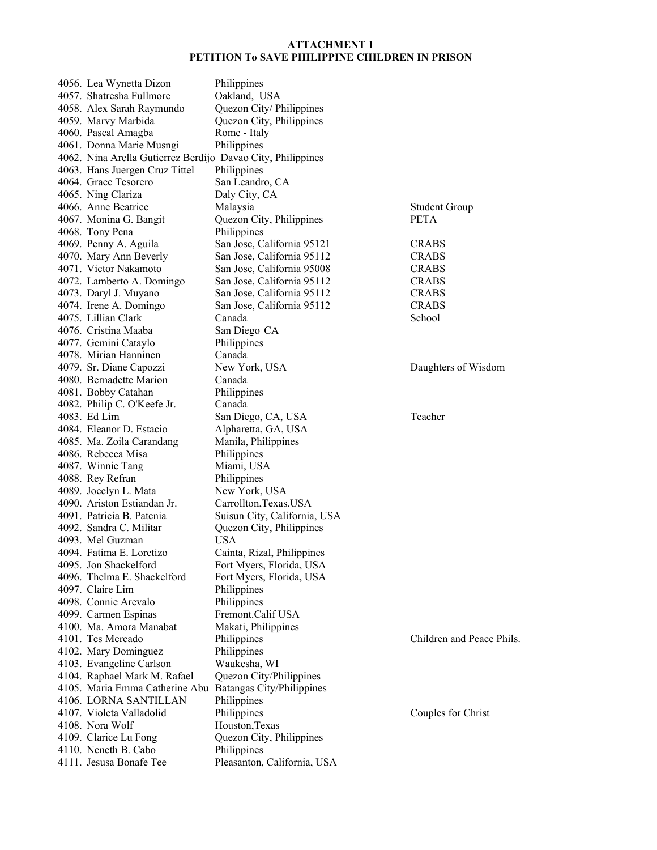| 4056. Lea Wynetta Dizon                                     | Philippines                  |                           |
|-------------------------------------------------------------|------------------------------|---------------------------|
| 4057. Shatresha Fullmore                                    | Oakland, USA                 |                           |
| 4058. Alex Sarah Raymundo                                   | Quezon City/Philippines      |                           |
| 4059. Marvy Marbida                                         | Quezon City, Philippines     |                           |
| 4060. Pascal Amagba                                         | Rome - Italy                 |                           |
| 4061. Donna Marie Musngi                                    | Philippines                  |                           |
| 4062. Nina Arella Gutierrez Berdijo Davao City, Philippines |                              |                           |
| 4063. Hans Juergen Cruz Tittel                              | Philippines                  |                           |
| 4064. Grace Tesorero                                        | San Leandro, CA              |                           |
| 4065. Ning Clariza                                          | Daly City, CA                |                           |
| 4066. Anne Beatrice                                         | Malaysia                     | <b>Student Group</b>      |
| 4067. Monina G. Bangit                                      | Quezon City, Philippines     | <b>PETA</b>               |
| 4068. Tony Pena                                             | Philippines                  |                           |
| 4069. Penny A. Aguila                                       | San Jose, California 95121   | <b>CRABS</b>              |
| 4070. Mary Ann Beverly                                      | San Jose, California 95112   | <b>CRABS</b>              |
| 4071. Victor Nakamoto                                       | San Jose, California 95008   | <b>CRABS</b>              |
| 4072. Lamberto A. Domingo                                   | San Jose, California 95112   | <b>CRABS</b>              |
|                                                             | San Jose, California 95112   | <b>CRABS</b>              |
| 4073. Daryl J. Muyano                                       |                              | <b>CRABS</b>              |
| 4074. Irene A. Domingo                                      | San Jose, California 95112   |                           |
| 4075. Lillian Clark                                         | Canada                       | School                    |
| 4076. Cristina Maaba                                        | San Diego CA                 |                           |
| 4077. Gemini Cataylo                                        | Philippines                  |                           |
| 4078. Mirian Hanninen                                       | Canada                       |                           |
| 4079. Sr. Diane Capozzi                                     | New York, USA                | Daughters of Wisdom       |
| 4080. Bernadette Marion                                     | Canada                       |                           |
| 4081. Bobby Catahan                                         | Philippines                  |                           |
| 4082. Philip C. O'Keefe Jr.                                 | Canada                       |                           |
| 4083. Ed Lim                                                | San Diego, CA, USA           | Teacher                   |
| 4084. Eleanor D. Estacio                                    | Alpharetta, GA, USA          |                           |
| 4085. Ma. Zoila Carandang                                   | Manila, Philippines          |                           |
| 4086. Rebecca Misa                                          | Philippines                  |                           |
| 4087. Winnie Tang                                           | Miami, USA                   |                           |
| 4088. Rey Refran                                            | Philippines                  |                           |
| 4089. Jocelyn L. Mata                                       | New York, USA                |                           |
| 4090. Ariston Estiandan Jr.                                 | Carrollton, Texas. USA       |                           |
| 4091. Patricia B. Patenia                                   | Suisun City, California, USA |                           |
| 4092. Sandra C. Militar                                     | Quezon City, Philippines     |                           |
| 4093. Mel Guzman                                            | <b>USA</b>                   |                           |
| 4094. Fatima E. Loretizo                                    | Cainta, Rizal, Philippines   |                           |
| 4095. Jon Shackelford                                       | Fort Myers, Florida, USA     |                           |
| 4096. Thelma E. Shackelford                                 | Fort Myers, Florida, USA     |                           |
| 4097. Claire Lim                                            | Philippines                  |                           |
| 4098. Connie Arevalo                                        | Philippines                  |                           |
| 4099. Carmen Espinas                                        | Fremont.Calif USA            |                           |
| 4100. Ma. Amora Manabat                                     | Makati, Philippines          |                           |
| 4101. Tes Mercado                                           | Philippines                  | Children and Peace Phils. |
| 4102. Mary Dominguez                                        | Philippines                  |                           |
| 4103. Evangeline Carlson                                    | Waukesha, WI                 |                           |
| 4104. Raphael Mark M. Rafael                                | Quezon City/Philippines      |                           |
| 4105. Maria Emma Catherine Abu Batangas City/Philippines    |                              |                           |
| 4106. LORNA SANTILLAN                                       | Philippines                  |                           |
| 4107. Violeta Valladolid                                    | Philippines                  | Couples for Christ        |
| 4108. Nora Wolf                                             | Houston, Texas               |                           |
| 4109. Clarice Lu Fong                                       | Quezon City, Philippines     |                           |
| 4110. Neneth B. Cabo                                        | Philippines                  |                           |
| 4111. Jesusa Bonafe Tee                                     | Pleasanton, California, USA  |                           |
|                                                             |                              |                           |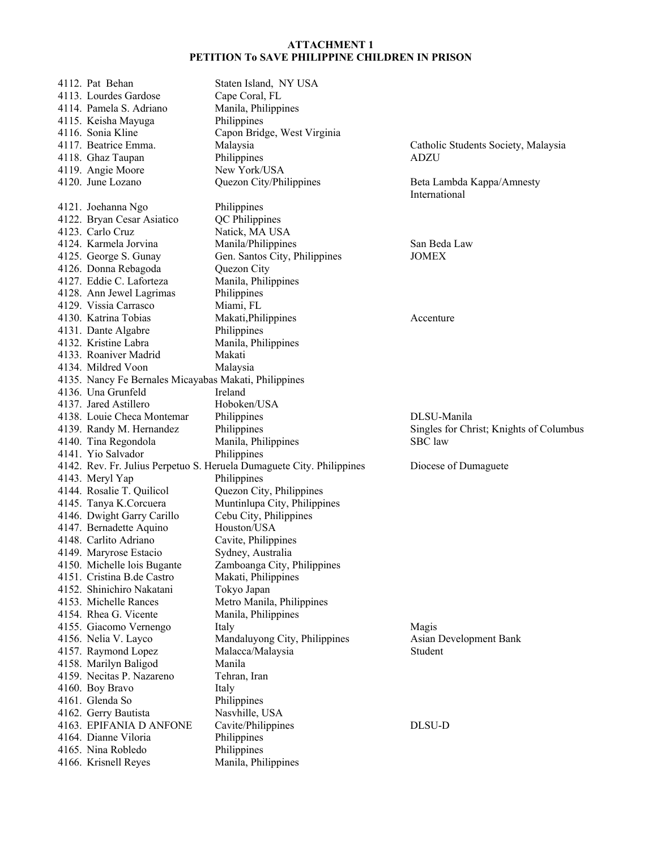| 4112. Pat Behan                              | Staten Island, NY USA                                                                                                                                                                                                                                                                                                                                                                                                                                                                                                                                                                                                                                |                                                                                                                                                                                                                                                                                                                                                                                                                                                                                                                                                |
|----------------------------------------------|------------------------------------------------------------------------------------------------------------------------------------------------------------------------------------------------------------------------------------------------------------------------------------------------------------------------------------------------------------------------------------------------------------------------------------------------------------------------------------------------------------------------------------------------------------------------------------------------------------------------------------------------------|------------------------------------------------------------------------------------------------------------------------------------------------------------------------------------------------------------------------------------------------------------------------------------------------------------------------------------------------------------------------------------------------------------------------------------------------------------------------------------------------------------------------------------------------|
| 4113. Lourdes Gardose                        | Cape Coral, FL                                                                                                                                                                                                                                                                                                                                                                                                                                                                                                                                                                                                                                       |                                                                                                                                                                                                                                                                                                                                                                                                                                                                                                                                                |
|                                              |                                                                                                                                                                                                                                                                                                                                                                                                                                                                                                                                                                                                                                                      |                                                                                                                                                                                                                                                                                                                                                                                                                                                                                                                                                |
|                                              |                                                                                                                                                                                                                                                                                                                                                                                                                                                                                                                                                                                                                                                      |                                                                                                                                                                                                                                                                                                                                                                                                                                                                                                                                                |
|                                              |                                                                                                                                                                                                                                                                                                                                                                                                                                                                                                                                                                                                                                                      |                                                                                                                                                                                                                                                                                                                                                                                                                                                                                                                                                |
|                                              |                                                                                                                                                                                                                                                                                                                                                                                                                                                                                                                                                                                                                                                      | Catholic Students Society, Malaysia                                                                                                                                                                                                                                                                                                                                                                                                                                                                                                            |
|                                              |                                                                                                                                                                                                                                                                                                                                                                                                                                                                                                                                                                                                                                                      | ADZU                                                                                                                                                                                                                                                                                                                                                                                                                                                                                                                                           |
|                                              |                                                                                                                                                                                                                                                                                                                                                                                                                                                                                                                                                                                                                                                      |                                                                                                                                                                                                                                                                                                                                                                                                                                                                                                                                                |
|                                              |                                                                                                                                                                                                                                                                                                                                                                                                                                                                                                                                                                                                                                                      | Beta Lambda Kappa/Amnesty                                                                                                                                                                                                                                                                                                                                                                                                                                                                                                                      |
|                                              |                                                                                                                                                                                                                                                                                                                                                                                                                                                                                                                                                                                                                                                      | International                                                                                                                                                                                                                                                                                                                                                                                                                                                                                                                                  |
|                                              |                                                                                                                                                                                                                                                                                                                                                                                                                                                                                                                                                                                                                                                      |                                                                                                                                                                                                                                                                                                                                                                                                                                                                                                                                                |
|                                              |                                                                                                                                                                                                                                                                                                                                                                                                                                                                                                                                                                                                                                                      |                                                                                                                                                                                                                                                                                                                                                                                                                                                                                                                                                |
|                                              |                                                                                                                                                                                                                                                                                                                                                                                                                                                                                                                                                                                                                                                      |                                                                                                                                                                                                                                                                                                                                                                                                                                                                                                                                                |
|                                              |                                                                                                                                                                                                                                                                                                                                                                                                                                                                                                                                                                                                                                                      | San Beda Law                                                                                                                                                                                                                                                                                                                                                                                                                                                                                                                                   |
|                                              |                                                                                                                                                                                                                                                                                                                                                                                                                                                                                                                                                                                                                                                      | <b>JOMEX</b>                                                                                                                                                                                                                                                                                                                                                                                                                                                                                                                                   |
|                                              |                                                                                                                                                                                                                                                                                                                                                                                                                                                                                                                                                                                                                                                      |                                                                                                                                                                                                                                                                                                                                                                                                                                                                                                                                                |
|                                              |                                                                                                                                                                                                                                                                                                                                                                                                                                                                                                                                                                                                                                                      |                                                                                                                                                                                                                                                                                                                                                                                                                                                                                                                                                |
|                                              |                                                                                                                                                                                                                                                                                                                                                                                                                                                                                                                                                                                                                                                      |                                                                                                                                                                                                                                                                                                                                                                                                                                                                                                                                                |
|                                              |                                                                                                                                                                                                                                                                                                                                                                                                                                                                                                                                                                                                                                                      |                                                                                                                                                                                                                                                                                                                                                                                                                                                                                                                                                |
|                                              |                                                                                                                                                                                                                                                                                                                                                                                                                                                                                                                                                                                                                                                      |                                                                                                                                                                                                                                                                                                                                                                                                                                                                                                                                                |
|                                              |                                                                                                                                                                                                                                                                                                                                                                                                                                                                                                                                                                                                                                                      | Accenture                                                                                                                                                                                                                                                                                                                                                                                                                                                                                                                                      |
|                                              |                                                                                                                                                                                                                                                                                                                                                                                                                                                                                                                                                                                                                                                      |                                                                                                                                                                                                                                                                                                                                                                                                                                                                                                                                                |
|                                              |                                                                                                                                                                                                                                                                                                                                                                                                                                                                                                                                                                                                                                                      |                                                                                                                                                                                                                                                                                                                                                                                                                                                                                                                                                |
|                                              |                                                                                                                                                                                                                                                                                                                                                                                                                                                                                                                                                                                                                                                      |                                                                                                                                                                                                                                                                                                                                                                                                                                                                                                                                                |
|                                              |                                                                                                                                                                                                                                                                                                                                                                                                                                                                                                                                                                                                                                                      |                                                                                                                                                                                                                                                                                                                                                                                                                                                                                                                                                |
|                                              |                                                                                                                                                                                                                                                                                                                                                                                                                                                                                                                                                                                                                                                      |                                                                                                                                                                                                                                                                                                                                                                                                                                                                                                                                                |
|                                              |                                                                                                                                                                                                                                                                                                                                                                                                                                                                                                                                                                                                                                                      |                                                                                                                                                                                                                                                                                                                                                                                                                                                                                                                                                |
|                                              |                                                                                                                                                                                                                                                                                                                                                                                                                                                                                                                                                                                                                                                      |                                                                                                                                                                                                                                                                                                                                                                                                                                                                                                                                                |
|                                              |                                                                                                                                                                                                                                                                                                                                                                                                                                                                                                                                                                                                                                                      | DLSU-Manila                                                                                                                                                                                                                                                                                                                                                                                                                                                                                                                                    |
|                                              |                                                                                                                                                                                                                                                                                                                                                                                                                                                                                                                                                                                                                                                      | Singles for Christ; Knights of Columbus                                                                                                                                                                                                                                                                                                                                                                                                                                                                                                        |
|                                              |                                                                                                                                                                                                                                                                                                                                                                                                                                                                                                                                                                                                                                                      | SBC law                                                                                                                                                                                                                                                                                                                                                                                                                                                                                                                                        |
|                                              |                                                                                                                                                                                                                                                                                                                                                                                                                                                                                                                                                                                                                                                      |                                                                                                                                                                                                                                                                                                                                                                                                                                                                                                                                                |
| 4141. Yio Salvador                           | Philippines                                                                                                                                                                                                                                                                                                                                                                                                                                                                                                                                                                                                                                          |                                                                                                                                                                                                                                                                                                                                                                                                                                                                                                                                                |
|                                              | 4142. Rev. Fr. Julius Perpetuo S. Heruela Dumaguete City. Philippines                                                                                                                                                                                                                                                                                                                                                                                                                                                                                                                                                                                | Diocese of Dumaguete                                                                                                                                                                                                                                                                                                                                                                                                                                                                                                                           |
| 4143. Meryl Yap                              | Philippines                                                                                                                                                                                                                                                                                                                                                                                                                                                                                                                                                                                                                                          |                                                                                                                                                                                                                                                                                                                                                                                                                                                                                                                                                |
| 4144. Rosalie T. Quilicol                    | Quezon City, Philippines                                                                                                                                                                                                                                                                                                                                                                                                                                                                                                                                                                                                                             |                                                                                                                                                                                                                                                                                                                                                                                                                                                                                                                                                |
| 4145. Tanya K.Corcuera                       | Muntinlupa City, Philippines                                                                                                                                                                                                                                                                                                                                                                                                                                                                                                                                                                                                                         |                                                                                                                                                                                                                                                                                                                                                                                                                                                                                                                                                |
| 4146. Dwight Garry Carillo                   | Cebu City, Philippines                                                                                                                                                                                                                                                                                                                                                                                                                                                                                                                                                                                                                               |                                                                                                                                                                                                                                                                                                                                                                                                                                                                                                                                                |
| 4147. Bernadette Aquino                      | Houston/USA                                                                                                                                                                                                                                                                                                                                                                                                                                                                                                                                                                                                                                          |                                                                                                                                                                                                                                                                                                                                                                                                                                                                                                                                                |
| 4148. Carlito Adriano                        | Cavite, Philippines                                                                                                                                                                                                                                                                                                                                                                                                                                                                                                                                                                                                                                  |                                                                                                                                                                                                                                                                                                                                                                                                                                                                                                                                                |
| 4149. Maryrose Estacio                       | Sydney, Australia                                                                                                                                                                                                                                                                                                                                                                                                                                                                                                                                                                                                                                    |                                                                                                                                                                                                                                                                                                                                                                                                                                                                                                                                                |
| 4150. Michelle lois Bugante                  | Zamboanga City, Philippines                                                                                                                                                                                                                                                                                                                                                                                                                                                                                                                                                                                                                          |                                                                                                                                                                                                                                                                                                                                                                                                                                                                                                                                                |
| 4151. Cristina B.de Castro                   | Makati, Philippines                                                                                                                                                                                                                                                                                                                                                                                                                                                                                                                                                                                                                                  |                                                                                                                                                                                                                                                                                                                                                                                                                                                                                                                                                |
| 4152. Shinichiro Nakatani                    | Tokyo Japan                                                                                                                                                                                                                                                                                                                                                                                                                                                                                                                                                                                                                                          |                                                                                                                                                                                                                                                                                                                                                                                                                                                                                                                                                |
| 4153. Michelle Rances                        | Metro Manila, Philippines                                                                                                                                                                                                                                                                                                                                                                                                                                                                                                                                                                                                                            |                                                                                                                                                                                                                                                                                                                                                                                                                                                                                                                                                |
| 4154. Rhea G. Vicente                        | Manila, Philippines                                                                                                                                                                                                                                                                                                                                                                                                                                                                                                                                                                                                                                  |                                                                                                                                                                                                                                                                                                                                                                                                                                                                                                                                                |
| 4155. Giacomo Vernengo                       | Italy                                                                                                                                                                                                                                                                                                                                                                                                                                                                                                                                                                                                                                                | Magis                                                                                                                                                                                                                                                                                                                                                                                                                                                                                                                                          |
|                                              | Mandaluyong City, Philippines                                                                                                                                                                                                                                                                                                                                                                                                                                                                                                                                                                                                                        | Asian Development Bank                                                                                                                                                                                                                                                                                                                                                                                                                                                                                                                         |
| 4156. Nelia V. Layco                         | Malacca/Malaysia                                                                                                                                                                                                                                                                                                                                                                                                                                                                                                                                                                                                                                     | Student                                                                                                                                                                                                                                                                                                                                                                                                                                                                                                                                        |
| 4157. Raymond Lopez<br>4158. Marilyn Baligod | Manila                                                                                                                                                                                                                                                                                                                                                                                                                                                                                                                                                                                                                                               |                                                                                                                                                                                                                                                                                                                                                                                                                                                                                                                                                |
| 4159. Necitas P. Nazareno                    | Tehran, Iran                                                                                                                                                                                                                                                                                                                                                                                                                                                                                                                                                                                                                                         |                                                                                                                                                                                                                                                                                                                                                                                                                                                                                                                                                |
| 4160. Boy Bravo                              | Italy                                                                                                                                                                                                                                                                                                                                                                                                                                                                                                                                                                                                                                                |                                                                                                                                                                                                                                                                                                                                                                                                                                                                                                                                                |
| 4161. Glenda So                              |                                                                                                                                                                                                                                                                                                                                                                                                                                                                                                                                                                                                                                                      |                                                                                                                                                                                                                                                                                                                                                                                                                                                                                                                                                |
| 4162. Gerry Bautista                         | Philippines<br>Nasvhille, USA                                                                                                                                                                                                                                                                                                                                                                                                                                                                                                                                                                                                                        |                                                                                                                                                                                                                                                                                                                                                                                                                                                                                                                                                |
| 4163. EPIFANIA D ANFONE                      | Cavite/Philippines                                                                                                                                                                                                                                                                                                                                                                                                                                                                                                                                                                                                                                   | DLSU-D                                                                                                                                                                                                                                                                                                                                                                                                                                                                                                                                         |
| 4164. Dianne Viloria                         |                                                                                                                                                                                                                                                                                                                                                                                                                                                                                                                                                                                                                                                      |                                                                                                                                                                                                                                                                                                                                                                                                                                                                                                                                                |
| 4165. Nina Robledo                           | Philippines<br>Philippines                                                                                                                                                                                                                                                                                                                                                                                                                                                                                                                                                                                                                           |                                                                                                                                                                                                                                                                                                                                                                                                                                                                                                                                                |
|                                              | 4114. Pamela S. Adriano<br>4115. Keisha Mayuga<br>4116. Sonia Kline<br>4117. Beatrice Emma.<br>4118. Ghaz Taupan<br>4119. Angie Moore<br>4120. June Lozano<br>4121. Joehanna Ngo<br>4122. Bryan Cesar Asiatico<br>4123. Carlo Cruz<br>4124. Karmela Jorvina<br>4125. George S. Gunay<br>4126. Donna Rebagoda<br>4127. Eddie C. Laforteza<br>4128. Ann Jewel Lagrimas<br>4129. Vissia Carrasco<br>4130. Katrina Tobias<br>4131. Dante Algabre<br>4132. Kristine Labra<br>4133. Roaniver Madrid<br>4134. Mildred Voon<br>4136. Una Grunfeld<br>4137. Jared Astillero<br>4138. Louie Checa Montemar<br>4139. Randy M. Hernandez<br>4140. Tina Regondola | Manila, Philippines<br>Philippines<br>Capon Bridge, West Virginia<br>Malaysia<br>Philippines<br>New York/USA<br>Quezon City/Philippines<br>Philippines<br>QC Philippines<br>Natick, MA USA<br>Manila/Philippines<br>Gen. Santos City, Philippines<br>Quezon City<br>Manila, Philippines<br>Philippines<br>Miami, FL<br>Makati, Philippines<br>Philippines<br>Manila, Philippines<br>Makati<br>Malaysia<br>4135. Nancy Fe Bernales Micayabas Makati, Philippines<br>Ireland<br>Hoboken/USA<br>Philippines<br>Philippines<br>Manila, Philippines |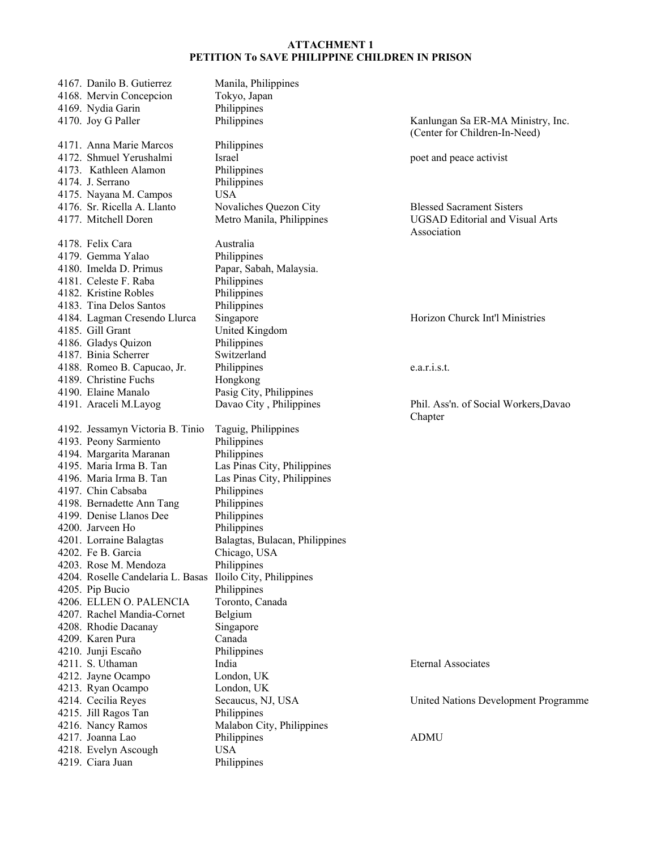| 4167. Danilo B. Gutierrez<br>4168. Mervin Concepcion<br>4169. Nydia Garin                                                                                                                                                                                                                                                                                                                                                                                                                                 | Manila, Philippines<br>Tokyo, Japan<br>Philippines                                                                                                                                                                                                                                                                                                          |                                                                     |
|-----------------------------------------------------------------------------------------------------------------------------------------------------------------------------------------------------------------------------------------------------------------------------------------------------------------------------------------------------------------------------------------------------------------------------------------------------------------------------------------------------------|-------------------------------------------------------------------------------------------------------------------------------------------------------------------------------------------------------------------------------------------------------------------------------------------------------------------------------------------------------------|---------------------------------------------------------------------|
| 4170. Joy G Paller                                                                                                                                                                                                                                                                                                                                                                                                                                                                                        | Philippines                                                                                                                                                                                                                                                                                                                                                 | Kanlungan Sa ER-1<br>(Center for Childre                            |
| 4171. Anna Marie Marcos<br>4172. Shmuel Yerushalmi<br>4173. Kathleen Alamon<br>4174. J. Serrano                                                                                                                                                                                                                                                                                                                                                                                                           | Philippines<br>Israel<br>Philippines<br>Philippines<br><b>USA</b>                                                                                                                                                                                                                                                                                           | poet and peace acti                                                 |
| 4175. Nayana M. Campos<br>4176. Sr. Ricella A. Llanto<br>4177. Mitchell Doren                                                                                                                                                                                                                                                                                                                                                                                                                             | Novaliches Quezon City<br>Metro Manila, Philippines                                                                                                                                                                                                                                                                                                         | <b>Blessed Sacrament</b><br><b>UGSAD</b> Editorial a<br>Association |
| 4178. Felix Cara<br>4179. Gemma Yalao<br>4180. Imelda D. Primus<br>4181. Celeste F. Raba<br>4182. Kristine Robles<br>4183. Tina Delos Santos                                                                                                                                                                                                                                                                                                                                                              | Australia<br>Philippines<br>Papar, Sabah, Malaysia.<br>Philippines<br>Philippines<br>Philippines                                                                                                                                                                                                                                                            |                                                                     |
| 4184. Lagman Cresendo Llurca<br>4185. Gill Grant<br>4186. Gladys Quizon<br>4187. Binia Scherrer                                                                                                                                                                                                                                                                                                                                                                                                           | Singapore<br>United Kingdom<br>Philippines<br>Switzerland                                                                                                                                                                                                                                                                                                   | Horizon Churck In                                                   |
| 4188. Romeo B. Capucao, Jr.<br>4189. Christine Fuchs<br>4190. Elaine Manalo                                                                                                                                                                                                                                                                                                                                                                                                                               | Philippines<br>Hongkong<br>Pasig City, Philippines                                                                                                                                                                                                                                                                                                          | e.a.r.i.s.t.                                                        |
| 4191. Araceli M.Layog                                                                                                                                                                                                                                                                                                                                                                                                                                                                                     | Davao City, Philippines                                                                                                                                                                                                                                                                                                                                     | Phil. Ass'n. of Soci<br>Chapter                                     |
| 4192. Jessamyn Victoria B. Tinio<br>4193. Peony Sarmiento<br>4194. Margarita Maranan<br>4195. Maria Irma B. Tan<br>4196. Maria Irma B. Tan<br>4197. Chin Cabsaba<br>4198. Bernadette Ann Tang<br>4199. Denise Llanos Dee<br>4200. Jarveen Ho<br>4201. Lorraine Balagtas<br>4202. Fe B. Garcia<br>4203. Rose M. Mendoza<br>4204. Roselle Candelaria L. Basas<br>4205. Pip Bucio<br>4206. ELLEN O. PALENCIA<br>4207. Rachel Mandia-Cornet<br>4208. Rhodie Dacanay<br>4209. Karen Pura<br>4210. Junji Escaño | Taguig, Philippines<br>Philippines<br>Philippines<br>Las Pinas City, Philippines<br>Las Pinas City, Philippines<br>Philippines<br>Philippines<br>Philippines<br>Philippines<br>Balagtas, Bulacan, Philippines<br>Chicago, USA<br>Philippines<br>Iloilo City, Philippines<br>Philippines<br>Toronto, Canada<br>Belgium<br>Singapore<br>Canada<br>Philippines |                                                                     |
| 4211. S. Uthaman<br>4212. Jayne Ocampo<br>4213. Ryan Ocampo                                                                                                                                                                                                                                                                                                                                                                                                                                               | India<br>London, UK<br>London, UK                                                                                                                                                                                                                                                                                                                           | <b>Eternal Associates</b>                                           |
| 4214. Cecilia Reyes<br>4215. Jill Ragos Tan<br>4216. Nancy Ramos                                                                                                                                                                                                                                                                                                                                                                                                                                          | Secaucus, NJ, USA<br>Philippines<br>Malabon City, Philippines                                                                                                                                                                                                                                                                                               | United Nations Dev                                                  |
| 4217. Joanna Lao<br>4218. Evelyn Ascough<br>4219. Ciara Juan                                                                                                                                                                                                                                                                                                                                                                                                                                              | Philippines<br><b>USA</b><br>Philippines                                                                                                                                                                                                                                                                                                                    | <b>ADMU</b>                                                         |

Sa ER-MA Ministry, Inc. Children-In-Need)

eace activist

acrament Sisters ditorial and Visual Arts  $\mathbf n$ 

hurck Int'l Ministries

1. of Social Workers,Davao

tions Development Programme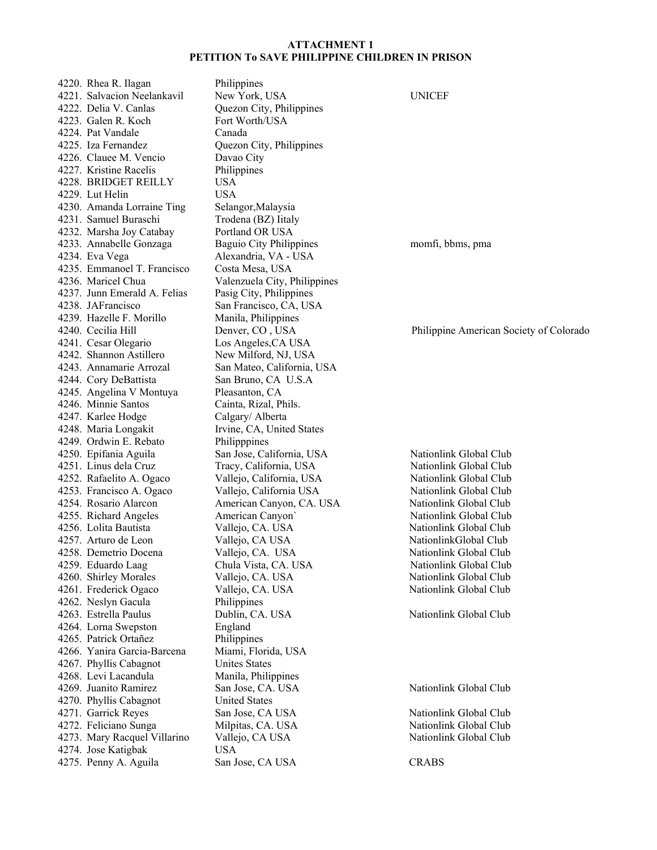4220. Rhea R. Ilagan Philippines 4221. Salvacion Neelankavil New York, USA UNICEF 4222. Delia V. Canlas Quezon City, Philippines 4223. Galen R. Koch Fort Worth/USA 4224. Pat Vandale Canada 4225. Iza Fernandez Quezon City, Philippines 4226. Clauee M. Vencio Davao City 4227. Kristine Racelis Philippines 4228. BRIDGET REILLY USA 4229. Lut Helin USA 4230. Amanda Lorraine Ting Selangor, Malaysia 4231. Samuel Buraschi Trodena (BZ) Iitaly 4232. Marsha Joy Catabay Portland OR USA 4233. Annabelle Gonzaga Baguio City Philippines momfi, bbms, pma 4234. Eva Vega Alexandria, VA - USA 4235. Emmanoel T. Francisco Costa Mesa, USA 4236. Maricel Chua Valenzuela City, Philippines 4237. Junn Emerald A. Felias Pasig City, Philippines 4238. JAFrancisco San Francisco, CA, USA 4239. Hazelle F. Morillo Manila, Philippines 4240. Cecilia Hill Denver, CO , USA Philippine American Society of Colorado 4241. Cesar Olegario Los Angeles,CA USA 4242. Shannon Astillero New Milford, NJ, USA 4243. Annamarie Arrozal San Mateo, California, USA 4244. Cory DeBattista San Bruno, CA U.S.A 4245. Angelina V Montuya Pleasanton, CA 4246. Minnie Santos Cainta, Rizal, Phils. 4247. Karlee Hodge Calgary/ Alberta 4248. Maria Longakit Irvine, CA, United States 4249. Ordwin E. Rebato Philipppines 4250. Epifania Aguila San Jose, California, USA Nationlink Global Club 4251. Linus dela Cruz Tracy, California, USA Nationlink Global Club 4252. Rafaelito A. Ogaco Vallejo, California, USA Nationlink Global Club 4253. Francisco A. Ogaco Vallejo, California USA Nationlink Global Club 4254. Rosario Alarcon American Canyon, CA. USA Nationlink Global Club 4255. Richard Angeles American Canyon` Nationlink Global Club 4256. Lolita Bautista Vallejo, CA. USA Nationlink Global Club 4257. Arturo de Leon Vallejo, CA USA NationlinkGlobal Club 4258. Demetrio Docena Vallejo, CA. USA Nationlink Global Club 4259. Eduardo Laag Chula Vista, CA. USA Nationlink Global Club 4260. Shirley Morales Vallejo, CA. USA Nationlink Global Club 4261. Frederick Ogaco Vallejo, CA. USA Nationlink Global Club 4262. Neslyn Gacula Philippines 4263. Estrella Paulus Dublin, CA. USA Nationlink Global Club 4264. Lorna Swepston England 4265. Patrick Ortañez Philippines 4266. Yanira Garcia-Barcena Miami, Florida, USA 4267. Phyllis Cabagnot Unites States 4268. Levi Lacandula Manila, Philippines 4269. Juanito Ramirez San Jose, CA. USA Nationlink Global Club 4270. Phyllis Cabagnot United States 4271. Garrick Reyes San Jose, CA USA Nationlink Global Club 4272. Feliciano Sunga Milpitas, CA. USA Nationlink Global Club 4273. Mary Racquel Villarino Vallejo, CA USA Nationlink Global Club 4274. Jose Katigbak USA 4275. Penny A. Aguila San Jose, CA USA CRABS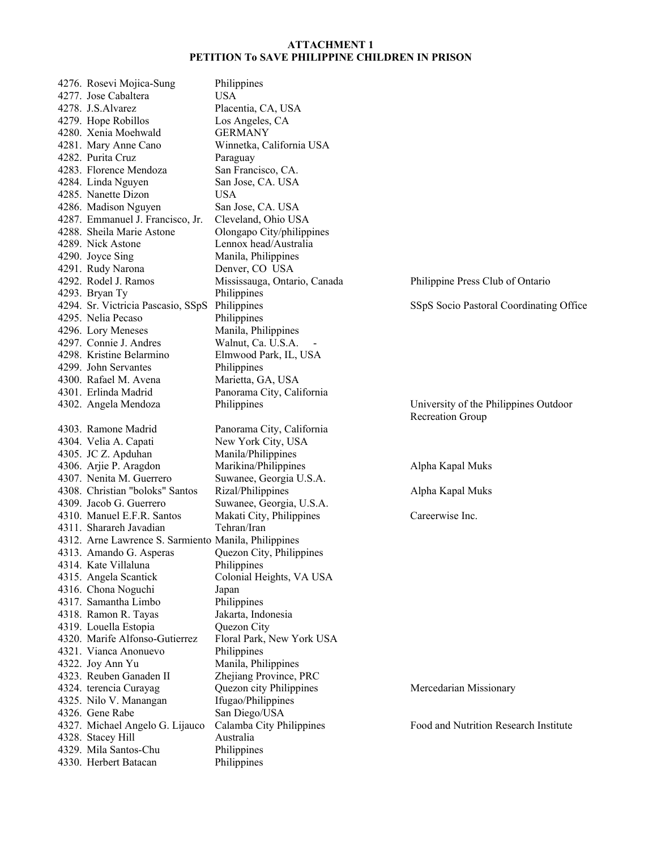4276. Rosevi Mojica-Sung Philippines 4277. Jose Cabaltera USA 4278. J.S.Alvarez Placentia, CA, USA 4279. Hope Robillos Los Angeles, CA 4280. Xenia Moehwald GERMANY 4281. Mary Anne Cano Winnetka, California USA 4282. Purita Cruz Paraguay 4283. Florence Mendoza San Francisco, CA. 4284. Linda Nguyen San Jose, CA. USA 4285. Nanette Dizon USA 4286. Madison Nguyen San Jose, CA. USA 4287. Emmanuel J. Francisco, Jr. Cleveland, Ohio USA 4288. Sheila Marie Astone Olongapo City/philippines 4289. Nick Astone Lennox head/Australia 4290. Joyce Sing Manila, Philippines 4291. Rudy Narona Denver, CO USA 4292. Rodel J. Ramos Mississauga, Ontario, Canada Philippine Press Club of Ontario 4293. Bryan Ty Philippines 4294. Sr. Victricia Pascasio, SSpS Philippines SSpS Socio Pastoral Coordinating Office 4295. Nelia Pecaso Philippines 4296. Lory Meneses Manila, Philippines 4297. Connie J. Andres Walnut, Ca. U.S.A. 4298. Kristine Belarmino Elmwood Park, IL, USA 4299. John Servantes Philippines 4300. Rafael M. Avena Marietta, GA, USA 4301. Erlinda Madrid Panorama City, California 4302. Angela Mendoza Philippines University of the Philippines Outdoor Recreation Group 4303. Ramone Madrid Panorama City, California 4304. Velia A. Capati New York City, USA 4305. JC Z. Apduhan Manila/Philippines 4306. Arjie P. Aragdon Marikina/Philippines Alpha Kapal Muks 4307. Nenita M. Guerrero Suwanee, Georgia U.S.A. 4308. Christian "boloks" Santos Rizal/Philippines Alpha Kapal Muks 4309. Jacob G. Guerrero Suwanee, Georgia, U.S.A. 4310. Manuel E.F.R. Santos Makati City, Philippines Careerwise Inc. 4311. Sharareh Javadian Tehran/Iran 4312. Arne Lawrence S. Sarmiento Manila, Philippines 4313. Amando G. Asperas Quezon City, Philippines 4314. Kate Villaluna Philippines 4315. Angela Scantick Colonial Heights, VA USA 4316. Chona Noguchi Japan 4317. Samantha Limbo Philippines 4318. Ramon R. Tayas Jakarta, Indonesia 4319. Louella Estopia Quezon City 4320. Marife Alfonso-Gutierrez Floral Park, New York USA 4321. Vianca Anonuevo Philippines 4322. Joy Ann Yu Manila, Philippines 4323. Reuben Ganaden II Zhejiang Province, PRC 4324. terencia Curayag Quezon city Philippines Mercedarian Missionary 4325. Nilo V. Manangan Ifugao/Philippines 4326. Gene Rabe San Diego/USA 4327. Michael Angelo G. Lijauco Calamba City Philippines Food and Nutrition Research Institute 4328. Stacey Hill Australia 4329. Mila Santos-Chu Philippines 4330. Herbert Batacan Philippines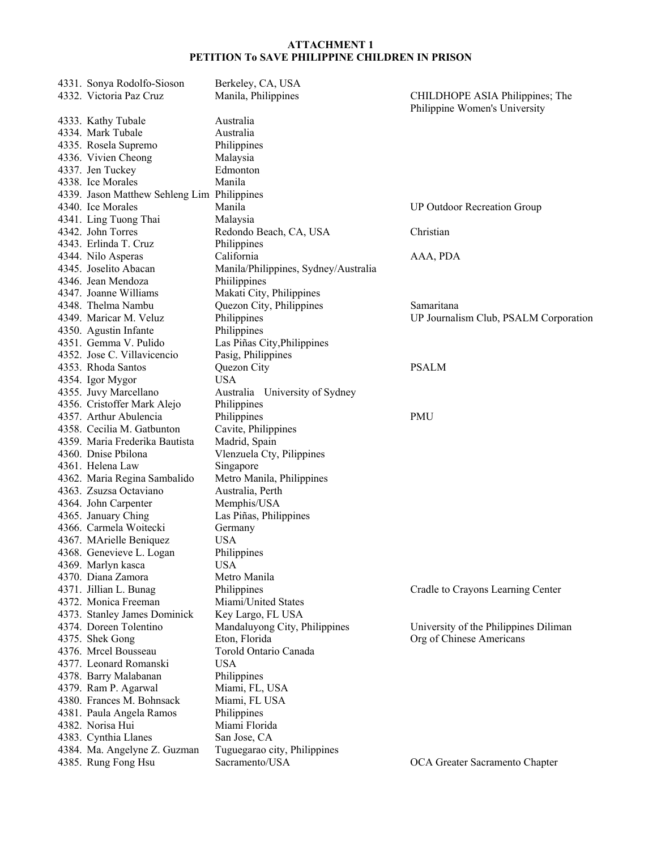| 4331. Sonya Rodolfo-Sioson                  | Berkeley, CA, USA                    |                                       |
|---------------------------------------------|--------------------------------------|---------------------------------------|
| 4332. Victoria Paz Cruz                     | Manila, Philippines                  | CHILDHOPE ASIA Philippines; The       |
|                                             |                                      | Philippine Women's University         |
| 4333. Kathy Tubale                          | Australia                            |                                       |
| 4334. Mark Tubale                           | Australia                            |                                       |
| 4335. Rosela Supremo                        | Philippines                          |                                       |
| 4336. Vivien Cheong                         | Malaysia                             |                                       |
| 4337. Jen Tuckey                            | Edmonton                             |                                       |
| 4338. Ice Morales                           | Manila                               |                                       |
| 4339. Jason Matthew Sehleng Lim Philippines |                                      |                                       |
| 4340. Ice Morales                           | Manila                               | <b>UP Outdoor Recreation Group</b>    |
| 4341. Ling Tuong Thai                       | Malaysia                             |                                       |
| 4342. John Torres                           | Redondo Beach, CA, USA               | Christian                             |
| 4343. Erlinda T. Cruz                       | Philippines                          |                                       |
| 4344. Nilo Asperas                          | California                           | AAA, PDA                              |
| 4345. Joselito Abacan                       | Manila/Philippines, Sydney/Australia |                                       |
| 4346. Jean Mendoza                          | Philippines                          |                                       |
| 4347. Joanne Williams                       | Makati City, Philippines             |                                       |
| 4348. Thelma Nambu                          | Quezon City, Philippines             | Samaritana                            |
| 4349. Maricar M. Veluz                      | Philippines                          | UP Journalism Club, PSALM Corporation |
| 4350. Agustin Infante                       | Philippines                          |                                       |
| 4351. Gemma V. Pulido                       | Las Piñas City, Philippines          |                                       |
| 4352. Jose C. Villavicencio                 | Pasig, Philippines                   |                                       |
| 4353. Rhoda Santos                          | Quezon City                          | <b>PSALM</b>                          |
| 4354. Igor Mygor                            | <b>USA</b>                           |                                       |
| 4355. Juvy Marcellano                       | Australia University of Sydney       |                                       |
| 4356. Cristoffer Mark Alejo                 | Philippines                          |                                       |
| 4357. Arthur Abulencia                      | Philippines                          | <b>PMU</b>                            |
| 4358. Cecilia M. Gatbunton                  | Cavite, Philippines                  |                                       |
| 4359. Maria Frederika Bautista              | Madrid, Spain                        |                                       |
| 4360. Dnise Pbilona                         | Vlenzuela Cty, Pilippines            |                                       |
| 4361. Helena Law                            | Singapore                            |                                       |
| 4362. Maria Regina Sambalido                | Metro Manila, Philippines            |                                       |
| 4363. Zsuzsa Octaviano                      | Australia, Perth                     |                                       |
| 4364. John Carpenter                        | Memphis/USA                          |                                       |
| 4365. January Ching                         | Las Piñas, Philippines               |                                       |
| 4366. Carmela Woitecki                      | Germany                              |                                       |
| 4367. MArielle Beniquez                     | <b>USA</b>                           |                                       |
| 4368. Genevieve L. Logan                    | Philippines                          |                                       |
| 4369. Marlyn kasca                          | <b>USA</b>                           |                                       |
| 4370. Diana Zamora                          | Metro Manila                         |                                       |
| 4371. Jillian L. Bunag                      | Philippines                          | Cradle to Crayons Learning Center     |
| 4372. Monica Freeman                        | Miami/United States                  |                                       |
| 4373. Stanley James Dominick                | Key Largo, FL USA                    |                                       |
| 4374. Doreen Tolentino                      | Mandaluyong City, Philippines        | University of the Philippines Diliman |
| 4375. Shek Gong                             | Eton, Florida                        | Org of Chinese Americans              |
| 4376. Mrcel Bousseau                        | Torold Ontario Canada                |                                       |
| 4377. Leonard Romanski                      | <b>USA</b>                           |                                       |
| 4378. Barry Malabanan                       | Philippines                          |                                       |
| 4379. Ram P. Agarwal                        | Miami, FL, USA                       |                                       |
| 4380. Frances M. Bohnsack                   | Miami, FL USA                        |                                       |
| 4381. Paula Angela Ramos                    | Philippines                          |                                       |
| 4382. Norisa Hui                            | Miami Florida                        |                                       |
| 4383. Cynthia Llanes                        | San Jose, CA                         |                                       |
| 4384. Ma. Angelyne Z. Guzman                | Tuguegarao city, Philippines         |                                       |
| 4385. Rung Fong Hsu                         | Sacramento/USA                       | OCA Greater Sacramento Chapter        |
|                                             |                                      |                                       |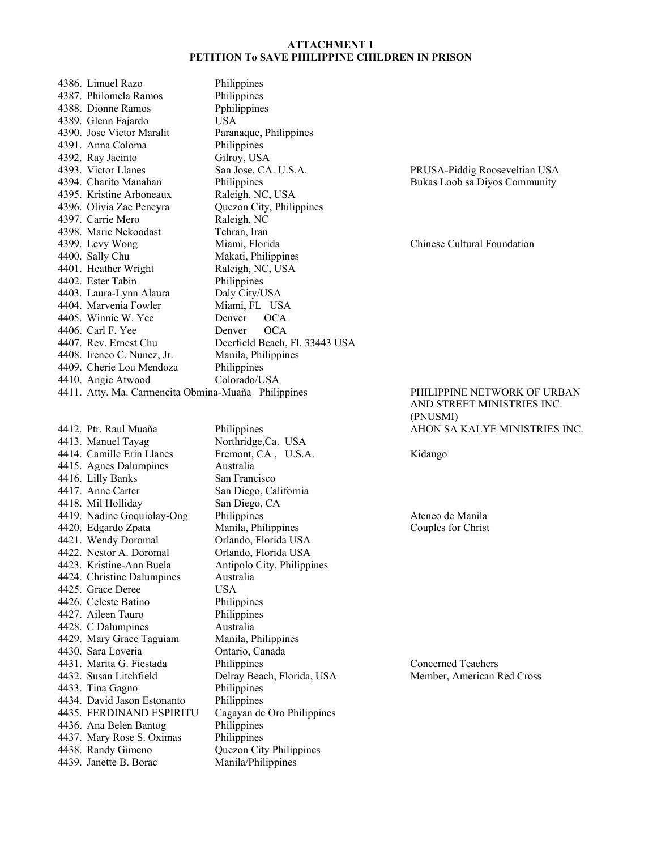| 4386. Limuel Razo                                   | Philippines                    |
|-----------------------------------------------------|--------------------------------|
| 4387. Philomela Ramos                               | Philippines                    |
| 4388. Dionne Ramos                                  | Pphilippines                   |
| 4389. Glenn Fajardo                                 | USA.                           |
| 4390. Jose Victor Maralit                           | Paranaque, Philippines         |
| 4391. Anna Coloma                                   | Philippines                    |
| 4392. Ray Jacinto                                   | Gilroy, USA                    |
| 4393. Victor Llanes                                 | San Jose, CA. U.S.A.           |
| 4394. Charito Manahan                               | Philippines                    |
| 4395. Kristine Arboneaux                            | Raleigh, NC, USA               |
| 4396. Olivia Zae Peneyra                            | Quezon City, Philippines       |
| 4397. Carrie Mero                                   | Raleigh, NC                    |
| 4398. Marie Nekoodast                               | Tehran, Iran                   |
| 4399. Levy Wong                                     | Miami, Florida                 |
| 4400. Sally Chu                                     | Makati, Philippines            |
| 4401. Heather Wright                                | Raleigh, NC, USA               |
| 4402. Ester Tabin                                   | Philippines                    |
| 4403. Laura-Lynn Alaura                             | Daly City/USA                  |
| 4404. Marvenia Fowler                               | Miami, FL USA                  |
| 4405. Winnie W. Yee                                 | Denver OCA                     |
| 4406. Carl F. Yee                                   | Denver OCA                     |
| 4407. Rev. Ernest Chu                               | Deerfield Beach, Fl. 33443 USA |
| 4408. Ireneo C. Nunez, Jr.                          | Manila, Philippines            |
| 4409. Cherie Lou Mendoza                            | Philippines                    |
| 4410. Angie Atwood                                  | Colorado/USA                   |
| 4411. Atty. Ma. Carmencita Obmina-Muaña Philippines |                                |

4413. Manuel Tayag Northridge, Ca. USA 4414. Camille Erin Llanes Fremont, CA , U.S.A. Kidango 4415. Agnes Dalumpines Australia 4416. Lilly Banks San Francisco 4417. Anne Carter San Diego, California 4418. Mil Holliday San Diego, CA 4419. Nadine Goquiolay-Ong Philippines and Ateneo de Manila 4420. Edgardo Zpata Manila, Philippines Couples for Christ 4421. Wendy Doromal Orlando, Florida USA 4422. Nestor A. Doromal Orlando, Florida USA 4423. Kristine-Ann Buela Antipolo City, Philippines 4424. Christine Dalumpines Australia 4425. Grace Deree USA 4426. Celeste Batino Philippines 4427. Aileen Tauro Philippines 4428. C Dalumpines Australia 4429. Mary Grace Taguiam Manila, Philippines 4430. Sara Loveria Ontario, Canada 4431. Marita G. Fiestada Philippines Concerned Teachers 4432. Susan Litchfield Delray Beach, Florida, USA Member, American Red Cross 4433. Tina Gagno Philippines 4434. David Jason Estonanto Philippines 4435. FERDINAND ESPIRITU Cagayan de Oro Philippines 4436. Ana Belen Bantog Philippines<br>4437. Mary Rose S. Oximas Philippines 4437. Mary Rose S. Oximas<br>4438. Randy Gimeno 4439. Janette B. Borac Manila/Philippines

Quezon City Philippines

PRUSA-Piddig Rooseveltian USA Bukas Loob sa Diyos Community

Chinese Cultural Foundation

#### PHILIPPINE NETWORK OF URBAN AND STREET MINISTRIES INC. (PNUSMI) 4412. Ptr. Raul Muaña Philippines AHON SA KALYE MINISTRIES INC.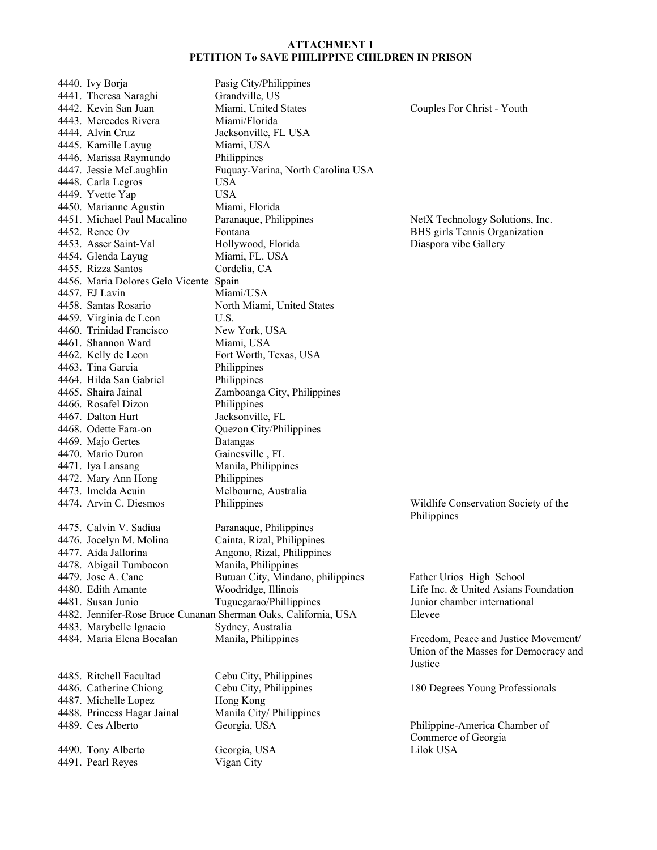4440. Ivy Borja Pasig City/Philippines 4441. Theresa Naraghi Grandville, US 4442. Kevin San Juan Miami, United States Couples For Christ - Youth 4443. Mercedes Rivera Miami/Florida 4444. Alvin Cruz Jacksonville, FL USA 4445. Kamille Layug Miami, USA 4446. Marissa Raymundo Philippines 4447. Jessie McLaughlin Fuquay-Varina, North Carolina USA 4448. Carla Legros USA 4449. Yvette Yap USA 4450. Marianne Agustin Miami, Florida<br>1451. Michael Paul Macalino Paranaque, Phil Paranaque, Philippines NetX Technology Solutions, Inc. 4452. Renee Ov Fontana BHS girls Tennis Organization 4453. Asser Saint-Val Hollywood, Florida Diaspora vibe Gallery 4454. Glenda Layug Miami, FL. USA 4455. Rizza Santos Cordelia, CA 4456. Maria Dolores Gelo Vicente Spain 4457. EJ Lavin Miami/USA 4458. Santas Rosario North Miami, United States 4459. Virginia de Leon U.S. 4460. Trinidad Francisco New York, USA 4461. Shannon Ward Miami, USA 4462. Kelly de Leon Fort Worth, Texas, USA 4463. Tina Garcia Philippines 4464. Hilda San Gabriel Philippines 4465. Shaira Jainal Zamboanga City, Philippines 4466. Rosafel Dizon Philippines 4467. Dalton Hurt Jacksonville, FL 4468. Odette Fara-on Quezon City/Philippines 4469. Majo Gertes Batangas 4470. Mario Duron Gainesville , FL 4471. Iya Lansang Manila, Philippines 4472. Mary Ann Hong Philippines 4473. Imelda Acuin Melbourne, Australia 4474. Arvin C. Diesmos Philippines Wildlife Conservation Society of the Philippines 4475. Calvin V. Sadiua Paranaque, Philippines 4476. Jocelyn M. Molina Cainta, Rizal, Philippines 4477. Aida Jallorina Angono, Rizal, Philippines 4478. Abigail Tumbocon Manila, Philippines 4479. Jose A. Cane Butuan City, Mindano, philippines Father Urios High School 4480. Edith Amante Woodridge, Illinois Life Inc. & United Asians Foundation 4481. Susan Junio Tuguegarao/Phillippines Junior chamber international 4482. Jennifer-Rose Bruce Cunanan Sherman Oaks, California, USA Elevee 4483. Marybelle Ignacio Sydney, Australia 4484. Maria Elena Bocalan Manila, Philippines Freedom, Peace and Justice Movement/ Union of the Masses for Democracy and Justice 4485. Ritchell Facultad Cebu City, Philippines 4486. Catherine Chiong Cebu City, Philippines 180 Degrees Young Professionals 4487. Michelle Lopez Hong Kong 4488. Princess Hagar Jainal Manila City/ Philippines 4489. Ces Alberto Georgia, USA Philippine-America Chamber of Commerce of Georgia 4490. Tony Alberto Georgia, USA Lilok USA 4491. Pearl Reyes Vigan City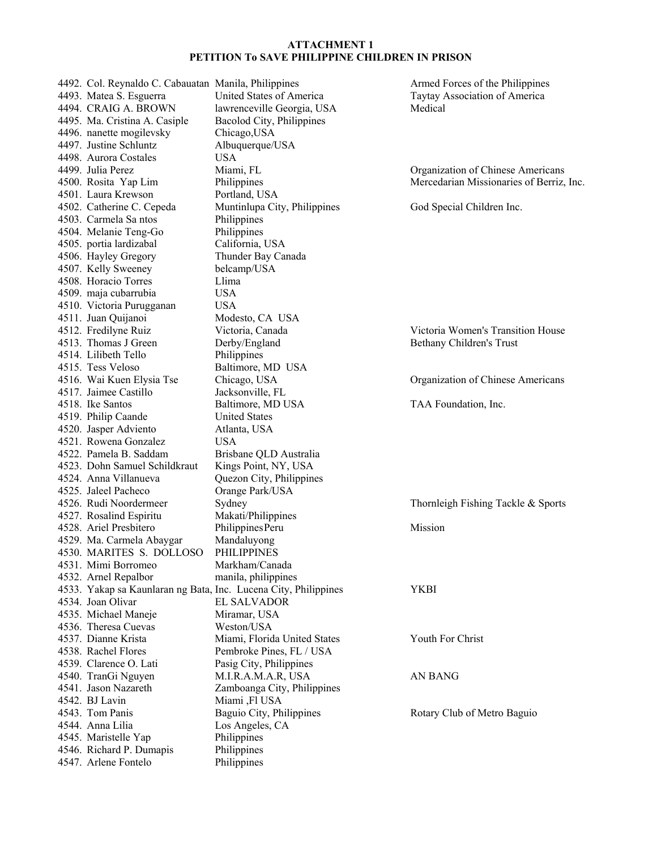4492. Col. Reynaldo C. Cabauatan Manila, Philippines Armed Forces of the Philippines 4493. Matea S. Esguerra United States of America Taytay Association of America 4494. CRAIG A. BROWN lawrenceville Georgia, USA Medical 4495. Ma. Cristina A. Casiple Bacolod City, Philippines 4496. nanette mogilevsky Chicago,USA 4497. Justine Schluntz Albuquerque/USA 4498. Aurora Costales USA 4499. Julia Perez Miami, FL Organization of Chinese Americans 4500. Rosita Yap Lim Philippines Mercedarian Missionaries of Berriz, Inc. 4501. Laura Krewson Portland, USA 4502. Catherine C. Cepeda Muntinlupa City, Philippines God Special Children Inc. 4503. Carmela Sa ntos Philippines 4504. Melanie Teng-Go Philippines 4505. portia lardizabal California, USA 4506. Hayley Gregory Thunder Bay Canada 4507. Kelly Sweeney belcamp/USA 4508. Horacio Torres Llima 4509. maja cubarrubia USA 4510. Victoria Purugganan USA 4511. Juan Quijanoi Modesto, CA USA<br>4512. Fredilyne Ruiz Victoria, Canada Victoria, Canada Victoria Women's Transition House 4513. Thomas J Green Derby/England Bethany Children's Trust 4514. Lilibeth Tello Philippines 4515. Tess Veloso Baltimore, MD USA 4516. Wai Kuen Elysia Tse Chicago, USA Organization of Chinese Americans 4517. Jaimee Castillo Jacksonville, FL 4518. Ike Santos Baltimore, MD USA TAA Foundation, Inc. 4519. Philip Caande United States 4520. Jasper Adviento Atlanta, USA 4521. Rowena Gonzalez USA 4522. Pamela B. Saddam Brisbane QLD Australia 4523. Dohn Samuel Schildkraut Kings Point, NY, USA 4524. Anna Villanueva Quezon City, Philippines 4525. Jaleel Pacheco Orange Park/USA 4526. Rudi Noordermeer Sydney Thornleigh Fishing Tackle & Sports 4527. Rosalind Espiritu Makati/Philippines 4528. Ariel Presbitero Philippines Peru Mission 4529. Ma. Carmela Abaygar Mandaluyong 4530. MARITES S. DOLLOSO PHILIPPINES 4531. Mimi Borromeo Markham/Canada 4532. Arnel Repalbor manila, philippines 4533. Yakap sa Kaunlaran ng Bata, Inc. Lucena City, Philippines YKBI 4534. Joan Olivar EL SALVADOR 4535. Michael Maneje Miramar, USA 4536. Theresa Cuevas Weston/USA<br>4537. Dianne Krista Miami. Florid 4537. Dianne Krista Miami, Florida United States Youth For Christ 4538. Rachel Flores Pembroke Pines, FL / USA 4539. Clarence O. Lati Pasig City, Philippines 4540. TranGi Nguyen M.I.R.A.M.A.R, USA AN BANG 4541. Jason Nazareth Zamboanga City, Philippines 4542. BJ Lavin Miami ,Fl USA 4543. Tom Panis Baguio City, Philippines Rotary Club of Metro Baguio 4544. Anna Lilia Los Angeles, CA 4545. Maristelle Yap Philippines 4546. Richard P. Dumapis Philippines 4547. Arlene Fontelo Philippines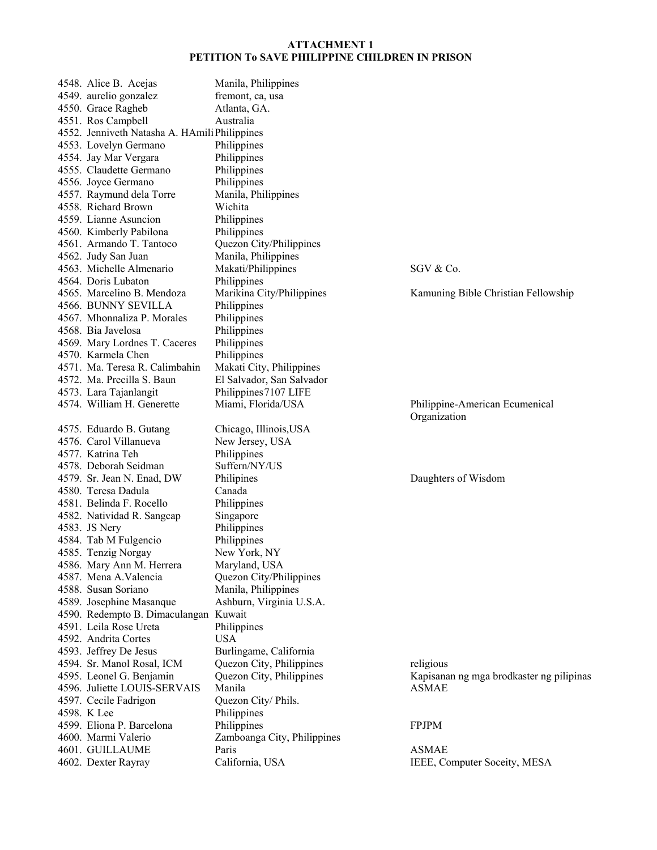| 4548. Alice B. Acejas                            | Manila, Philippines         |                                                |
|--------------------------------------------------|-----------------------------|------------------------------------------------|
| 4549. aurelio gonzalez                           | fremont, ca, usa            |                                                |
| 4550. Grace Ragheb                               | Atlanta, GA.                |                                                |
| 4551. Ros Campbell                               | Australia                   |                                                |
| 4552. Jenniveth Natasha A. HAmili Philippines    |                             |                                                |
| 4553. Lovelyn Germano                            | Philippines                 |                                                |
|                                                  |                             |                                                |
| 4554. Jay Mar Vergara<br>4555. Claudette Germano | Philippines                 |                                                |
|                                                  | Philippines                 |                                                |
| 4556. Joyce Germano                              | Philippines                 |                                                |
| 4557. Raymund dela Torre                         | Manila, Philippines         |                                                |
| 4558. Richard Brown                              | Wichita                     |                                                |
| 4559. Lianne Asuncion                            | Philippines                 |                                                |
| 4560. Kimberly Pabilona                          | Philippines                 |                                                |
| 4561. Armando T. Tantoco                         | Quezon City/Philippines     |                                                |
| 4562. Judy San Juan                              | Manila, Philippines         |                                                |
| 4563. Michelle Almenario                         | Makati/Philippines          | SGV & Co.                                      |
| 4564. Doris Lubaton                              | Philippines                 |                                                |
| 4565. Marcelino B. Mendoza                       | Marikina City/Philippines   | Kamuning Bible Christian Fellowship            |
| 4566. BUNNY SEVILLA                              | Philippines                 |                                                |
| 4567. Mhonnaliza P. Morales                      | Philippines                 |                                                |
| 4568. Bia Javelosa                               | Philippines                 |                                                |
| 4569. Mary Lordnes T. Caceres                    | Philippines                 |                                                |
| 4570. Karmela Chen                               | Philippines                 |                                                |
| 4571. Ma. Teresa R. Calimbahin                   | Makati City, Philippines    |                                                |
| 4572. Ma. Precilla S. Baun                       | El Salvador, San Salvador   |                                                |
| 4573. Lara Tajanlangit                           | Philippines 7107 LIFE       |                                                |
| 4574. William H. Generette                       | Miami, Florida/USA          | Philippine-American Ecumenical<br>Organization |
| 4575. Eduardo B. Gutang                          | Chicago, Illinois, USA      |                                                |
| 4576. Carol Villanueva                           | New Jersey, USA             |                                                |
| 4577. Katrina Teh                                | Philippines                 |                                                |
| 4578. Deborah Seidman                            | Suffern/NY/US               |                                                |
| 4579. Sr. Jean N. Enad, DW                       | Philipines                  | Daughters of Wisdom                            |
| 4580. Teresa Dadula                              | Canada                      |                                                |
| 4581. Belinda F. Rocello                         | Philippines                 |                                                |
| 4582. Natividad R. Sangcap                       | Singapore                   |                                                |
| 4583. JS Nery                                    | Philippines                 |                                                |
| 4584. Tab M Fulgencio                            | Philippines                 |                                                |
| 4585. Tenzig Norgay                              | New York, NY                |                                                |
| 4586. Mary Ann M. Herrera                        | Maryland, USA               |                                                |
| 4587. Mena A.Valencia                            | Quezon City/Philippines     |                                                |
| 4588. Susan Soriano                              | Manila, Philippines         |                                                |
| 4589. Josephine Masanque                         | Ashburn, Virginia U.S.A.    |                                                |
| 4590. Redempto B. Dimaculangan Kuwait            |                             |                                                |
| 4591. Leila Rose Ureta                           | Philippines                 |                                                |
| 4592. Andrita Cortes                             | <b>USA</b>                  |                                                |
| 4593. Jeffrey De Jesus                           | Burlingame, California      |                                                |
| 4594. Sr. Manol Rosal, ICM                       | Quezon City, Philippines    | religious                                      |
| 4595. Leonel G. Benjamin                         | Quezon City, Philippines    | Kapisanan ng mga brodkaster ng pilipinas       |
| 4596. Juliette LOUIS-SERVAIS                     | Manila                      | <b>ASMAE</b>                                   |
| 4597. Cecile Fadrigon                            | Quezon City/Phils.          |                                                |
| 4598. K Lee                                      | Philippines                 |                                                |
| 4599. Eliona P. Barcelona                        | Philippines                 | <b>FPJPM</b>                                   |
| 4600. Marmi Valerio                              | Zamboanga City, Philippines |                                                |
| 4601. GUILLAUME                                  | Paris                       | <b>ASMAE</b>                                   |
| 4602. Dexter Rayray                              | California, USA             | IEEE, Computer Soceity, MESA                   |
|                                                  |                             |                                                |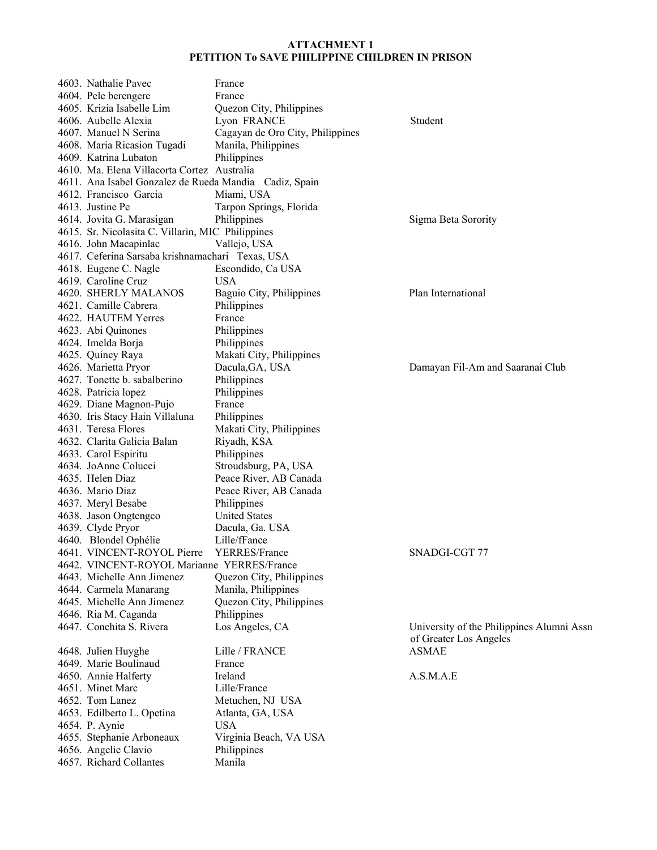| 4603. Nathalie Pavec                                   | France                           |                                           |
|--------------------------------------------------------|----------------------------------|-------------------------------------------|
| 4604. Pele berengere                                   | France                           |                                           |
| 4605. Krizia Isabelle Lim                              | Quezon City, Philippines         |                                           |
| 4606. Aubelle Alexia                                   | Lyon FRANCE                      | Student                                   |
| 4607. Manuel N Serina                                  | Cagayan de Oro City, Philippines |                                           |
| 4608. Maria Ricasion Tugadi                            | Manila, Philippines              |                                           |
| 4609. Katrina Lubaton                                  | Philippines                      |                                           |
| 4610. Ma. Elena Villacorta Cortez Australia            |                                  |                                           |
| 4611. Ana Isabel Gonzalez de Rueda Mandia Cadiz, Spain |                                  |                                           |
| 4612. Francisco Garcia                                 | Miami, USA                       |                                           |
| 4613. Justine Pe                                       | Tarpon Springs, Florida          |                                           |
| 4614. Jovita G. Marasigan                              | Philippines                      | Sigma Beta Sorority                       |
| 4615. Sr. Nicolasita C. Villarin, MIC Philippines      |                                  |                                           |
| 4616. John Macapinlac                                  | Vallejo, USA                     |                                           |
| 4617. Ceferina Sarsaba krishnamachari Texas, USA       |                                  |                                           |
| 4618. Eugene C. Nagle                                  | Escondido, Ca USA                |                                           |
| 4619. Caroline Cruz                                    | <b>USA</b>                       |                                           |
| 4620. SHERLY MALANOS                                   | Baguio City, Philippines         | Plan International                        |
| 4621. Camille Cabrera                                  | Philippines                      |                                           |
| 4622. HAUTEM Yerres                                    | France                           |                                           |
|                                                        |                                  |                                           |
| 4623. Abi Quinones                                     | Philippines                      |                                           |
| 4624. Imelda Borja                                     | Philippines                      |                                           |
| 4625. Quincy Raya                                      | Makati City, Philippines         |                                           |
| 4626. Marietta Pryor                                   | Dacula, GA, USA                  | Damayan Fil-Am and Saaranai Club          |
| 4627. Tonette b. sabalberino                           | Philippines                      |                                           |
| 4628. Patricia lopez                                   | Philippines                      |                                           |
| 4629. Diane Magnon-Pujo                                | France                           |                                           |
| 4630. Iris Stacy Hain Villaluna                        | Philippines                      |                                           |
| 4631. Teresa Flores                                    | Makati City, Philippines         |                                           |
| 4632. Clarita Galicia Balan                            | Riyadh, KSA                      |                                           |
| 4633. Carol Espiritu                                   | Philippines                      |                                           |
| 4634. JoAnne Colucci                                   | Stroudsburg, PA, USA             |                                           |
| 4635. Helen Diaz                                       | Peace River, AB Canada           |                                           |
| 4636. Mario Diaz                                       | Peace River, AB Canada           |                                           |
| 4637. Meryl Besabe                                     | Philippines                      |                                           |
| 4638. Jason Ongtengco                                  | <b>United States</b>             |                                           |
| 4639. Clyde Pryor                                      | Dacula, Ga. USA                  |                                           |
| 4640. Blondel Ophélie                                  | Lille/fFance                     |                                           |
| 4641. VINCENT-ROYOL Pierre                             | YERRES/France                    | SNADGI-CGT 77                             |
| 4642. VINCENT-ROYOL Marianne YERRES/France             |                                  |                                           |
| 4643. Michelle Ann Jimenez                             | Quezon City, Philippines         |                                           |
| 4644. Carmela Manarang                                 | Manila, Philippines              |                                           |
| 4645. Michelle Ann Jimenez                             | Quezon City, Philippines         |                                           |
| 4646. Ria M. Caganda                                   | Philippines                      |                                           |
| 4647. Conchita S. Rivera                               | Los Angeles, CA                  | University of the Philippines Alumni Assn |
|                                                        |                                  | of Greater Los Angeles                    |
| 4648. Julien Huyghe                                    | Lille / FRANCE                   | <b>ASMAE</b>                              |
| 4649. Marie Boulinaud                                  | France                           |                                           |
| 4650. Annie Halferty                                   | Ireland                          | A.S.M.A.E                                 |
| 4651. Minet Marc                                       | Lille/France                     |                                           |
| 4652. Tom Lanez                                        | Metuchen, NJ USA                 |                                           |
| 4653. Edilberto L. Opetina                             | Atlanta, GA, USA                 |                                           |
| 4654. P. Aynie                                         | <b>USA</b>                       |                                           |
| 4655. Stephanie Arboneaux                              | Virginia Beach, VA USA           |                                           |
| 4656. Angelie Clavio                                   | Philippines                      |                                           |
| 4657. Richard Collantes                                | Manila                           |                                           |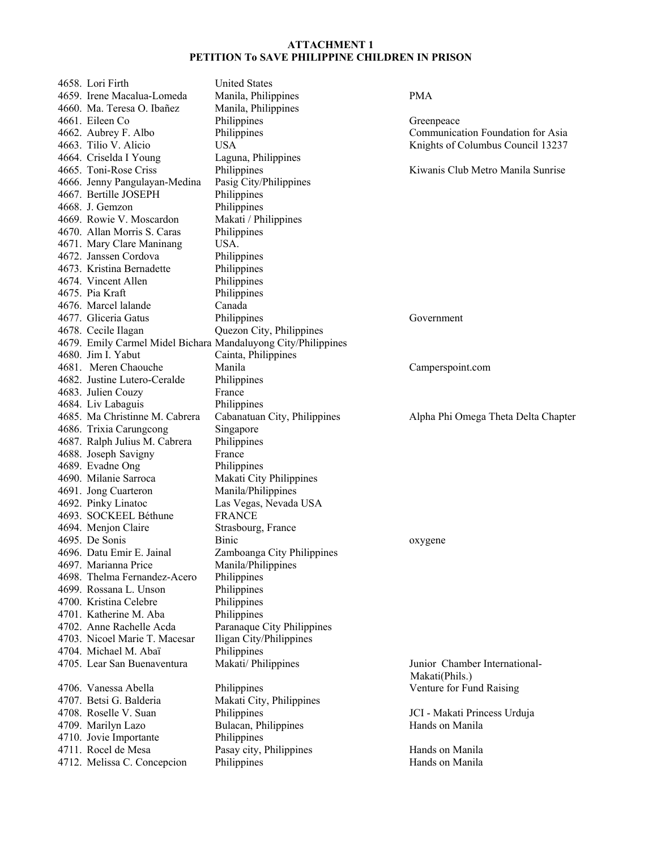| 4658. Lori Firth               | <b>United States</b>                                          |                                     |
|--------------------------------|---------------------------------------------------------------|-------------------------------------|
| 4659. Irene Macalua-Lomeda     | Manila, Philippines                                           | <b>PMA</b>                          |
| 4660. Ma. Teresa O. Ibañez     | Manila, Philippines                                           |                                     |
| 4661. Eileen Co                | Philippines                                                   | Greenpeace                          |
| 4662. Aubrey F. Albo           | Philippines                                                   | Communication Foundation for Asia   |
| 4663. Tilio V. Alicio          | <b>USA</b>                                                    | Knights of Columbus Council 13237   |
| 4664. Criselda I Young         | Laguna, Philippines                                           |                                     |
| 4665. Toni-Rose Criss          | Philippines                                                   | Kiwanis Club Metro Manila Sunrise   |
| 4666. Jenny Pangulayan-Medina  | Pasig City/Philippines                                        |                                     |
| 4667. Bertille JOSEPH          | Philippines                                                   |                                     |
| 4668. J. Gemzon                | Philippines                                                   |                                     |
| 4669. Rowie V. Moscardon       | Makati / Philippines                                          |                                     |
| 4670. Allan Morris S. Caras    | Philippines                                                   |                                     |
| 4671. Mary Clare Maninang      | USA.                                                          |                                     |
| 4672. Janssen Cordova          | Philippines                                                   |                                     |
| 4673. Kristina Bernadette      | Philippines                                                   |                                     |
| 4674. Vincent Allen            | Philippines                                                   |                                     |
| 4675. Pia Kraft                | Philippines                                                   |                                     |
| 4676. Marcel lalande           | Canada                                                        |                                     |
| 4677. Gliceria Gatus           | Philippines                                                   | Government                          |
| 4678. Cecile Ilagan            | Quezon City, Philippines                                      |                                     |
|                                | 4679. Emily Carmel Midel Bichara Mandaluyong City/Philippines |                                     |
| 4680. Jim I. Yabut             | Cainta, Philippines                                           |                                     |
| 4681. Meren Chaouche           | Manila                                                        | Camperspoint.com                    |
| 4682. Justine Lutero-Ceralde   | Philippines                                                   |                                     |
| 4683. Julien Couzy             | France                                                        |                                     |
| 4684. Liv Labaguis             | Philippines                                                   |                                     |
| 4685. Ma Christinne M. Cabrera | Cabanatuan City, Philippines                                  | Alpha Phi Omega Theta Delta Chapter |
| 4686. Trixia Carungcong        | Singapore                                                     |                                     |
| 4687. Ralph Julius M. Cabrera  | Philippines                                                   |                                     |
| 4688. Joseph Savigny           | France                                                        |                                     |
| 4689. Evadne Ong               | Philippines                                                   |                                     |
| 4690. Milanie Sarroca          | Makati City Philippines                                       |                                     |
| 4691. Jong Cuarteron           | Manila/Philippines                                            |                                     |
| 4692. Pinky Linatoc            | Las Vegas, Nevada USA                                         |                                     |
| 4693. SOCKEEL Béthune          | <b>FRANCE</b>                                                 |                                     |
| 4694. Menjon Claire            | Strasbourg, France                                            |                                     |
| 4695. De Sonis                 | <b>Binic</b>                                                  |                                     |
| 4696. Datu Emir E. Jainal      | Zamboanga City Philippines                                    | oxygene                             |
| 4697. Marianna Price           | Manila/Philippines                                            |                                     |
| 4698. Thelma Fernandez-Acero   | Philippines                                                   |                                     |
| 4699. Rossana L. Unson         | Philippines                                                   |                                     |
| 4700. Kristina Celebre         | Philippines                                                   |                                     |
| 4701. Katherine M. Aba         | Philippines                                                   |                                     |
| 4702. Anne Rachelle Acda       | Paranaque City Philippines                                    |                                     |
| 4703. Nicoel Marie T. Macesar  | Iligan City/Philippines                                       |                                     |
| 4704. Michael M. Abaï          | Philippines                                                   |                                     |
| 4705. Lear San Buenaventura    | Makati/ Philippines                                           | Junior Chamber International-       |
|                                |                                                               | Makati(Phils.)                      |
| 4706. Vanessa Abella           | Philippines                                                   | Venture for Fund Raising            |
| 4707. Betsi G. Balderia        | Makati City, Philippines                                      |                                     |
| 4708. Roselle V. Suan          | Philippines                                                   | JCI - Makati Princess Urduja        |
| 4709. Marilyn Lazo             | Bulacan, Philippines                                          | Hands on Manila                     |
| 4710. Jovie Importante         | Philippines                                                   |                                     |
| 4711. Rocel de Mesa            | Pasay city, Philippines                                       | Hands on Manila                     |
| 4712. Melissa C. Concepcion    | Philippines                                                   | Hands on Manila                     |
|                                |                                                               |                                     |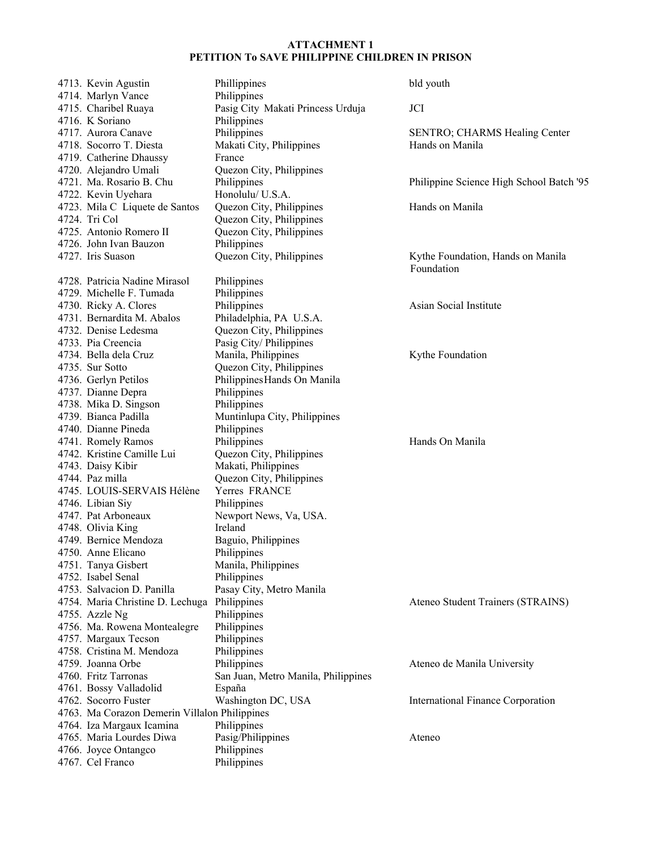| 4713. Kevin Agustin                           | Phillippines                              | bld youth                                       |
|-----------------------------------------------|-------------------------------------------|-------------------------------------------------|
| 4714. Marlyn Vance                            | Philippines                               |                                                 |
| 4715. Charibel Ruaya                          | Pasig City Makati Princess Urduja         | JCI                                             |
| 4716. K Soriano                               | Philippines                               |                                                 |
| 4717. Aurora Canave                           | Philippines                               | <b>SENTRO; CHARMS Healing Center</b>            |
| 4718. Socorro T. Diesta                       | Makati City, Philippines                  | Hands on Manila                                 |
| 4719. Catherine Dhaussy                       | France                                    |                                                 |
| 4720. Alejandro Umali                         | Quezon City, Philippines                  |                                                 |
| 4721. Ma. Rosario B. Chu                      | Philippines                               | Philippine Science High School Batch '95        |
| 4722. Kevin Uyehara                           | Honolulu/ U.S.A.                          |                                                 |
| 4723. Mila C Liquete de Santos                | Quezon City, Philippines                  | Hands on Manila                                 |
| 4724. Tri Col                                 | Quezon City, Philippines                  |                                                 |
| 4725. Antonio Romero II                       | Quezon City, Philippines                  |                                                 |
| 4726. John Ivan Bauzon                        | Philippines                               |                                                 |
| 4727. Iris Suason                             | Quezon City, Philippines                  | Kythe Foundation, Hands on Manila<br>Foundation |
| 4728. Patricia Nadine Mirasol                 | Philippines                               |                                                 |
| 4729. Michelle F. Tumada                      | Philippines                               |                                                 |
| 4730. Ricky A. Clores                         | Philippines                               | Asian Social Institute                          |
| 4731. Bernardita M. Abalos                    | Philadelphia, PA U.S.A.                   |                                                 |
| 4732. Denise Ledesma                          | Quezon City, Philippines                  |                                                 |
| 4733. Pia Creencia                            | Pasig City/ Philippines                   |                                                 |
| 4734. Bella dela Cruz                         | Manila, Philippines                       | Kythe Foundation                                |
| 4735. Sur Sotto                               | Quezon City, Philippines                  |                                                 |
| 4736. Gerlyn Petilos                          | Philippines Hands On Manila               |                                                 |
| 4737. Dianne Depra                            | Philippines                               |                                                 |
| 4738. Mika D. Singson                         | Philippines                               |                                                 |
| 4739. Bianca Padilla                          | Muntinlupa City, Philippines              |                                                 |
| 4740. Dianne Pineda                           | Philippines                               |                                                 |
| 4741. Romely Ramos                            | Philippines                               | Hands On Manila                                 |
| 4742. Kristine Camille Lui                    | Quezon City, Philippines                  |                                                 |
|                                               | Makati, Philippines                       |                                                 |
| 4743. Daisy Kibir<br>4744. Paz milla          |                                           |                                                 |
| 4745. LOUIS-SERVAIS Hélène                    | Quezon City, Philippines<br>Yerres FRANCE |                                                 |
|                                               |                                           |                                                 |
| 4746. Libian Siy                              | Philippines                               |                                                 |
| 4747. Pat Arboneaux                           | Newport News, Va, USA.                    |                                                 |
| 4748. Olivia King<br>4749. Bernice Mendoza    | Ireland                                   |                                                 |
|                                               | Baguio, Philippines                       |                                                 |
| 4750. Anne Elicano                            | Philippines                               |                                                 |
| 4751. Tanya Gisbert                           | Manila, Philippines                       |                                                 |
| 4752. Isabel Senal                            | Philippines                               |                                                 |
| 4753. Salvacion D. Panilla                    | Pasay City, Metro Manila                  |                                                 |
| 4754. Maria Christine D. Lechuga Philippines  |                                           | Ateneo Student Trainers (STRAINS)               |
| 4755. Azzle Ng                                | Philippines                               |                                                 |
| 4756. Ma. Rowena Montealegre                  | Philippines                               |                                                 |
| 4757. Margaux Tecson                          | Philippines                               |                                                 |
| 4758. Cristina M. Mendoza                     | Philippines                               |                                                 |
| 4759. Joanna Orbe                             | Philippines                               | Ateneo de Manila University                     |
| 4760. Fritz Tarronas                          | San Juan, Metro Manila, Philippines       |                                                 |
| 4761. Bossy Valladolid                        | España                                    |                                                 |
| 4762. Socorro Fuster                          | Washington DC, USA                        | International Finance Corporation               |
| 4763. Ma Corazon Demerin Villalon Philippines |                                           |                                                 |
| 4764. Iza Margaux Icamina                     | Philippines                               |                                                 |
| 4765. Maria Lourdes Diwa                      | Pasig/Philippines                         | Ateneo                                          |
| 4766. Joyce Ontangco                          | Philippines                               |                                                 |
| 4767. Cel Franco                              | Philippines                               |                                                 |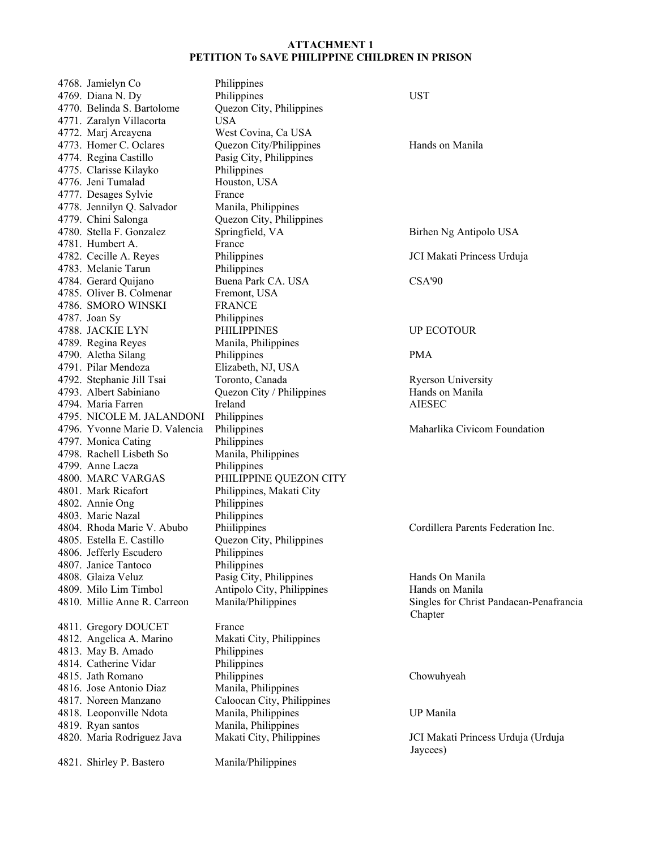|  | 4768. Jamielyn Co                               | Philippines                |                                         |
|--|-------------------------------------------------|----------------------------|-----------------------------------------|
|  | 4769. Diana N. Dy                               | Philippines                | <b>UST</b>                              |
|  | 4770. Belinda S. Bartolome                      | Quezon City, Philippines   |                                         |
|  | 4771. Zaralyn Villacorta                        | <b>USA</b>                 |                                         |
|  | 4772. Marj Arcayena                             | West Covina, Ca USA        |                                         |
|  | 4773. Homer C. Oclares                          | Quezon City/Philippines    | Hands on Manila                         |
|  | 4774. Regina Castillo                           | Pasig City, Philippines    |                                         |
|  | 4775. Clarisse Kilayko                          | Philippines                |                                         |
|  | 4776. Jeni Tumalad                              | Houston, USA               |                                         |
|  | 4777. Desages Sylvie                            | France                     |                                         |
|  | 4778. Jennilyn Q. Salvador                      | Manila, Philippines        |                                         |
|  |                                                 |                            |                                         |
|  | 4779. Chini Salonga<br>4780. Stella F. Gonzalez | Quezon City, Philippines   |                                         |
|  |                                                 | Springfield, VA            | Birhen Ng Antipolo USA                  |
|  | 4781. Humbert A.                                | France                     |                                         |
|  | 4782. Cecille A. Reyes                          | Philippines                | JCI Makati Princess Urduja              |
|  | 4783. Melanie Tarun                             | Philippines                |                                         |
|  | 4784. Gerard Quijano                            | Buena Park CA. USA         | CSA'90                                  |
|  | 4785. Oliver B. Colmenar                        | Fremont, USA               |                                         |
|  | 4786. SMORO WINSKI                              | <b>FRANCE</b>              |                                         |
|  | 4787. Joan Sy                                   | Philippines                |                                         |
|  | 4788. JACKIE LYN                                | PHILIPPINES                | UP ECOTOUR                              |
|  | 4789. Regina Reyes                              | Manila, Philippines        |                                         |
|  | 4790. Aletha Silang                             | Philippines                | <b>PMA</b>                              |
|  | 4791. Pilar Mendoza                             | Elizabeth, NJ, USA         |                                         |
|  | 4792. Stephanie Jill Tsai                       | Toronto, Canada            | <b>Ryerson University</b>               |
|  | 4793. Albert Sabiniano                          | Quezon City / Philippines  | Hands on Manila                         |
|  | 4794. Maria Farren                              | Ireland                    | <b>AIESEC</b>                           |
|  | 4795. NICOLE M. JALANDONI                       | Philippines                |                                         |
|  | 4796. Yvonne Marie D. Valencia                  | Philippines                | Maharlika Civicom Foundation            |
|  | 4797. Monica Cating                             | Philippines                |                                         |
|  | 4798. Rachell Lisbeth So                        | Manila, Philippines        |                                         |
|  | 4799. Anne Lacza                                | Philippines                |                                         |
|  | 4800. MARC VARGAS                               | PHILIPPINE QUEZON CITY     |                                         |
|  | 4801. Mark Ricafort                             | Philippines, Makati City   |                                         |
|  | 4802. Annie Ong                                 | Philippines                |                                         |
|  | 4803. Marie Nazal                               | Philippines                |                                         |
|  | 4804. Rhoda Marie V. Abubo                      | Philippines                | Cordillera Parents Federation Inc.      |
|  | 4805. Estella E. Castillo                       | Quezon City, Philippines   |                                         |
|  |                                                 | Philippines                |                                         |
|  | 4806. Jefferly Escudero<br>4807. Janice Tantoco | Philippines                |                                         |
|  |                                                 |                            |                                         |
|  | 4808. Glaiza Veluz                              | Pasig City, Philippines    | Hands On Manila                         |
|  | 4809. Milo Lim Timbol                           | Antipolo City, Philippines | Hands on Manila                         |
|  | 4810. Millie Anne R. Carreon                    | Manila/Philippines         | Singles for Christ Pandacan-Penafrancia |
|  |                                                 |                            | Chapter                                 |
|  | 4811. Gregory DOUCET                            | France                     |                                         |
|  | 4812. Angelica A. Marino                        | Makati City, Philippines   |                                         |
|  | 4813. May B. Amado                              | Philippines                |                                         |
|  | 4814. Catherine Vidar                           | Philippines                |                                         |
|  | 4815. Jath Romano                               | Philippines                | Chowuhyeah                              |
|  | 4816. Jose Antonio Diaz                         | Manila, Philippines        |                                         |
|  | 4817. Noreen Manzano                            | Caloocan City, Philippines |                                         |
|  | 4818. Leoponville Ndota                         | Manila, Philippines        | UP Manila                               |
|  | 4819. Ryan santos                               | Manila, Philippines        |                                         |
|  | 4820. Maria Rodriguez Java                      | Makati City, Philippines   | JCI Makati Princess Urduja (Urduja      |
|  |                                                 |                            | Jaycees)                                |
|  | 4821. Shirley P. Bastero                        | Manila/Philippines         |                                         |
|  |                                                 |                            |                                         |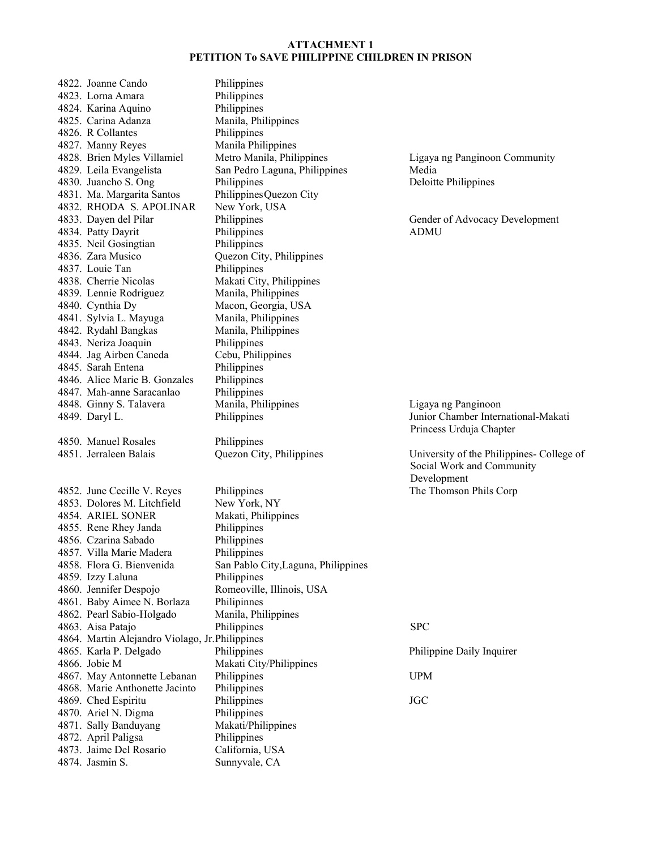4822. Joanne Cando Philippines 4823. Lorna Amara Philippines 4824. Karina Aquino Philippines 4825. Carina Adanza Manila, Philippines 4826. R Collantes Philippines 4827. Manny Reyes Manila Philippines 4828. Brien Myles Villamiel Metro Manila, Philippines Ligaya ng Panginoon Community 4829. Leila Evangelista San Pedro Laguna, Philippines Media 4830. Juancho S. Ong Philippines Deloitte Philippines 4831. Ma. Margarita Santos Philippines Quezon City 4832. RHODA S. APOLINAR New York, USA 4833. Dayen del Pilar Philippines Gender of Advocacy Development 4834. Patty Dayrit Philippines ADMU 4835. Neil Gosingtian Philippines 4836. Zara Musico Quezon City, Philippines 4837. Louie Tan Philippines 4838. Cherrie Nicolas Makati City, Philippines 4839. Lennie Rodriguez Manila, Philippines 4840. Cynthia Dy Macon, Georgia, USA 4841. Sylvia L. Mayuga Manila, Philippines<br>4842. Rydahl Bangkas Manila, Philippines 4842. Rydahl Bangkas 4843. Neriza Joaquin Philippines 4844. Jag Airben Caneda Cebu, Philippines 4845. Sarah Entena Philippines 4846. Alice Marie B. Gonzales Philippines 4847. Mah-anne Saracanlao Philippines 4848. Ginny S. Talavera Manila, Philippines Ligaya ng Panginoon 4849. Daryl L. Philippines Junior Chamber International-Makati 4850. Manuel Rosales Philippines 4851. Jerraleen Balais Quezon City, Philippines University of the Philippines- College of 4852. June Cecille V. Reyes Philippines The Thomson Phils Corp 4853. Dolores M. Litchfield New York, NY 4854. ARIEL SONER Makati, Philippines 4855. Rene Rhey Janda Philippines 4856. Czarina Sabado Philippines 4857. Villa Marie Madera Philippines 4858. Flora G. Bienvenida San Pablo City,Laguna, Philippines 4859. Izzy Laluna Philippines 4860. Jennifer Despojo Romeoville, Illinois, USA 4861. Baby Aimee N. Borlaza Philipinnes 4862. Pearl Sabio-Holgado Manila, Philippines 4863. Aisa Patajo Philippines SPC 4864. Martin Alejandro Violago, Jr. Philippines 4865. Karla P. Delgado Philippines Philippine Daily Inquirer 4866. Jobie M Makati City/Philippines 4867. May Antonnette Lebanan Philippines UPM 4868. Marie Anthonette Jacinto Philippines 4869. Ched Espiritu Philippines JGC 4870. Ariel N. Digma Philippines 4871. Sally Banduyang Makati/Philippines 4872. April Paligsa Philippines 4873. Jaime Del Rosario California, USA 4874. Jasmin S. Sunnyvale, CA

Princess Urduja Chapter

Social Work and Community Development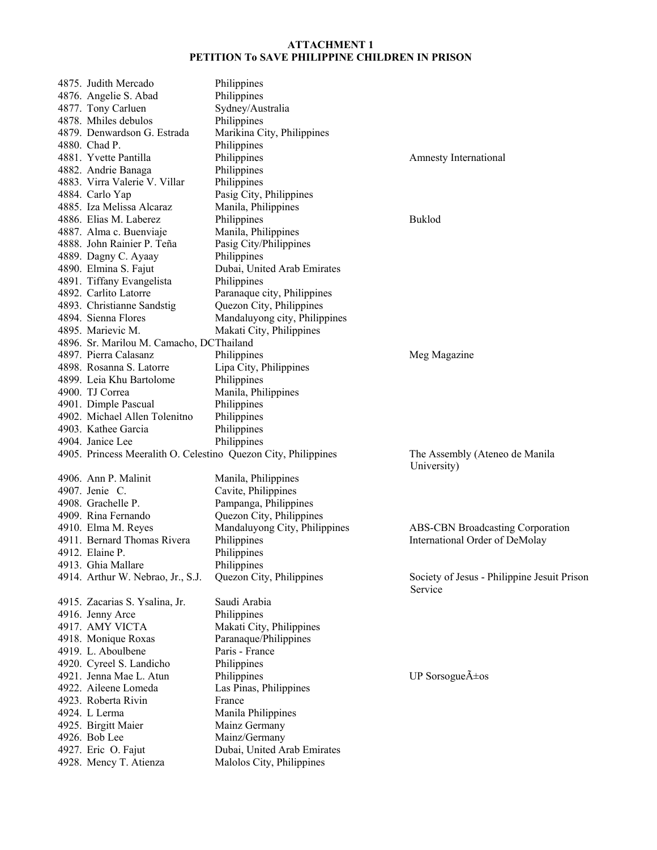| 4875. Judith Mercado                                           | Philippines                                              |                                                        |
|----------------------------------------------------------------|----------------------------------------------------------|--------------------------------------------------------|
| 4876. Angelie S. Abad                                          | Philippines                                              |                                                        |
| 4877. Tony Carluen                                             | Sydney/Australia                                         |                                                        |
| 4878. Mhiles debulos                                           | Philippines                                              |                                                        |
| 4879. Denwardson G. Estrada                                    | Marikina City, Philippines                               |                                                        |
| 4880. Chad P.                                                  | Philippines                                              |                                                        |
| 4881. Yvette Pantilla                                          | Philippines                                              | Amnesty International                                  |
| 4882. Andrie Banaga                                            | Philippines                                              |                                                        |
| 4883. Virra Valerie V. Villar                                  | Philippines                                              |                                                        |
| 4884. Carlo Yap                                                | Pasig City, Philippines                                  |                                                        |
| 4885. Iza Melissa Alcaraz                                      | Manila, Philippines                                      |                                                        |
| 4886. Elias M. Laberez                                         | Philippines                                              | <b>Buklod</b>                                          |
|                                                                | Manila, Philippines                                      |                                                        |
| 4887. Alma c. Buenviaje                                        |                                                          |                                                        |
| 4888. John Rainier P. Teña                                     | Pasig City/Philippines                                   |                                                        |
| 4889. Dagny C. Ayaay                                           | Philippines                                              |                                                        |
| 4890. Elmina S. Fajut                                          | Dubai, United Arab Emirates                              |                                                        |
| 4891. Tiffany Evangelista                                      | Philippines                                              |                                                        |
| 4892. Carlito Latorre                                          | Paranaque city, Philippines                              |                                                        |
| 4893. Christianne Sandstig                                     | Quezon City, Philippines                                 |                                                        |
| 4894. Sienna Flores                                            | Mandaluyong city, Philippines                            |                                                        |
| 4895. Marievic M.                                              | Makati City, Philippines                                 |                                                        |
| 4896. Sr. Marilou M. Camacho, DCThailand                       |                                                          |                                                        |
| 4897. Pierra Calasanz                                          | Philippines                                              | Meg Magazine                                           |
| 4898. Rosanna S. Latorre                                       | Lipa City, Philippines                                   |                                                        |
| 4899. Leia Khu Bartolome                                       | Philippines                                              |                                                        |
| 4900. TJ Correa                                                | Manila, Philippines                                      |                                                        |
| 4901. Dimple Pascual                                           | Philippines                                              |                                                        |
| 4902. Michael Allen Tolenitno                                  | Philippines                                              |                                                        |
| 4903. Kathee Garcia                                            | Philippines                                              |                                                        |
| 4904. Janice Lee                                               | Philippines                                              |                                                        |
| 4905. Princess Meeralith O. Celestino Quezon City, Philippines |                                                          | The Assembly (Ateneo de Manila<br>University)          |
| 4906. Ann P. Malinit                                           | Manila, Philippines                                      |                                                        |
|                                                                |                                                          |                                                        |
|                                                                |                                                          |                                                        |
| 4907. Jenie C.                                                 | Cavite, Philippines                                      |                                                        |
| 4908. Grachelle P.                                             | Pampanga, Philippines                                    |                                                        |
| 4909. Rina Fernando                                            | Quezon City, Philippines                                 |                                                        |
| 4910. Elma M. Reyes                                            | Mandaluyong City, Philippines                            | ABS-CBN Broadcasting Corporation                       |
| 4911. Bernard Thomas Rivera                                    | Philippines                                              | International Order of DeMolay                         |
| 4912. Elaine P.                                                | Philippines                                              |                                                        |
| 4913. Ghia Mallare                                             | Philippines                                              |                                                        |
| 4914. Arthur W. Nebrao, Jr., S.J.                              | Quezon City, Philippines                                 | Society of Jesus - Philippine Jesuit Prison<br>Service |
| 4915. Zacarias S. Ysalina, Jr.                                 | Saudi Arabia                                             |                                                        |
| 4916. Jenny Arce                                               | Philippines                                              |                                                        |
| 4917. AMY VICTA                                                | Makati City, Philippines                                 |                                                        |
|                                                                |                                                          |                                                        |
| 4918. Monique Roxas<br>4919. L. Aboulbene                      | Paranaque/Philippines<br>Paris - France                  |                                                        |
|                                                                |                                                          |                                                        |
| 4920. Cyreel S. Landicho<br>4921. Jenna Mae L. Atun            | Philippines                                              |                                                        |
|                                                                | Philippines                                              | UP Sorsogue $\tilde{A} \pm os$                         |
| 4922. Aileene Lomeda                                           | Las Pinas, Philippines                                   |                                                        |
| 4923. Roberta Rivin                                            | France                                                   |                                                        |
| 4924. L Lerma                                                  | Manila Philippines                                       |                                                        |
| 4925. Birgitt Maier                                            | Mainz Germany                                            |                                                        |
| 4926. Bob Lee                                                  | Mainz/Germany                                            |                                                        |
| 4927. Eric O. Fajut<br>4928. Mency T. Atienza                  | Dubai, United Arab Emirates<br>Malolos City, Philippines |                                                        |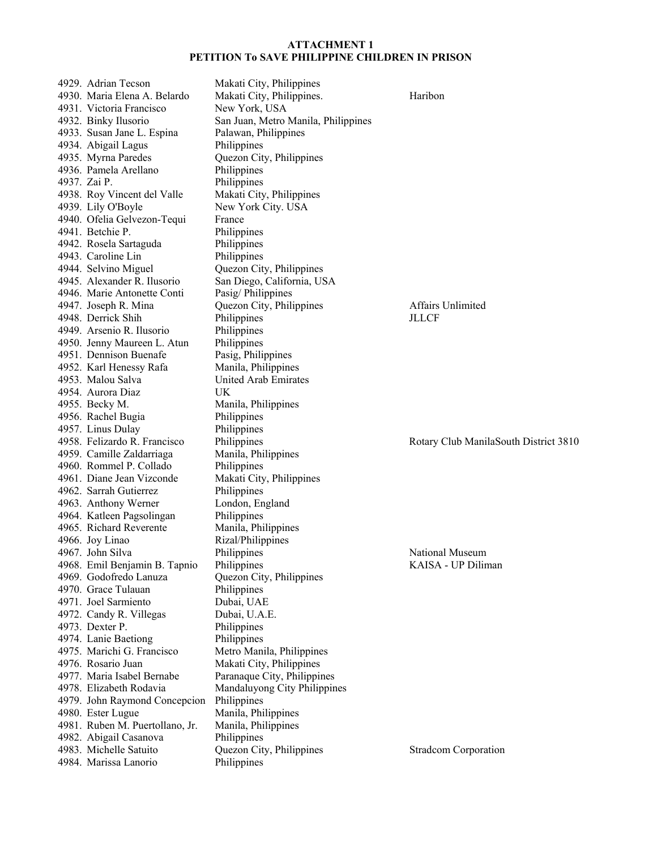| 4929. Adrian Tecson                             | Makati City, Philippines                |                                       |
|-------------------------------------------------|-----------------------------------------|---------------------------------------|
| 4930. Maria Elena A. Belardo                    | Makati City, Philippines.               | Haribon                               |
| 4931. Victoria Francisco                        | New York, USA                           |                                       |
| 4932. Binky Ilusorio                            | San Juan, Metro Manila, Philippines     |                                       |
| 4933. Susan Jane L. Espina                      | Palawan, Philippines                    |                                       |
| 4934. Abigail Lagus                             | Philippines                             |                                       |
| 4935. Myrna Paredes                             | Quezon City, Philippines                |                                       |
| 4936. Pamela Arellano                           | Philippines                             |                                       |
| 4937. Zai P.                                    | Philippines                             |                                       |
| 4938. Roy Vincent del Valle                     | Makati City, Philippines                |                                       |
| 4939. Lily O'Boyle                              | New York City. USA                      |                                       |
| 4940. Ofelia Gelvezon-Tequi                     | France                                  |                                       |
| 4941. Betchie P.                                | Philippines                             |                                       |
| 4942. Rosela Sartaguda                          | Philippines                             |                                       |
| 4943. Caroline Lin                              | Philippines                             |                                       |
| 4944. Selvino Miguel                            | Quezon City, Philippines                |                                       |
| 4945. Alexander R. Ilusorio                     | San Diego, California, USA              |                                       |
| 4946. Marie Antonette Conti                     | Pasig/Philippines                       |                                       |
| 4947. Joseph R. Mina                            | Quezon City, Philippines                | <b>Affairs Unlimited</b>              |
| 4948. Derrick Shih                              | Philippines                             | <b>JLLCF</b>                          |
| 4949. Arsenio R. Ilusorio                       | Philippines                             |                                       |
| 4950. Jenny Maureen L. Atun                     | Philippines                             |                                       |
| 4951. Dennison Buenafe                          | Pasig, Philippines                      |                                       |
| 4952. Karl Henessy Rafa                         | Manila, Philippines                     |                                       |
| 4953. Malou Salva                               | United Arab Emirates                    |                                       |
| 4954. Aurora Diaz                               | UK.                                     |                                       |
| 4955. Becky M.                                  | Manila, Philippines                     |                                       |
| 4956. Rachel Bugia                              | Philippines                             |                                       |
|                                                 |                                         |                                       |
|                                                 |                                         |                                       |
| 4957. Linus Dulay                               | Philippines                             |                                       |
| 4958. Felizardo R. Francisco                    | Philippines                             | Rotary Club ManilaSouth District 3810 |
| 4959. Camille Zaldarriaga                       | Manila, Philippines                     |                                       |
| 4960. Rommel P. Collado                         | Philippines                             |                                       |
| 4961. Diane Jean Vizconde                       | Makati City, Philippines                |                                       |
| 4962. Sarrah Gutierrez                          | Philippines                             |                                       |
| 4963. Anthony Werner                            | London, England                         |                                       |
| 4964. Katleen Pagsolingan                       | Philippines                             |                                       |
| 4965. Richard Reverente                         | Manila, Philippines                     |                                       |
| 4966. Joy Linao                                 | Rizal/Philippines                       |                                       |
| 4967. John Silva                                | Philippines                             | National Museum                       |
| 4968. Emil Benjamin B. Tapnio                   | Philippines                             | KAISA - UP Diliman                    |
| 4969. Godofredo Lanuza                          | Quezon City, Philippines                |                                       |
| 4970. Grace Tulauan                             | Philippines                             |                                       |
| 4971. Joel Sarmiento                            | Dubai, UAE                              |                                       |
| 4972. Candy R. Villegas                         | Dubai, U.A.E.                           |                                       |
| 4973. Dexter P.                                 | Philippines                             |                                       |
| 4974. Lanie Baetiong                            | Philippines                             |                                       |
| 4975. Marichi G. Francisco                      | Metro Manila, Philippines               |                                       |
| 4976. Rosario Juan                              | Makati City, Philippines                |                                       |
| 4977. Maria Isabel Bernabe                      | Paranaque City, Philippines             |                                       |
| 4978. Elizabeth Rodavia                         | Mandaluyong City Philippines            |                                       |
| 4979. John Raymond Concepcion                   | Philippines                             |                                       |
| 4980. Ester Lugue                               | Manila, Philippines                     |                                       |
| 4981. Ruben M. Puertollano, Jr.                 | Manila, Philippines                     |                                       |
| 4982. Abigail Casanova                          | Philippines                             |                                       |
| 4983. Michelle Satuito<br>4984. Marissa Lanorio | Quezon City, Philippines<br>Philippines | <b>Stradcom Corporation</b>           |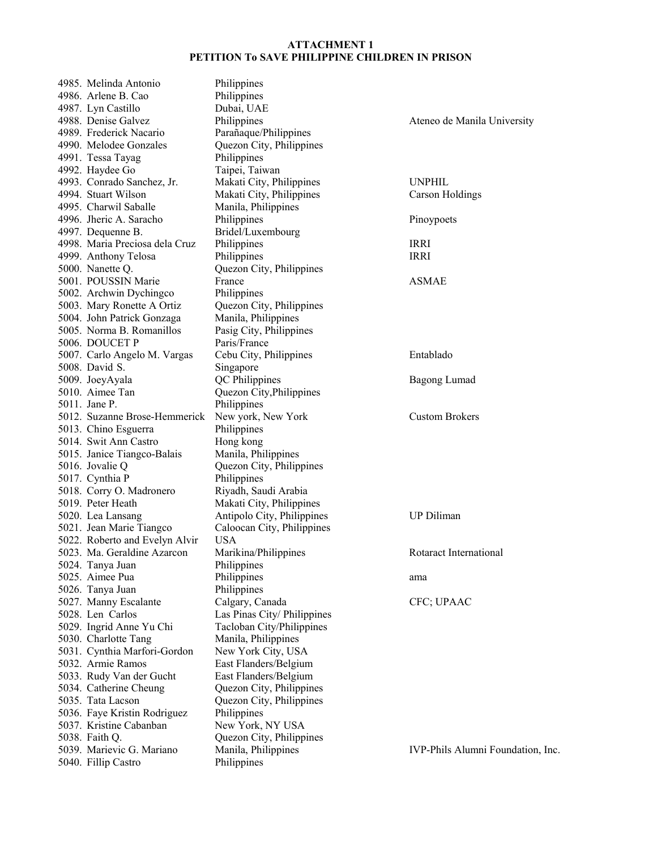| 4985. Melinda Antonio          | Philippines                 |                                   |
|--------------------------------|-----------------------------|-----------------------------------|
| 4986. Arlene B. Cao            | Philippines                 |                                   |
| 4987. Lyn Castillo             | Dubai, UAE                  |                                   |
| 4988. Denise Galvez            | Philippines                 | Ateneo de Manila University       |
| 4989. Frederick Nacario        | Parañaque/Philippines       |                                   |
| 4990. Melodee Gonzales         | Quezon City, Philippines    |                                   |
| 4991. Tessa Tayag              | Philippines                 |                                   |
| 4992. Haydee Go                | Taipei, Taiwan              |                                   |
| 4993. Conrado Sanchez, Jr.     | Makati City, Philippines    | <b>UNPHIL</b>                     |
| 4994. Stuart Wilson            | Makati City, Philippines    | <b>Carson Holdings</b>            |
| 4995. Charwil Saballe          | Manila, Philippines         |                                   |
| 4996. Jheric A. Saracho        | Philippines                 | Pinoypoets                        |
| 4997. Dequenne B.              | Bridel/Luxembourg           |                                   |
| 4998. Maria Preciosa dela Cruz | Philippines                 | <b>IRRI</b>                       |
| 4999. Anthony Telosa           | Philippines                 | <b>IRRI</b>                       |
| 5000. Nanette Q.               | Quezon City, Philippines    |                                   |
| 5001. POUSSIN Marie            | France                      | <b>ASMAE</b>                      |
| 5002. Archwin Dychingco        | Philippines                 |                                   |
| 5003. Mary Ronette A Ortiz     | Quezon City, Philippines    |                                   |
| 5004. John Patrick Gonzaga     | Manila, Philippines         |                                   |
| 5005. Norma B. Romanillos      | Pasig City, Philippines     |                                   |
| 5006. DOUCET P                 | Paris/France                |                                   |
| 5007. Carlo Angelo M. Vargas   | Cebu City, Philippines      | Entablado                         |
|                                |                             |                                   |
| 5008. David S.                 | Singapore                   |                                   |
| 5009. JoeyAyala                | QC Philippines              | <b>Bagong Lumad</b>               |
| 5010. Aimee Tan                | Quezon City, Philippines    |                                   |
| 5011. Jane P.                  | Philippines                 |                                   |
| 5012. Suzanne Brose-Hemmerick  | New york, New York          | <b>Custom Brokers</b>             |
| 5013. Chino Esguerra           | Philippines                 |                                   |
| 5014. Swit Ann Castro          | Hong kong                   |                                   |
| 5015. Janice Tiangco-Balais    | Manila, Philippines         |                                   |
| 5016. Jovalie Q                | Quezon City, Philippines    |                                   |
| 5017. Cynthia P                | Philippines                 |                                   |
| 5018. Corry O. Madronero       | Riyadh, Saudi Arabia        |                                   |
| 5019. Peter Heath              | Makati City, Philippines    |                                   |
| 5020. Lea Lansang              | Antipolo City, Philippines  | <b>UP Diliman</b>                 |
| 5021. Jean Marie Tiangco       | Caloocan City, Philippines  |                                   |
| 5022. Roberto and Evelyn Alvir | <b>USA</b>                  |                                   |
| 5023. Ma. Geraldine Azarcon    | Marikina/Philippines        | Rotaract International            |
| 5024. Tanya Juan               | Philippines                 |                                   |
| 5025. Aimee Pua                | Philippines                 | ama                               |
| 5026. Tanya Juan               | Philippines                 |                                   |
| 5027. Manny Escalante          | Calgary, Canada             | CFC; UPAAC                        |
| 5028. Len Carlos               | Las Pinas City/ Philippines |                                   |
| 5029. Ingrid Anne Yu Chi       | Tacloban City/Philippines   |                                   |
| 5030. Charlotte Tang           | Manila, Philippines         |                                   |
| 5031. Cynthia Marfori-Gordon   | New York City, USA          |                                   |
| 5032. Armie Ramos              | East Flanders/Belgium       |                                   |
| 5033. Rudy Van der Gucht       | East Flanders/Belgium       |                                   |
| 5034. Catherine Cheung         |                             |                                   |
|                                | Quezon City, Philippines    |                                   |
| 5035. Tata Lacson              | Quezon City, Philippines    |                                   |
| 5036. Faye Kristin Rodriguez   | Philippines                 |                                   |
| 5037. Kristine Cabanban        | New York, NY USA            |                                   |
| 5038. Faith Q.                 | Quezon City, Philippines    |                                   |
| 5039. Marievic G. Mariano      | Manila, Philippines         | IVP-Phils Alumni Foundation, Inc. |
| 5040. Fillip Castro            | Philippines                 |                                   |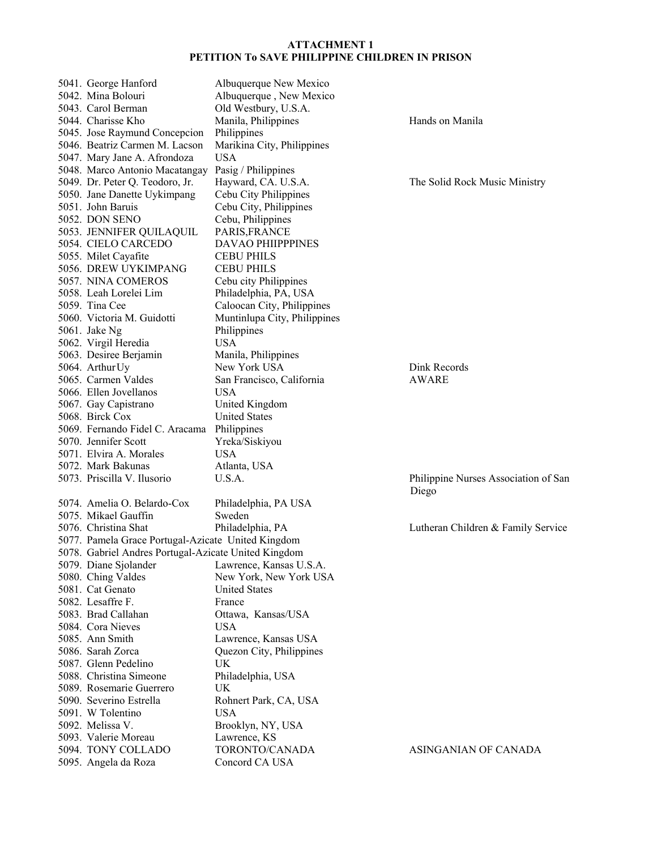| 5041. George Hanford                                 | Albuquerque New Mexico       |                                      |
|------------------------------------------------------|------------------------------|--------------------------------------|
| 5042. Mina Bolouri                                   | Albuquerque, New Mexico      |                                      |
| 5043. Carol Berman                                   | Old Westbury, U.S.A.         |                                      |
| 5044. Charisse Kho                                   | Manila, Philippines          | Hands on Manila                      |
| 5045. Jose Raymund Concepcion                        | Philippines                  |                                      |
| 5046. Beatriz Carmen M. Lacson                       | Marikina City, Philippines   |                                      |
| 5047. Mary Jane A. Afrondoza                         | <b>USA</b>                   |                                      |
| 5048. Marco Antonio Macatangay                       | Pasig / Philippines          |                                      |
| 5049. Dr. Peter Q. Teodoro, Jr.                      | Hayward, CA. U.S.A.          | The Solid Rock Music Ministry        |
| 5050. Jane Danette Uykimpang                         | Cebu City Philippines        |                                      |
| 5051. John Baruis                                    | Cebu City, Philippines       |                                      |
| 5052. DON SENO                                       | Cebu, Philippines            |                                      |
| 5053. JENNIFER QUILAQUIL                             | PARIS, FRANCE                |                                      |
| 5054. CIELO CARCEDO                                  | DAVAO PHIIPPPINES            |                                      |
| 5055. Milet Cayafite                                 | <b>CEBU PHILS</b>            |                                      |
| 5056. DREW UYKIMPANG                                 | <b>CEBU PHILS</b>            |                                      |
| 5057. NINA COMEROS                                   | Cebu city Philippines        |                                      |
| 5058. Leah Lorelei Lim                               | Philadelphia, PA, USA        |                                      |
| 5059. Tina Cee                                       | Caloocan City, Philippines   |                                      |
| 5060. Victoria M. Guidotti                           | Muntinlupa City, Philippines |                                      |
| 5061. Jake Ng                                        | Philippines                  |                                      |
| 5062. Virgil Heredia                                 | <b>USA</b>                   |                                      |
| 5063. Desiree Berjamin                               | Manila, Philippines          |                                      |
| 5064. Arthur Uy                                      | New York USA                 | Dink Records                         |
| 5065. Carmen Valdes                                  | San Francisco, California    | <b>AWARE</b>                         |
| 5066. Ellen Jovellanos                               | <b>USA</b>                   |                                      |
| 5067. Gay Capistrano                                 | United Kingdom               |                                      |
| 5068. Birck Cox                                      | <b>United States</b>         |                                      |
| 5069. Fernando Fidel C. Aracama                      | Philippines                  |                                      |
| 5070. Jennifer Scott                                 | Yreka/Siskiyou               |                                      |
| 5071. Elvira A. Morales                              | <b>USA</b>                   |                                      |
| 5072. Mark Bakunas                                   | Atlanta, USA                 |                                      |
| 5073. Priscilla V. Ilusorio                          | U.S.A.                       | Philippine Nurses Association of San |
|                                                      |                              | Diego                                |
| 5074. Amelia O. Belardo-Cox                          | Philadelphia, PA USA         |                                      |
| 5075. Mikael Gauffin                                 | Sweden                       |                                      |
| 5076. Christina Shat                                 | Philadelphia, PA             | Lutheran Children & Family Service   |
| 5077. Pamela Grace Portugal-Azicate United Kingdom   |                              |                                      |
| 5078. Gabriel Andres Portugal-Azicate United Kingdom |                              |                                      |
| 5079. Diane Sjolander                                | Lawrence, Kansas U.S.A.      |                                      |
| 5080. Ching Valdes                                   | New York, New York USA       |                                      |
| 5081. Cat Genato                                     | <b>United States</b>         |                                      |
| 5082. Lesaffre F.                                    | France                       |                                      |
| 5083. Brad Callahan                                  | Ottawa, Kansas/USA           |                                      |
| 5084. Cora Nieves                                    | <b>USA</b>                   |                                      |
| 5085. Ann Smith                                      | Lawrence, Kansas USA         |                                      |
| 5086. Sarah Zorca                                    | Quezon City, Philippines     |                                      |
| 5087. Glenn Pedelino                                 | UK                           |                                      |
| 5088. Christina Simeone                              | Philadelphia, USA            |                                      |
| 5089. Rosemarie Guerrero                             | UK                           |                                      |
| 5090. Severino Estrella                              | Rohnert Park, CA, USA        |                                      |
| 5091. W Tolentino                                    | <b>USA</b>                   |                                      |
| 5092. Melissa V.                                     | Brooklyn, NY, USA            |                                      |
| 5093. Valerie Moreau                                 | Lawrence, KS                 |                                      |
| 5094. TONY COLLADO                                   | TORONTO/CANADA               | ASINGANIAN OF CANADA                 |
| 5095. Angela da Roza                                 | Concord CA USA               |                                      |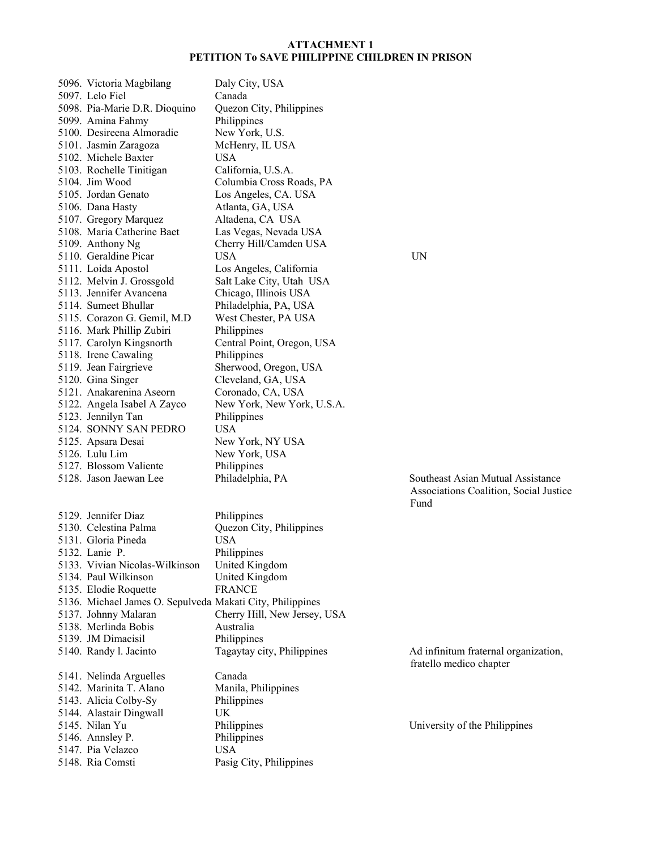| 5096. Victoria Magbilang                                  | Daly City, USA                            |       |
|-----------------------------------------------------------|-------------------------------------------|-------|
| 5097. Lelo Fiel                                           | Canada                                    |       |
| 5098. Pia-Marie D.R. Dioquino                             | Quezon City, Philippines                  |       |
| 5099. Amina Fahmy                                         | Philippines                               |       |
| 5100. Desireena Almoradie                                 | New York, U.S.                            |       |
| 5101. Jasmin Zaragoza                                     | McHenry, IL USA                           |       |
| 5102. Michele Baxter                                      | USA                                       |       |
| 5103. Rochelle Tinitigan                                  | California, U.S.A.                        |       |
| 5104. Jim Wood                                            | Columbia Cross Roads, PA                  |       |
| 5105. Jordan Genato                                       | Los Angeles, CA. USA                      |       |
| 5106. Dana Hasty                                          | Atlanta, GA, USA                          |       |
| 5107. Gregory Marquez                                     | Altadena, CA USA                          |       |
| 5108. Maria Catherine Baet                                | Las Vegas, Nevada USA                     |       |
| 5109. Anthony Ng                                          | Cherry Hill/Camden USA                    |       |
| 5110. Geraldine Picar                                     | USA                                       | UN    |
| 5111. Loida Apostol                                       | Los Angeles, California                   |       |
| 5112. Melvin J. Grossgold                                 | Salt Lake City, Utah USA                  |       |
| 5113. Jennifer Avancena                                   | Chicago, Illinois USA                     |       |
| 5114. Sumeet Bhullar                                      | Philadelphia, PA, USA                     |       |
| 5115. Corazon G. Gemil, M.D.                              | West Chester, PA USA                      |       |
| 5116. Mark Phillip Zubiri                                 | Philippines                               |       |
| 5117. Carolyn Kingsnorth                                  | Central Point, Oregon, USA                |       |
| 5118. Irene Cawaling                                      | Philippines                               |       |
| 5119. Jean Fairgrieve                                     | Sherwood, Oregon, USA                     |       |
| 5120. Gina Singer                                         | Cleveland, GA, USA                        |       |
| 5121. Anakarenina Aseorn                                  | Coronado, CA, USA                         |       |
| 5122. Angela Isabel A Zayco                               | New York, New York, U.S.A.                |       |
| 5123. Jennilyn Tan                                        | Philippines                               |       |
| 5124. SONNY SAN PEDRO                                     | <b>USA</b>                                |       |
| 5125. Apsara Desai                                        | New York, NY USA                          |       |
| 5126. Lulu Lim                                            | New York, USA                             |       |
| 5127. Blossom Valiente                                    | Philippines                               |       |
| 5128. Jason Jaewan Lee                                    | Philadelphia, PA                          | Sout  |
|                                                           |                                           | Asso  |
|                                                           |                                           | Funo  |
| 5129. Jennifer Diaz                                       | Philippines                               |       |
| 5130. Celestina Palma                                     | Quezon City, Philippines                  |       |
| 5131. Gloria Pineda                                       | <b>USA</b>                                |       |
| 5132. Lanie P.                                            | Philippines                               |       |
| 5133. Vivian Nicolas-Wilkinson                            | United Kingdom                            |       |
| 5134. Paul Wilkinson                                      | United Kingdom                            |       |
| 5135. Elodie Roquette                                     | <b>FRANCE</b>                             |       |
| 5136. Michael James O. Sepulveda Makati City, Philippines |                                           |       |
|                                                           |                                           |       |
| 5137. Johnny Malaran<br>5138. Merlinda Bobis              | Cherry Hill, New Jersey, USA<br>Australia |       |
|                                                           |                                           |       |
| 5139. JM Dimacisil                                        | Philippines                               |       |
| 5140. Randy l. Jacinto                                    | Tagaytay city, Philippines                | Ad i  |
|                                                           |                                           | frate |
| 5141. Nelinda Arguelles                                   | Canada                                    |       |
| 5142. Marinita T. Alano                                   | Manila, Philippines                       |       |
| 5143. Alicia Colby-Sy                                     | Philippines                               |       |
| 5144. Alastair Dingwall                                   | UK                                        |       |
| 5145. Nilan Yu                                            | Philippines                               | Univ  |
| 5146. Annsley P.                                          | Philippines                               |       |
| 5147. Pia Velazco                                         | <b>USA</b>                                |       |
| 5148. Ria Comsti                                          | Pasig City, Philippines                   |       |

PA Southeast Asian Mutual Assistance Associations Coalition, Social Justice Fund

5. Philippines **Ad infinitum fraternal organization**, fratello medico chapter

University of the Philippines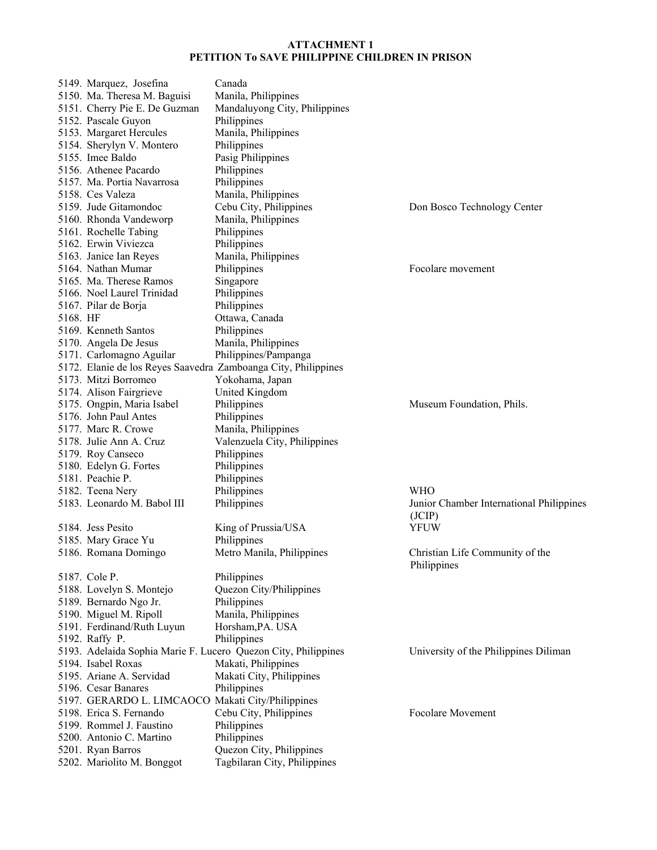|          | 5149. Marquez, Josefina                           | Canada                                                         |                                          |
|----------|---------------------------------------------------|----------------------------------------------------------------|------------------------------------------|
|          | 5150. Ma. Theresa M. Baguisi                      | Manila, Philippines                                            |                                          |
|          | 5151. Cherry Pie E. De Guzman                     | Mandaluyong City, Philippines                                  |                                          |
|          | 5152. Pascale Guyon                               | Philippines                                                    |                                          |
|          | 5153. Margaret Hercules                           | Manila, Philippines                                            |                                          |
|          | 5154. Sherylyn V. Montero                         | Philippines                                                    |                                          |
|          | 5155. Imee Baldo                                  | Pasig Philippines                                              |                                          |
|          | 5156. Athenee Pacardo                             | Philippines                                                    |                                          |
|          | 5157. Ma. Portia Navarrosa                        | Philippines                                                    |                                          |
|          | 5158. Ces Valeza                                  | Manila, Philippines                                            |                                          |
|          | 5159. Jude Gitamondoc                             | Cebu City, Philippines                                         | Don Bosco Technology Center              |
|          | 5160. Rhonda Vandeworp                            | Manila, Philippines                                            |                                          |
|          | 5161. Rochelle Tabing                             | Philippines                                                    |                                          |
|          | 5162. Erwin Viviezca                              | Philippines                                                    |                                          |
|          | 5163. Janice Ian Reyes                            | Manila, Philippines                                            |                                          |
|          | 5164. Nathan Mumar                                | Philippines                                                    | Focolare movement                        |
|          | 5165. Ma. Therese Ramos                           | Singapore                                                      |                                          |
|          | 5166. Noel Laurel Trinidad                        | Philippines                                                    |                                          |
|          | 5167. Pilar de Borja                              | Philippines                                                    |                                          |
| 5168. HF |                                                   | Ottawa, Canada                                                 |                                          |
|          | 5169. Kenneth Santos                              | Philippines                                                    |                                          |
|          | 5170. Angela De Jesus                             | Manila, Philippines                                            |                                          |
|          | 5171. Carlomagno Aguilar                          | Philippines/Pampanga                                           |                                          |
|          |                                                   | 5172. Elanie de los Reyes Saavedra Zamboanga City, Philippines |                                          |
|          | 5173. Mitzi Borromeo                              | Yokohama, Japan                                                |                                          |
|          | 5174. Alison Fairgrieve                           | United Kingdom                                                 |                                          |
|          | 5175. Ongpin, Maria Isabel                        | Philippines                                                    | Museum Foundation, Phils.                |
|          | 5176. John Paul Antes                             | Philippines                                                    |                                          |
|          | 5177. Marc R. Crowe                               | Manila, Philippines                                            |                                          |
|          | 5178. Julie Ann A. Cruz                           | Valenzuela City, Philippines                                   |                                          |
|          | 5179. Roy Canseco                                 | Philippines                                                    |                                          |
|          | 5180. Edelyn G. Fortes                            | Philippines                                                    |                                          |
|          | 5181. Peachie P.                                  | Philippines                                                    |                                          |
|          | 5182. Teena Nery                                  | Philippines                                                    | <b>WHO</b>                               |
|          | 5183. Leonardo M. Babol III                       | Philippines                                                    | Junior Chamber International Philippines |
|          |                                                   |                                                                | (JCIP)                                   |
|          | 5184. Jess Pesito                                 | King of Prussia/USA                                            | <b>YFUW</b>                              |
|          | 5185. Mary Grace Yu                               | Philippines                                                    |                                          |
|          | 5186. Romana Domingo                              | Metro Manila, Philippines                                      | Christian Life Community of the          |
|          |                                                   |                                                                | Philippines                              |
|          | 5187. Cole P.                                     | Philippines                                                    |                                          |
|          | 5188. Lovelyn S. Montejo                          | Quezon City/Philippines                                        |                                          |
|          | 5189. Bernardo Ngo Jr.                            | Philippines                                                    |                                          |
|          | 5190. Miguel M. Ripoll                            | Manila, Philippines                                            |                                          |
|          | 5191. Ferdinand/Ruth Luyun                        | Horsham, PA. USA                                               |                                          |
|          | 5192. Raffy P.                                    | Philippines                                                    |                                          |
|          |                                                   | 5193. Adelaida Sophia Marie F. Lucero Quezon City, Philippines | University of the Philippines Diliman    |
|          | 5194. Isabel Roxas                                | Makati, Philippines                                            |                                          |
|          | 5195. Ariane A. Servidad                          | Makati City, Philippines                                       |                                          |
|          | 5196. Cesar Banares                               | Philippines                                                    |                                          |
|          | 5197. GERARDO L. LIMCAOCO Makati City/Philippines |                                                                |                                          |
|          | 5198. Erica S. Fernando                           | Cebu City, Philippines                                         | <b>Focolare Movement</b>                 |
|          | 5199. Rommel J. Faustino                          | Philippines                                                    |                                          |
|          | 5200. Antonio C. Martino                          | Philippines                                                    |                                          |
|          | 5201. Ryan Barros                                 | Quezon City, Philippines                                       |                                          |
|          | 5202. Mariolito M. Bonggot                        | Tagbilaran City, Philippines                                   |                                          |
|          |                                                   |                                                                |                                          |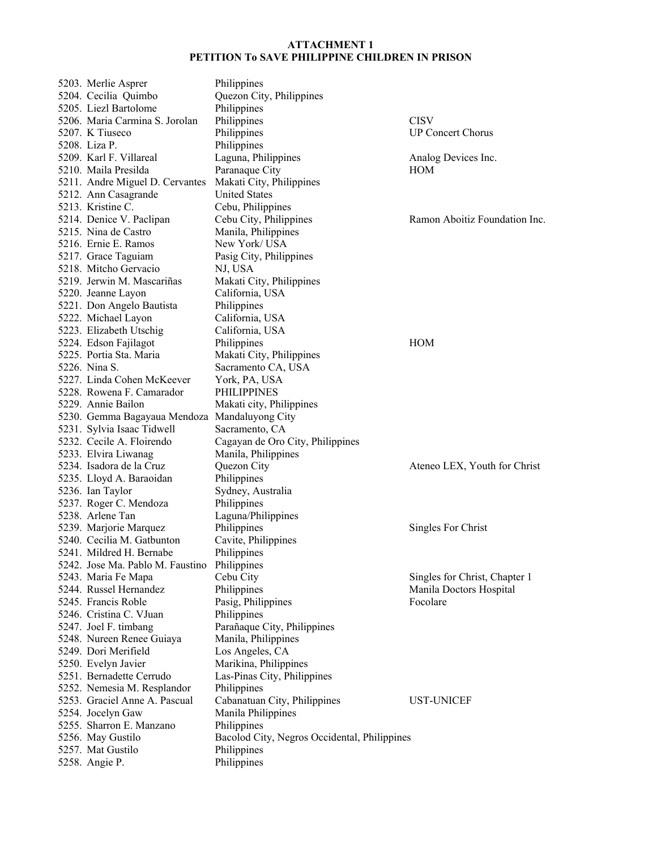| 5203. Merlie Asprer              | Philippines                                  |                               |
|----------------------------------|----------------------------------------------|-------------------------------|
| 5204. Cecilia Quimbo             | Quezon City, Philippines                     |                               |
| 5205. Liezl Bartolome            | Philippines                                  |                               |
| 5206. Maria Carmina S. Jorolan   | Philippines                                  | <b>CISV</b>                   |
| 5207. K Tiuseco                  | Philippines                                  | <b>UP Concert Chorus</b>      |
| 5208. Liza P.                    | Philippines                                  |                               |
| 5209. Karl F. Villareal          | Laguna, Philippines                          | Analog Devices Inc.           |
| 5210. Maila Presilda             | Paranaque City                               | HOM                           |
| 5211. Andre Miguel D. Cervantes  | Makati City, Philippines                     |                               |
| 5212. Ann Casagrande             | <b>United States</b>                         |                               |
| 5213. Kristine C.                | Cebu, Philippines                            |                               |
| 5214. Denice V. Paclipan         | Cebu City, Philippines                       | Ramon Aboitiz Foundation Inc. |
| 5215. Nina de Castro             | Manila, Philippines                          |                               |
| 5216. Ernie E. Ramos             | New York/USA                                 |                               |
|                                  |                                              |                               |
| 5217. Grace Taguiam              | Pasig City, Philippines                      |                               |
| 5218. Mitcho Gervacio            | NJ, USA                                      |                               |
| 5219. Jerwin M. Mascariñas       | Makati City, Philippines                     |                               |
| 5220. Jeanne Layon               | California, USA                              |                               |
| 5221. Don Angelo Bautista        | Philippines                                  |                               |
| 5222. Michael Layon              | California, USA                              |                               |
| 5223. Elizabeth Utschig          | California, USA                              |                               |
| 5224. Edson Fajilagot            | Philippines                                  | <b>HOM</b>                    |
| 5225. Portia Sta. Maria          | Makati City, Philippines                     |                               |
| 5226. Nina S.                    | Sacramento CA, USA                           |                               |
| 5227. Linda Cohen McKeever       | York, PA, USA                                |                               |
| 5228. Rowena F. Camarador        | PHILIPPINES                                  |                               |
| 5229. Annie Bailon               | Makati city, Philippines                     |                               |
| 5230. Gemma Bagayaua Mendoza     | Mandaluyong City                             |                               |
| 5231. Sylvia Isaac Tidwell       | Sacramento, CA                               |                               |
| 5232. Cecile A. Floirendo        | Cagayan de Oro City, Philippines             |                               |
| 5233. Elvira Liwanag             | Manila, Philippines                          |                               |
| 5234. Isadora de la Cruz         | Quezon City                                  | Ateneo LEX, Youth for Christ  |
| 5235. Lloyd A. Baraoidan         | Philippines                                  |                               |
| 5236. Ian Taylor                 | Sydney, Australia                            |                               |
| 5237. Roger C. Mendoza           | Philippines                                  |                               |
| 5238. Arlene Tan                 | Laguna/Philippines                           |                               |
| 5239. Marjorie Marquez           | Philippines                                  | Singles For Christ            |
| 5240. Cecilia M. Gatbunton       | Cavite, Philippines                          |                               |
| 5241. Mildred H. Bernabe         | Philippines                                  |                               |
| 5242. Jose Ma. Pablo M. Faustino | Philippines                                  |                               |
| 5243. Maria Fe Mapa              | Cebu City                                    | Singles for Christ, Chapter 1 |
| 5244. Russel Hernandez           | Philippines                                  | Manila Doctors Hospital       |
| 5245. Francis Roble              | Pasig, Philippines                           | Focolare                      |
| 5246. Cristina C. VJuan          | Philippines                                  |                               |
|                                  |                                              |                               |
| 5247. Joel F. timbang            | Parañaque City, Philippines                  |                               |
| 5248. Nureen Renee Guiaya        | Manila, Philippines                          |                               |
| 5249. Dori Merifield             | Los Angeles, CA                              |                               |
| 5250. Evelyn Javier              | Marikina, Philippines                        |                               |
| 5251. Bernadette Cerrudo         | Las-Pinas City, Philippines                  |                               |
| 5252. Nemesia M. Resplandor      | Philippines                                  |                               |
| 5253. Graciel Anne A. Pascual    | Cabanatuan City, Philippines                 | UST-UNICEF                    |
| 5254. Jocelyn Gaw                | Manila Philippines                           |                               |
| 5255. Sharron E. Manzano         | Philippines                                  |                               |
| 5256. May Gustilo                | Bacolod City, Negros Occidental, Philippines |                               |
| 5257. Mat Gustilo                | Philippines                                  |                               |
| 5258. Angie P.                   | Philippines                                  |                               |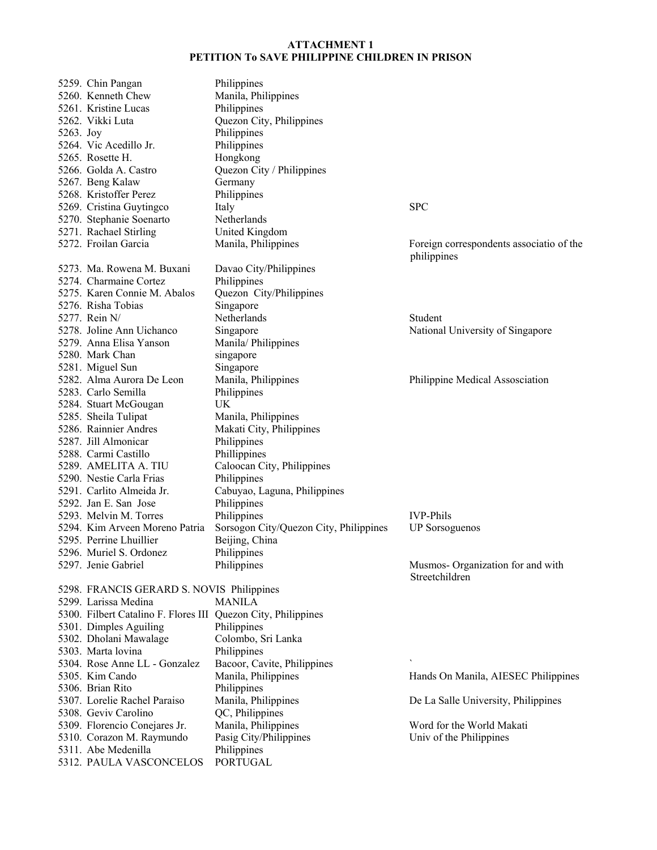|           | 5259. Chin Pangan                                             | Philippines                            |                                                         |
|-----------|---------------------------------------------------------------|----------------------------------------|---------------------------------------------------------|
|           | 5260. Kenneth Chew                                            | Manila, Philippines                    |                                                         |
|           | 5261. Kristine Lucas                                          | Philippines                            |                                                         |
|           | 5262. Vikki Luta                                              | Quezon City, Philippines               |                                                         |
| 5263. Joy |                                                               | Philippines                            |                                                         |
|           | 5264. Vic Acedillo Jr.                                        | Philippines                            |                                                         |
|           | 5265. Rosette H.                                              | Hongkong                               |                                                         |
|           | 5266. Golda A. Castro                                         | Quezon City / Philippines              |                                                         |
|           | 5267. Beng Kalaw                                              | Germany                                |                                                         |
|           | 5268. Kristoffer Perez                                        | Philippines                            |                                                         |
|           | 5269. Cristina Guytingco                                      | Italy                                  | <b>SPC</b>                                              |
|           | 5270. Stephanie Soenarto                                      | Netherlands                            |                                                         |
|           | 5271. Rachael Stirling                                        | United Kingdom                         |                                                         |
|           | 5272. Froilan Garcia                                          | Manila, Philippines                    | Foreign correspondents associatio of the<br>philippines |
|           | 5273. Ma. Rowena M. Buxani                                    | Davao City/Philippines                 |                                                         |
|           | 5274. Charmaine Cortez                                        | Philippines                            |                                                         |
|           | 5275. Karen Connie M. Abalos                                  | Quezon City/Philippines                |                                                         |
|           | 5276. Risha Tobias                                            | Singapore                              |                                                         |
|           | 5277. Rein N/                                                 | Netherlands                            | Student                                                 |
|           | 5278. Joline Ann Uichanco                                     | Singapore                              | National University of Singapore                        |
|           | 5279. Anna Elisa Yanson                                       | Manila/Philippines                     |                                                         |
|           | 5280. Mark Chan                                               | singapore                              |                                                         |
|           | 5281. Miguel Sun                                              | Singapore                              |                                                         |
|           | 5282. Alma Aurora De Leon                                     | Manila, Philippines                    | Philippine Medical Assosciation                         |
|           | 5283. Carlo Semilla                                           | Philippines                            |                                                         |
|           | 5284. Stuart McGougan                                         | UK                                     |                                                         |
|           | 5285. Sheila Tulipat                                          | Manila, Philippines                    |                                                         |
|           | 5286. Rainnier Andres                                         | Makati City, Philippines               |                                                         |
|           | 5287. Jill Almonicar                                          | Philippines                            |                                                         |
|           | 5288. Carmi Castillo                                          | Phillippines                           |                                                         |
|           | 5289. AMELITA A. TIU                                          | Caloocan City, Philippines             |                                                         |
|           | 5290. Nestie Carla Frias                                      | Philippines                            |                                                         |
|           | 5291. Carlito Almeida Jr.                                     | Cabuyao, Laguna, Philippines           |                                                         |
|           | 5292. Jan E. San Jose                                         | Philippines                            |                                                         |
|           | 5293. Melvin M. Torres                                        | Philippines                            | <b>IVP-Phils</b>                                        |
|           | 5294. Kim Arveen Moreno Patria                                | Sorsogon City/Quezon City, Philippines | <b>UP</b> Sorsoguenos                                   |
|           | 5295. Perrine Lhuillier                                       | Beijing, China                         |                                                         |
|           | 5296. Muriel S. Ordonez                                       | Philippines                            |                                                         |
|           | 5297. Jenie Gabriel                                           | Philippines                            | Musmos- Organization for and with<br>Streetchildren     |
|           | 5298. FRANCIS GERARD S. NOVIS Philippines                     |                                        |                                                         |
|           | 5299. Larissa Medina                                          | <b>MANILA</b>                          |                                                         |
|           | 5300. Filbert Catalino F. Flores III Quezon City, Philippines |                                        |                                                         |
|           | 5301. Dimples Aguiling                                        | Philippines                            |                                                         |
|           | 5302. Dholani Mawalage                                        | Colombo, Sri Lanka                     |                                                         |
|           | 5303. Marta lovina                                            | Philippines                            |                                                         |
|           | 5304. Rose Anne LL - Gonzalez                                 | Bacoor, Cavite, Philippines            |                                                         |
|           | 5305. Kim Cando                                               | Manila, Philippines                    | Hands On Manila, AIESEC Philippines                     |
|           | 5306. Brian Rito                                              | Philippines                            |                                                         |
|           | 5307. Lorelie Rachel Paraiso                                  | Manila, Philippines                    | De La Salle University, Philippines                     |
|           | 5308. Geviv Carolino                                          | QC, Philippines                        |                                                         |
|           | 5309. Florencio Conejares Jr.                                 | Manila, Philippines                    | Word for the World Makati                               |
|           | 5310. Corazon M. Raymundo                                     | Pasig City/Philippines                 | Univ of the Philippines                                 |
|           | 5311. Abe Medenilla                                           | Philippines                            |                                                         |
|           | 5312. PAULA VASCONCELOS                                       | <b>PORTUGAL</b>                        |                                                         |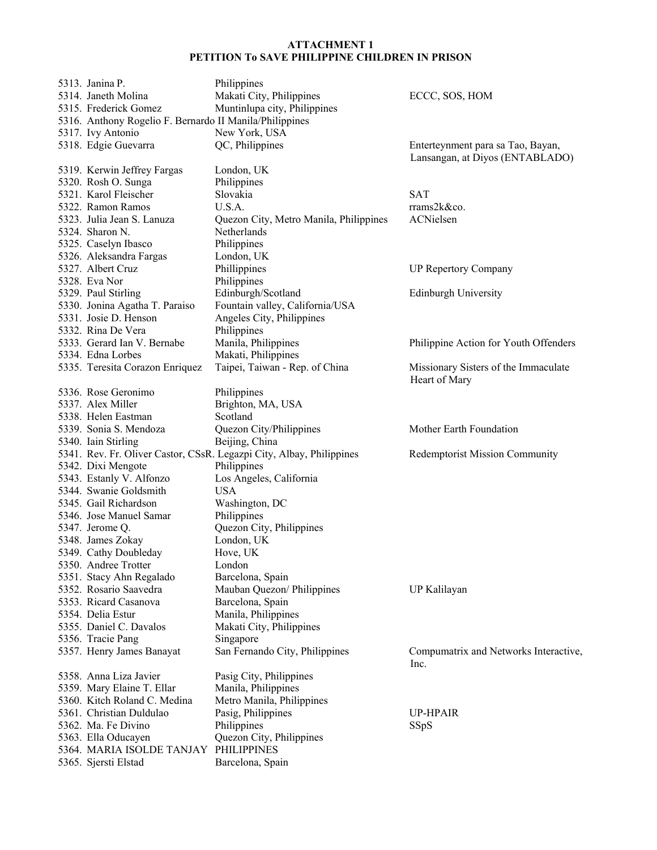| 5313. Janina P.                                         | Philippines                                                          |                                               |
|---------------------------------------------------------|----------------------------------------------------------------------|-----------------------------------------------|
| 5314. Janeth Molina                                     | Makati City, Philippines                                             | ECCC, SOS, HOM                                |
| 5315. Frederick Gomez                                   | Muntinlupa city, Philippines                                         |                                               |
| 5316. Anthony Rogelio F. Bernardo II Manila/Philippines |                                                                      |                                               |
| 5317. Ivy Antonio                                       | New York, USA                                                        |                                               |
| 5318. Edgie Guevarra                                    | QC, Philippines                                                      | Enterteynment para sa Tao, Bayan,             |
|                                                         |                                                                      | Lansangan, at Diyos (ENTABLADO)               |
| 5319. Kerwin Jeffrey Fargas                             | London, UK                                                           |                                               |
| 5320. Rosh O. Sunga                                     | Philippines                                                          |                                               |
| 5321. Karol Fleischer                                   | Slovakia                                                             | <b>SAT</b>                                    |
| 5322. Ramon Ramos                                       | U.S.A.                                                               | rrams2k&co.                                   |
| 5323. Julia Jean S. Lanuza                              | Quezon City, Metro Manila, Philippines                               | ACNielsen                                     |
| 5324. Sharon N.                                         | Netherlands                                                          |                                               |
|                                                         | Philippines                                                          |                                               |
| 5325. Caselyn Ibasco                                    |                                                                      |                                               |
| 5326. Aleksandra Fargas                                 | London, UK                                                           |                                               |
| 5327. Albert Cruz                                       | Phillippines                                                         | <b>UP Repertory Company</b>                   |
| 5328. Eva Nor                                           | Philippines                                                          |                                               |
| 5329. Paul Stirling                                     | Edinburgh/Scotland                                                   | <b>Edinburgh University</b>                   |
| 5330. Jonina Agatha T. Paraiso                          | Fountain valley, California/USA                                      |                                               |
| 5331. Josie D. Henson                                   | Angeles City, Philippines                                            |                                               |
| 5332. Rina De Vera                                      | Philippines                                                          |                                               |
| 5333. Gerard Ian V. Bernabe                             | Manila, Philippines                                                  | Philippine Action for Youth Offenders         |
| 5334. Edna Lorbes                                       | Makati, Philippines                                                  |                                               |
| 5335. Teresita Corazon Enriquez                         | Taipei, Taiwan - Rep. of China                                       | Missionary Sisters of the Immaculate          |
|                                                         |                                                                      | Heart of Mary                                 |
| 5336. Rose Geronimo                                     | Philippines                                                          |                                               |
| 5337. Alex Miller                                       | Brighton, MA, USA                                                    |                                               |
| 5338. Helen Eastman                                     | Scotland                                                             |                                               |
| 5339. Sonia S. Mendoza                                  | Quezon City/Philippines                                              | Mother Earth Foundation                       |
| 5340. Iain Stirling                                     | Beijing, China                                                       |                                               |
|                                                         | 5341. Rev. Fr. Oliver Castor, CSsR. Legazpi City, Albay, Philippines | Redemptorist Mission Community                |
| 5342. Dixi Mengote                                      | Philippines                                                          |                                               |
| 5343. Estanly V. Alfonzo                                | Los Angeles, California                                              |                                               |
| 5344. Swanie Goldsmith                                  | <b>USA</b>                                                           |                                               |
| 5345. Gail Richardson                                   | Washington, DC                                                       |                                               |
| 5346. Jose Manuel Samar                                 |                                                                      |                                               |
|                                                         |                                                                      |                                               |
|                                                         | Philippines                                                          |                                               |
| 5347. Jerome Q.                                         | Quezon City, Philippines                                             |                                               |
| 5348. James Zokay                                       | London, UK                                                           |                                               |
| 5349. Cathy Doubleday                                   | Hove, UK                                                             |                                               |
| 5350. Andree Trotter                                    | London                                                               |                                               |
| 5351. Stacy Ahn Regalado                                | Barcelona, Spain                                                     |                                               |
| 5352. Rosario Saavedra                                  | Mauban Quezon/ Philippines                                           | UP Kalilayan                                  |
| 5353. Ricard Casanova                                   | Barcelona, Spain                                                     |                                               |
| 5354. Delia Estur                                       | Manila, Philippines                                                  |                                               |
| 5355. Daniel C. Davalos                                 | Makati City, Philippines                                             |                                               |
| 5356. Tracie Pang                                       | Singapore                                                            |                                               |
| 5357. Henry James Banayat                               | San Fernando City, Philippines                                       | Compumatrix and Networks Interactive,<br>Inc. |
| 5358. Anna Liza Javier                                  | Pasig City, Philippines                                              |                                               |
| 5359. Mary Elaine T. Ellar                              | Manila, Philippines                                                  |                                               |
| 5360. Kitch Roland C. Medina                            | Metro Manila, Philippines                                            |                                               |
| 5361. Christian Duldulao                                |                                                                      | <b>UP-HPAIR</b>                               |
| 5362. Ma. Fe Divino                                     | Pasig, Philippines                                                   |                                               |
|                                                         | Philippines                                                          | <b>SSpS</b>                                   |
| 5363. Ella Oducayen                                     | Quezon City, Philippines<br><b>PHILIPPINES</b>                       |                                               |
| 5364. MARIA ISOLDE TANJAY<br>5365. Sjersti Elstad       | Barcelona, Spain                                                     |                                               |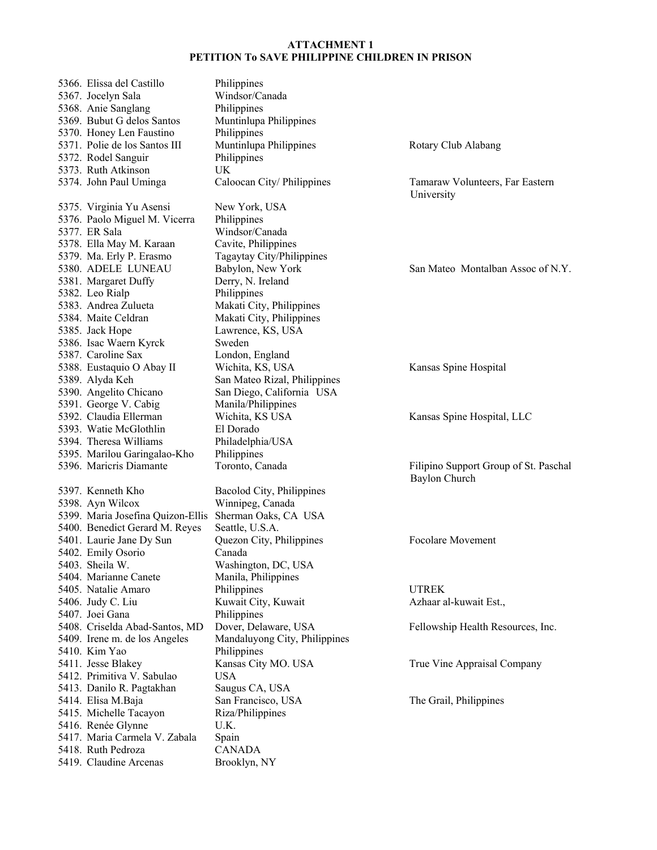| 5366. Elissa del Castillo         | Philippines                   |                                       |
|-----------------------------------|-------------------------------|---------------------------------------|
| 5367. Jocelyn Sala                | Windsor/Canada                |                                       |
| 5368. Anie Sanglang               | Philippines                   |                                       |
| 5369. Bubut G delos Santos        | Muntinlupa Philippines        |                                       |
| 5370. Honey Len Faustino          | Philippines                   |                                       |
| 5371. Polie de los Santos III     | Muntinlupa Philippines        | Rotary Club Alabang                   |
| 5372. Rodel Sanguir               | Philippines                   |                                       |
| 5373. Ruth Atkinson               | UK.                           |                                       |
| 5374. John Paul Uminga            | Caloocan City/Philippines     | Tamaraw Volunteers, Far Eastern       |
|                                   |                               | University                            |
| 5375. Virginia Yu Asensi          | New York, USA                 |                                       |
| 5376. Paolo Miguel M. Vicerra     | Philippines                   |                                       |
| 5377. ER Sala                     | Windsor/Canada                |                                       |
| 5378. Ella May M. Karaan          | Cavite, Philippines           |                                       |
| 5379. Ma. Erly P. Erasmo          | Tagaytay City/Philippines     |                                       |
| 5380. ADELE LUNEAU                | Babylon, New York             | San Mateo Montalban Assoc of N.Y.     |
| 5381. Margaret Duffy              | Derry, N. Ireland             |                                       |
| 5382. Leo Rialp                   | Philippines                   |                                       |
| 5383. Andrea Zulueta              | Makati City, Philippines      |                                       |
| 5384. Maite Celdran               | Makati City, Philippines      |                                       |
| 5385. Jack Hope                   | Lawrence, KS, USA             |                                       |
| 5386. Isac Waern Kyrck            | Sweden                        |                                       |
| 5387. Caroline Sax                | London, England               |                                       |
| 5388. Eustaquio O Abay II         | Wichita, KS, USA              | Kansas Spine Hospital                 |
| 5389. Alyda Keh                   | San Mateo Rizal, Philippines  |                                       |
| 5390. Angelito Chicano            | San Diego, California USA     |                                       |
| 5391. George V. Cabig             | Manila/Philippines            |                                       |
| 5392. Claudia Ellerman            | Wichita, KS USA               | Kansas Spine Hospital, LLC            |
| 5393. Watie McGlothlin            | El Dorado                     |                                       |
| 5394. Theresa Williams            | Philadelphia/USA              |                                       |
| 5395. Marilou Garingalao-Kho      | Philippines                   |                                       |
| 5396. Maricris Diamante           | Toronto, Canada               | Filipino Support Group of St. Paschal |
|                                   |                               | <b>Baylon Church</b>                  |
| 5397. Kenneth Kho                 | Bacolod City, Philippines     |                                       |
| 5398. Ayn Wilcox                  | Winnipeg, Canada              |                                       |
| 5399. Maria Josefina Quizon-Ellis | Sherman Oaks, CA USA          |                                       |
| 5400. Benedict Gerard M. Reyes    | Seattle, U.S.A.               |                                       |
| 5401. Laurie Jane Dy Sun          | Quezon City, Philippines      | <b>Focolare Movement</b>              |
| 5402. Emily Osorio                | Canada                        |                                       |
| 5403. Sheila W.                   | Washington, DC, USA           |                                       |
| 5404. Marianne Canete             | Manila, Philippines           |                                       |
| 5405. Natalie Amaro               | Philippines                   | <b>UTREK</b>                          |
| 5406. Judy C. Liu                 | Kuwait City, Kuwait           | Azhaar al-kuwait Est.,                |
| 5407. Joei Gana                   | Philippines                   |                                       |
| 5408. Criselda Abad-Santos, MD    | Dover, Delaware, USA          | Fellowship Health Resources, Inc.     |
| 5409. Irene m. de los Angeles     | Mandaluyong City, Philippines |                                       |
| 5410. Kim Yao                     | Philippines                   |                                       |
| 5411. Jesse Blakey                | Kansas City MO. USA           | True Vine Appraisal Company           |
| 5412. Primitiva V. Sabulao        | <b>USA</b>                    |                                       |
| 5413. Danilo R. Pagtakhan         | Saugus CA, USA                |                                       |
| 5414. Elisa M.Baja                | San Francisco, USA            | The Grail, Philippines                |
| 5415. Michelle Tacayon            | Riza/Philippines              |                                       |
| 5416. Renée Glynne                | U.K.                          |                                       |
| 5417. Maria Carmela V. Zabala     | Spain                         |                                       |
| 5418. Ruth Pedroza                | <b>CANADA</b>                 |                                       |
| 5419. Claudine Arcenas            |                               |                                       |
|                                   | Brooklyn, NY                  |                                       |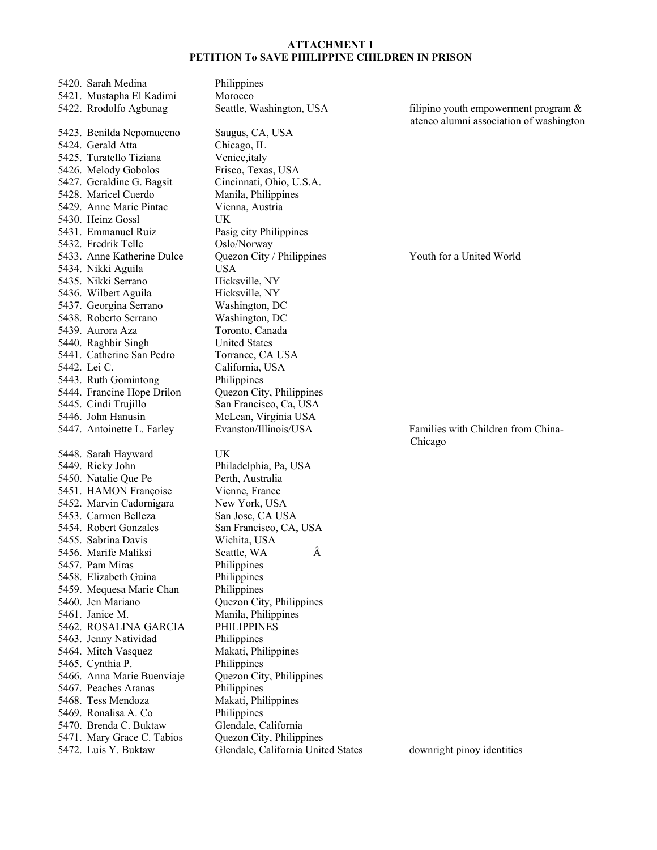5420. Sarah Medina Philippines 5421. Mustapha El Kadimi Morocco 5422. Rrodolfo Agbunag Seattle, Washington, USA filipino youth empowerment program & 5423. Benilda Nepomuceno Saugus, CA, USA 5424. Gerald Atta Chicago, IL 5425. Turatello Tiziana Venice,italy 5426. Melody Gobolos Frisco, Texas, USA 5427. Geraldine G. Bagsit Cincinnati, Ohio, U.S.A. 5428. Maricel Cuerdo Manila, Philippines 5429. Anne Marie Pintac Vienna, Austria 5430. Heinz Gossl UK 5431. Emmanuel Ruiz Pasig city Philippines 5432. Fredrik Telle Oslo/Norway 5433. Anne Katherine Dulce Quezon City / Philippines Youth for a United World 5434. Nikki Aguila USA 5435. Nikki Serrano Hicksville, NY 5436. Wilbert Aguila Hicksville, NY 5437. Georgina Serrano Washington, DC 5438. Roberto Serrano Washington, DC 5439. Aurora Aza 5440. Raghbir Singh United States 5441. Catherine San Pedro Torrance, CA USA 5442. Lei C. California, USA 5443. Ruth Gomintong Philippines 5444. Francine Hope Drilon Quezon City, Philippines 5445. Cindi Trujillo San Francisco, Ca, USA 5446. John Hanusin McLean, Virginia USA 5447. Antoinette L. Farley Evanston/Illinois/USA Families with Children from China-5448. Sarah Hayward UK 5449. Ricky John Philadelphia, Pa, USA 5450. Natalie Que Pe Perth, Australia 5451. HAMON Françoise Vienne, France 5452. Marvin Cadornigara New York, USA 5453. Carmen Belleza San Jose, CA USA 5454. Robert Gonzales San Francisco, CA, USA 5455. Sabrina Davis Wichita, USA 5456. Marife Maliksi Seattle, WA  $\hat{A}$ 5457. Pam Miras Philippines 5458. Elizabeth Guina Philippines 5459. Mequesa Marie Chan Philippines 5460. Jen Mariano Quezon City, Philippines 5461. Janice M. Manila, Philippines 5462. ROSALINA GARCIA PHILIPPINES 5463. Jenny Natividad Philippines 5464. Mitch Vasquez Makati, Philippines 5465. Cynthia P. Philippines 5466. Anna Marie Buenviaje Quezon City, Philippines 5467. Peaches Aranas Philippines 5468. Tess Mendoza Makati, Philippines 5469. Ronalisa A. Co Philippines 5470. Brenda C. Buktaw Glendale, California 5471. Mary Grace C. Tabios Quezon City, Philippines 5472. Luis Y. Buktaw Glendale, California United States downright pinoy identities

ateneo alumni association of washington

Chicago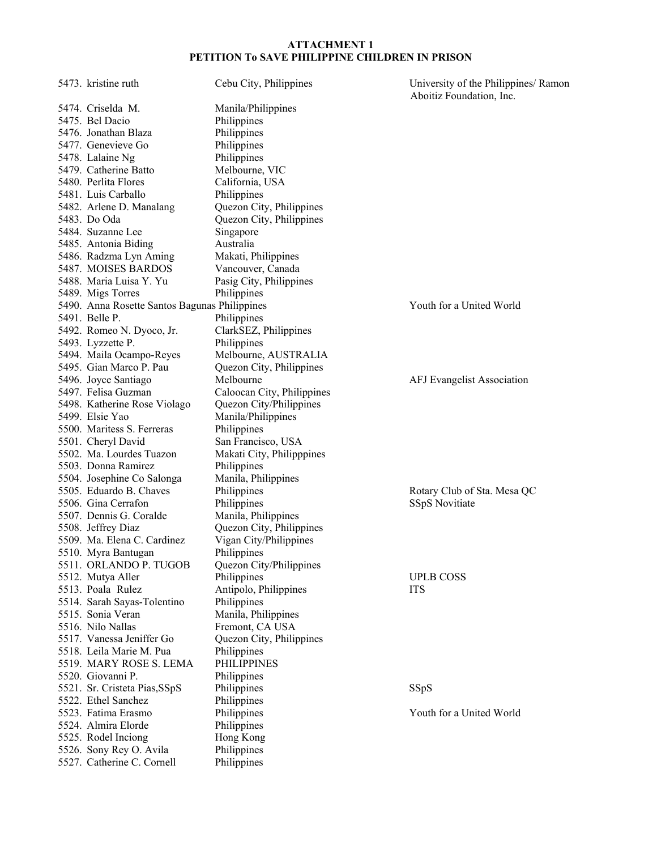| 5473. kristine ruth                                  | Cebu City, Philippines            | University of the Philippines/ Ramon |
|------------------------------------------------------|-----------------------------------|--------------------------------------|
| 5474. Criselda M.                                    | Manila/Philippines                | Aboitiz Foundation, Inc.             |
| 5475. Bel Dacio                                      | Philippines                       |                                      |
| 5476. Jonathan Blaza                                 | Philippines                       |                                      |
| 5477. Genevieve Go                                   | Philippines                       |                                      |
| 5478. Lalaine Ng                                     | Philippines                       |                                      |
| 5479. Catherine Batto                                | Melbourne, VIC                    |                                      |
| 5480. Perlita Flores                                 | California, USA                   |                                      |
| 5481. Luis Carballo                                  | Philippines                       |                                      |
| 5482. Arlene D. Manalang                             | Quezon City, Philippines          |                                      |
| 5483. Do Oda                                         | Quezon City, Philippines          |                                      |
| 5484. Suzanne Lee                                    | Singapore                         |                                      |
| 5485. Antonia Biding                                 | Australia                         |                                      |
| 5486. Radzma Lyn Aming                               | Makati, Philippines               |                                      |
| 5487. MOISES BARDOS                                  | Vancouver, Canada                 |                                      |
| 5488. Maria Luisa Y. Yu                              | Pasig City, Philippines           |                                      |
| 5489. Migs Torres                                    | Philippines                       |                                      |
| 5490. Anna Rosette Santos Bagunas Philippines        |                                   | Youth for a United World             |
| 5491. Belle P.                                       | Philippines                       |                                      |
| 5492. Romeo N. Dyoco, Jr.                            | ClarkSEZ, Philippines             |                                      |
| 5493. Lyzzette P.                                    | Philippines                       |                                      |
| 5494. Maila Ocampo-Reyes                             | Melbourne, AUSTRALIA              |                                      |
| 5495. Gian Marco P. Pau                              | Quezon City, Philippines          |                                      |
| 5496. Joyce Santiago                                 | Melbourne                         | <b>AFJ</b> Evangelist Association    |
| 5497. Felisa Guzman                                  | Caloocan City, Philippines        |                                      |
| 5498. Katherine Rose Violago                         | Quezon City/Philippines           |                                      |
| 5499. Elsie Yao                                      | Manila/Philippines                |                                      |
| 5500. Maritess S. Ferreras                           | Philippines                       |                                      |
| 5501. Cheryl David                                   | San Francisco, USA                |                                      |
| 5502. Ma. Lourdes Tuazon                             | Makati City, Philipppines         |                                      |
| 5503. Donna Ramirez                                  | Philippines                       |                                      |
| 5504. Josephine Co Salonga                           | Manila, Philippines               |                                      |
| 5505. Eduardo B. Chaves                              | Philippines                       | Rotary Club of Sta. Mesa QC          |
| 5506. Gina Cerrafon                                  | Philippines                       | SSpS Novitiate                       |
| 5507. Dennis G. Coralde                              | Manila, Philippines               |                                      |
| 5508. Jeffrey Diaz                                   | Quezon City, Philippines          |                                      |
| 5509. Ma. Elena C. Cardinez                          | Vigan City/Philippines            |                                      |
| 5510. Myra Bantugan                                  | Philippines                       |                                      |
| 5511. ORLANDO P. TUGOB                               | Quezon City/Philippines           |                                      |
| 5512. Mutya Aller                                    | Philippines                       | <b>UPLB COSS</b>                     |
| 5513. Poala Rulez                                    | Antipolo, Philippines             | <b>ITS</b>                           |
| 5514. Sarah Sayas-Tolentino                          | Philippines                       |                                      |
| 5515. Sonia Veran                                    | Manila, Philippines               |                                      |
| 5516. Nilo Nallas                                    | Fremont, CA USA                   |                                      |
| 5517. Vanessa Jeniffer Go                            | Quezon City, Philippines          |                                      |
| 5518. Leila Marie M. Pua<br>5519. MARY ROSE S. LEMA  | Philippines<br><b>PHILIPPINES</b> |                                      |
| 5520. Giovanni P.                                    | Philippines                       |                                      |
|                                                      | Philippines                       |                                      |
| 5521. Sr. Cristeta Pias, SSpS<br>5522. Ethel Sanchez | Philippines                       | SSpS                                 |
| 5523. Fatima Erasmo                                  | Philippines                       | Youth for a United World             |
| 5524. Almira Elorde                                  | Philippines                       |                                      |
| 5525. Rodel Inciong                                  | Hong Kong                         |                                      |
| 5526. Sony Rey O. Avila                              | Philippines                       |                                      |
| 5527. Catherine C. Cornell                           | Philippines                       |                                      |
|                                                      |                                   |                                      |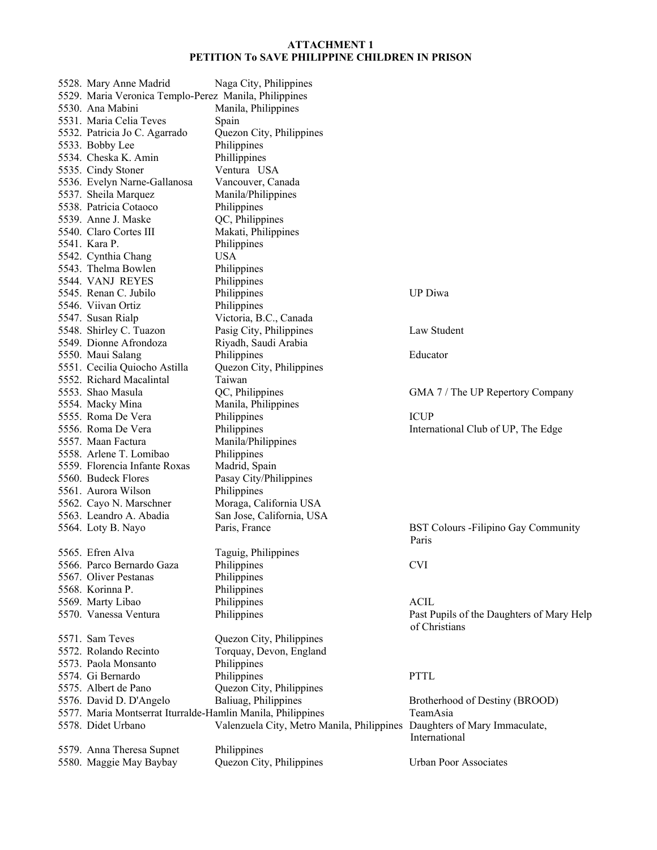| 5528. Mary Anne Madrid                                      | Naga City, Philippines                     |                                             |
|-------------------------------------------------------------|--------------------------------------------|---------------------------------------------|
| 5529. Maria Veronica Templo-Perez Manila, Philippines       |                                            |                                             |
| 5530. Ana Mabini                                            | Manila, Philippines                        |                                             |
| 5531. Maria Celia Teves                                     | Spain                                      |                                             |
| 5532. Patricia Jo C. Agarrado                               | Quezon City, Philippines                   |                                             |
| 5533. Bobby Lee                                             | Philippines                                |                                             |
| 5534. Cheska K. Amin                                        | Phillippines                               |                                             |
| 5535. Cindy Stoner                                          | Ventura USA                                |                                             |
| 5536. Evelyn Narne-Gallanosa                                | Vancouver, Canada                          |                                             |
| 5537. Sheila Marquez                                        | Manila/Philippines                         |                                             |
| 5538. Patricia Cotaoco                                      | Philippines                                |                                             |
| 5539. Anne J. Maske                                         | QC, Philippines                            |                                             |
| 5540. Claro Cortes III                                      | Makati, Philippines                        |                                             |
| 5541. Kara P.                                               | Philippines                                |                                             |
| 5542. Cynthia Chang                                         | <b>USA</b>                                 |                                             |
| 5543. Thelma Bowlen                                         | Philippines                                |                                             |
|                                                             |                                            |                                             |
| 5544. VANJ REYES                                            | Philippines                                |                                             |
| 5545. Renan C. Jubilo                                       | Philippines                                | <b>UP</b> Diwa                              |
| 5546. Viivan Ortiz                                          | Philippines                                |                                             |
| 5547. Susan Rialp                                           | Victoria, B.C., Canada                     |                                             |
| 5548. Shirley C. Tuazon                                     | Pasig City, Philippines                    | Law Student                                 |
| 5549. Dionne Afrondoza                                      | Riyadh, Saudi Arabia                       |                                             |
| 5550. Maui Salang                                           | Philippines                                | Educator                                    |
| 5551. Cecilia Quiocho Astilla                               | Quezon City, Philippines                   |                                             |
| 5552. Richard Macalintal                                    | Taiwan                                     |                                             |
| 5553. Shao Masula                                           | QC, Philippines                            | GMA 7 / The UP Repertory Company            |
| 5554. Macky Mina                                            | Manila, Philippines                        |                                             |
| 5555. Roma De Vera                                          | Philippines                                | <b>ICUP</b>                                 |
| 5556. Roma De Vera                                          | Philippines                                | International Club of UP, The Edge          |
| 5557. Maan Factura                                          | Manila/Philippines                         |                                             |
| 5558. Arlene T. Lomibao                                     | Philippines                                |                                             |
| 5559. Florencia Infante Roxas                               | Madrid, Spain                              |                                             |
| 5560. Budeck Flores                                         | Pasay City/Philippines                     |                                             |
| 5561. Aurora Wilson                                         | Philippines                                |                                             |
| 5562. Cayo N. Marschner                                     | Moraga, California USA                     |                                             |
| 5563. Leandro A. Abadia                                     | San Jose, California, USA                  |                                             |
| 5564. Loty B. Nayo                                          | Paris, France                              | <b>BST Colours - Filipino Gay Community</b> |
|                                                             |                                            | Paris                                       |
| 5565. Efren Alva                                            | Taguig, Philippines                        |                                             |
| 5566. Parco Bernardo Gaza                                   | Philippines                                | <b>CVI</b>                                  |
| 5567. Oliver Pestanas                                       | Philippines                                |                                             |
| 5568. Korinna P.                                            | Philippines                                |                                             |
| 5569. Marty Libao                                           | Philippines                                | <b>ACIL</b>                                 |
| 5570. Vanessa Ventura                                       | Philippines                                | Past Pupils of the Daughters of Mary Help   |
|                                                             |                                            | of Christians                               |
| 5571. Sam Teves                                             | Quezon City, Philippines                   |                                             |
| 5572. Rolando Recinto                                       | Torquay, Devon, England                    |                                             |
| 5573. Paola Monsanto                                        | Philippines                                |                                             |
| 5574. Gi Bernardo                                           | Philippines                                | <b>PTTL</b>                                 |
| 5575. Albert de Pano                                        | Quezon City, Philippines                   |                                             |
| 5576. David D. D'Angelo                                     | Baliuag, Philippines                       | Brotherhood of Destiny (BROOD)              |
| 5577. Maria Montserrat Iturralde-Hamlin Manila, Philippines |                                            | TeamAsia                                    |
| 5578. Didet Urbano                                          | Valenzuela City, Metro Manila, Philippines | Daughters of Mary Immaculate,               |
|                                                             |                                            | International                               |
| 5579. Anna Theresa Supnet                                   | Philippines                                |                                             |
| 5580. Maggie May Baybay                                     | Quezon City, Philippines                   | <b>Urban Poor Associates</b>                |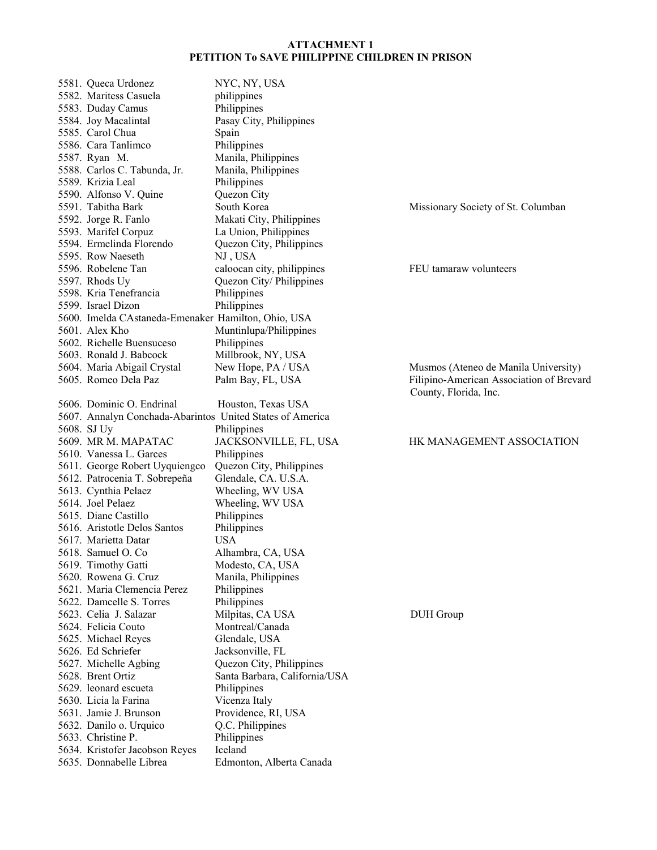| 5581. Queca Urdonez                                       | NYC, NY, USA                        |                                                                   |
|-----------------------------------------------------------|-------------------------------------|-------------------------------------------------------------------|
| 5582. Maritess Casuela                                    | philippines                         |                                                                   |
| 5583. Duday Camus                                         | Philippines                         |                                                                   |
| 5584. Joy Macalintal                                      | Pasay City, Philippines             |                                                                   |
| 5585. Carol Chua                                          | Spain                               |                                                                   |
| 5586. Cara Tanlimco                                       | Philippines                         |                                                                   |
| 5587. Ryan M.                                             | Manila, Philippines                 |                                                                   |
| 5588. Carlos C. Tabunda, Jr.                              | Manila, Philippines                 |                                                                   |
| 5589. Krizia Leal                                         | Philippines                         |                                                                   |
| 5590. Alfonso V. Quine                                    | Quezon City                         |                                                                   |
| 5591. Tabitha Bark                                        | South Korea                         | Missionary Society of St. Columban                                |
| 5592. Jorge R. Fanlo                                      | Makati City, Philippines            |                                                                   |
| 5593. Marifel Corpuz                                      | La Union, Philippines               |                                                                   |
| 5594. Ermelinda Florendo                                  | Quezon City, Philippines            |                                                                   |
| 5595. Row Naeseth                                         | NJ, USA                             |                                                                   |
| 5596. Robelene Tan                                        | caloocan city, philippines          | FEU tamaraw volunteers                                            |
| 5597. Rhods Uy                                            | Quezon City/Philippines             |                                                                   |
| 5598. Kria Tenefrancia                                    | Philippines                         |                                                                   |
| 5599. Israel Dizon                                        | Philippines                         |                                                                   |
| 5600. Imelda CAstaneda-Emenaker Hamilton, Ohio, USA       |                                     |                                                                   |
| 5601. Alex Kho                                            | Muntinlupa/Philippines              |                                                                   |
| 5602. Richelle Buensuceso                                 | Philippines                         |                                                                   |
| 5603. Ronald J. Babcock                                   | Millbrook, NY, USA                  |                                                                   |
| 5604. Maria Abigail Crystal                               | New Hope, PA / USA                  | Musmos (Ateneo de Manila University)                              |
| 5605. Romeo Dela Paz                                      | Palm Bay, FL, USA                   | Filipino-American Association of Brevard<br>County, Florida, Inc. |
| 5606. Dominic O. Endrinal                                 | Houston, Texas USA                  |                                                                   |
| 5607. Annalyn Conchada-Abarintos United States of America |                                     |                                                                   |
| 5608. SJ Uy                                               | Philippines                         |                                                                   |
|                                                           |                                     |                                                                   |
| 5609. MR M. MAPATAC                                       | JACKSONVILLE, FL, USA               | HK MANAGEMENT ASSOCIATION                                         |
| 5610. Vanessa L. Garces                                   | Philippines                         |                                                                   |
| 5611. George Robert Uyquiengco                            | Quezon City, Philippines            |                                                                   |
| 5612. Patrocenia T. Sobrepeña                             | Glendale, CA. U.S.A.                |                                                                   |
| 5613. Cynthia Pelaez                                      | Wheeling, WV USA                    |                                                                   |
| 5614. Joel Pelaez                                         | Wheeling, WV USA                    |                                                                   |
| 5615. Diane Castillo                                      | Philippines                         |                                                                   |
| 5616. Aristotle Delos Santos                              | Philippines                         |                                                                   |
| 5617. Marietta Datar                                      | <b>USA</b>                          |                                                                   |
| 5618. Samuel O. Co.                                       | Alhambra, CA, USA                   |                                                                   |
| 5619. Timothy Gatti                                       | Modesto, CA, USA                    |                                                                   |
| 5620. Rowena G. Cruz                                      | Manila, Philippines                 |                                                                   |
| 5621. Maria Clemencia Perez                               | Philippines                         |                                                                   |
| 5622. Damcelle S. Torres                                  | Philippines                         |                                                                   |
| 5623. Celia J. Salazar                                    | Milpitas, CA USA                    | <b>DUH</b> Group                                                  |
| 5624. Felicia Couto                                       | Montreal/Canada                     |                                                                   |
| 5625. Michael Reyes                                       | Glendale, USA                       |                                                                   |
| 5626. Ed Schriefer                                        | Jacksonville, FL                    |                                                                   |
| 5627. Michelle Agbing                                     | Quezon City, Philippines            |                                                                   |
| 5628. Brent Ortiz                                         | Santa Barbara, California/USA       |                                                                   |
| 5629. leonard escueta                                     | Philippines                         |                                                                   |
| 5630. Licia la Farina                                     | Vicenza Italy                       |                                                                   |
| 5631. Jamie J. Brunson                                    | Providence, RI, USA                 |                                                                   |
| 5632. Danilo o. Urquico                                   | Q.C. Philippines                    |                                                                   |
| 5633. Christine P.                                        | Philippines                         |                                                                   |
| 5634. Kristofer Jacobson Reyes<br>5635. Donnabelle Librea | Iceland<br>Edmonton, Alberta Canada |                                                                   |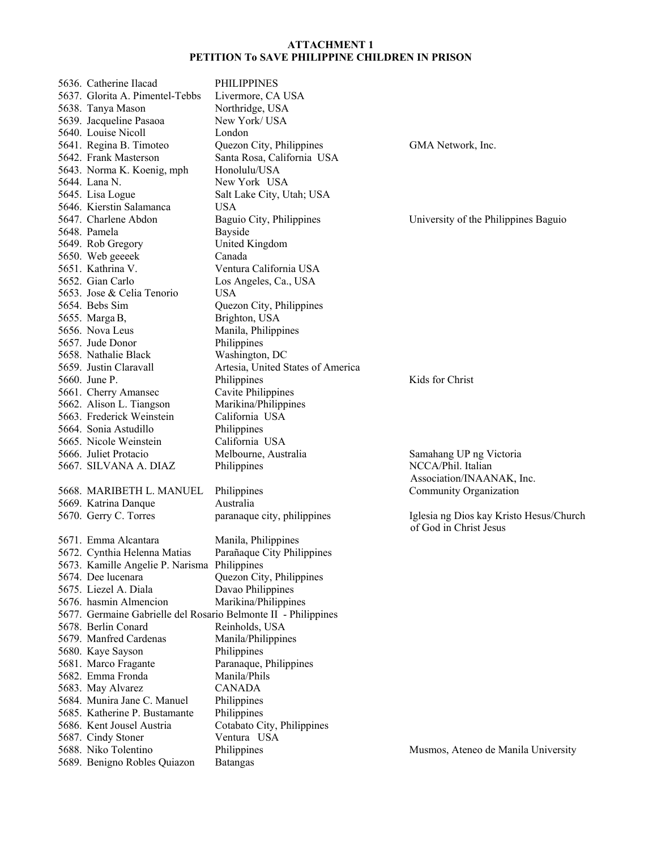| 5636. Catherine Ilacad                       | <b>PHILIPPINES</b>                                             |                                                                   |
|----------------------------------------------|----------------------------------------------------------------|-------------------------------------------------------------------|
| 5637. Glorita A. Pimentel-Tebbs              | Livermore, CA USA                                              |                                                                   |
| 5638. Tanya Mason                            | Northridge, USA                                                |                                                                   |
| 5639. Jacqueline Pasaoa                      | New York/USA                                                   |                                                                   |
| 5640. Louise Nicoll                          | London                                                         |                                                                   |
| 5641. Regina B. Timoteo                      | Quezon City, Philippines                                       | GMA Network, Inc.                                                 |
| 5642. Frank Masterson                        | Santa Rosa, California USA                                     |                                                                   |
| 5643. Norma K. Koenig, mph                   | Honolulu/USA                                                   |                                                                   |
| 5644. Lana N.                                | New York USA                                                   |                                                                   |
| 5645. Lisa Logue                             | Salt Lake City, Utah; USA                                      |                                                                   |
| 5646. Kierstin Salamanca                     | <b>USA</b>                                                     |                                                                   |
| 5647. Charlene Abdon                         | Baguio City, Philippines                                       | University of the Philippines Baguio                              |
| 5648. Pamela                                 | Bayside                                                        |                                                                   |
| 5649. Rob Gregory                            | United Kingdom                                                 |                                                                   |
| 5650. Web geeeek                             | Canada                                                         |                                                                   |
| 5651. Kathrina V.                            | Ventura California USA                                         |                                                                   |
| 5652. Gian Carlo                             | Los Angeles, Ca., USA                                          |                                                                   |
| 5653. Jose & Celia Tenorio                   | <b>USA</b>                                                     |                                                                   |
| 5654. Bebs Sim                               | Quezon City, Philippines                                       |                                                                   |
| 5655. Marga B,                               | Brighton, USA                                                  |                                                                   |
| 5656. Nova Leus                              | Manila, Philippines                                            |                                                                   |
| 5657. Jude Donor                             | Philippines                                                    |                                                                   |
| 5658. Nathalie Black                         | Washington, DC                                                 |                                                                   |
| 5659. Justin Claravall                       | Artesia, United States of America                              |                                                                   |
| 5660. June P.                                | Philippines                                                    | Kids for Christ                                                   |
| 5661. Cherry Amansec                         | Cavite Philippines                                             |                                                                   |
| 5662. Alison L. Tiangson                     | Marikina/Philippines                                           |                                                                   |
| 5663. Frederick Weinstein                    | California USA                                                 |                                                                   |
| 5664. Sonia Astudillo                        | Philippines                                                    |                                                                   |
| 5665. Nicole Weinstein                       | California USA                                                 |                                                                   |
| 5666. Juliet Protacio                        | Melbourne, Australia                                           |                                                                   |
| 5667. SILVANA A. DIAZ                        | Philippines                                                    | Samahang UP ng Victoria<br>NCCA/Phil. Italian                     |
|                                              |                                                                | Association/INAANAK, Inc.                                         |
| 5668. MARIBETH L. MANUEL                     | Philippines                                                    | Community Organization                                            |
|                                              | Australia                                                      |                                                                   |
| 5669. Katrina Danque                         |                                                                |                                                                   |
| 5670. Gerry C. Torres                        | paranaque city, philippines                                    | Iglesia ng Dios kay Kristo Hesus/Church<br>of God in Christ Jesus |
| 5671. Emma Alcantara                         |                                                                |                                                                   |
| 5672. Cynthia Helenna Matias                 | Manila, Philippines<br>Parañaque City Philippines              |                                                                   |
|                                              |                                                                |                                                                   |
| 5673. Kamille Angelie P. Narisma Philippines |                                                                |                                                                   |
| 5674. Dee lucenara<br>5675. Liezel A. Diala  | Quezon City, Philippines                                       |                                                                   |
|                                              | Davao Philippines                                              |                                                                   |
| 5676. hasmin Almencion                       | Marikina/Philippines                                           |                                                                   |
|                                              | 5677. Germaine Gabrielle del Rosario Belmonte II - Philippines |                                                                   |
| 5678. Berlin Conard                          | Reinholds, USA                                                 |                                                                   |
| 5679. Manfred Cardenas                       | Manila/Philippines                                             |                                                                   |
| 5680. Kaye Sayson                            | Philippines                                                    |                                                                   |
| 5681. Marco Fragante                         | Paranaque, Philippines                                         |                                                                   |
| 5682. Emma Fronda                            | Manila/Phils                                                   |                                                                   |
| 5683. May Alvarez                            | <b>CANADA</b>                                                  |                                                                   |
| 5684. Munira Jane C. Manuel                  | Philippines                                                    |                                                                   |
| 5685. Katherine P. Bustamante                | Philippines                                                    |                                                                   |
| 5686. Kent Jousel Austria                    | Cotabato City, Philippines                                     |                                                                   |
| 5687. Cindy Stoner                           | Ventura USA                                                    |                                                                   |
| 5688. Niko Tolentino                         | Philippines                                                    | Musmos, Ateneo de Manila University                               |
| 5689. Benigno Robles Quiazon                 | <b>Batangas</b>                                                |                                                                   |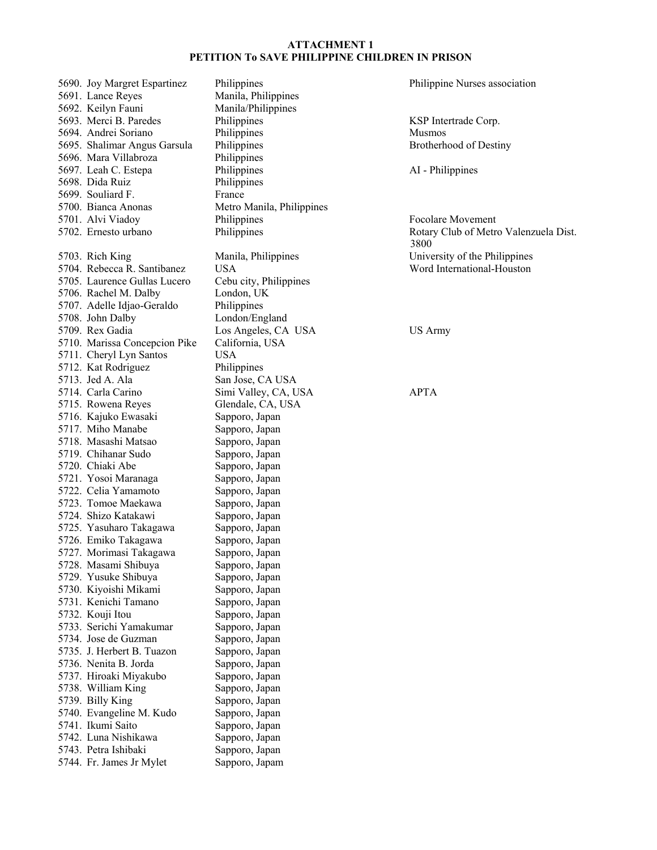5690. Joy Margret Espartinez Philippines Philippine Nurses association 5691. Lance Reyes Manila, Philippines 5692. Keilyn Fauni Manila/Philippines 5693. Merci B. Paredes Philippines Corp. (SSP Intertrade Corp. 5694. Andrei Soriano Philippines Musmos 5695. Shalimar Angus Garsula Philippines Brotherhood of Destiny 5696. Mara Villabroza Philippines 5697. Leah C. Estepa Philippines Philippines AI - Philippines 5698. Dida Ruiz Philippines 5699. Souliard F. 5700. Bianca Anonas Metro Manila, Philippines 5701. Alvi Viadoy Philippines Focolare Movement 5702. Ernesto urbano Philippines Philippines Rotary Club of Metro Valenzuela Dist. 5703. Rich King Manila, Philippines University of the Philippines 5704. Rebecca R. Santibanez USA Word International-Houston 5705. Laurence Gullas Lucero Cebu city, Philippines 5706. Rachel M. Dalby London, UK 5707. Adelle Idjao-Geraldo Philippines 5708. John Dalby London/England 5709. Rex Gadia  $\qquad \qquad$  Los Angeles, CA USA USA US Army 5710. Marissa Concepcion Pike California, USA 5711. Cheryl Lyn Santos USA 5712. Kat Rodriguez Philippines 5713. Jed A. Ala San Jose, CA USA 5714. Carla Carino Simi Valley, CA, USA APTA 5715. Rowena Reyes Glendale, CA, USA 5716. Kajuko Ewasaki Sapporo, Japan 5717. Miho Manabe Sapporo, Japan 5718. Masashi Matsao Sapporo, Japan 5719. Chihanar Sudo Sapporo, Japan 5720. Chiaki Abe Sapporo, Japan 5721. Yosoi Maranaga Sapporo, Japan 5722. Celia Yamamoto Sapporo, Japan 5723. Tomoe Maekawa Sapporo, Japan 5724. Shizo Katakawi Sapporo, Japan 5725. Yasuharo Takagawa Sapporo, Japan 5726. Emiko Takagawa Sapporo, Japan 5727. Morimasi Takagawa Sapporo, Japan 5728. Masami Shibuya Sapporo, Japan 5729. Yusuke Shibuya Sapporo, Japan 5730. Kiyoishi Mikami Sapporo, Japan 5731. Kenichi Tamano Sapporo, Japan 5732. Kouji Itou Sapporo, Japan 5733. Serichi Yamakumar Sapporo, Japan 5734. Jose de Guzman Sapporo, Japan 5735. J. Herbert B. Tuazon Sapporo, Japan 5736. Nenita B. Jorda Sapporo, Japan 5737. Hiroaki Miyakubo Sapporo, Japan 5738. William King Sapporo, Japan 5739. Billy King Sapporo, Japan 5740. Evangeline M. Kudo Sapporo, Japan 5741. Ikumi Saito Sapporo, Japan 5742. Luna Nishikawa Sapporo, Japan 5743. Petra Ishibaki Sapporo, Japan 5744. Fr. James Jr Mylet Sapporo, Japam

3800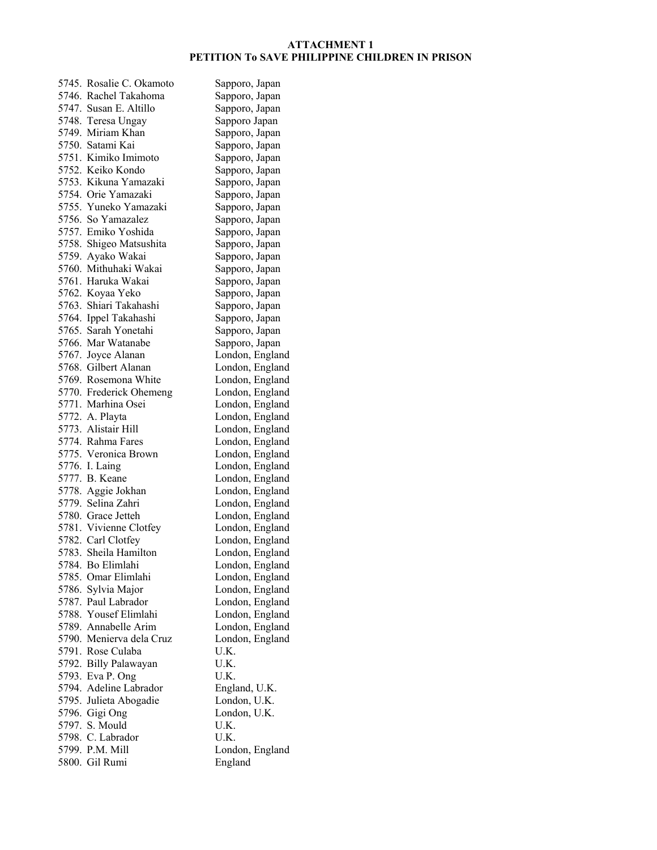## **ATTACHMENT 1 PETITION To SAVE PHILIPPINE CHILDREN IN PRISON**

| 5745. Rosalie C. Okamoto                   | Sapporo, Japan  |
|--------------------------------------------|-----------------|
| 5746. Rachel Takahoma                      | Sapporo, Japan  |
| 5747. Susan E. Altillo                     | Sapporo, Japan  |
| 5748. Teresa Ungay                         | Sapporo Japan   |
| 5749. Miriam Khan                          | Sapporo, Japan  |
| 5750. Satami Kai                           | Sapporo, Japan  |
| 5751. Kimiko Imimoto                       | Sapporo, Japan  |
| 5752. Keiko Kondo                          | Sapporo, Japan  |
| 5753. Kikuna Yamazaki                      | Sapporo, Japan  |
| 5754. Orie Yamazaki                        | Sapporo, Japan  |
| 5755. Yuneko Yamazaki                      | Sapporo, Japan  |
| 5756. So Yamazalez                         | Sapporo, Japan  |
| 5757. Emiko Yoshida                        | Sapporo, Japan  |
| 5758. Shigeo Matsushita                    | Sapporo, Japan  |
|                                            |                 |
| 5759. Ayako Wakai<br>5760. Mithuhaki Wakai | Sapporo, Japan  |
|                                            | Sapporo, Japan  |
| 5761. Haruka Wakai                         | Sapporo, Japan  |
| 5762. Koyaa Yeko                           | Sapporo, Japan  |
| 5763. Shiari Takahashi                     | Sapporo, Japan  |
| 5764. Ippel Takahashi                      | Sapporo, Japan  |
| 5765. Sarah Yonetahi                       | Sapporo, Japan  |
| 5766. Mar Watanabe                         | Sapporo, Japan  |
| 5767. Joyce Alanan                         | London, England |
| 5768. Gilbert Alanan                       | London, England |
| 5769. Rosemona White                       | London, England |
| 5770. Frederick Ohemeng                    | London, England |
| 5771. Marhina Osei                         | London, England |
| 5772. A. Playta                            | London, England |
| 5773. Alistair Hill                        | London, England |
| 5774. Rahma Fares                          | London, England |
| 5775. Veronica Brown                       | London, England |
| 5776. I. Laing                             | London, England |
| 5777. B. Keane                             | London, England |
| 5778. Aggie Jokhan                         | London, England |
| 5779. Selina Zahri                         | London, England |
| 5780. Grace Jetteh                         | London, England |
| 5781. Vivienne Clotfey                     | London, England |
| 5782. Carl Clotfey                         | London, England |
| 5783. Sheila Hamilton                      | London, England |
| 5784. Bo Elimlahi                          | London, England |
| 5785. Omar Elimlahi                        | London, England |
| 5786. Sylvia Major                         | London, England |
| 5787. Paul Labrador                        | London, England |
| 5788. Yousef Elimlahi                      |                 |
|                                            | London, England |
| 5789. Annabelle Arim                       | London, England |
| 5790. Menierva dela Cruz                   | London, England |
| 5791. Rose Culaba                          | U.K.            |
| 5792. Billy Palawayan                      | U.K.            |
| 5793. Eva P. Ong                           | U.K.            |
| 5794. Adeline Labrador                     | England, U.K.   |
| 5795. Julieta Abogadie                     | London, U.K.    |
| 5796. Gigi Ong                             | London, U.K.    |
| 5797. S. Mould                             | U.K.            |
| 5798. C. Labrador                          | U.K.            |
| 5799. P.M. Mill                            | London, England |
| 5800. Gil Rumi                             | England         |
|                                            |                 |